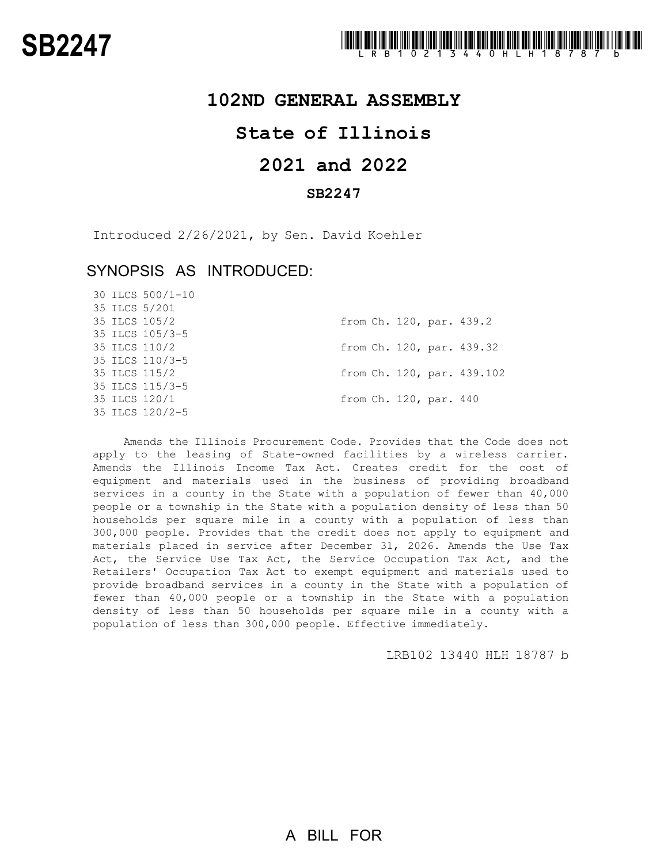### **102ND GENERAL ASSEMBLY**

# **State of Illinois**

# **2021 and 2022**

### **SB2247**

Introduced 2/26/2021, by Sen. David Koehler

## SYNOPSIS AS INTRODUCED:

30 ILCS 500/1-10

|  | 35 ILCS 5/201   |  |                        |                            |
|--|-----------------|--|------------------------|----------------------------|
|  | 35 ILCS 105/2   |  |                        | from Ch. 120, par. 439.2   |
|  | 35 ILCS 105/3-5 |  |                        |                            |
|  | 35 ILCS 110/2   |  |                        | from Ch. 120, par. 439.32  |
|  | 35 ILCS 110/3-5 |  |                        |                            |
|  | 35 ILCS 115/2   |  |                        | from Ch. 120, par. 439.102 |
|  | 35 ILCS 115/3-5 |  |                        |                            |
|  | 35 ILCS 120/1   |  | from Ch. 120, par. 440 |                            |
|  | 35 ILCS 120/2-5 |  |                        |                            |
|  |                 |  |                        |                            |

Amends the Illinois Procurement Code. Provides that the Code does not apply to the leasing of State-owned facilities by a wireless carrier. Amends the Illinois Income Tax Act. Creates credit for the cost of equipment and materials used in the business of providing broadband services in a county in the State with a population of fewer than 40,000 people or a township in the State with a population density of less than 50 households per square mile in a county with a population of less than 300,000 people. Provides that the credit does not apply to equipment and materials placed in service after December 31, 2026. Amends the Use Tax Act, the Service Use Tax Act, the Service Occupation Tax Act, and the Retailers' Occupation Tax Act to exempt equipment and materials used to provide broadband services in a county in the State with a population of fewer than 40,000 people or a township in the State with a population density of less than 50 households per square mile in a county with a population of less than 300,000 people. Effective immediately.

LRB102 13440 HLH 18787 b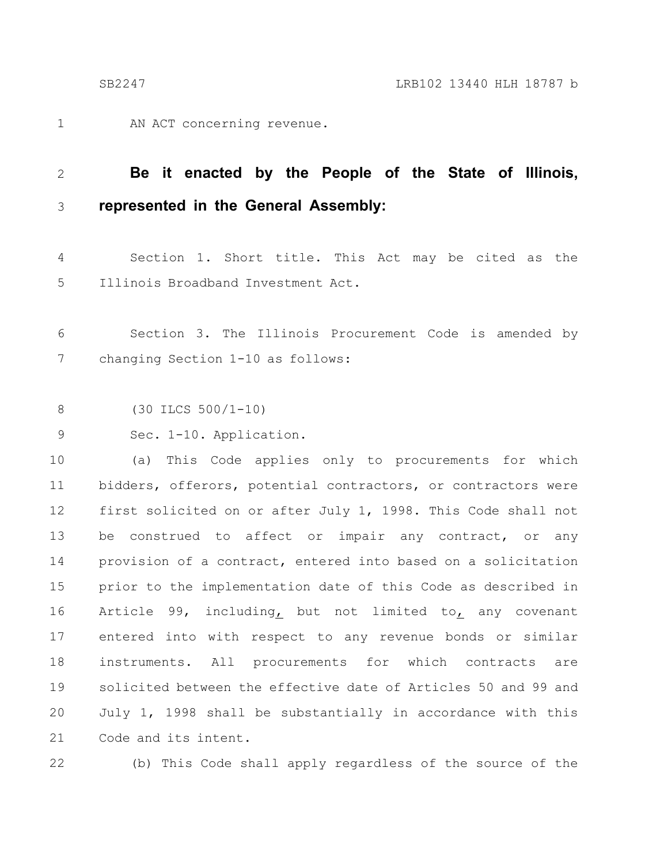AN ACT concerning revenue. 1

#### **Be it enacted by the People of the State of Illinois, represented in the General Assembly:** 2 3

Section 1. Short title. This Act may be cited as the Illinois Broadband Investment Act. 4 5

Section 3. The Illinois Procurement Code is amended by changing Section 1-10 as follows: 6 7

(30 ILCS 500/1-10) 8

Sec. 1-10. Application. 9

(a) This Code applies only to procurements for which bidders, offerors, potential contractors, or contractors were first solicited on or after July 1, 1998. This Code shall not be construed to affect or impair any contract, or any provision of a contract, entered into based on a solicitation prior to the implementation date of this Code as described in Article 99, including, but not limited to, any covenant entered into with respect to any revenue bonds or similar instruments. All procurements for which contracts are solicited between the effective date of Articles 50 and 99 and July 1, 1998 shall be substantially in accordance with this Code and its intent. 10 11 12 13 14 15 16 17 18 19 20 21

22

(b) This Code shall apply regardless of the source of the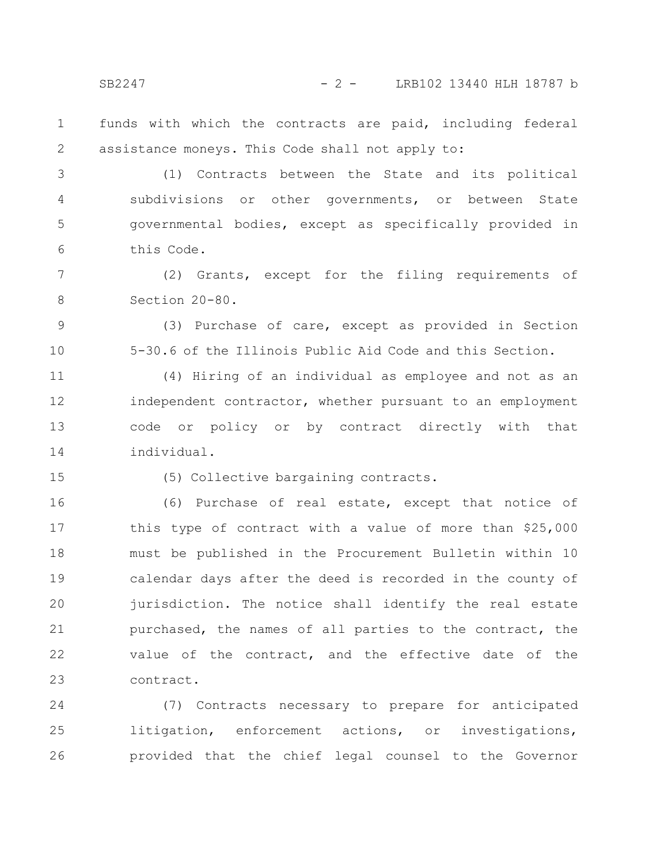SB2247 - 2 - LRB102 13440 HLH 18787 b

funds with which the contracts are paid, including federal assistance moneys. This Code shall not apply to: 1 2

(1) Contracts between the State and its political subdivisions or other governments, or between State governmental bodies, except as specifically provided in this Code. 3 4 5 6

(2) Grants, except for the filing requirements of Section 20-80. 7 8

(3) Purchase of care, except as provided in Section 5-30.6 of the Illinois Public Aid Code and this Section.

(4) Hiring of an individual as employee and not as an independent contractor, whether pursuant to an employment code or policy or by contract directly with that individual. 11 12 13 14

15

9

10

(5) Collective bargaining contracts.

(6) Purchase of real estate, except that notice of this type of contract with a value of more than \$25,000 must be published in the Procurement Bulletin within 10 calendar days after the deed is recorded in the county of jurisdiction. The notice shall identify the real estate purchased, the names of all parties to the contract, the value of the contract, and the effective date of the contract. 16 17 18 19 20 21 22 23

(7) Contracts necessary to prepare for anticipated litigation, enforcement actions, or investigations, provided that the chief legal counsel to the Governor 24 25 26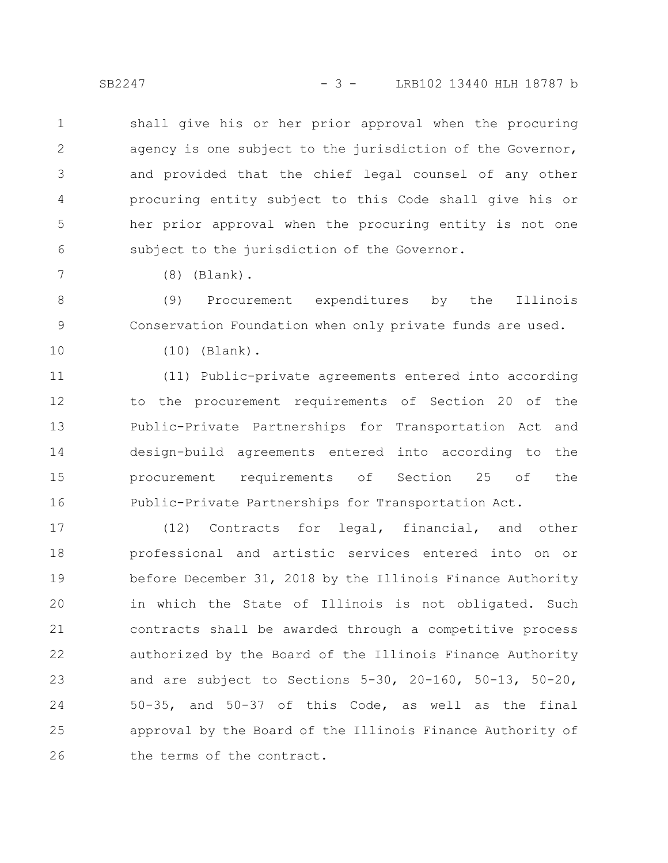SB2247 - 3 - LRB102 13440 HLH 18787 b

shall give his or her prior approval when the procuring agency is one subject to the jurisdiction of the Governor, and provided that the chief legal counsel of any other procuring entity subject to this Code shall give his or her prior approval when the procuring entity is not one subject to the jurisdiction of the Governor. 1 2 3 4 5 6

(8) (Blank).

(9) Procurement expenditures by the Illinois Conservation Foundation when only private funds are used. 8 9

10

7

(10) (Blank).

(11) Public-private agreements entered into according to the procurement requirements of Section 20 of the Public-Private Partnerships for Transportation Act and design-build agreements entered into according to the procurement requirements of Section 25 of the Public-Private Partnerships for Transportation Act. 11 12 13 14 15 16

(12) Contracts for legal, financial, and other professional and artistic services entered into on or before December 31, 2018 by the Illinois Finance Authority in which the State of Illinois is not obligated. Such contracts shall be awarded through a competitive process authorized by the Board of the Illinois Finance Authority and are subject to Sections 5-30, 20-160, 50-13, 50-20, 50-35, and 50-37 of this Code, as well as the final approval by the Board of the Illinois Finance Authority of the terms of the contract. 17 18 19 20 21 22 23 24 25 26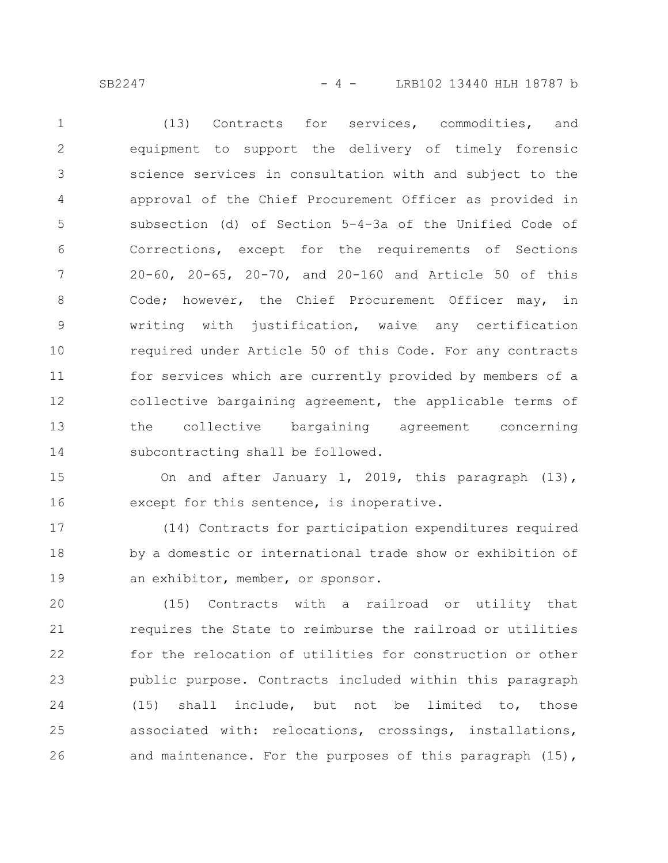(13) Contracts for services, commodities, and equipment to support the delivery of timely forensic science services in consultation with and subject to the approval of the Chief Procurement Officer as provided in subsection (d) of Section 5-4-3a of the Unified Code of Corrections, except for the requirements of Sections 20-60, 20-65, 20-70, and 20-160 and Article 50 of this Code; however, the Chief Procurement Officer may, in writing with justification, waive any certification required under Article 50 of this Code. For any contracts for services which are currently provided by members of a collective bargaining agreement, the applicable terms of the collective bargaining agreement concerning subcontracting shall be followed. 1 2 3 4 5 6 7 8 9 10 11 12 13 14

On and after January 1, 2019, this paragraph (13), except for this sentence, is inoperative. 15 16

(14) Contracts for participation expenditures required by a domestic or international trade show or exhibition of an exhibitor, member, or sponsor. 17 18 19

(15) Contracts with a railroad or utility that requires the State to reimburse the railroad or utilities for the relocation of utilities for construction or other public purpose. Contracts included within this paragraph (15) shall include, but not be limited to, those associated with: relocations, crossings, installations, and maintenance. For the purposes of this paragraph (15), 20 21 22 23 24 25 26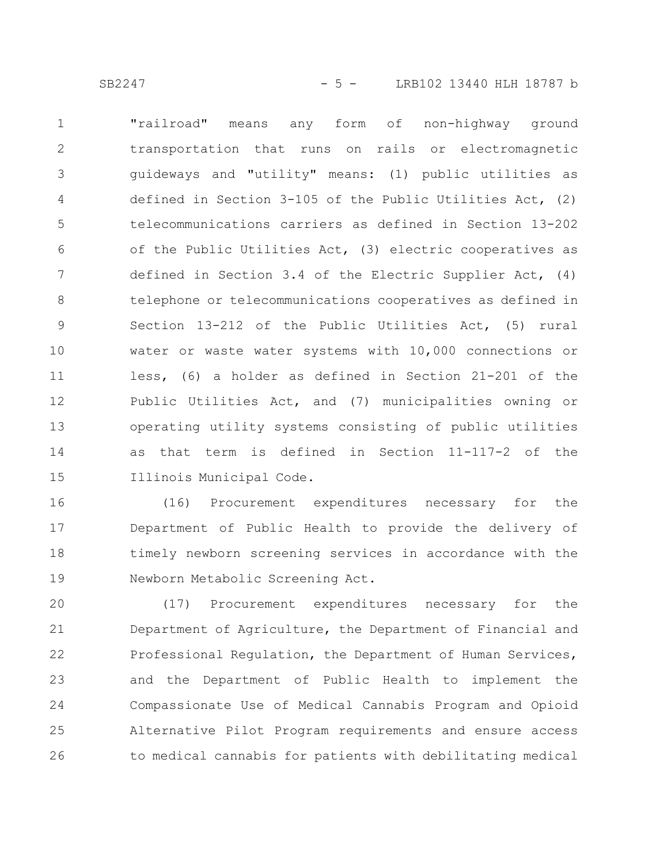SB2247 - 5 - LRB102 13440 HLH 18787 b

"railroad" means any form of non-highway ground transportation that runs on rails or electromagnetic guideways and "utility" means: (1) public utilities as defined in Section 3-105 of the Public Utilities Act, (2) telecommunications carriers as defined in Section 13-202 of the Public Utilities Act, (3) electric cooperatives as defined in Section 3.4 of the Electric Supplier Act, (4) telephone or telecommunications cooperatives as defined in Section 13-212 of the Public Utilities Act, (5) rural water or waste water systems with 10,000 connections or less, (6) a holder as defined in Section 21-201 of the Public Utilities Act, and (7) municipalities owning or operating utility systems consisting of public utilities as that term is defined in Section 11-117-2 of the Illinois Municipal Code. 1 2 3 4 5 6 7 8 9 10 11 12 13 14 15

(16) Procurement expenditures necessary for the Department of Public Health to provide the delivery of timely newborn screening services in accordance with the Newborn Metabolic Screening Act. 16 17 18 19

(17) Procurement expenditures necessary for the Department of Agriculture, the Department of Financial and Professional Regulation, the Department of Human Services, and the Department of Public Health to implement the Compassionate Use of Medical Cannabis Program and Opioid Alternative Pilot Program requirements and ensure access to medical cannabis for patients with debilitating medical 20 21 22 23 24 25 26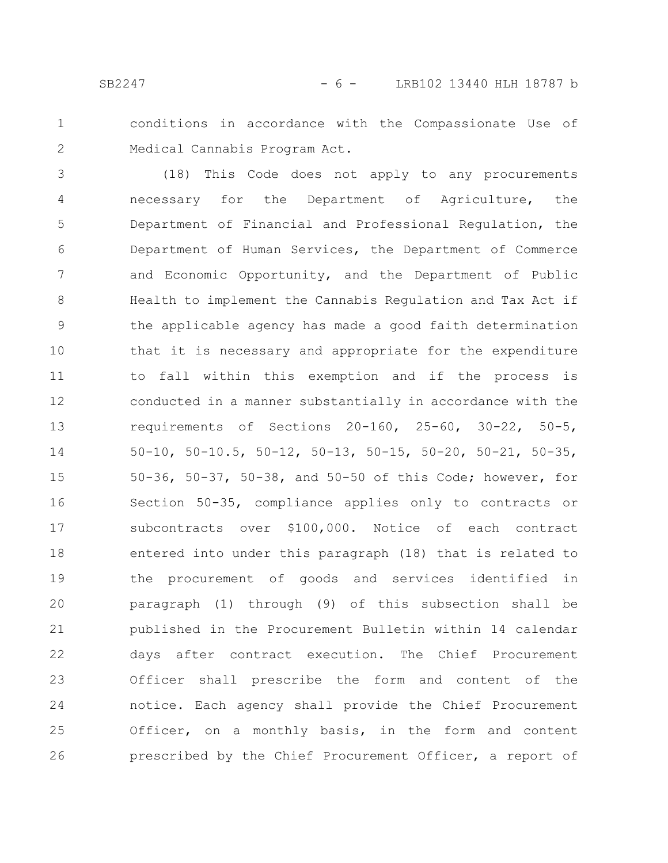- 
- 1 2

conditions in accordance with the Compassionate Use of Medical Cannabis Program Act.

(18) This Code does not apply to any procurements necessary for the Department of Agriculture, the Department of Financial and Professional Regulation, the Department of Human Services, the Department of Commerce and Economic Opportunity, and the Department of Public Health to implement the Cannabis Regulation and Tax Act if the applicable agency has made a good faith determination that it is necessary and appropriate for the expenditure to fall within this exemption and if the process is conducted in a manner substantially in accordance with the requirements of Sections 20-160, 25-60, 30-22, 50-5, 50-10, 50-10.5, 50-12, 50-13, 50-15, 50-20, 50-21, 50-35, 50-36, 50-37, 50-38, and 50-50 of this Code; however, for Section 50-35, compliance applies only to contracts or subcontracts over \$100,000. Notice of each contract entered into under this paragraph (18) that is related to the procurement of goods and services identified in paragraph (1) through (9) of this subsection shall be published in the Procurement Bulletin within 14 calendar days after contract execution. The Chief Procurement Officer shall prescribe the form and content of the notice. Each agency shall provide the Chief Procurement Officer, on a monthly basis, in the form and content prescribed by the Chief Procurement Officer, a report of 3 4 5 6 7 8 9 10 11 12 13 14 15 16 17 18 19 20 21 22 23 24 25 26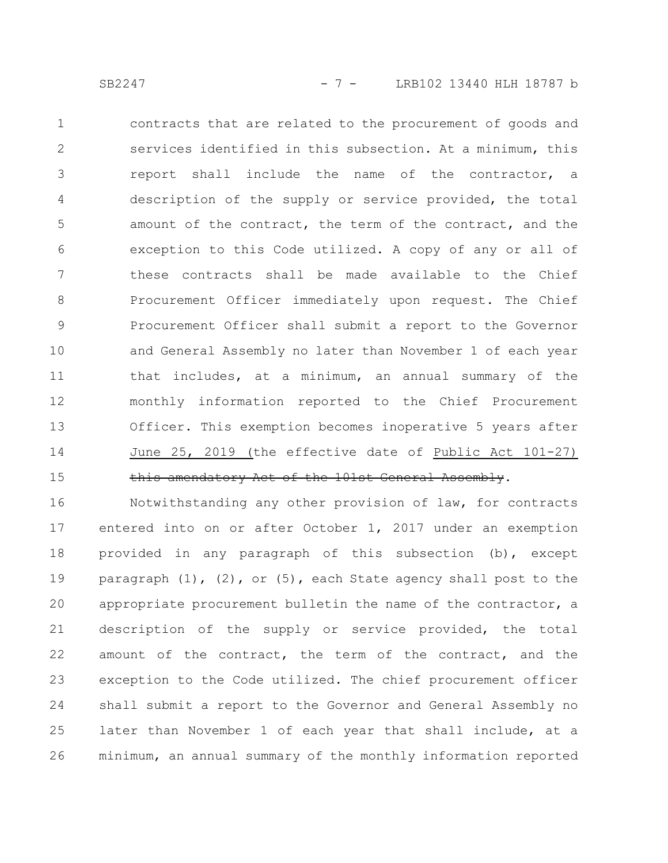contracts that are related to the procurement of goods and services identified in this subsection. At a minimum, this report shall include the name of the contractor, a description of the supply or service provided, the total amount of the contract, the term of the contract, and the exception to this Code utilized. A copy of any or all of these contracts shall be made available to the Chief Procurement Officer immediately upon request. The Chief Procurement Officer shall submit a report to the Governor and General Assembly no later than November 1 of each year that includes, at a minimum, an annual summary of the monthly information reported to the Chief Procurement Officer. This exemption becomes inoperative 5 years after June 25, 2019 (the effective date of Public Act 101-27) this amendatory Act of the 101st General Assembly. 1 2 3 4 5 6 7 8 9 10 11 12 13 14 15

Notwithstanding any other provision of law, for contracts entered into on or after October 1, 2017 under an exemption provided in any paragraph of this subsection (b), except paragraph  $(1)$ ,  $(2)$ , or  $(5)$ , each State agency shall post to the appropriate procurement bulletin the name of the contractor, a description of the supply or service provided, the total amount of the contract, the term of the contract, and the exception to the Code utilized. The chief procurement officer shall submit a report to the Governor and General Assembly no later than November 1 of each year that shall include, at a minimum, an annual summary of the monthly information reported 16 17 18 19 20 21 22 23 24 25 26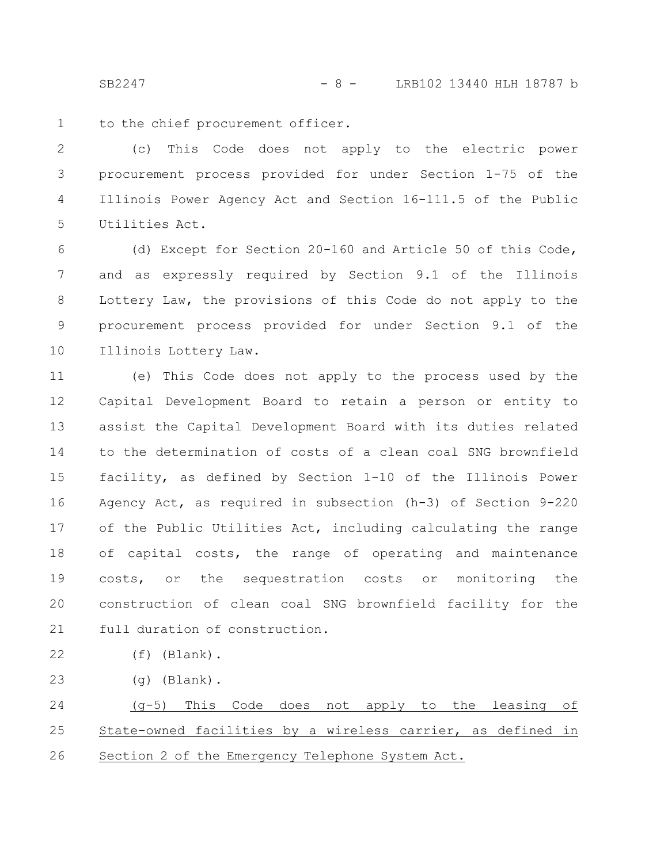SB2247 - 8 - LRB102 13440 HLH 18787 b

to the chief procurement officer. 1

(c) This Code does not apply to the electric power procurement process provided for under Section 1-75 of the Illinois Power Agency Act and Section 16-111.5 of the Public Utilities Act. 2 3 4 5

(d) Except for Section 20-160 and Article 50 of this Code, and as expressly required by Section 9.1 of the Illinois Lottery Law, the provisions of this Code do not apply to the procurement process provided for under Section 9.1 of the Illinois Lottery Law. 6 7 8 9 10

(e) This Code does not apply to the process used by the Capital Development Board to retain a person or entity to assist the Capital Development Board with its duties related to the determination of costs of a clean coal SNG brownfield facility, as defined by Section 1-10 of the Illinois Power Agency Act, as required in subsection (h-3) of Section 9-220 of the Public Utilities Act, including calculating the range of capital costs, the range of operating and maintenance costs, or the sequestration costs or monitoring the construction of clean coal SNG brownfield facility for the full duration of construction. 11 12 13 14 15 16 17 18 19 20 21

(f) (Blank). 22

(g) (Blank). 23

(g-5) This Code does not apply to the leasing of State-owned facilities by a wireless carrier, as defined in Section 2 of the Emergency Telephone System Act. 24 25 26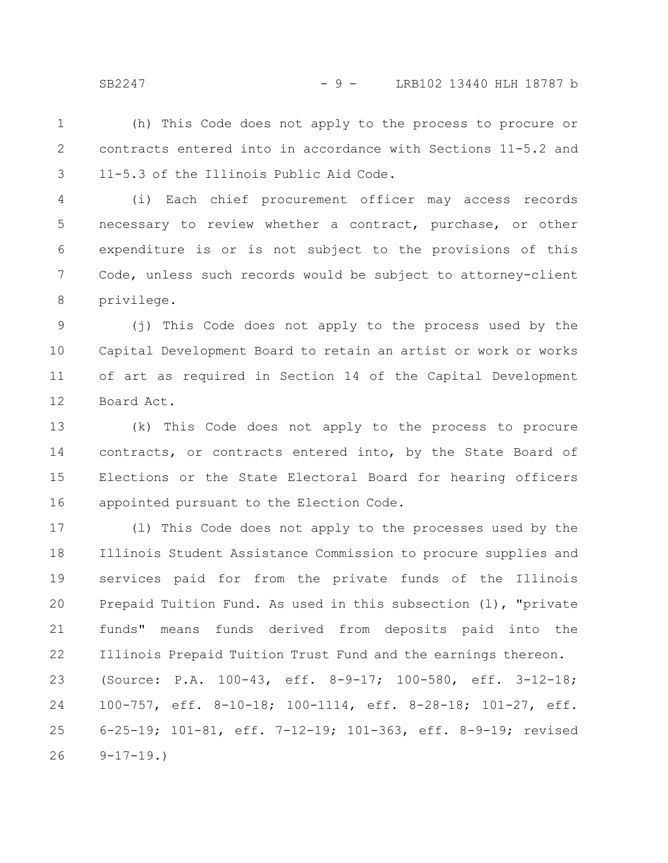(h) This Code does not apply to the process to procure or contracts entered into in accordance with Sections 11-5.2 and 11-5.3 of the Illinois Public Aid Code. 1 2 3

(i) Each chief procurement officer may access records necessary to review whether a contract, purchase, or other expenditure is or is not subject to the provisions of this Code, unless such records would be subject to attorney-client privilege. 4 5 6 7 8

(j) This Code does not apply to the process used by the Capital Development Board to retain an artist or work or works of art as required in Section 14 of the Capital Development Board Act. 9 10 11 12

(k) This Code does not apply to the process to procure contracts, or contracts entered into, by the State Board of Elections or the State Electoral Board for hearing officers appointed pursuant to the Election Code. 13 14 15 16

(l) This Code does not apply to the processes used by the Illinois Student Assistance Commission to procure supplies and services paid for from the private funds of the Illinois Prepaid Tuition Fund. As used in this subsection (l), "private funds" means funds derived from deposits paid into the Illinois Prepaid Tuition Trust Fund and the earnings thereon. (Source: P.A. 100-43, eff. 8-9-17; 100-580, eff. 3-12-18; 100-757, eff. 8-10-18; 100-1114, eff. 8-28-18; 101-27, eff. 6-25-19; 101-81, eff. 7-12-19; 101-363, eff. 8-9-19; revised  $9-17-19.$ 17 18 19 20 21 22 23 24 25 26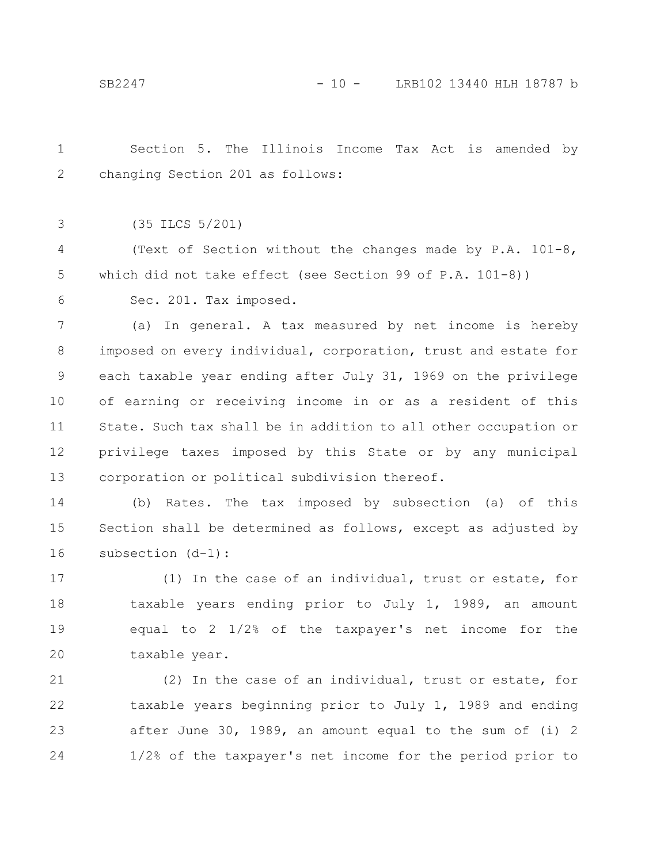Section 5. The Illinois Income Tax Act is amended by changing Section 201 as follows: 1 2

(35 ILCS 5/201) 3

(Text of Section without the changes made by P.A. 101-8, which did not take effect (see Section 99 of P.A. 101-8)) 4 5

Sec. 201. Tax imposed. 6

(a) In general. A tax measured by net income is hereby imposed on every individual, corporation, trust and estate for each taxable year ending after July 31, 1969 on the privilege of earning or receiving income in or as a resident of this State. Such tax shall be in addition to all other occupation or privilege taxes imposed by this State or by any municipal corporation or political subdivision thereof. 7 8 9 10 11 12 13

(b) Rates. The tax imposed by subsection (a) of this Section shall be determined as follows, except as adjusted by subsection (d-1): 14 15 16

(1) In the case of an individual, trust or estate, for taxable years ending prior to July 1, 1989, an amount equal to 2 1/2% of the taxpayer's net income for the taxable year. 17 18 19 20

(2) In the case of an individual, trust or estate, for taxable years beginning prior to July 1, 1989 and ending after June 30, 1989, an amount equal to the sum of (i) 2 1/2% of the taxpayer's net income for the period prior to 21 22 23 24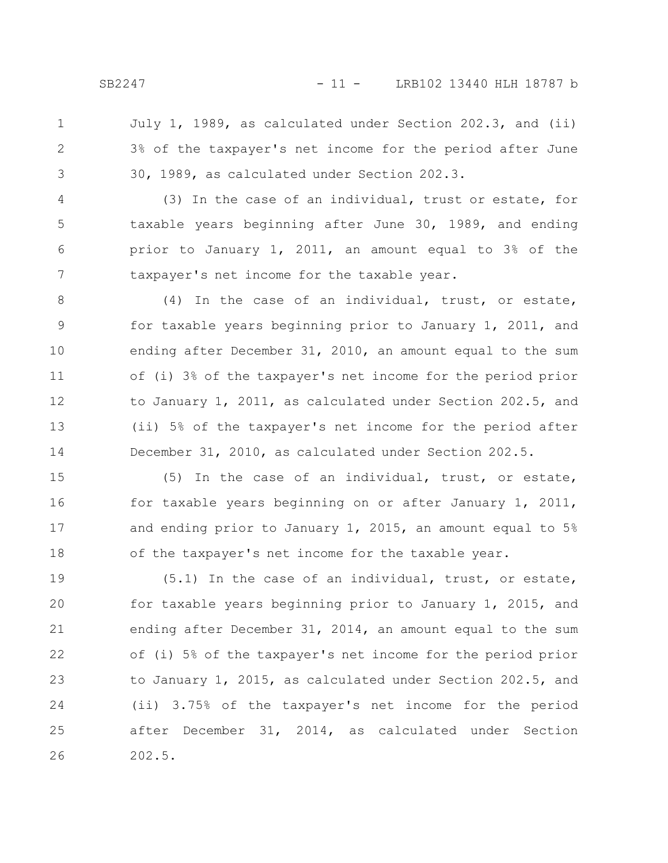July 1, 1989, as calculated under Section 202.3, and (ii) 3% of the taxpayer's net income for the period after June 30, 1989, as calculated under Section 202.3. 1 2 3

(3) In the case of an individual, trust or estate, for taxable years beginning after June 30, 1989, and ending prior to January 1, 2011, an amount equal to 3% of the taxpayer's net income for the taxable year. 4 5 6 7

(4) In the case of an individual, trust, or estate, for taxable years beginning prior to January 1, 2011, and ending after December 31, 2010, an amount equal to the sum of (i) 3% of the taxpayer's net income for the period prior to January 1, 2011, as calculated under Section 202.5, and (ii) 5% of the taxpayer's net income for the period after December 31, 2010, as calculated under Section 202.5. 8 9 10 11 12 13 14

(5) In the case of an individual, trust, or estate, for taxable years beginning on or after January 1, 2011, and ending prior to January 1, 2015, an amount equal to 5% of the taxpayer's net income for the taxable year. 15 16 17 18

(5.1) In the case of an individual, trust, or estate, for taxable years beginning prior to January 1, 2015, and ending after December 31, 2014, an amount equal to the sum of (i) 5% of the taxpayer's net income for the period prior to January 1, 2015, as calculated under Section 202.5, and (ii) 3.75% of the taxpayer's net income for the period after December 31, 2014, as calculated under Section 202.5. 19 20 21 22 23 24 25 26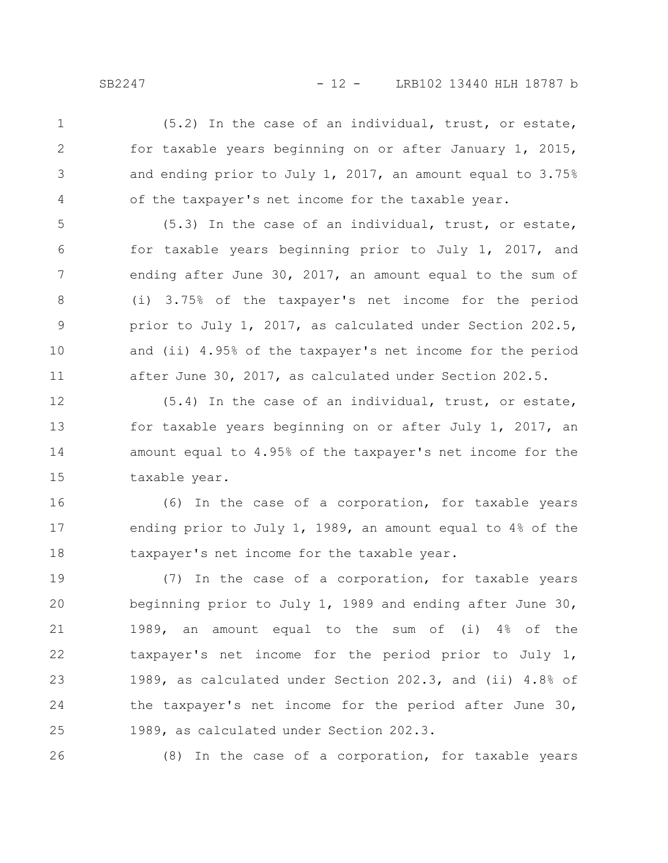(5.2) In the case of an individual, trust, or estate, for taxable years beginning on or after January 1, 2015, and ending prior to July 1, 2017, an amount equal to 3.75% of the taxpayer's net income for the taxable year. 1 2 3 4

(5.3) In the case of an individual, trust, or estate, for taxable years beginning prior to July 1, 2017, and ending after June 30, 2017, an amount equal to the sum of (i) 3.75% of the taxpayer's net income for the period prior to July 1, 2017, as calculated under Section 202.5, and (ii) 4.95% of the taxpayer's net income for the period after June 30, 2017, as calculated under Section 202.5. 5 6 7 8 9 10 11

(5.4) In the case of an individual, trust, or estate, for taxable years beginning on or after July 1, 2017, an amount equal to 4.95% of the taxpayer's net income for the taxable year. 12 13 14 15

(6) In the case of a corporation, for taxable years ending prior to July 1, 1989, an amount equal to 4% of the taxpayer's net income for the taxable year. 16 17 18

(7) In the case of a corporation, for taxable years beginning prior to July 1, 1989 and ending after June 30, 1989, an amount equal to the sum of (i) 4% of the taxpayer's net income for the period prior to July 1, 1989, as calculated under Section 202.3, and (ii) 4.8% of the taxpayer's net income for the period after June 30, 1989, as calculated under Section 202.3. 19 20 21 22 23 24 25

26

(8) In the case of a corporation, for taxable years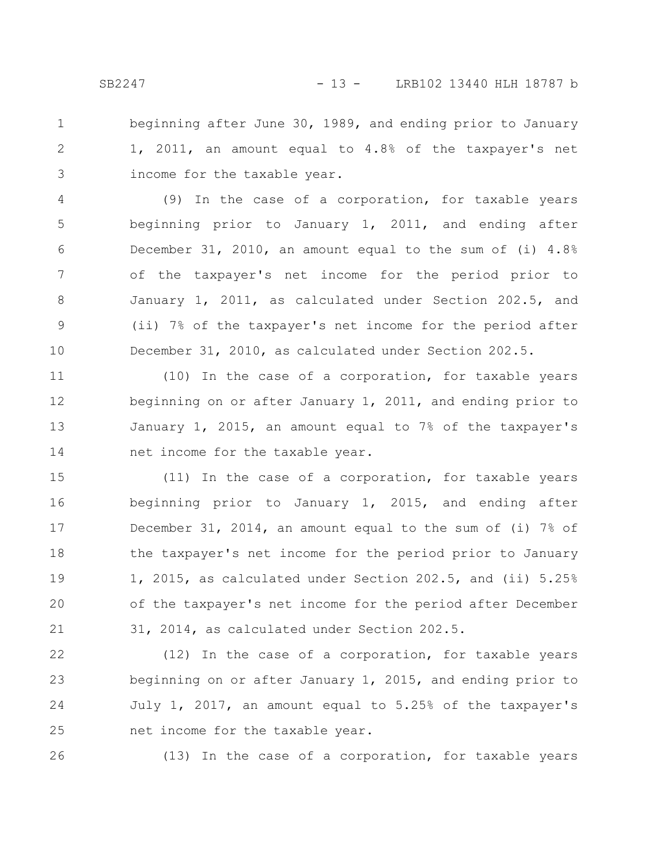beginning after June 30, 1989, and ending prior to January 1, 2011, an amount equal to 4.8% of the taxpayer's net income for the taxable year. 1 2 3

(9) In the case of a corporation, for taxable years beginning prior to January 1, 2011, and ending after December 31, 2010, an amount equal to the sum of (i) 4.8% of the taxpayer's net income for the period prior to January 1, 2011, as calculated under Section 202.5, and (ii) 7% of the taxpayer's net income for the period after December 31, 2010, as calculated under Section 202.5. 4 5 6 7 8 9 10

(10) In the case of a corporation, for taxable years beginning on or after January 1, 2011, and ending prior to January 1, 2015, an amount equal to 7% of the taxpayer's net income for the taxable year. 11 12 13 14

(11) In the case of a corporation, for taxable years beginning prior to January 1, 2015, and ending after December 31, 2014, an amount equal to the sum of (i) 7% of the taxpayer's net income for the period prior to January 1, 2015, as calculated under Section 202.5, and (ii) 5.25% of the taxpayer's net income for the period after December 31, 2014, as calculated under Section 202.5. 15 16 17 18 19 20 21

(12) In the case of a corporation, for taxable years beginning on or after January 1, 2015, and ending prior to July 1, 2017, an amount equal to 5.25% of the taxpayer's net income for the taxable year. 22 23 24 25

26

(13) In the case of a corporation, for taxable years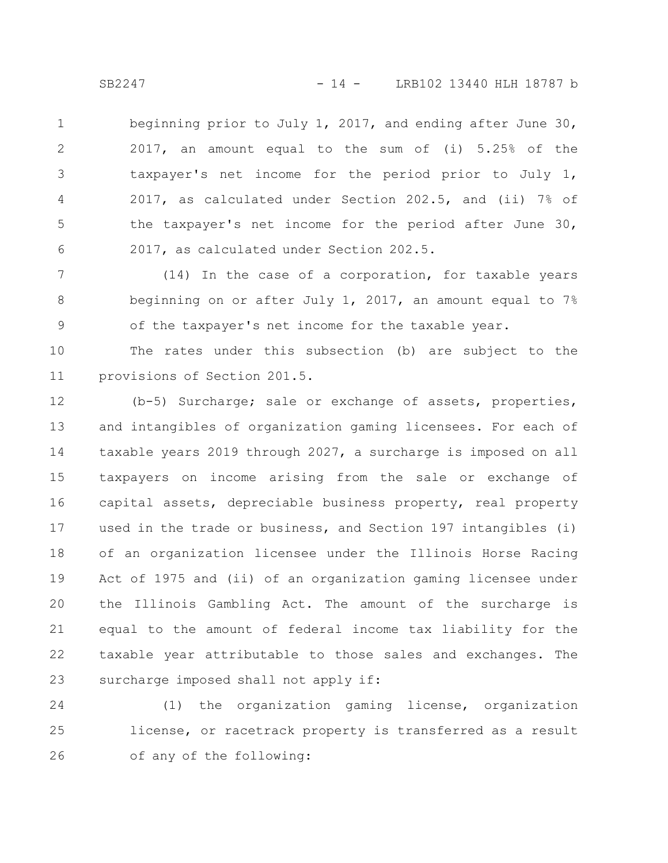beginning prior to July 1, 2017, and ending after June 30, 2017, an amount equal to the sum of (i) 5.25% of the taxpayer's net income for the period prior to July 1, 2017, as calculated under Section 202.5, and (ii) 7% of the taxpayer's net income for the period after June 30, 2017, as calculated under Section 202.5. 1 2 3 4 5 6

(14) In the case of a corporation, for taxable years beginning on or after July 1, 2017, an amount equal to 7% of the taxpayer's net income for the taxable year. 7 8 9

The rates under this subsection (b) are subject to the provisions of Section 201.5. 10 11

(b-5) Surcharge; sale or exchange of assets, properties, and intangibles of organization gaming licensees. For each of taxable years 2019 through 2027, a surcharge is imposed on all taxpayers on income arising from the sale or exchange of capital assets, depreciable business property, real property used in the trade or business, and Section 197 intangibles (i) of an organization licensee under the Illinois Horse Racing Act of 1975 and (ii) of an organization gaming licensee under the Illinois Gambling Act. The amount of the surcharge is equal to the amount of federal income tax liability for the taxable year attributable to those sales and exchanges. The surcharge imposed shall not apply if: 12 13 14 15 16 17 18 19 20 21 22 23

(1) the organization gaming license, organization license, or racetrack property is transferred as a result of any of the following: 24 25 26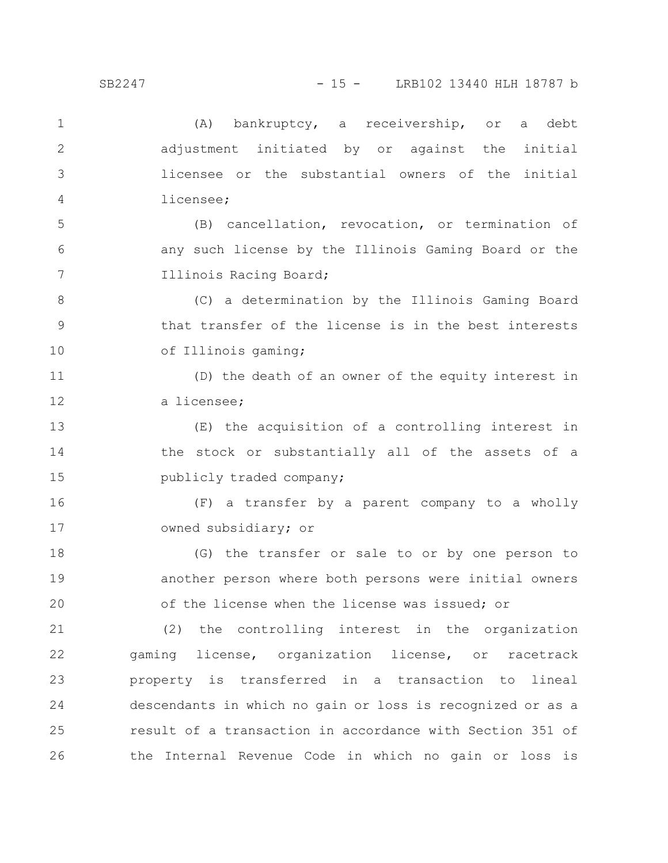| $\mathbf{1}$ | (A) bankruptcy, a receivership, or a debt                  |
|--------------|------------------------------------------------------------|
| 2            | adjustment initiated by or against the initial             |
| 3            | licensee or the substantial owners of the initial          |
| 4            | licensee;                                                  |
| 5            | (B) cancellation, revocation, or termination of            |
| 6            | any such license by the Illinois Gaming Board or the       |
| 7            | Illinois Racing Board;                                     |
| $8\,$        | (C) a determination by the Illinois Gaming Board           |
| $\mathsf 9$  | that transfer of the license is in the best interests      |
| 10           | of Illinois gaming;                                        |
| 11           | (D) the death of an owner of the equity interest in        |
| 12           | a licensee;                                                |
| 13           | (E) the acquisition of a controlling interest in           |
| 14           | the stock or substantially all of the assets of a          |
| 15           | publicly traded company;                                   |
| 16           | (F) a transfer by a parent company to a wholly             |
| 17           | owned subsidiary; or                                       |
| 18           | (G) the transfer or sale to or by one person to            |
| 19           | another person where both persons were initial owners      |
| 20           | of the license when the license was issued; or             |
| 21           | (2) the controlling interest in the organization           |
| 22           | gaming license, organization license, or racetrack         |
| 23           | property is transferred in a transaction to lineal         |
| 24           | descendants in which no gain or loss is recognized or as a |
| 25           | result of a transaction in accordance with Section 351 of  |
| 26           | the Internal Revenue Code in which no gain or loss is      |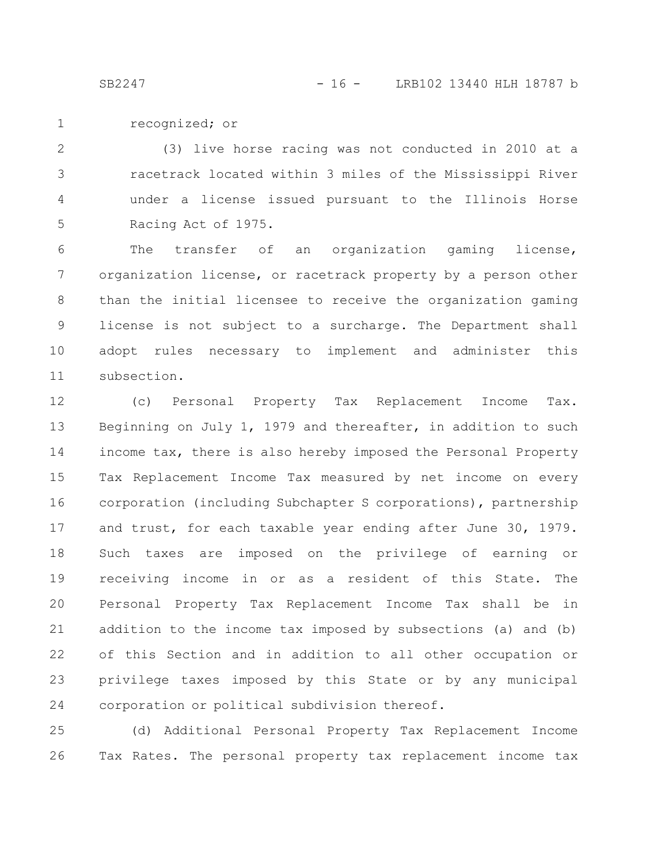recognized; or 1

(3) live horse racing was not conducted in 2010 at a racetrack located within 3 miles of the Mississippi River under a license issued pursuant to the Illinois Horse Racing Act of 1975. 2 3 4 5

The transfer of an organization gaming license, organization license, or racetrack property by a person other than the initial licensee to receive the organization gaming license is not subject to a surcharge. The Department shall adopt rules necessary to implement and administer this subsection. 6 7 8 9 10 11

(c) Personal Property Tax Replacement Income Tax. Beginning on July 1, 1979 and thereafter, in addition to such income tax, there is also hereby imposed the Personal Property Tax Replacement Income Tax measured by net income on every corporation (including Subchapter S corporations), partnership and trust, for each taxable year ending after June 30, 1979. Such taxes are imposed on the privilege of earning or receiving income in or as a resident of this State. The Personal Property Tax Replacement Income Tax shall be in addition to the income tax imposed by subsections (a) and (b) of this Section and in addition to all other occupation or privilege taxes imposed by this State or by any municipal corporation or political subdivision thereof. 12 13 14 15 16 17 18 19 20 21 22 23 24

(d) Additional Personal Property Tax Replacement Income Tax Rates. The personal property tax replacement income tax 25 26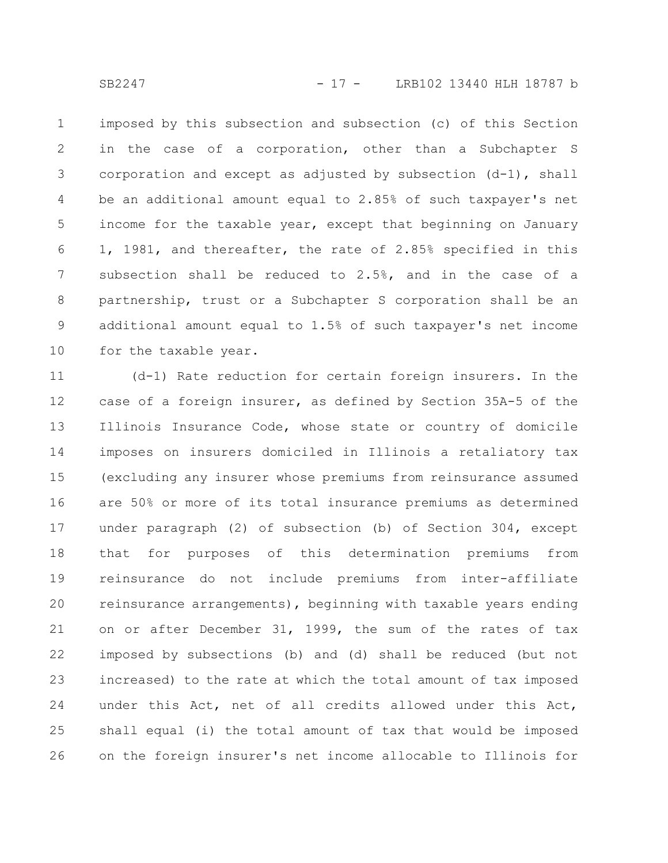SB2247 - 17 - LRB102 13440 HLH 18787 b

imposed by this subsection and subsection (c) of this Section in the case of a corporation, other than a Subchapter S corporation and except as adjusted by subsection (d-1), shall be an additional amount equal to 2.85% of such taxpayer's net income for the taxable year, except that beginning on January 1, 1981, and thereafter, the rate of 2.85% specified in this subsection shall be reduced to 2.5%, and in the case of a partnership, trust or a Subchapter S corporation shall be an additional amount equal to 1.5% of such taxpayer's net income for the taxable year. 1 2 3 4 5 6 7 8 9 10

(d-1) Rate reduction for certain foreign insurers. In the case of a foreign insurer, as defined by Section 35A-5 of the Illinois Insurance Code, whose state or country of domicile imposes on insurers domiciled in Illinois a retaliatory tax (excluding any insurer whose premiums from reinsurance assumed are 50% or more of its total insurance premiums as determined under paragraph (2) of subsection (b) of Section 304, except that for purposes of this determination premiums from reinsurance do not include premiums from inter-affiliate reinsurance arrangements), beginning with taxable years ending on or after December 31, 1999, the sum of the rates of tax imposed by subsections (b) and (d) shall be reduced (but not increased) to the rate at which the total amount of tax imposed under this Act, net of all credits allowed under this Act, shall equal (i) the total amount of tax that would be imposed on the foreign insurer's net income allocable to Illinois for 11 12 13 14 15 16 17 18 19 20 21 22 23 24 25 26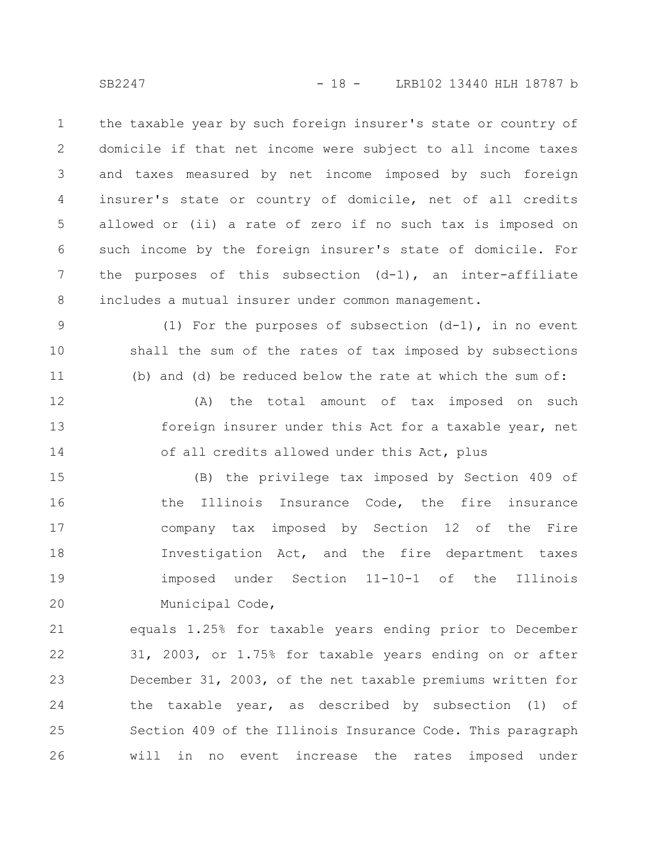the taxable year by such foreign insurer's state or country of domicile if that net income were subject to all income taxes and taxes measured by net income imposed by such foreign insurer's state or country of domicile, net of all credits allowed or (ii) a rate of zero if no such tax is imposed on such income by the foreign insurer's state of domicile. For the purposes of this subsection  $(d-1)$ , an inter-affiliate includes a mutual insurer under common management. 1 2 3 4 5 6 7 8

(1) For the purposes of subsection  $(d-1)$ , in no event shall the sum of the rates of tax imposed by subsections (b) and (d) be reduced below the rate at which the sum of: 9 10 11

(A) the total amount of tax imposed on such foreign insurer under this Act for a taxable year, net of all credits allowed under this Act, plus 12 13 14

(B) the privilege tax imposed by Section 409 of the Illinois Insurance Code, the fire insurance company tax imposed by Section 12 of the Fire Investigation Act, and the fire department taxes imposed under Section 11-10-1 of the Illinois Municipal Code, 15 16 17 18 19 20

equals 1.25% for taxable years ending prior to December 31, 2003, or 1.75% for taxable years ending on or after December 31, 2003, of the net taxable premiums written for the taxable year, as described by subsection (1) of Section 409 of the Illinois Insurance Code. This paragraph will in no event increase the rates imposed under 21 22 23 24 25 26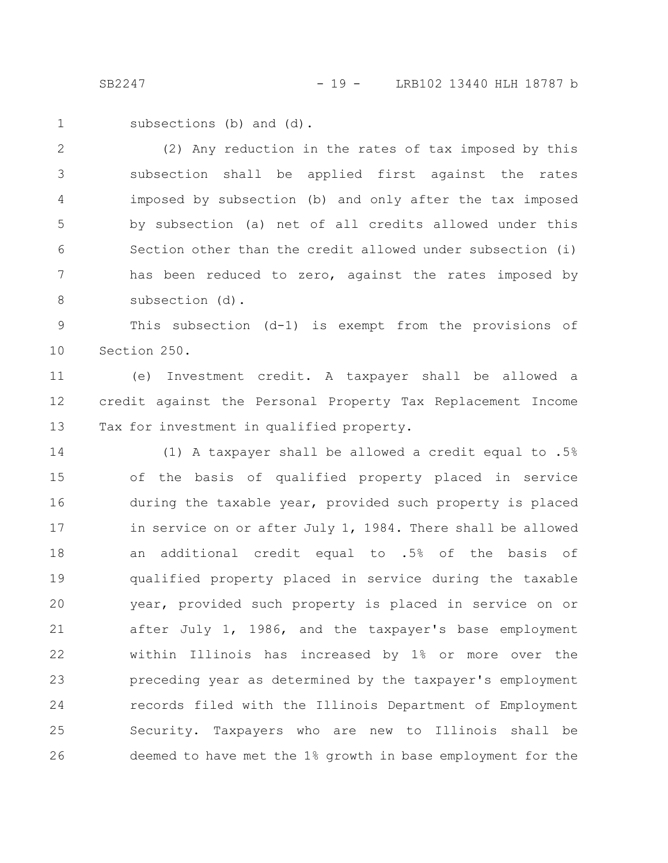subsections (b) and (d). 1

(2) Any reduction in the rates of tax imposed by this subsection shall be applied first against the rates imposed by subsection (b) and only after the tax imposed by subsection (a) net of all credits allowed under this Section other than the credit allowed under subsection (i) has been reduced to zero, against the rates imposed by subsection (d). 2 3 4 5 6 7 8

This subsection (d-1) is exempt from the provisions of Section 250. 9 10

(e) Investment credit. A taxpayer shall be allowed a credit against the Personal Property Tax Replacement Income Tax for investment in qualified property. 11 12 13

(1) A taxpayer shall be allowed a credit equal to .5% of the basis of qualified property placed in service during the taxable year, provided such property is placed in service on or after July 1, 1984. There shall be allowed an additional credit equal to .5% of the basis of qualified property placed in service during the taxable year, provided such property is placed in service on or after July 1, 1986, and the taxpayer's base employment within Illinois has increased by 1% or more over the preceding year as determined by the taxpayer's employment records filed with the Illinois Department of Employment Security. Taxpayers who are new to Illinois shall be deemed to have met the 1% growth in base employment for the 14 15 16 17 18 19 20 21 22 23 24 25 26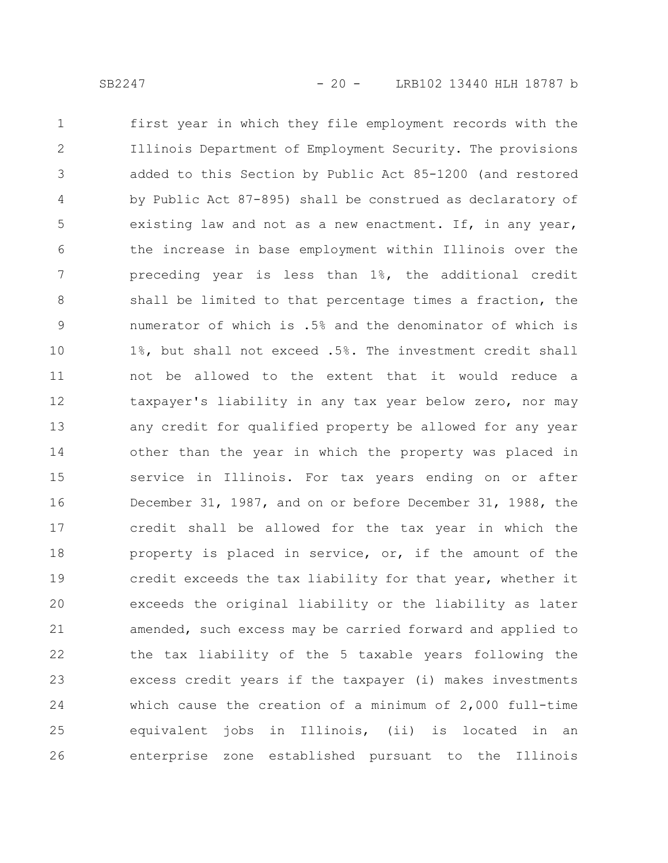first year in which they file employment records with the Illinois Department of Employment Security. The provisions added to this Section by Public Act 85-1200 (and restored by Public Act 87-895) shall be construed as declaratory of existing law and not as a new enactment. If, in any year, the increase in base employment within Illinois over the preceding year is less than 1%, the additional credit shall be limited to that percentage times a fraction, the numerator of which is .5% and the denominator of which is 1%, but shall not exceed .5%. The investment credit shall not be allowed to the extent that it would reduce a taxpayer's liability in any tax year below zero, nor may any credit for qualified property be allowed for any year other than the year in which the property was placed in service in Illinois. For tax years ending on or after December 31, 1987, and on or before December 31, 1988, the credit shall be allowed for the tax year in which the property is placed in service, or, if the amount of the credit exceeds the tax liability for that year, whether it exceeds the original liability or the liability as later amended, such excess may be carried forward and applied to the tax liability of the 5 taxable years following the excess credit years if the taxpayer (i) makes investments which cause the creation of a minimum of 2,000 full-time equivalent jobs in Illinois, (ii) is located in an enterprise zone established pursuant to the Illinois 1 2 3 4 5 6 7 8 9 10 11 12 13 14 15 16 17 18 19 20 21 22 23 24 25 26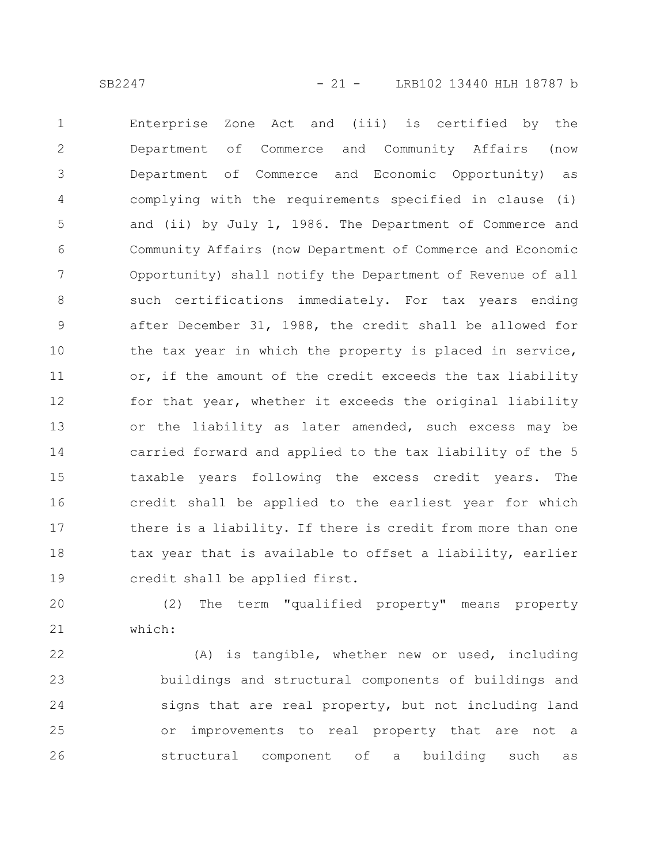Enterprise Zone Act and (iii) is certified by the Department of Commerce and Community Affairs (now Department of Commerce and Economic Opportunity) as complying with the requirements specified in clause (i) and (ii) by July 1, 1986. The Department of Commerce and Community Affairs (now Department of Commerce and Economic Opportunity) shall notify the Department of Revenue of all such certifications immediately. For tax years ending after December 31, 1988, the credit shall be allowed for the tax year in which the property is placed in service, or, if the amount of the credit exceeds the tax liability for that year, whether it exceeds the original liability or the liability as later amended, such excess may be carried forward and applied to the tax liability of the 5 taxable years following the excess credit years. The credit shall be applied to the earliest year for which there is a liability. If there is credit from more than one tax year that is available to offset a liability, earlier credit shall be applied first. 1 2 3 4 5 6 7 8 9 10 11 12 13 14 15 16 17 18 19

(2) The term "qualified property" means property which: 20 21

(A) is tangible, whether new or used, including buildings and structural components of buildings and signs that are real property, but not including land or improvements to real property that are not a structural component of a building such as 22 23 24 25 26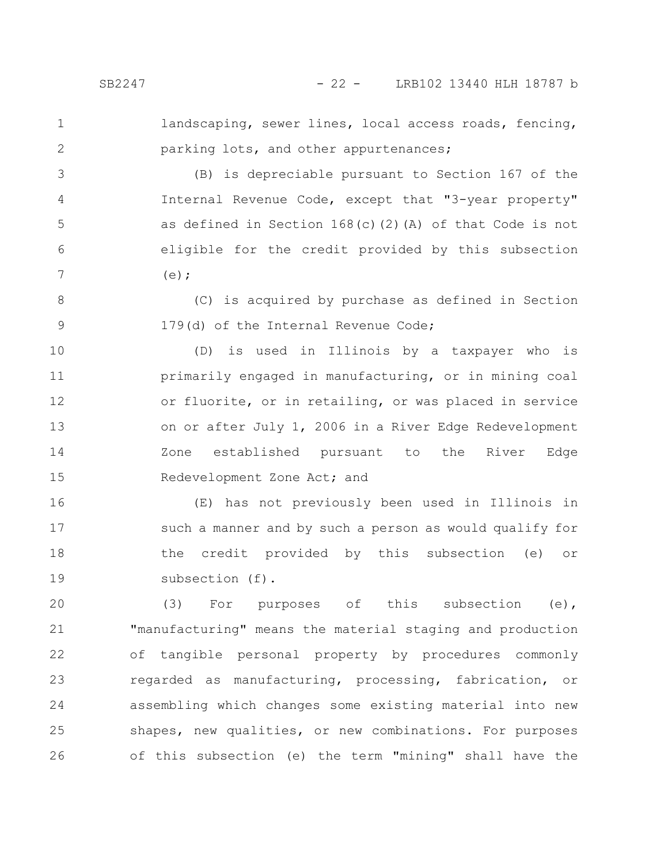1 2

4

landscaping, sewer lines, local access roads, fencing, parking lots, and other appurtenances;

(B) is depreciable pursuant to Section 167 of the Internal Revenue Code, except that "3-year property" as defined in Section 168(c)(2)(A) of that Code is not eligible for the credit provided by this subsection  $(e)$ : 3 5 6 7

(C) is acquired by purchase as defined in Section 179(d) of the Internal Revenue Code; 8 9

(D) is used in Illinois by a taxpayer who is primarily engaged in manufacturing, or in mining coal or fluorite, or in retailing, or was placed in service on or after July 1, 2006 in a River Edge Redevelopment Zone established pursuant to the River Edge Redevelopment Zone Act; and 10 11 12 13 14 15

(E) has not previously been used in Illinois in such a manner and by such a person as would qualify for the credit provided by this subsection (e) or subsection (f). 16 17 18 19

(3) For purposes of this subsection (e), "manufacturing" means the material staging and production of tangible personal property by procedures commonly regarded as manufacturing, processing, fabrication, or assembling which changes some existing material into new shapes, new qualities, or new combinations. For purposes of this subsection (e) the term "mining" shall have the 20 21 22 23 24 25 26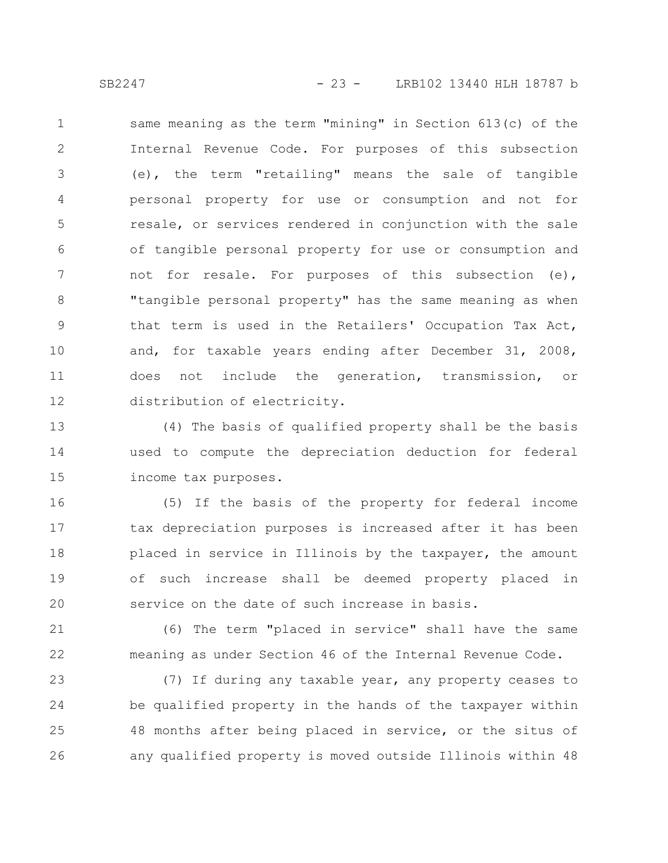same meaning as the term "mining" in Section 613(c) of the Internal Revenue Code. For purposes of this subsection (e), the term "retailing" means the sale of tangible personal property for use or consumption and not for resale, or services rendered in conjunction with the sale of tangible personal property for use or consumption and not for resale. For purposes of this subsection (e), "tangible personal property" has the same meaning as when that term is used in the Retailers' Occupation Tax Act, and, for taxable years ending after December 31, 2008, does not include the generation, transmission, or distribution of electricity. 1 2 3 4 5 6 7 8 9 10 11 12

(4) The basis of qualified property shall be the basis used to compute the depreciation deduction for federal income tax purposes. 13 14 15

(5) If the basis of the property for federal income tax depreciation purposes is increased after it has been placed in service in Illinois by the taxpayer, the amount of such increase shall be deemed property placed in service on the date of such increase in basis. 16 17 18 19 20

(6) The term "placed in service" shall have the same meaning as under Section 46 of the Internal Revenue Code. 21 22

(7) If during any taxable year, any property ceases to be qualified property in the hands of the taxpayer within 48 months after being placed in service, or the situs of any qualified property is moved outside Illinois within 48 23 24 25 26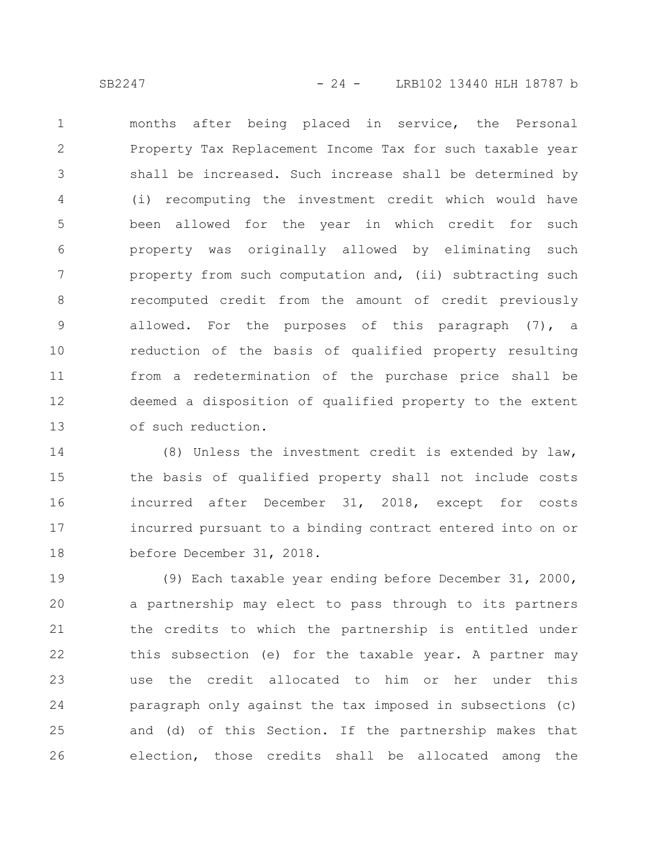months after being placed in service, the Personal Property Tax Replacement Income Tax for such taxable year shall be increased. Such increase shall be determined by (i) recomputing the investment credit which would have been allowed for the year in which credit for such property was originally allowed by eliminating such property from such computation and, (ii) subtracting such recomputed credit from the amount of credit previously allowed. For the purposes of this paragraph (7), a reduction of the basis of qualified property resulting from a redetermination of the purchase price shall be deemed a disposition of qualified property to the extent of such reduction. 1 2 3 4 5 6 7 8 9 10 11 12 13

(8) Unless the investment credit is extended by law, the basis of qualified property shall not include costs incurred after December 31, 2018, except for costs incurred pursuant to a binding contract entered into on or before December 31, 2018. 14 15 16 17 18

(9) Each taxable year ending before December 31, 2000, a partnership may elect to pass through to its partners the credits to which the partnership is entitled under this subsection (e) for the taxable year. A partner may use the credit allocated to him or her under this paragraph only against the tax imposed in subsections (c) and (d) of this Section. If the partnership makes that election, those credits shall be allocated among the 19 20 21 22 23 24 25 26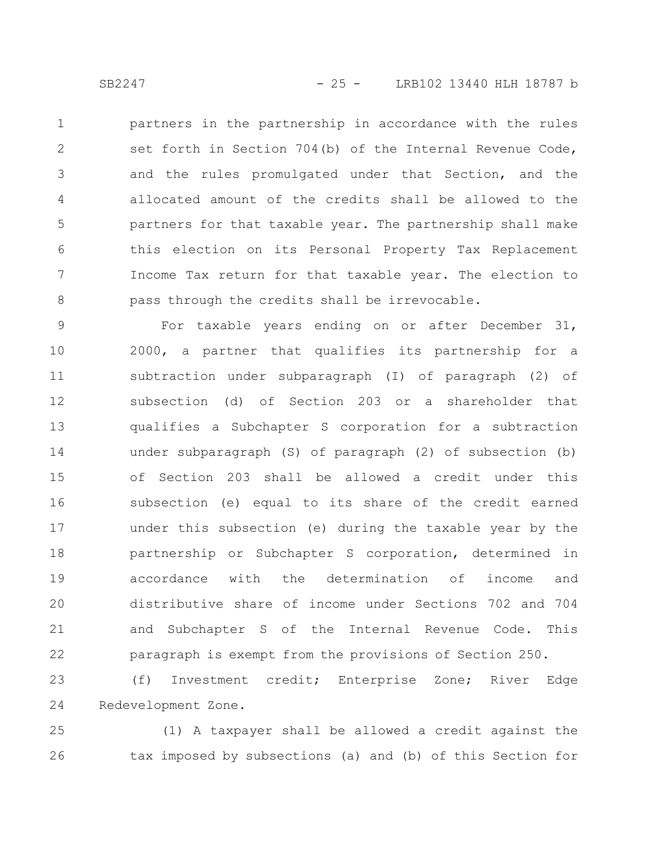partners in the partnership in accordance with the rules set forth in Section 704(b) of the Internal Revenue Code, and the rules promulgated under that Section, and the allocated amount of the credits shall be allowed to the partners for that taxable year. The partnership shall make this election on its Personal Property Tax Replacement Income Tax return for that taxable year. The election to pass through the credits shall be irrevocable. 1 2 3 4 5 6 7 8

For taxable years ending on or after December 31, 2000, a partner that qualifies its partnership for a subtraction under subparagraph (I) of paragraph (2) of subsection (d) of Section 203 or a shareholder that qualifies a Subchapter S corporation for a subtraction under subparagraph (S) of paragraph (2) of subsection (b) of Section 203 shall be allowed a credit under this subsection (e) equal to its share of the credit earned under this subsection (e) during the taxable year by the partnership or Subchapter S corporation, determined in accordance with the determination of income and distributive share of income under Sections 702 and 704 and Subchapter S of the Internal Revenue Code. This paragraph is exempt from the provisions of Section 250. 9 10 11 12 13 14 15 16 17 18 19 20 21 22

(f) Investment credit; Enterprise Zone; River Edge Redevelopment Zone. 23 24

(1) A taxpayer shall be allowed a credit against the tax imposed by subsections (a) and (b) of this Section for 25 26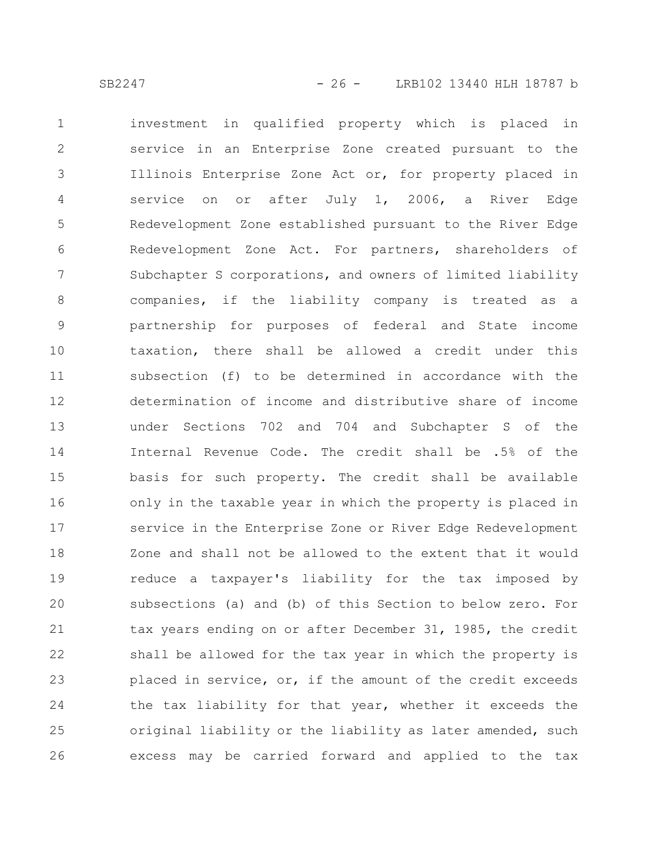investment in qualified property which is placed in service in an Enterprise Zone created pursuant to the Illinois Enterprise Zone Act or, for property placed in service on or after July 1, 2006, a River Edge Redevelopment Zone established pursuant to the River Edge Redevelopment Zone Act. For partners, shareholders of Subchapter S corporations, and owners of limited liability companies, if the liability company is treated as a partnership for purposes of federal and State income taxation, there shall be allowed a credit under this subsection (f) to be determined in accordance with the determination of income and distributive share of income under Sections 702 and 704 and Subchapter S of the Internal Revenue Code. The credit shall be .5% of the basis for such property. The credit shall be available only in the taxable year in which the property is placed in service in the Enterprise Zone or River Edge Redevelopment Zone and shall not be allowed to the extent that it would reduce a taxpayer's liability for the tax imposed by subsections (a) and (b) of this Section to below zero. For tax years ending on or after December 31, 1985, the credit shall be allowed for the tax year in which the property is placed in service, or, if the amount of the credit exceeds the tax liability for that year, whether it exceeds the original liability or the liability as later amended, such excess may be carried forward and applied to the tax 1 2 3 4 5 6 7 8 9 10 11 12 13 14 15 16 17 18 19 20 21 22 23 24 25 26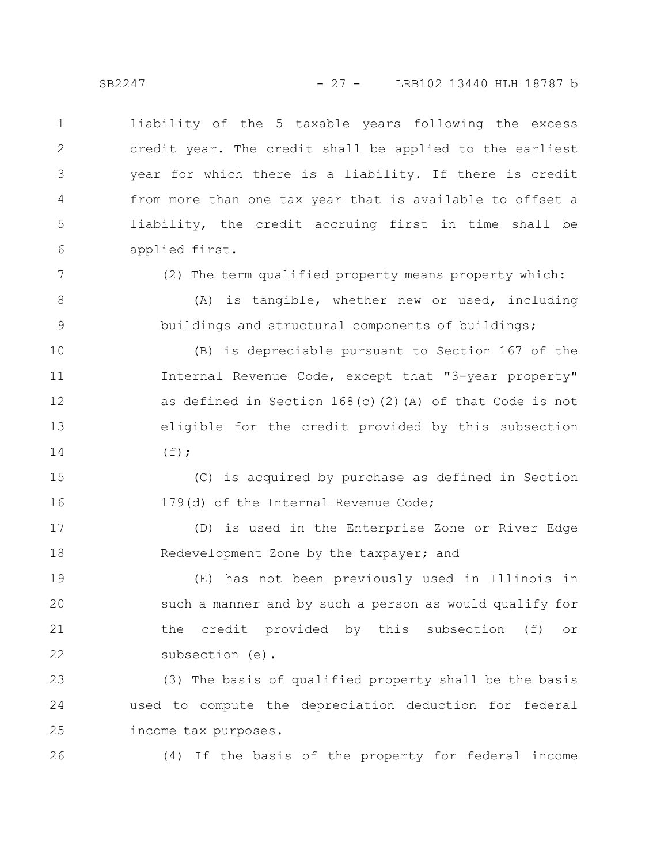liability of the 5 taxable years following the excess credit year. The credit shall be applied to the earliest year for which there is a liability. If there is credit from more than one tax year that is available to offset a liability, the credit accruing first in time shall be applied first. 1 2 3 4 5 6

7

8

9

(2) The term qualified property means property which:

(A) is tangible, whether new or used, including buildings and structural components of buildings;

(B) is depreciable pursuant to Section 167 of the Internal Revenue Code, except that "3-year property" as defined in Section 168(c)(2)(A) of that Code is not eligible for the credit provided by this subsection  $(f)$ ; 10 11 12 13 14

(C) is acquired by purchase as defined in Section 179(d) of the Internal Revenue Code; 15 16

(D) is used in the Enterprise Zone or River Edge Redevelopment Zone by the taxpayer; and 17 18

(E) has not been previously used in Illinois in such a manner and by such a person as would qualify for the credit provided by this subsection (f) or subsection (e). 19 20 21 22

(3) The basis of qualified property shall be the basis used to compute the depreciation deduction for federal income tax purposes. 23 24 25

26

(4) If the basis of the property for federal income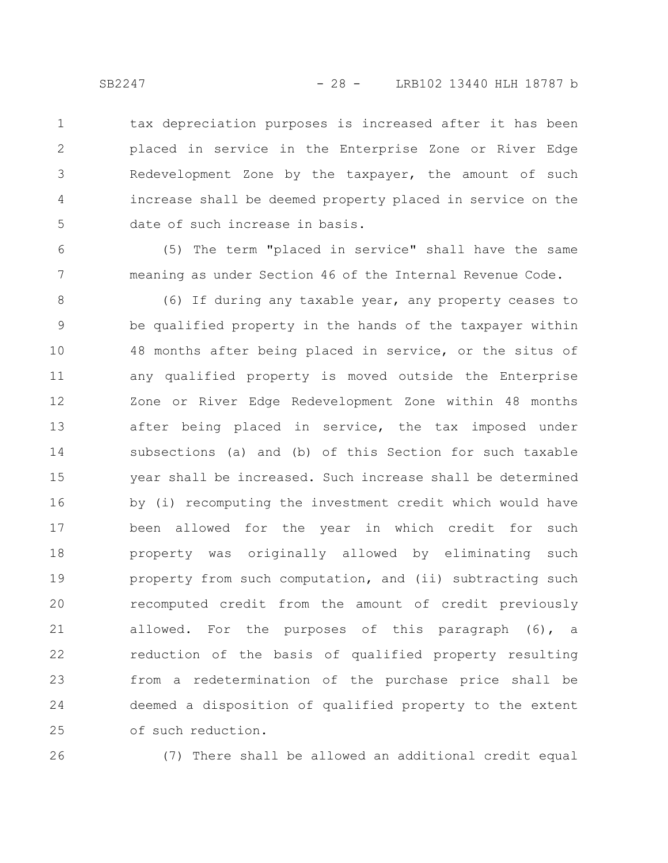tax depreciation purposes is increased after it has been placed in service in the Enterprise Zone or River Edge Redevelopment Zone by the taxpayer, the amount of such increase shall be deemed property placed in service on the date of such increase in basis. 1 2 3 4 5

(5) The term "placed in service" shall have the same meaning as under Section 46 of the Internal Revenue Code.

(6) If during any taxable year, any property ceases to be qualified property in the hands of the taxpayer within 48 months after being placed in service, or the situs of any qualified property is moved outside the Enterprise Zone or River Edge Redevelopment Zone within 48 months after being placed in service, the tax imposed under subsections (a) and (b) of this Section for such taxable year shall be increased. Such increase shall be determined by (i) recomputing the investment credit which would have been allowed for the year in which credit for such property was originally allowed by eliminating such property from such computation, and (ii) subtracting such recomputed credit from the amount of credit previously allowed. For the purposes of this paragraph (6), a reduction of the basis of qualified property resulting from a redetermination of the purchase price shall be deemed a disposition of qualified property to the extent of such reduction. 8 9 10 11 12 13 14 15 16 17 18 19 20 21 22 23 24 25

26

(7) There shall be allowed an additional credit equal

6

7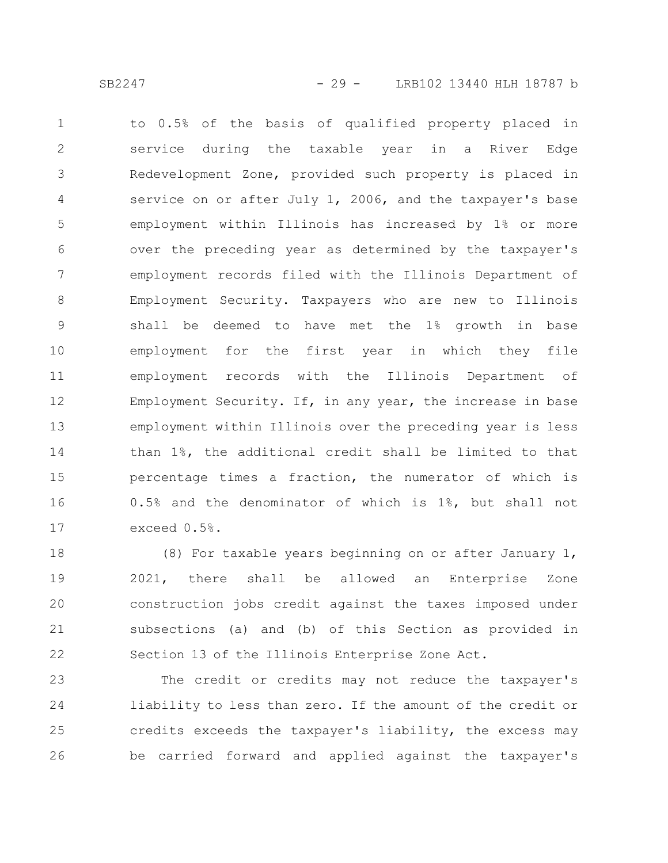to 0.5% of the basis of qualified property placed in service during the taxable year in a River Edge Redevelopment Zone, provided such property is placed in service on or after July 1, 2006, and the taxpayer's base employment within Illinois has increased by 1% or more over the preceding year as determined by the taxpayer's employment records filed with the Illinois Department of Employment Security. Taxpayers who are new to Illinois shall be deemed to have met the 1% growth in base employment for the first year in which they file employment records with the Illinois Department of Employment Security. If, in any year, the increase in base employment within Illinois over the preceding year is less than 1%, the additional credit shall be limited to that percentage times a fraction, the numerator of which is 0.5% and the denominator of which is 1%, but shall not exceed 0.5%. 1 2 3 4 5 6 7 8 9 10 11 12 13 14 15 16 17

(8) For taxable years beginning on or after January 1, 2021, there shall be allowed an Enterprise Zone construction jobs credit against the taxes imposed under subsections (a) and (b) of this Section as provided in Section 13 of the Illinois Enterprise Zone Act. 18 19 20 21 22

The credit or credits may not reduce the taxpayer's liability to less than zero. If the amount of the credit or credits exceeds the taxpayer's liability, the excess may be carried forward and applied against the taxpayer's 23 24 25 26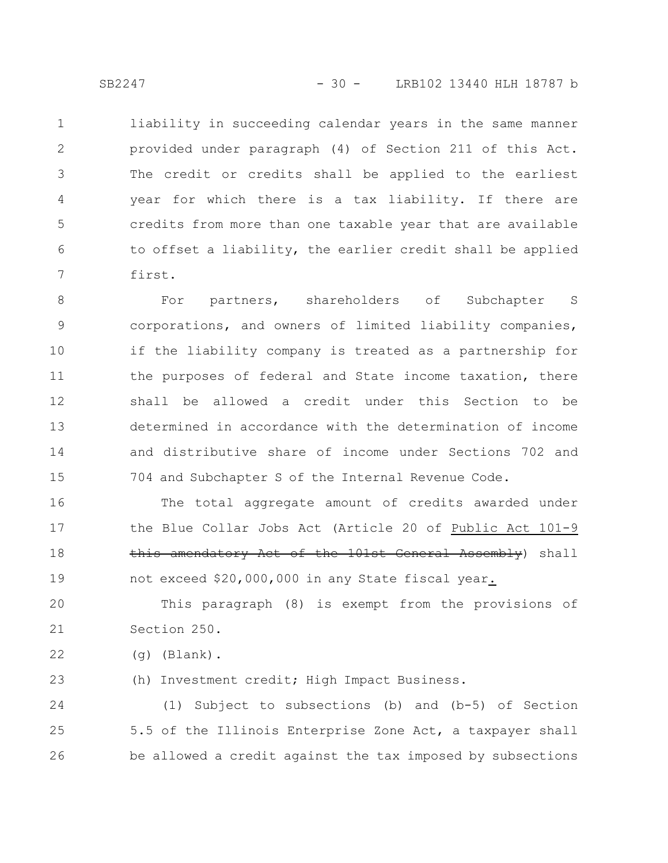liability in succeeding calendar years in the same manner provided under paragraph (4) of Section 211 of this Act. The credit or credits shall be applied to the earliest year for which there is a tax liability. If there are credits from more than one taxable year that are available to offset a liability, the earlier credit shall be applied first. 1 2 3 4 5 6 7

For partners, shareholders of Subchapter S corporations, and owners of limited liability companies, if the liability company is treated as a partnership for the purposes of federal and State income taxation, there shall be allowed a credit under this Section to be determined in accordance with the determination of income and distributive share of income under Sections 702 and 704 and Subchapter S of the Internal Revenue Code. 8 9 10 11 12 13 14 15

The total aggregate amount of credits awarded under the Blue Collar Jobs Act (Article 20 of Public Act 101-9 this amendatory Act of the 101st General Assembly) shall not exceed \$20,000,000 in any State fiscal year. 16 17 18 19

This paragraph (8) is exempt from the provisions of Section 250. 20 21

(g) (Blank). 22

(h) Investment credit; High Impact Business. 23

(1) Subject to subsections (b) and (b-5) of Section 5.5 of the Illinois Enterprise Zone Act, a taxpayer shall be allowed a credit against the tax imposed by subsections 24 25 26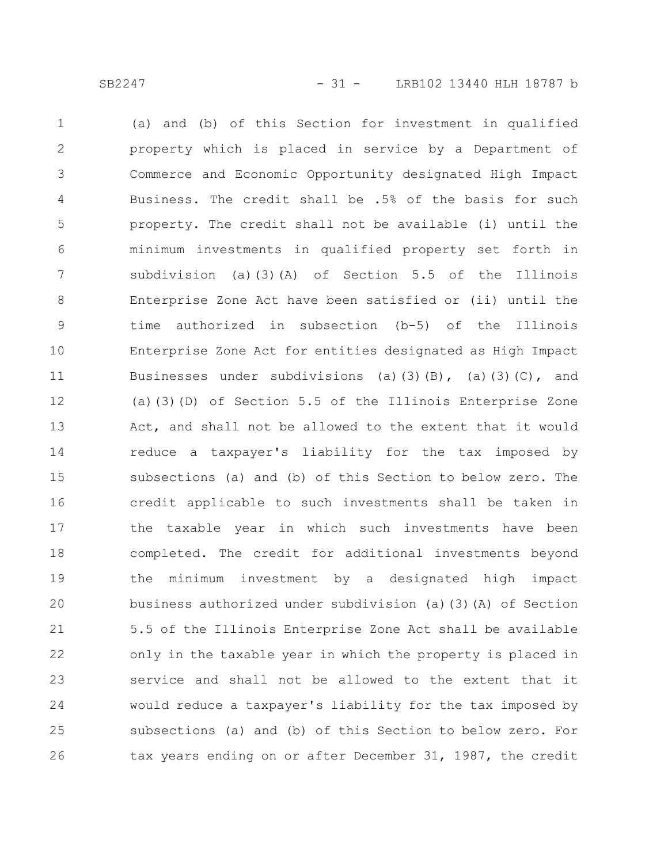(a) and (b) of this Section for investment in qualified property which is placed in service by a Department of Commerce and Economic Opportunity designated High Impact Business. The credit shall be .5% of the basis for such property. The credit shall not be available (i) until the minimum investments in qualified property set forth in subdivision (a)(3)(A) of Section 5.5 of the Illinois Enterprise Zone Act have been satisfied or (ii) until the time authorized in subsection (b-5) of the Illinois Enterprise Zone Act for entities designated as High Impact Businesses under subdivisions (a)(3)(B), (a)(3)(C), and (a)(3)(D) of Section 5.5 of the Illinois Enterprise Zone Act, and shall not be allowed to the extent that it would reduce a taxpayer's liability for the tax imposed by subsections (a) and (b) of this Section to below zero. The credit applicable to such investments shall be taken in the taxable year in which such investments have been completed. The credit for additional investments beyond the minimum investment by a designated high impact business authorized under subdivision (a)(3)(A) of Section 5.5 of the Illinois Enterprise Zone Act shall be available only in the taxable year in which the property is placed in service and shall not be allowed to the extent that it would reduce a taxpayer's liability for the tax imposed by subsections (a) and (b) of this Section to below zero. For tax years ending on or after December 31, 1987, the credit 1 2 3 4 5 6 7 8 9 10 11 12 13 14 15 16 17 18 19 20 21 22 23 24 25 26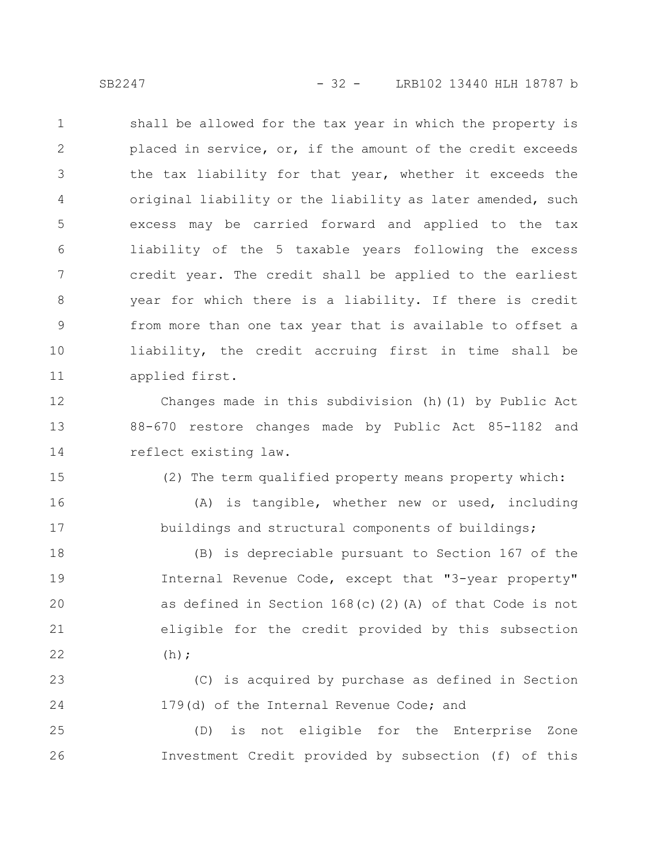SB2247 - 32 - LRB102 13440 HLH 18787 b

shall be allowed for the tax year in which the property is placed in service, or, if the amount of the credit exceeds the tax liability for that year, whether it exceeds the original liability or the liability as later amended, such excess may be carried forward and applied to the tax liability of the 5 taxable years following the excess credit year. The credit shall be applied to the earliest year for which there is a liability. If there is credit from more than one tax year that is available to offset a liability, the credit accruing first in time shall be applied first. 1 2 3 4 5 6 7 8 9 10 11

Changes made in this subdivision (h)(1) by Public Act 88-670 restore changes made by Public Act 85-1182 and reflect existing law. 12 13 14

(2) The term qualified property means property which:

(A) is tangible, whether new or used, including buildings and structural components of buildings;

(B) is depreciable pursuant to Section 167 of the Internal Revenue Code, except that "3-year property" as defined in Section 168(c)(2)(A) of that Code is not eligible for the credit provided by this subsection  $(h);$ 18 19 20 21 22

(C) is acquired by purchase as defined in Section 179(d) of the Internal Revenue Code; and 23 24

(D) is not eligible for the Enterprise Zone Investment Credit provided by subsection (f) of this 25 26

15

16

17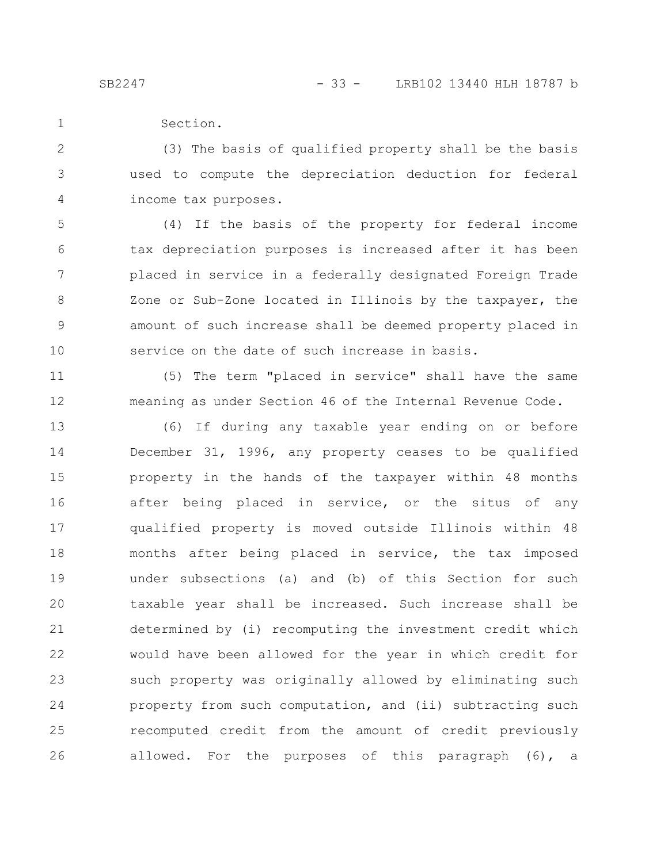11

12

Section. 1

(3) The basis of qualified property shall be the basis used to compute the depreciation deduction for federal income tax purposes. 2 3 4

(4) If the basis of the property for federal income tax depreciation purposes is increased after it has been placed in service in a federally designated Foreign Trade Zone or Sub-Zone located in Illinois by the taxpayer, the amount of such increase shall be deemed property placed in service on the date of such increase in basis. 5 6 7 8 9 10

(5) The term "placed in service" shall have the same meaning as under Section 46 of the Internal Revenue Code.

(6) If during any taxable year ending on or before December 31, 1996, any property ceases to be qualified property in the hands of the taxpayer within 48 months after being placed in service, or the situs of any qualified property is moved outside Illinois within 48 months after being placed in service, the tax imposed under subsections (a) and (b) of this Section for such taxable year shall be increased. Such increase shall be determined by (i) recomputing the investment credit which would have been allowed for the year in which credit for such property was originally allowed by eliminating such property from such computation, and (ii) subtracting such recomputed credit from the amount of credit previously allowed. For the purposes of this paragraph (6), a 13 14 15 16 17 18 19 20 21 22 23 24 25 26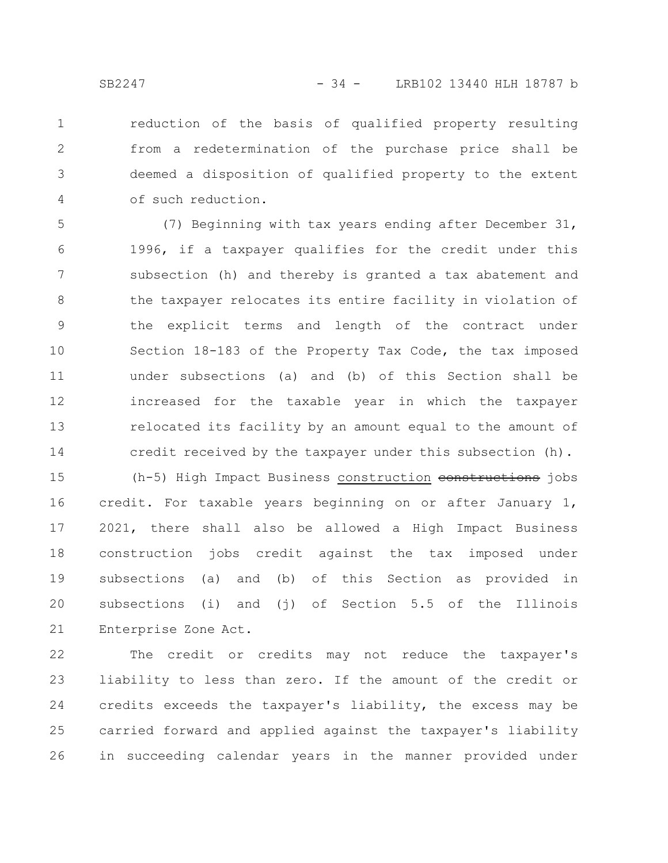reduction of the basis of qualified property resulting from a redetermination of the purchase price shall be deemed a disposition of qualified property to the extent of such reduction. 1 2 3 4

(7) Beginning with tax years ending after December 31, 1996, if a taxpayer qualifies for the credit under this subsection (h) and thereby is granted a tax abatement and the taxpayer relocates its entire facility in violation of the explicit terms and length of the contract under Section 18-183 of the Property Tax Code, the tax imposed under subsections (a) and (b) of this Section shall be increased for the taxable year in which the taxpayer relocated its facility by an amount equal to the amount of credit received by the taxpayer under this subsection (h). 5 6 7 8 9 10 11 12 13 14

(h-5) High Impact Business construction constructions jobs credit. For taxable years beginning on or after January 1, 2021, there shall also be allowed a High Impact Business construction jobs credit against the tax imposed under subsections (a) and (b) of this Section as provided in subsections (i) and (j) of Section 5.5 of the Illinois Enterprise Zone Act. 15 16 17 18 19 20 21

The credit or credits may not reduce the taxpayer's liability to less than zero. If the amount of the credit or credits exceeds the taxpayer's liability, the excess may be carried forward and applied against the taxpayer's liability in succeeding calendar years in the manner provided under 22 23 24 25 26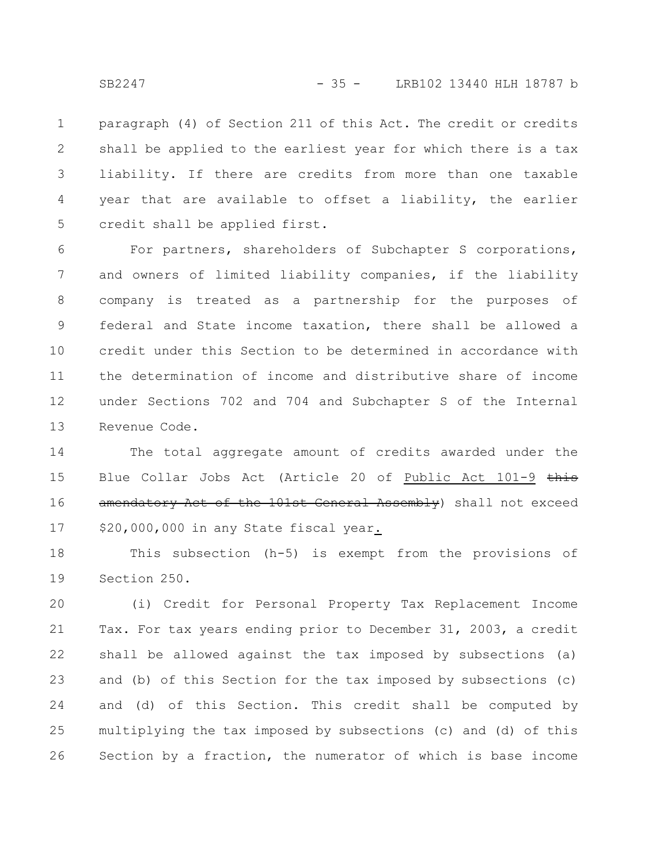paragraph (4) of Section 211 of this Act. The credit or credits shall be applied to the earliest year for which there is a tax liability. If there are credits from more than one taxable year that are available to offset a liability, the earlier credit shall be applied first. 1 2 3 4 5

For partners, shareholders of Subchapter S corporations, and owners of limited liability companies, if the liability company is treated as a partnership for the purposes of federal and State income taxation, there shall be allowed a credit under this Section to be determined in accordance with the determination of income and distributive share of income under Sections 702 and 704 and Subchapter S of the Internal Revenue Code. 6 7 8 9 10 11 12 13

The total aggregate amount of credits awarded under the Blue Collar Jobs Act (Article 20 of Public Act 101-9 this amendatory Act of the 101st General Assembly) shall not exceed \$20,000,000 in any State fiscal year. 14 15 16 17

This subsection (h-5) is exempt from the provisions of Section 250. 18 19

(i) Credit for Personal Property Tax Replacement Income Tax. For tax years ending prior to December 31, 2003, a credit shall be allowed against the tax imposed by subsections (a) and (b) of this Section for the tax imposed by subsections (c) and (d) of this Section. This credit shall be computed by multiplying the tax imposed by subsections (c) and (d) of this Section by a fraction, the numerator of which is base income 20 21 22 23 24 25 26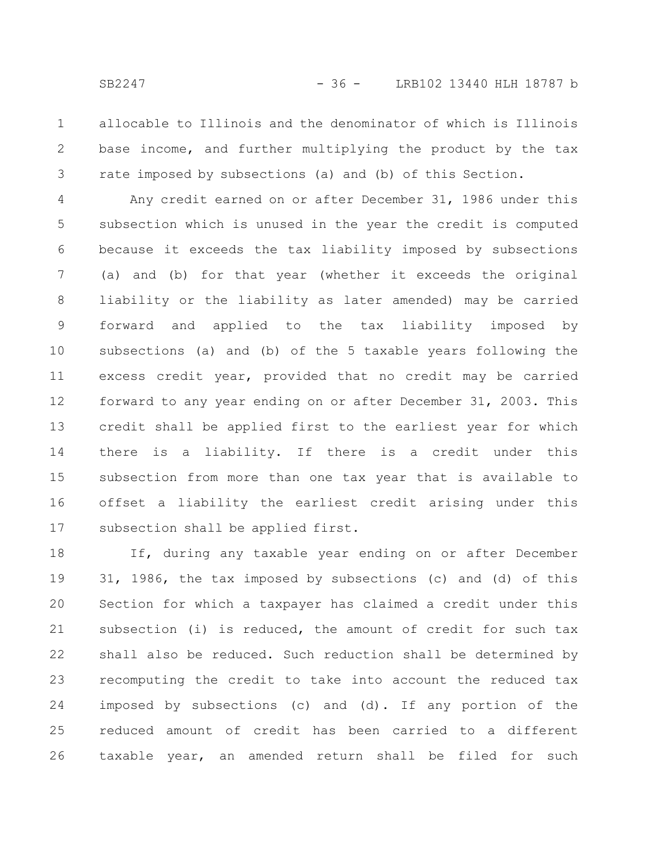allocable to Illinois and the denominator of which is Illinois base income, and further multiplying the product by the tax rate imposed by subsections (a) and (b) of this Section. 1 2 3

Any credit earned on or after December 31, 1986 under this subsection which is unused in the year the credit is computed because it exceeds the tax liability imposed by subsections (a) and (b) for that year (whether it exceeds the original liability or the liability as later amended) may be carried forward and applied to the tax liability imposed by subsections (a) and (b) of the 5 taxable years following the excess credit year, provided that no credit may be carried forward to any year ending on or after December 31, 2003. This credit shall be applied first to the earliest year for which there is a liability. If there is a credit under this subsection from more than one tax year that is available to offset a liability the earliest credit arising under this subsection shall be applied first. 4 5 6 7 8 9 10 11 12 13 14 15 16 17

If, during any taxable year ending on or after December 31, 1986, the tax imposed by subsections (c) and (d) of this Section for which a taxpayer has claimed a credit under this subsection (i) is reduced, the amount of credit for such tax shall also be reduced. Such reduction shall be determined by recomputing the credit to take into account the reduced tax imposed by subsections (c) and (d). If any portion of the reduced amount of credit has been carried to a different taxable year, an amended return shall be filed for such 18 19 20 21 22 23 24 25 26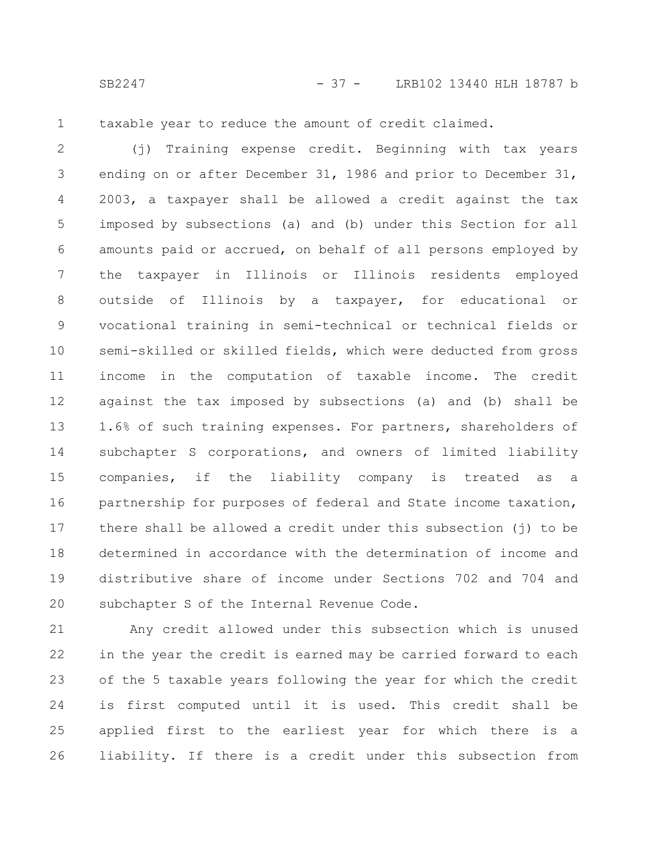SB2247 - 37 - LRB102 13440 HLH 18787 b

1

taxable year to reduce the amount of credit claimed.

(j) Training expense credit. Beginning with tax years ending on or after December 31, 1986 and prior to December 31, 2003, a taxpayer shall be allowed a credit against the tax imposed by subsections (a) and (b) under this Section for all amounts paid or accrued, on behalf of all persons employed by the taxpayer in Illinois or Illinois residents employed outside of Illinois by a taxpayer, for educational or vocational training in semi-technical or technical fields or semi-skilled or skilled fields, which were deducted from gross income in the computation of taxable income. The credit against the tax imposed by subsections (a) and (b) shall be 1.6% of such training expenses. For partners, shareholders of subchapter S corporations, and owners of limited liability companies, if the liability company is treated as a partnership for purposes of federal and State income taxation, there shall be allowed a credit under this subsection (j) to be determined in accordance with the determination of income and distributive share of income under Sections 702 and 704 and subchapter S of the Internal Revenue Code. 2 3 4 5 6 7 8 9 10 11 12 13 14 15 16 17 18 19 20

Any credit allowed under this subsection which is unused in the year the credit is earned may be carried forward to each of the 5 taxable years following the year for which the credit is first computed until it is used. This credit shall be applied first to the earliest year for which there is a liability. If there is a credit under this subsection from 21 22 23 24 25 26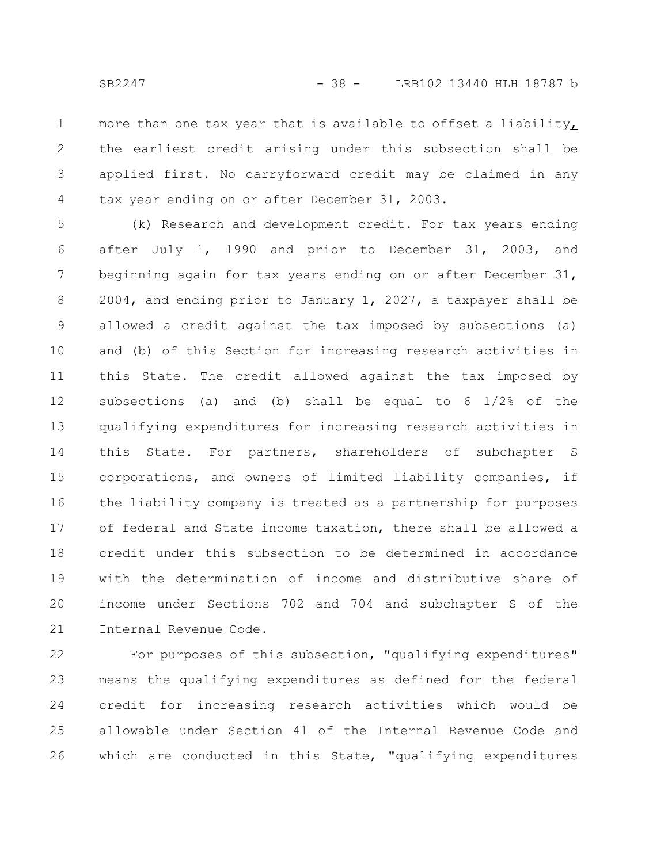more than one tax year that is available to offset a liability, the earliest credit arising under this subsection shall be applied first. No carryforward credit may be claimed in any tax year ending on or after December 31, 2003. 1 2 3 4

(k) Research and development credit. For tax years ending after July 1, 1990 and prior to December 31, 2003, and beginning again for tax years ending on or after December 31, 2004, and ending prior to January 1, 2027, a taxpayer shall be allowed a credit against the tax imposed by subsections (a) and (b) of this Section for increasing research activities in this State. The credit allowed against the tax imposed by subsections (a) and (b) shall be equal to 6 1/2% of the qualifying expenditures for increasing research activities in this State. For partners, shareholders of subchapter S corporations, and owners of limited liability companies, if the liability company is treated as a partnership for purposes of federal and State income taxation, there shall be allowed a credit under this subsection to be determined in accordance with the determination of income and distributive share of income under Sections 702 and 704 and subchapter S of the Internal Revenue Code. 5 6 7 8 9 10 11 12 13 14 15 16 17 18 19 20 21

For purposes of this subsection, "qualifying expenditures" means the qualifying expenditures as defined for the federal credit for increasing research activities which would be allowable under Section 41 of the Internal Revenue Code and which are conducted in this State, "qualifying expenditures 22 23 24 25 26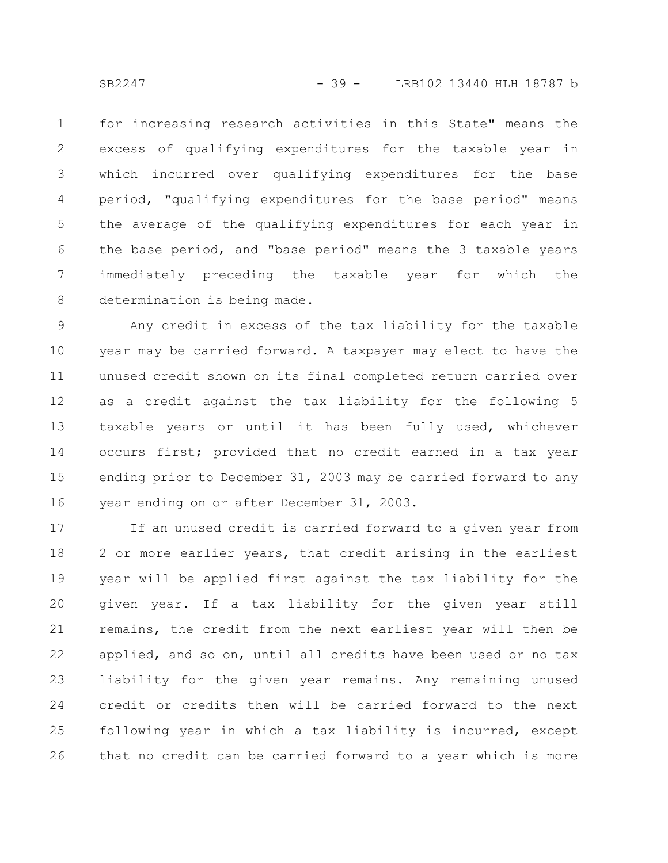for increasing research activities in this State" means the excess of qualifying expenditures for the taxable year in which incurred over qualifying expenditures for the base period, "qualifying expenditures for the base period" means the average of the qualifying expenditures for each year in the base period, and "base period" means the 3 taxable years immediately preceding the taxable year for which the determination is being made. 1 2 3 4 5 6 7 8

Any credit in excess of the tax liability for the taxable year may be carried forward. A taxpayer may elect to have the unused credit shown on its final completed return carried over as a credit against the tax liability for the following 5 taxable years or until it has been fully used, whichever occurs first; provided that no credit earned in a tax year ending prior to December 31, 2003 may be carried forward to any year ending on or after December 31, 2003. 9 10 11 12 13 14 15 16

If an unused credit is carried forward to a given year from 2 or more earlier years, that credit arising in the earliest year will be applied first against the tax liability for the given year. If a tax liability for the given year still remains, the credit from the next earliest year will then be applied, and so on, until all credits have been used or no tax liability for the given year remains. Any remaining unused credit or credits then will be carried forward to the next following year in which a tax liability is incurred, except that no credit can be carried forward to a year which is more 17 18 19 20 21 22 23 24 25 26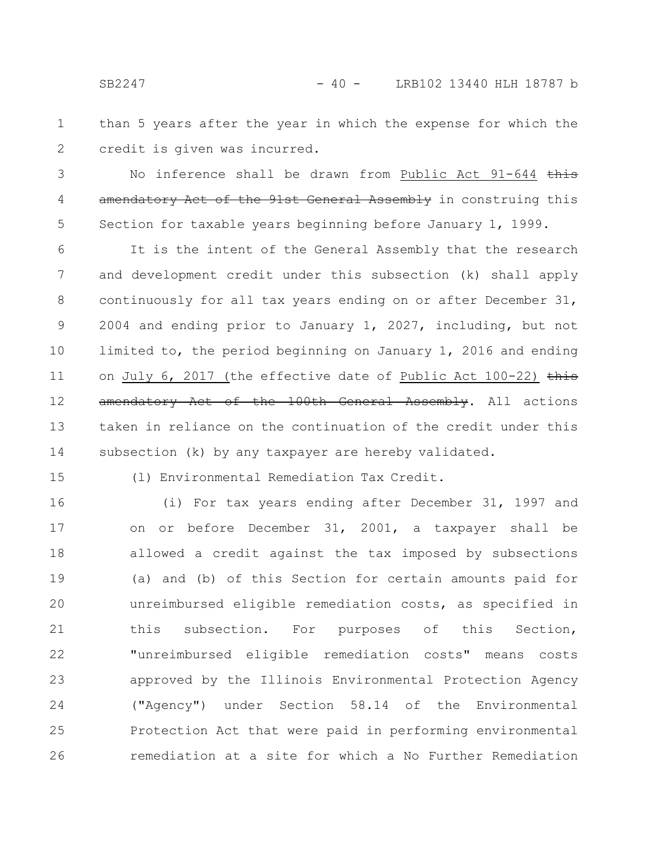than 5 years after the year in which the expense for which the credit is given was incurred. 1 2

No inference shall be drawn from Public Act 91-644 this amendatory Act of the 91st General Assembly in construing this Section for taxable years beginning before January 1, 1999. 3 4 5

It is the intent of the General Assembly that the research and development credit under this subsection (k) shall apply continuously for all tax years ending on or after December 31, 2004 and ending prior to January 1, 2027, including, but not limited to, the period beginning on January 1, 2016 and ending on July 6, 2017 (the effective date of Public Act  $100-22$ ) this amendatory Act of the 100th General Assembly. All actions taken in reliance on the continuation of the credit under this subsection (k) by any taxpayer are hereby validated. 6 7 8 9 10 11 12 13 14

15

(l) Environmental Remediation Tax Credit.

(i) For tax years ending after December 31, 1997 and on or before December 31, 2001, a taxpayer shall be allowed a credit against the tax imposed by subsections (a) and (b) of this Section for certain amounts paid for unreimbursed eligible remediation costs, as specified in this subsection. For purposes of this Section, "unreimbursed eligible remediation costs" means costs approved by the Illinois Environmental Protection Agency ("Agency") under Section 58.14 of the Environmental Protection Act that were paid in performing environmental remediation at a site for which a No Further Remediation 16 17 18 19 20 21 22 23 24 25 26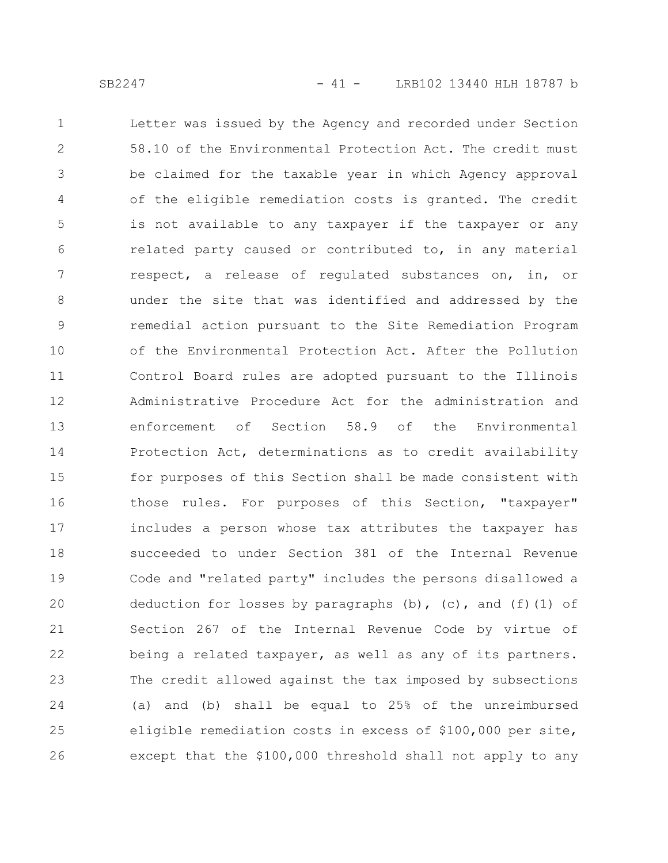Letter was issued by the Agency and recorded under Section 58.10 of the Environmental Protection Act. The credit must be claimed for the taxable year in which Agency approval of the eligible remediation costs is granted. The credit is not available to any taxpayer if the taxpayer or any related party caused or contributed to, in any material respect, a release of regulated substances on, in, or under the site that was identified and addressed by the remedial action pursuant to the Site Remediation Program of the Environmental Protection Act. After the Pollution Control Board rules are adopted pursuant to the Illinois Administrative Procedure Act for the administration and enforcement of Section 58.9 of the Environmental Protection Act, determinations as to credit availability for purposes of this Section shall be made consistent with those rules. For purposes of this Section, "taxpayer" includes a person whose tax attributes the taxpayer has succeeded to under Section 381 of the Internal Revenue Code and "related party" includes the persons disallowed a deduction for losses by paragraphs (b), (c), and (f)(1) of Section 267 of the Internal Revenue Code by virtue of being a related taxpayer, as well as any of its partners. The credit allowed against the tax imposed by subsections (a) and (b) shall be equal to 25% of the unreimbursed eligible remediation costs in excess of \$100,000 per site, except that the \$100,000 threshold shall not apply to any 1 2 3 4 5 6 7 8 9 10 11 12 13 14 15 16 17 18 19 20 21 22 23 24 25 26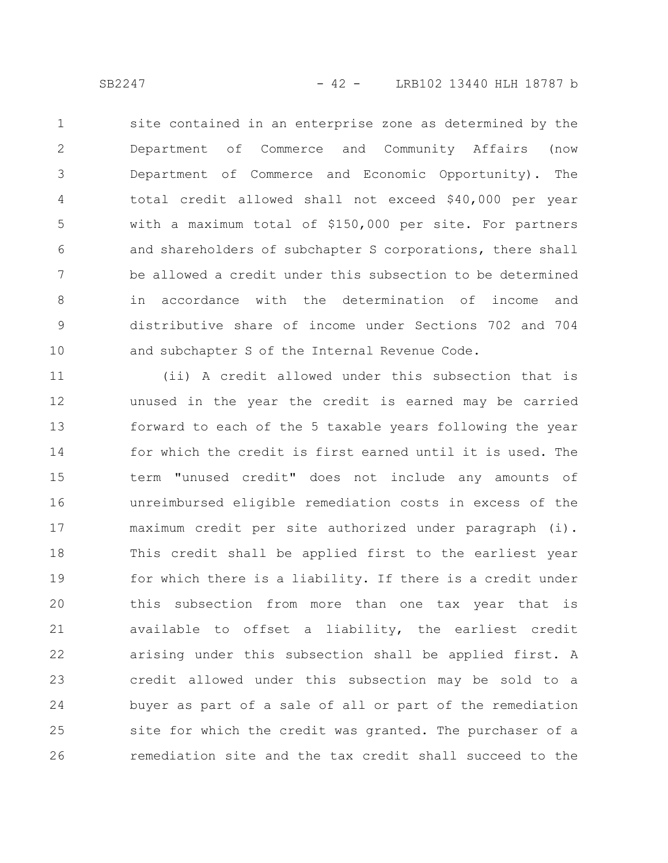site contained in an enterprise zone as determined by the Department of Commerce and Community Affairs (now Department of Commerce and Economic Opportunity). The total credit allowed shall not exceed \$40,000 per year with a maximum total of \$150,000 per site. For partners and shareholders of subchapter S corporations, there shall be allowed a credit under this subsection to be determined in accordance with the determination of income and distributive share of income under Sections 702 and 704 and subchapter S of the Internal Revenue Code. 1 2 3 4 5 6 7 8 9 10

(ii) A credit allowed under this subsection that is unused in the year the credit is earned may be carried forward to each of the 5 taxable years following the year for which the credit is first earned until it is used. The term "unused credit" does not include any amounts of unreimbursed eligible remediation costs in excess of the maximum credit per site authorized under paragraph (i). This credit shall be applied first to the earliest year for which there is a liability. If there is a credit under this subsection from more than one tax year that is available to offset a liability, the earliest credit arising under this subsection shall be applied first. A credit allowed under this subsection may be sold to a buyer as part of a sale of all or part of the remediation site for which the credit was granted. The purchaser of a remediation site and the tax credit shall succeed to the 11 12 13 14 15 16 17 18 19 20 21 22 23 24 25 26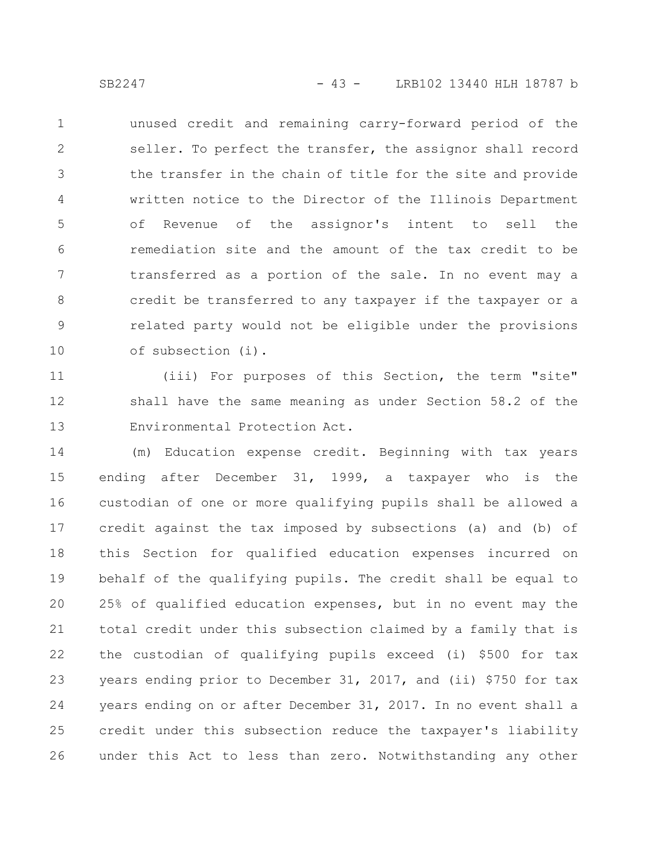unused credit and remaining carry-forward period of the seller. To perfect the transfer, the assignor shall record the transfer in the chain of title for the site and provide written notice to the Director of the Illinois Department of Revenue of the assignor's intent to sell the remediation site and the amount of the tax credit to be transferred as a portion of the sale. In no event may a credit be transferred to any taxpayer if the taxpayer or a related party would not be eligible under the provisions of subsection (i). 1 2 3 4 5 6 7 8 9 10

(iii) For purposes of this Section, the term "site" shall have the same meaning as under Section 58.2 of the Environmental Protection Act. 11 12 13

(m) Education expense credit. Beginning with tax years ending after December 31, 1999, a taxpayer who is the custodian of one or more qualifying pupils shall be allowed a credit against the tax imposed by subsections (a) and (b) of this Section for qualified education expenses incurred on behalf of the qualifying pupils. The credit shall be equal to 25% of qualified education expenses, but in no event may the total credit under this subsection claimed by a family that is the custodian of qualifying pupils exceed (i) \$500 for tax years ending prior to December 31, 2017, and (ii) \$750 for tax years ending on or after December 31, 2017. In no event shall a credit under this subsection reduce the taxpayer's liability under this Act to less than zero. Notwithstanding any other 14 15 16 17 18 19 20 21 22 23 24 25 26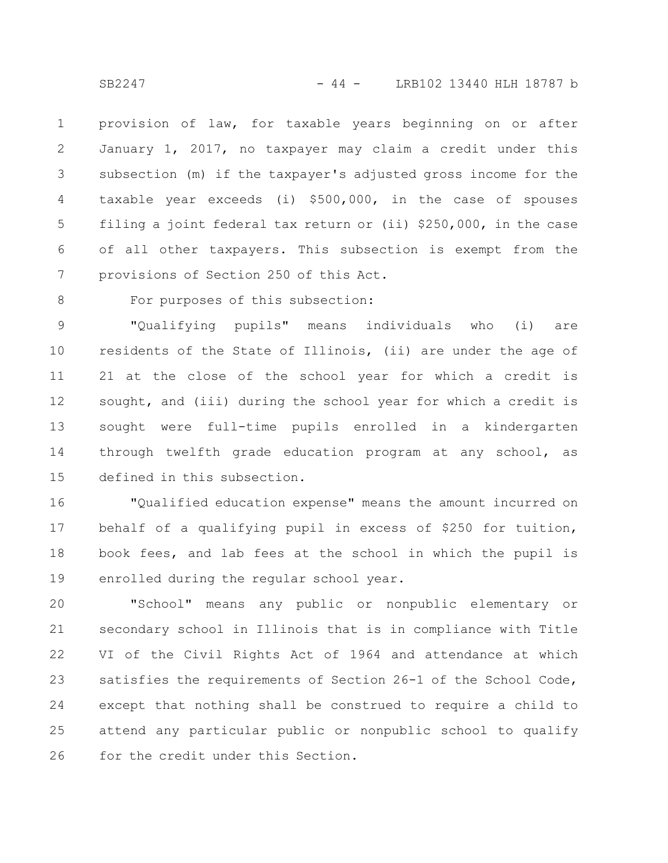provision of law, for taxable years beginning on or after January 1, 2017, no taxpayer may claim a credit under this subsection (m) if the taxpayer's adjusted gross income for the taxable year exceeds (i) \$500,000, in the case of spouses filing a joint federal tax return or (ii) \$250,000, in the case of all other taxpayers. This subsection is exempt from the provisions of Section 250 of this Act. 1 2 3 4 5 6 7

8

## For purposes of this subsection:

"Qualifying pupils" means individuals who (i) are residents of the State of Illinois, (ii) are under the age of 21 at the close of the school year for which a credit is sought, and (iii) during the school year for which a credit is sought were full-time pupils enrolled in a kindergarten through twelfth grade education program at any school, as defined in this subsection. 9 10 11 12 13 14 15

"Qualified education expense" means the amount incurred on behalf of a qualifying pupil in excess of \$250 for tuition, book fees, and lab fees at the school in which the pupil is enrolled during the regular school year. 16 17 18 19

"School" means any public or nonpublic elementary or secondary school in Illinois that is in compliance with Title VI of the Civil Rights Act of 1964 and attendance at which satisfies the requirements of Section 26-1 of the School Code, except that nothing shall be construed to require a child to attend any particular public or nonpublic school to qualify for the credit under this Section. 20 21 22 23 24 25 26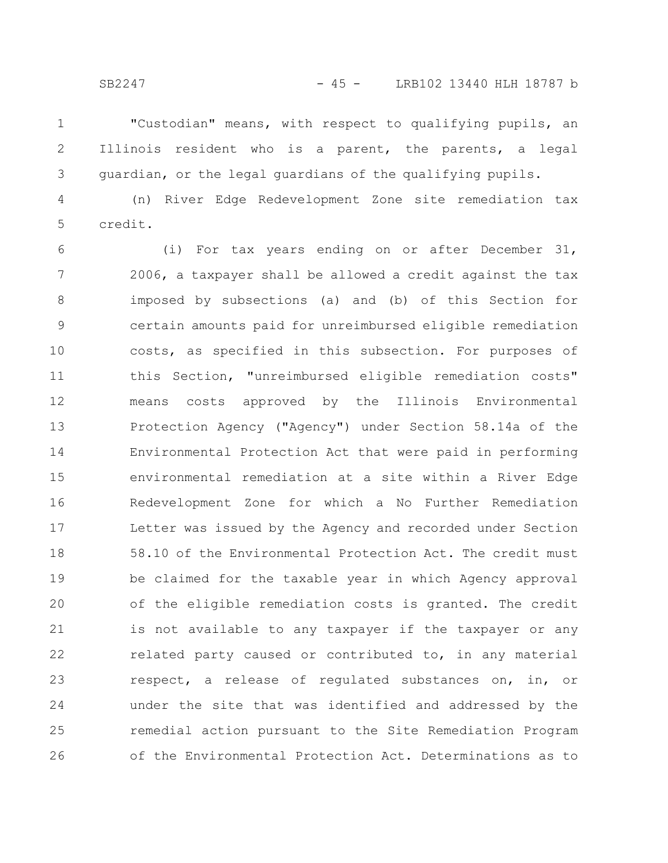"Custodian" means, with respect to qualifying pupils, an Illinois resident who is a parent, the parents, a legal guardian, or the legal guardians of the qualifying pupils. 1 2 3

(n) River Edge Redevelopment Zone site remediation tax credit. 4 5

(i) For tax years ending on or after December 31, 2006, a taxpayer shall be allowed a credit against the tax imposed by subsections (a) and (b) of this Section for certain amounts paid for unreimbursed eligible remediation costs, as specified in this subsection. For purposes of this Section, "unreimbursed eligible remediation costs" means costs approved by the Illinois Environmental Protection Agency ("Agency") under Section 58.14a of the Environmental Protection Act that were paid in performing environmental remediation at a site within a River Edge Redevelopment Zone for which a No Further Remediation Letter was issued by the Agency and recorded under Section 58.10 of the Environmental Protection Act. The credit must be claimed for the taxable year in which Agency approval of the eligible remediation costs is granted. The credit is not available to any taxpayer if the taxpayer or any related party caused or contributed to, in any material respect, a release of regulated substances on, in, or under the site that was identified and addressed by the remedial action pursuant to the Site Remediation Program of the Environmental Protection Act. Determinations as to 6 7 8 9 10 11 12 13 14 15 16 17 18 19 20 21 22 23 24 25 26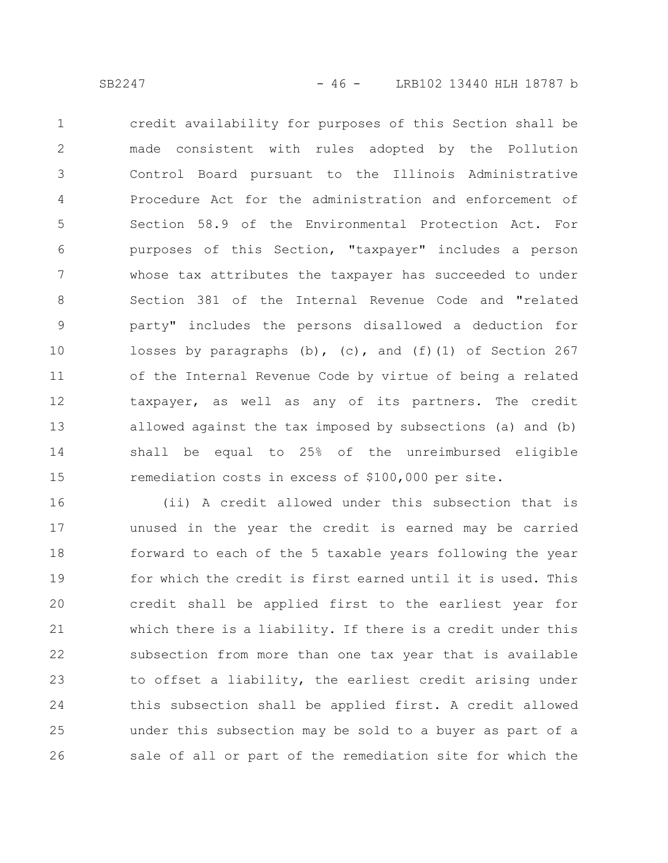credit availability for purposes of this Section shall be made consistent with rules adopted by the Pollution Control Board pursuant to the Illinois Administrative Procedure Act for the administration and enforcement of Section 58.9 of the Environmental Protection Act. For purposes of this Section, "taxpayer" includes a person whose tax attributes the taxpayer has succeeded to under Section 381 of the Internal Revenue Code and "related party" includes the persons disallowed a deduction for losses by paragraphs  $(b)$ ,  $(c)$ , and  $(f)(1)$  of Section 267 of the Internal Revenue Code by virtue of being a related taxpayer, as well as any of its partners. The credit allowed against the tax imposed by subsections (a) and (b) shall be equal to 25% of the unreimbursed eligible remediation costs in excess of \$100,000 per site. 1 2 3 4 5 6 7 8 9 10 11 12 13 14 15

(ii) A credit allowed under this subsection that is unused in the year the credit is earned may be carried forward to each of the 5 taxable years following the year for which the credit is first earned until it is used. This credit shall be applied first to the earliest year for which there is a liability. If there is a credit under this subsection from more than one tax year that is available to offset a liability, the earliest credit arising under this subsection shall be applied first. A credit allowed under this subsection may be sold to a buyer as part of a sale of all or part of the remediation site for which the 16 17 18 19 20 21 22 23 24 25 26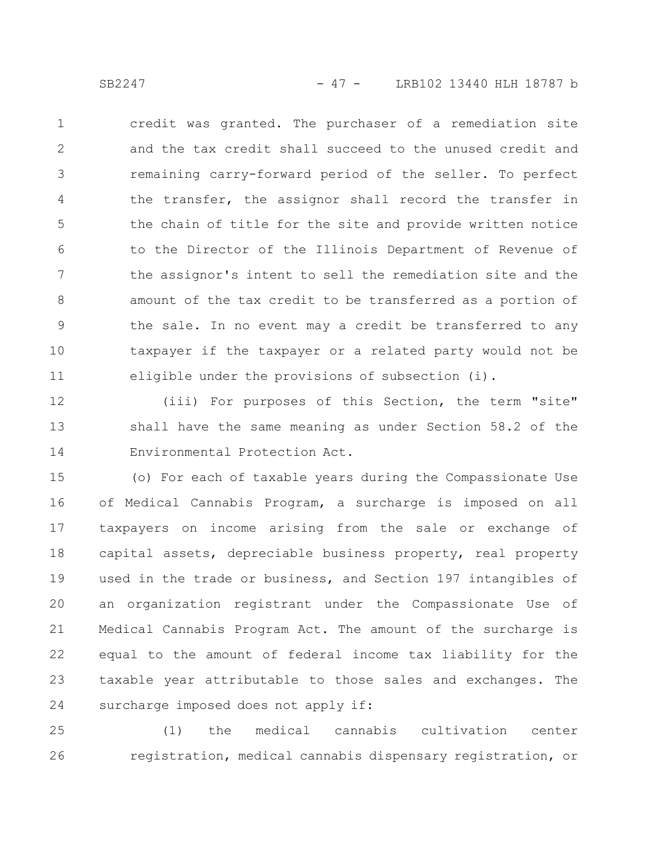SB2247 - 47 - LRB102 13440 HLH 18787 b

credit was granted. The purchaser of a remediation site and the tax credit shall succeed to the unused credit and remaining carry-forward period of the seller. To perfect the transfer, the assignor shall record the transfer in the chain of title for the site and provide written notice to the Director of the Illinois Department of Revenue of the assignor's intent to sell the remediation site and the amount of the tax credit to be transferred as a portion of the sale. In no event may a credit be transferred to any taxpayer if the taxpayer or a related party would not be eligible under the provisions of subsection (i). 1 2 3 4 5 6 7 8 9 10 11

(iii) For purposes of this Section, the term "site" shall have the same meaning as under Section 58.2 of the Environmental Protection Act. 12 13 14

(o) For each of taxable years during the Compassionate Use of Medical Cannabis Program, a surcharge is imposed on all taxpayers on income arising from the sale or exchange of capital assets, depreciable business property, real property used in the trade or business, and Section 197 intangibles of an organization registrant under the Compassionate Use of Medical Cannabis Program Act. The amount of the surcharge is equal to the amount of federal income tax liability for the taxable year attributable to those sales and exchanges. The surcharge imposed does not apply if: 15 16 17 18 19 20 21 22 23 24

(1) the medical cannabis cultivation center registration, medical cannabis dispensary registration, or 25 26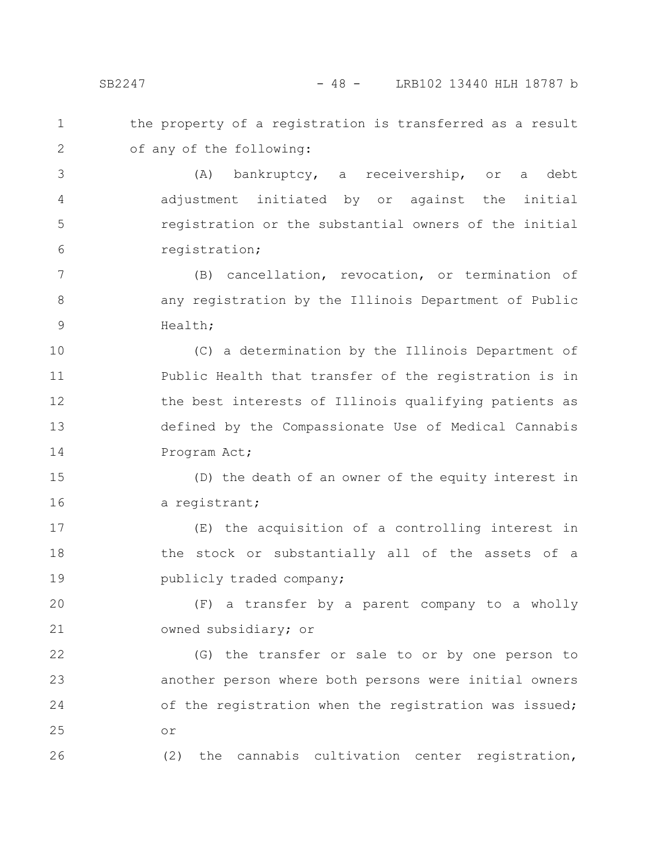the property of a registration is transferred as a result of any of the following: 1 2

(A) bankruptcy, a receivership, or a debt adjustment initiated by or against the initial registration or the substantial owners of the initial registration; 3 4 5 6

(B) cancellation, revocation, or termination of any registration by the Illinois Department of Public Health; 7 8 9

(C) a determination by the Illinois Department of Public Health that transfer of the registration is in the best interests of Illinois qualifying patients as defined by the Compassionate Use of Medical Cannabis Program Act; 10 11 12 13 14

(D) the death of an owner of the equity interest in a registrant; 15 16

(E) the acquisition of a controlling interest in the stock or substantially all of the assets of a publicly traded company; 17 18 19

(F) a transfer by a parent company to a wholly owned subsidiary; or 20 21

(G) the transfer or sale to or by one person to another person where both persons were initial owners of the registration when the registration was issued; or 22 23 24 25

(2) the cannabis cultivation center registration,

26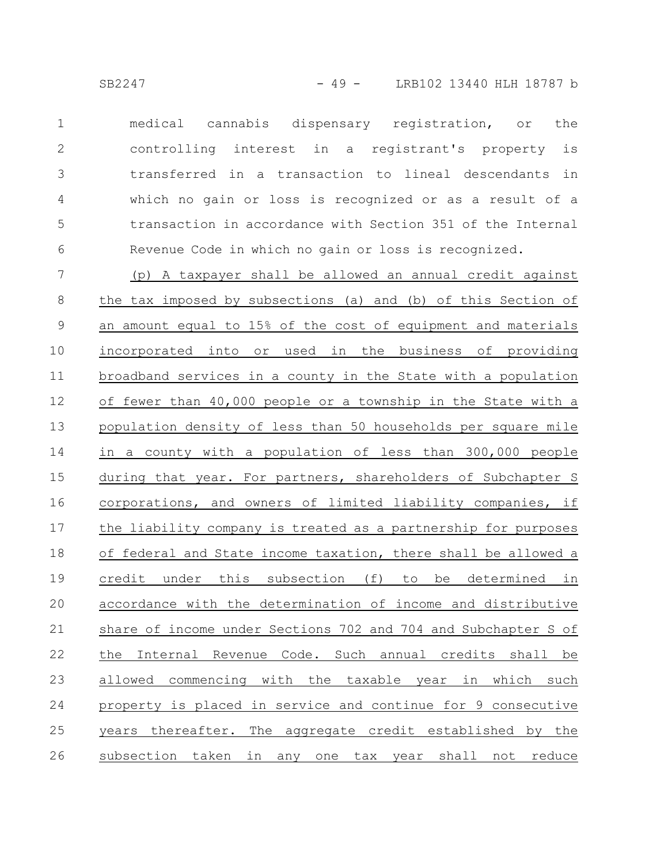medical cannabis dispensary registration, or the controlling interest in a registrant's property is transferred in a transaction to lineal descendants in which no gain or loss is recognized or as a result of a transaction in accordance with Section 351 of the Internal Revenue Code in which no gain or loss is recognized. 1 2 3 4 5 6

(p) A taxpayer shall be allowed an annual credit against the tax imposed by subsections (a) and (b) of this Section of an amount equal to 15% of the cost of equipment and materials incorporated into or used in the business of providing broadband services in a county in the State with a population of fewer than 40,000 people or a township in the State with a population density of less than 50 households per square mile in a county with a population of less than 300,000 people during that year. For partners, shareholders of Subchapter S corporations, and owners of limited liability companies, if the liability company is treated as a partnership for purposes of federal and State income taxation, there shall be allowed a credit under this subsection (f) to be determined in accordance with the determination of income and distributive share of income under Sections 702 and 704 and Subchapter S of the Internal Revenue Code. Such annual credits shall be allowed commencing with the taxable year in which such property is placed in service and continue for 9 consecutive years thereafter. The aggregate credit established by the subsection taken in any one tax year shall not reduce 7 8 9 10 11 12 13 14 15 16 17 18 19 20 21 22 23 24 25 26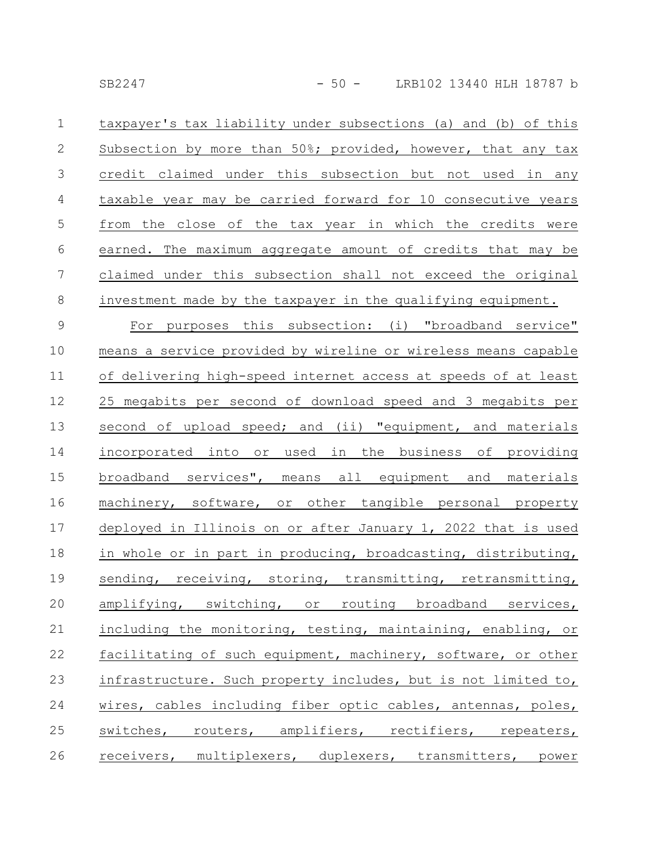| $\mathbf 1$      | taxpayer's tax liability under subsections (a) and (b) of this |
|------------------|----------------------------------------------------------------|
| $\mathbf{2}$     | Subsection by more than 50%; provided, however, that any tax   |
| $\mathcal{S}$    | credit claimed under this subsection but not used in any       |
| $\overline{4}$   | taxable year may be carried forward for 10 consecutive years   |
| 5                | from the close of the tax year in which the credits were       |
| 6                | earned. The maximum aggregate amount of credits that may be    |
| $\boldsymbol{7}$ | claimed under this subsection shall not exceed the original    |
| $\,8\,$          | investment made by the taxpayer in the qualifying equipment.   |
| $\mathsf 9$      | For purposes this subsection: (i) "broadband service"          |
| 10               | means a service provided by wireline or wireless means capable |
| 11               | of delivering high-speed internet access at speeds of at least |
| 12               | 25 megabits per second of download speed and 3 megabits per    |
| 13               | second of upload speed; and (ii) "equipment, and materials     |
| 14               | incorporated into or used in the business of providing         |
| 15               | broadband services", means all equipment and materials         |
| 16               | machinery, software, or other tangible personal property       |
| 17               | deployed in Illinois on or after January 1, 2022 that is used  |
| 18               | in whole or in part in producing, broadcasting, distributing,  |
| 19               | sending, receiving, storing, transmitting, retransmitting,     |
| 20               | amplifying, switching, or routing broadband services,          |
| 21               | including the monitoring, testing, maintaining, enabling, or   |
| 22               | facilitating of such equipment, machinery, software, or other  |
| 23               | infrastructure. Such property includes, but is not limited to, |
| 24               | wires, cables including fiber optic cables, antennas, poles,   |
| 25               | switches, routers, amplifiers, rectifiers, repeaters,          |
| 26               | receivers, multiplexers, duplexers, transmitters, power        |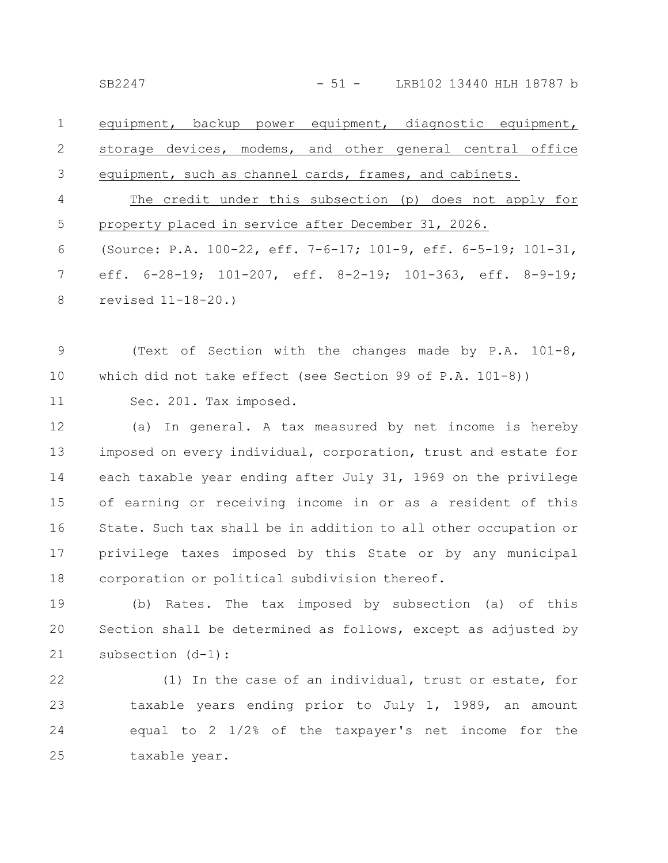SB2247 - 51 - LRB102 13440 HLH 18787 b

equipment, backup power equipment, diagnostic equipment, storage devices, modems, and other general central office equipment, such as channel cards, frames, and cabinets. The credit under this subsection (p) does not apply for property placed in service after December 31, 2026. (Source: P.A. 100-22, eff. 7-6-17; 101-9, eff. 6-5-19; 101-31, 1 2 3 4 5 6

eff. 6-28-19; 101-207, eff. 8-2-19; 101-363, eff. 8-9-19; revised 11-18-20.) 7 8

(Text of Section with the changes made by P.A. 101-8, which did not take effect (see Section 99 of P.A. 101-8)) 9 10

Sec. 201. Tax imposed. 11

(a) In general. A tax measured by net income is hereby imposed on every individual, corporation, trust and estate for each taxable year ending after July 31, 1969 on the privilege of earning or receiving income in or as a resident of this State. Such tax shall be in addition to all other occupation or privilege taxes imposed by this State or by any municipal corporation or political subdivision thereof. 12 13 14 15 16 17 18

(b) Rates. The tax imposed by subsection (a) of this Section shall be determined as follows, except as adjusted by subsection (d-1): 19 20 21

(1) In the case of an individual, trust or estate, for taxable years ending prior to July 1, 1989, an amount equal to 2 1/2% of the taxpayer's net income for the taxable year. 22 23 24 25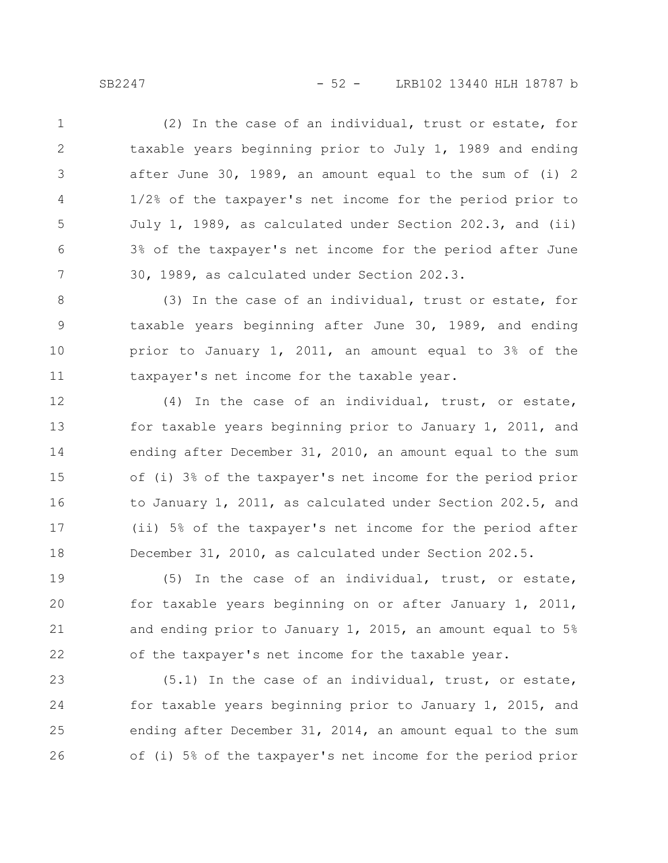SB2247 - 52 - LRB102 13440 HLH 18787 b

(2) In the case of an individual, trust or estate, for taxable years beginning prior to July 1, 1989 and ending after June 30, 1989, an amount equal to the sum of (i) 2 1/2% of the taxpayer's net income for the period prior to July 1, 1989, as calculated under Section 202.3, and (ii) 3% of the taxpayer's net income for the period after June 30, 1989, as calculated under Section 202.3. 1 2 3 4 5 6 7

(3) In the case of an individual, trust or estate, for taxable years beginning after June 30, 1989, and ending prior to January 1, 2011, an amount equal to 3% of the taxpayer's net income for the taxable year. 8 9 10 11

(4) In the case of an individual, trust, or estate, for taxable years beginning prior to January 1, 2011, and ending after December 31, 2010, an amount equal to the sum of (i) 3% of the taxpayer's net income for the period prior to January 1, 2011, as calculated under Section 202.5, and (ii) 5% of the taxpayer's net income for the period after December 31, 2010, as calculated under Section 202.5. 12 13 14 15 16 17 18

(5) In the case of an individual, trust, or estate, for taxable years beginning on or after January 1, 2011, and ending prior to January 1, 2015, an amount equal to 5% of the taxpayer's net income for the taxable year. 19 20 21 22

(5.1) In the case of an individual, trust, or estate, for taxable years beginning prior to January 1, 2015, and ending after December 31, 2014, an amount equal to the sum of (i) 5% of the taxpayer's net income for the period prior 23 24 25 26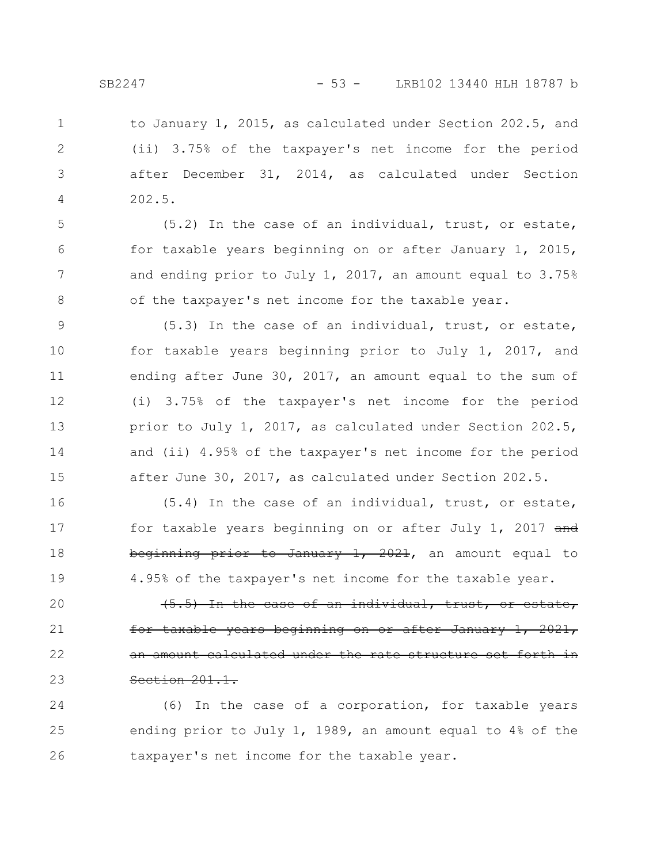to January 1, 2015, as calculated under Section 202.5, and (ii) 3.75% of the taxpayer's net income for the period after December 31, 2014, as calculated under Section 202.5. 1 2 3 4

(5.2) In the case of an individual, trust, or estate, for taxable years beginning on or after January 1, 2015, and ending prior to July 1, 2017, an amount equal to 3.75% of the taxpayer's net income for the taxable year.

(5.3) In the case of an individual, trust, or estate, for taxable years beginning prior to July 1, 2017, and ending after June 30, 2017, an amount equal to the sum of (i) 3.75% of the taxpayer's net income for the period prior to July 1, 2017, as calculated under Section 202.5, and (ii) 4.95% of the taxpayer's net income for the period after June 30, 2017, as calculated under Section 202.5. 9 10 11 12 13 14 15

(5.4) In the case of an individual, trust, or estate, for taxable years beginning on or after July 1, 2017 and beginning prior to January 1, 2021, an amount equal to 4.95% of the taxpayer's net income for the taxable year. 16 17 18 19

(5.5) In the case of an individual, trust, or estate, <del>years beginning on or after</del> an amount calculated under the rate structure set forth in Section 201.1. 20 21 22 23

(6) In the case of a corporation, for taxable years ending prior to July 1, 1989, an amount equal to 4% of the taxpayer's net income for the taxable year. 24 25 26

5

6

7

8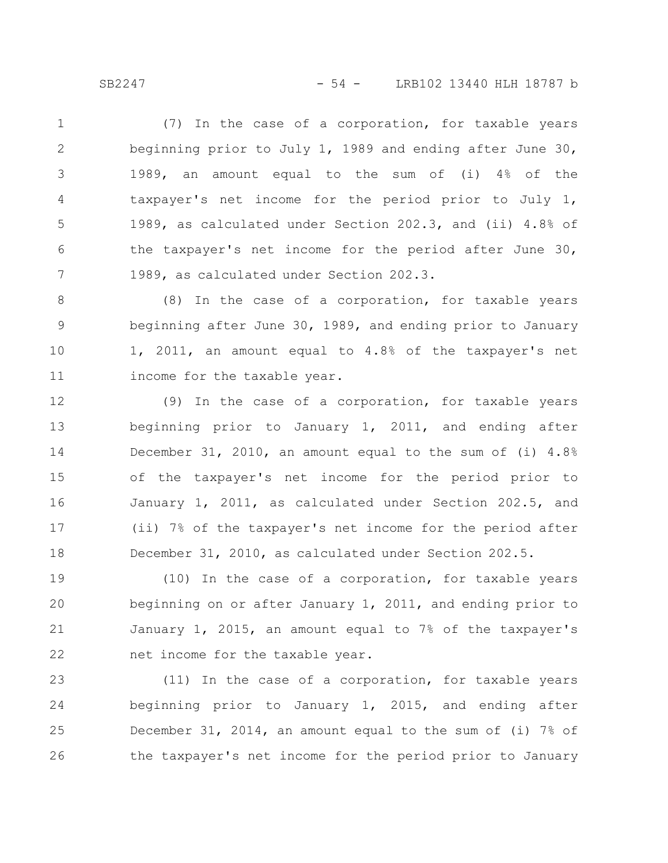SB2247 - 54 - LRB102 13440 HLH 18787 b

(7) In the case of a corporation, for taxable years beginning prior to July 1, 1989 and ending after June 30, 1989, an amount equal to the sum of (i) 4% of the taxpayer's net income for the period prior to July 1, 1989, as calculated under Section 202.3, and (ii) 4.8% of the taxpayer's net income for the period after June 30, 1989, as calculated under Section 202.3. 1 2 3 4 5 6 7

(8) In the case of a corporation, for taxable years beginning after June 30, 1989, and ending prior to January 1, 2011, an amount equal to 4.8% of the taxpayer's net income for the taxable year. 8 9 10 11

(9) In the case of a corporation, for taxable years beginning prior to January 1, 2011, and ending after December 31, 2010, an amount equal to the sum of (i) 4.8% of the taxpayer's net income for the period prior to January 1, 2011, as calculated under Section 202.5, and (ii) 7% of the taxpayer's net income for the period after December 31, 2010, as calculated under Section 202.5. 12 13 14 15 16 17 18

(10) In the case of a corporation, for taxable years beginning on or after January 1, 2011, and ending prior to January 1, 2015, an amount equal to 7% of the taxpayer's net income for the taxable year. 19 20 21 22

(11) In the case of a corporation, for taxable years beginning prior to January 1, 2015, and ending after December 31, 2014, an amount equal to the sum of (i) 7% of the taxpayer's net income for the period prior to January 23 24 25 26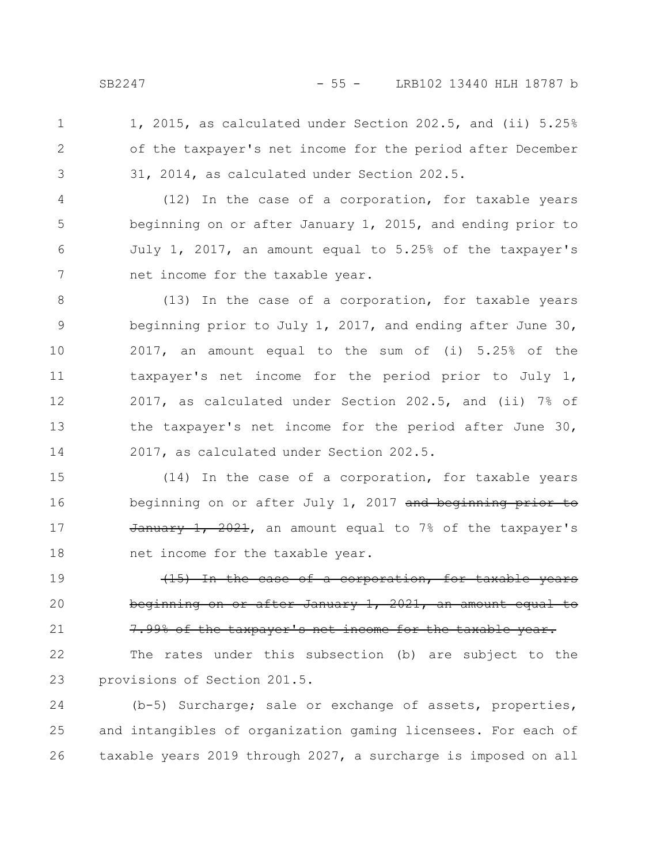1, 2015, as calculated under Section 202.5, and (ii) 5.25% of the taxpayer's net income for the period after December 31, 2014, as calculated under Section 202.5. 1 2 3

(12) In the case of a corporation, for taxable years beginning on or after January 1, 2015, and ending prior to July 1, 2017, an amount equal to 5.25% of the taxpayer's net income for the taxable year. 4 5 6 7

(13) In the case of a corporation, for taxable years beginning prior to July 1, 2017, and ending after June 30, 2017, an amount equal to the sum of (i) 5.25% of the taxpayer's net income for the period prior to July 1, 2017, as calculated under Section 202.5, and (ii) 7% of the taxpayer's net income for the period after June 30, 2017, as calculated under Section 202.5. 8 9 10 11 12 13 14

(14) In the case of a corporation, for taxable years beginning on or after July 1, 2017 and beginning prior to  $\frac{1}{200}$   $\frac{2021}{1}$ , an amount equal to 7% of the taxpayer's net income for the taxable year. 15 16 17 18

(15) In the case of a corporation, for taxable years beginning on or after January 1, 2021, an amount equal to 7.99% of the taxpayer's net income for the taxable 19 20 21

The rates under this subsection (b) are subject to the provisions of Section 201.5. 22 23

(b-5) Surcharge; sale or exchange of assets, properties, and intangibles of organization gaming licensees. For each of taxable years 2019 through 2027, a surcharge is imposed on all 24 25 26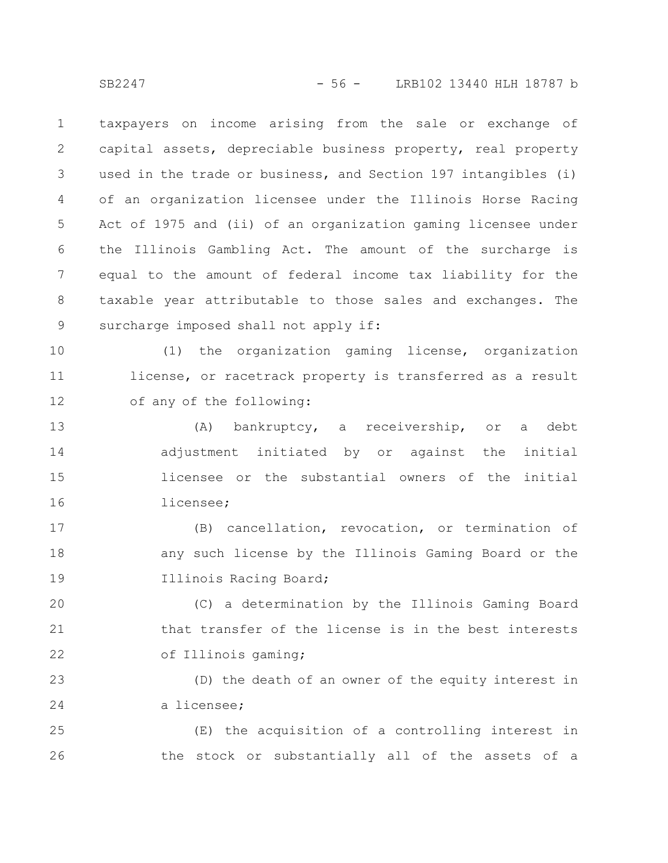taxpayers on income arising from the sale or exchange of capital assets, depreciable business property, real property used in the trade or business, and Section 197 intangibles (i) of an organization licensee under the Illinois Horse Racing Act of 1975 and (ii) of an organization gaming licensee under the Illinois Gambling Act. The amount of the surcharge is equal to the amount of federal income tax liability for the taxable year attributable to those sales and exchanges. The surcharge imposed shall not apply if: 1 2 3 4 5 6 7 8 9

(1) the organization gaming license, organization license, or racetrack property is transferred as a result of any of the following: 10 11 12

(A) bankruptcy, a receivership, or a debt adjustment initiated by or against the initial licensee or the substantial owners of the initial licensee; 13 14 15 16

(B) cancellation, revocation, or termination of any such license by the Illinois Gaming Board or the Illinois Racing Board; 17 18 19

(C) a determination by the Illinois Gaming Board that transfer of the license is in the best interests of Illinois gaming; 20 21 22

(D) the death of an owner of the equity interest in a licensee; 23 24

(E) the acquisition of a controlling interest in the stock or substantially all of the assets of a 25 26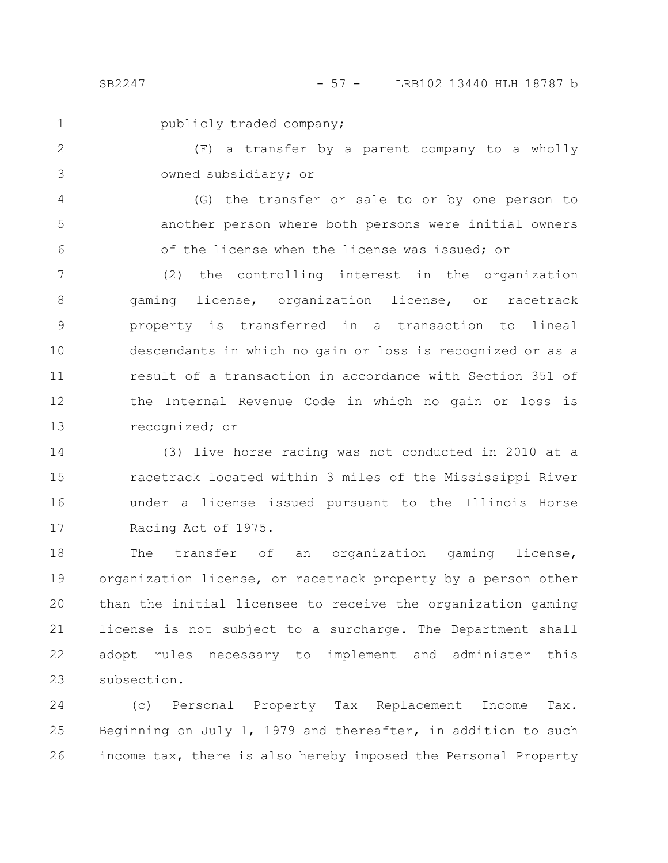1

publicly traded company;

(F) a transfer by a parent company to a wholly owned subsidiary; or 2 3

(G) the transfer or sale to or by one person to another person where both persons were initial owners of the license when the license was issued; or 4 5 6

(2) the controlling interest in the organization gaming license, organization license, or racetrack property is transferred in a transaction to lineal descendants in which no gain or loss is recognized or as a result of a transaction in accordance with Section 351 of the Internal Revenue Code in which no gain or loss is recognized; or 7 8 9 10 11 12 13

(3) live horse racing was not conducted in 2010 at a racetrack located within 3 miles of the Mississippi River under a license issued pursuant to the Illinois Horse Racing Act of 1975. 14 15 16 17

The transfer of an organization gaming license, organization license, or racetrack property by a person other than the initial licensee to receive the organization gaming license is not subject to a surcharge. The Department shall adopt rules necessary to implement and administer this subsection. 18 19 20 21 22 23

(c) Personal Property Tax Replacement Income Tax. Beginning on July 1, 1979 and thereafter, in addition to such income tax, there is also hereby imposed the Personal Property 24 25 26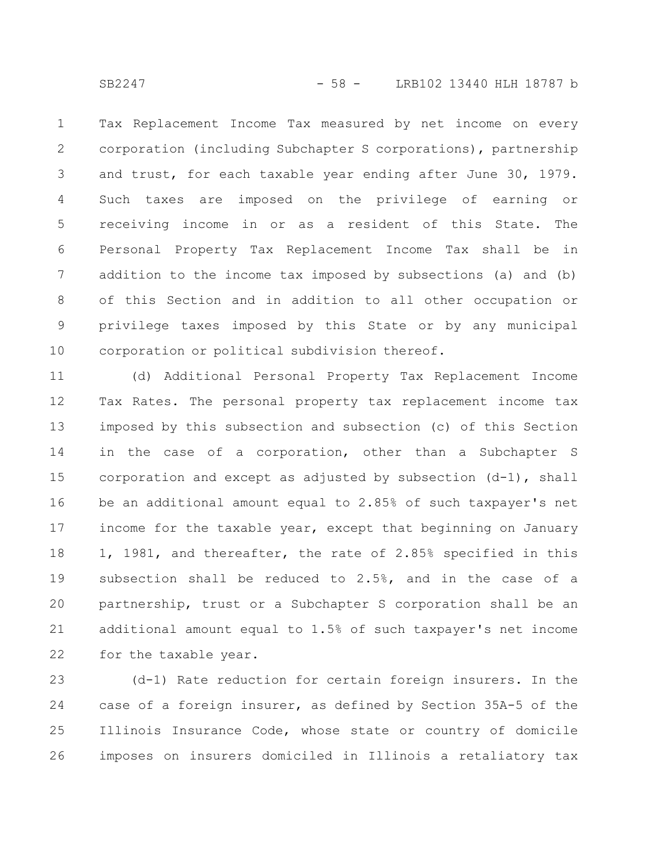Tax Replacement Income Tax measured by net income on every corporation (including Subchapter S corporations), partnership and trust, for each taxable year ending after June 30, 1979. Such taxes are imposed on the privilege of earning or receiving income in or as a resident of this State. The Personal Property Tax Replacement Income Tax shall be in addition to the income tax imposed by subsections (a) and (b) of this Section and in addition to all other occupation or privilege taxes imposed by this State or by any municipal corporation or political subdivision thereof. 1 2 3 4 5 6 7 8 9 10

(d) Additional Personal Property Tax Replacement Income Tax Rates. The personal property tax replacement income tax imposed by this subsection and subsection (c) of this Section in the case of a corporation, other than a Subchapter S corporation and except as adjusted by subsection  $(d-1)$ , shall be an additional amount equal to 2.85% of such taxpayer's net income for the taxable year, except that beginning on January 1, 1981, and thereafter, the rate of 2.85% specified in this subsection shall be reduced to 2.5%, and in the case of a partnership, trust or a Subchapter S corporation shall be an additional amount equal to 1.5% of such taxpayer's net income for the taxable year. 11 12 13 14 15 16 17 18 19 20 21 22

(d-1) Rate reduction for certain foreign insurers. In the case of a foreign insurer, as defined by Section 35A-5 of the Illinois Insurance Code, whose state or country of domicile imposes on insurers domiciled in Illinois a retaliatory tax 23 24 25 26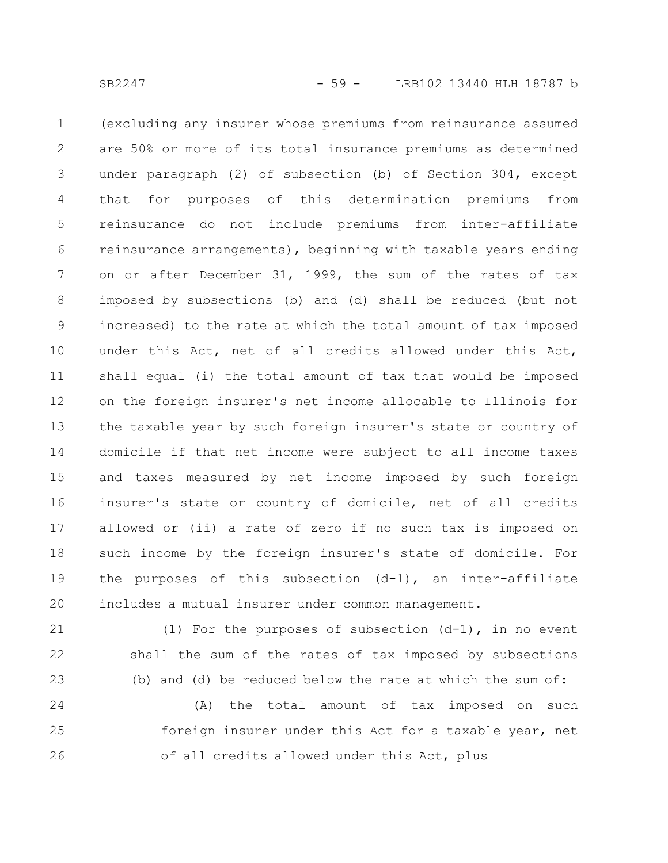(excluding any insurer whose premiums from reinsurance assumed are 50% or more of its total insurance premiums as determined under paragraph (2) of subsection (b) of Section 304, except that for purposes of this determination premiums from reinsurance do not include premiums from inter-affiliate reinsurance arrangements), beginning with taxable years ending on or after December 31, 1999, the sum of the rates of tax imposed by subsections (b) and (d) shall be reduced (but not increased) to the rate at which the total amount of tax imposed under this Act, net of all credits allowed under this Act, shall equal (i) the total amount of tax that would be imposed on the foreign insurer's net income allocable to Illinois for the taxable year by such foreign insurer's state or country of domicile if that net income were subject to all income taxes and taxes measured by net income imposed by such foreign insurer's state or country of domicile, net of all credits allowed or (ii) a rate of zero if no such tax is imposed on such income by the foreign insurer's state of domicile. For the purposes of this subsection (d-1), an inter-affiliate includes a mutual insurer under common management. 1 2 3 4 5 6 7 8 9 10 11 12 13 14 15 16 17 18 19 20

(1) For the purposes of subsection (d-1), in no event shall the sum of the rates of tax imposed by subsections (b) and (d) be reduced below the rate at which the sum of: 21 22 23

(A) the total amount of tax imposed on such foreign insurer under this Act for a taxable year, net of all credits allowed under this Act, plus 24 25 26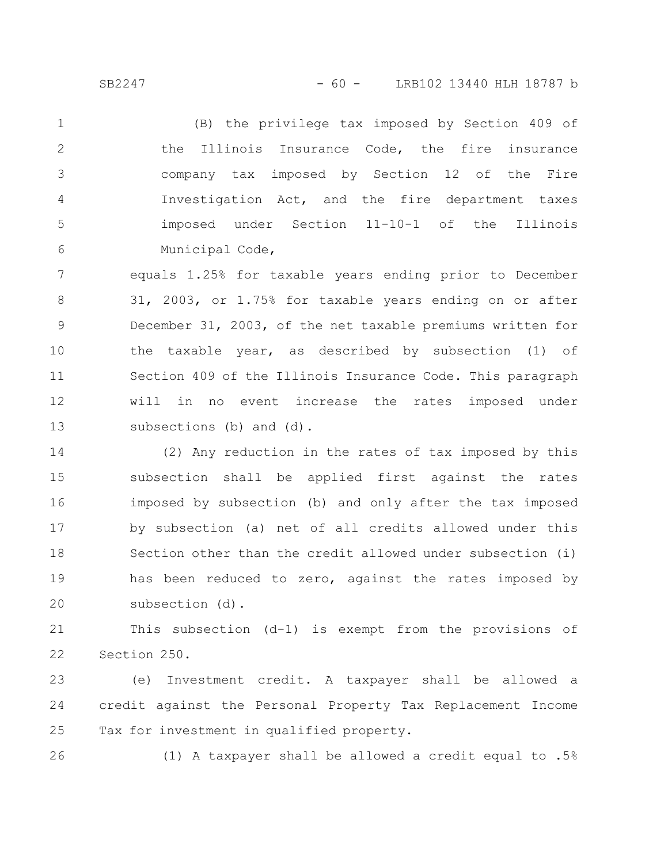(B) the privilege tax imposed by Section 409 of the Illinois Insurance Code, the fire insurance company tax imposed by Section 12 of the Fire Investigation Act, and the fire department taxes imposed under Section 11-10-1 of the Illinois Municipal Code, 1 2 3 4 5 6

equals 1.25% for taxable years ending prior to December 31, 2003, or 1.75% for taxable years ending on or after December 31, 2003, of the net taxable premiums written for the taxable year, as described by subsection (1) of Section 409 of the Illinois Insurance Code. This paragraph will in no event increase the rates imposed under subsections (b) and (d). 7 8 9 10 11 12 13

(2) Any reduction in the rates of tax imposed by this subsection shall be applied first against the rates imposed by subsection (b) and only after the tax imposed by subsection (a) net of all credits allowed under this Section other than the credit allowed under subsection (i) has been reduced to zero, against the rates imposed by subsection (d). 14 15 16 17 18 19 20

This subsection (d-1) is exempt from the provisions of Section 250. 21 22

(e) Investment credit. A taxpayer shall be allowed a credit against the Personal Property Tax Replacement Income Tax for investment in qualified property. 23 24 25

26

(1) A taxpayer shall be allowed a credit equal to .5%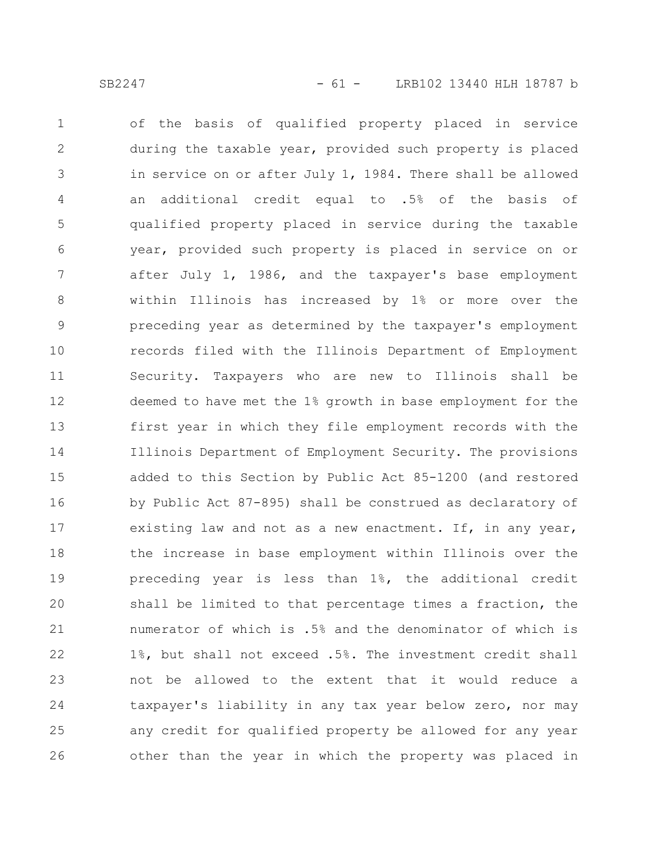of the basis of qualified property placed in service during the taxable year, provided such property is placed in service on or after July 1, 1984. There shall be allowed an additional credit equal to .5% of the basis of qualified property placed in service during the taxable year, provided such property is placed in service on or after July 1, 1986, and the taxpayer's base employment within Illinois has increased by 1% or more over the preceding year as determined by the taxpayer's employment records filed with the Illinois Department of Employment Security. Taxpayers who are new to Illinois shall be deemed to have met the 1% growth in base employment for the first year in which they file employment records with the Illinois Department of Employment Security. The provisions added to this Section by Public Act 85-1200 (and restored by Public Act 87-895) shall be construed as declaratory of existing law and not as a new enactment. If, in any year, the increase in base employment within Illinois over the preceding year is less than 1%, the additional credit shall be limited to that percentage times a fraction, the numerator of which is .5% and the denominator of which is 1%, but shall not exceed .5%. The investment credit shall not be allowed to the extent that it would reduce a taxpayer's liability in any tax year below zero, nor may any credit for qualified property be allowed for any year other than the year in which the property was placed in 1 2 3 4 5 6 7 8 9 10 11 12 13 14 15 16 17 18 19 20 21 22 23 24 25 26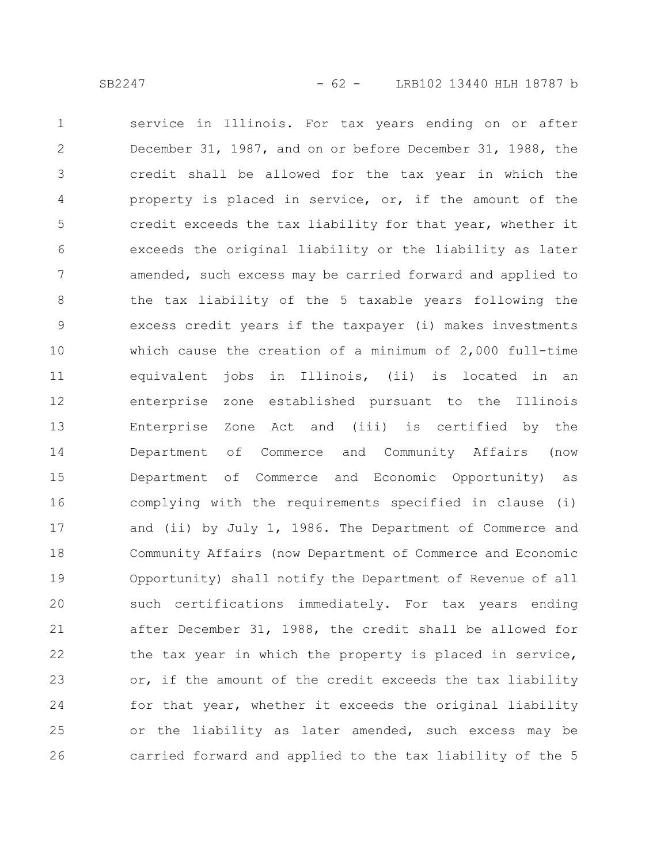service in Illinois. For tax years ending on or after December 31, 1987, and on or before December 31, 1988, the credit shall be allowed for the tax year in which the property is placed in service, or, if the amount of the credit exceeds the tax liability for that year, whether it exceeds the original liability or the liability as later amended, such excess may be carried forward and applied to the tax liability of the 5 taxable years following the excess credit years if the taxpayer (i) makes investments which cause the creation of a minimum of 2,000 full-time equivalent jobs in Illinois, (ii) is located in an enterprise zone established pursuant to the Illinois Enterprise Zone Act and (iii) is certified by the Department of Commerce and Community Affairs (now Department of Commerce and Economic Opportunity) as complying with the requirements specified in clause (i) and (ii) by July 1, 1986. The Department of Commerce and Community Affairs (now Department of Commerce and Economic Opportunity) shall notify the Department of Revenue of all such certifications immediately. For tax years ending after December 31, 1988, the credit shall be allowed for the tax year in which the property is placed in service, or, if the amount of the credit exceeds the tax liability for that year, whether it exceeds the original liability or the liability as later amended, such excess may be carried forward and applied to the tax liability of the 5 1 2 3 4 5 6 7 8 9 10 11 12 13 14 15 16 17 18 19 20 21 22 23 24 25 26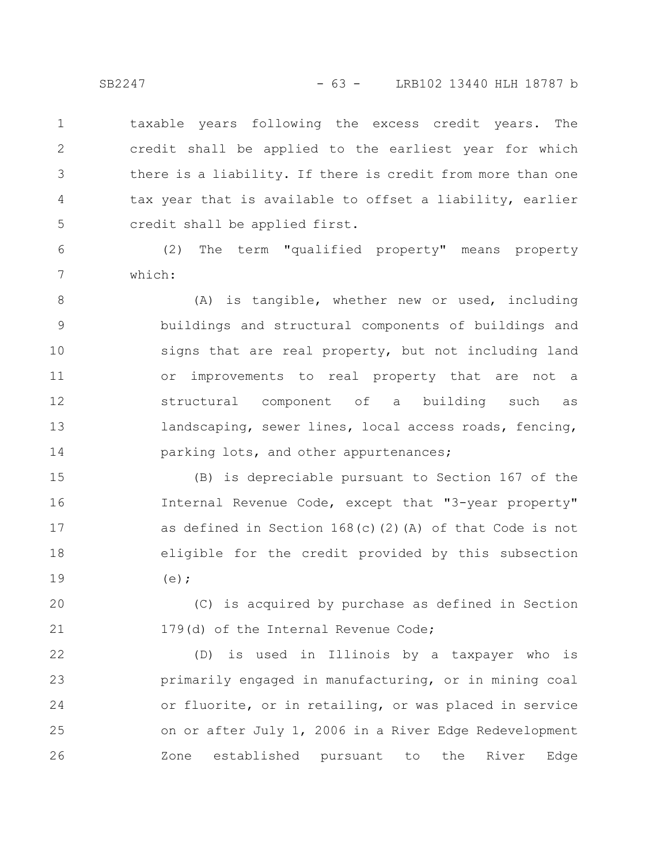taxable years following the excess credit years. The credit shall be applied to the earliest year for which there is a liability. If there is credit from more than one tax year that is available to offset a liability, earlier credit shall be applied first. 1 2 3 4 5

(2) The term "qualified property" means property which:

(A) is tangible, whether new or used, including buildings and structural components of buildings and signs that are real property, but not including land or improvements to real property that are not a structural component of a building such as landscaping, sewer lines, local access roads, fencing, parking lots, and other appurtenances; 8 9 10 11 12 13 14

(B) is depreciable pursuant to Section 167 of the Internal Revenue Code, except that "3-year property" as defined in Section 168(c)(2)(A) of that Code is not eligible for the credit provided by this subsection  $(e)$ ; 15 16 17 18 19

(C) is acquired by purchase as defined in Section 179(d) of the Internal Revenue Code; 20 21

(D) is used in Illinois by a taxpayer who is primarily engaged in manufacturing, or in mining coal or fluorite, or in retailing, or was placed in service on or after July 1, 2006 in a River Edge Redevelopment Zone established pursuant to the River Edge 22 23 24 25 26

6

7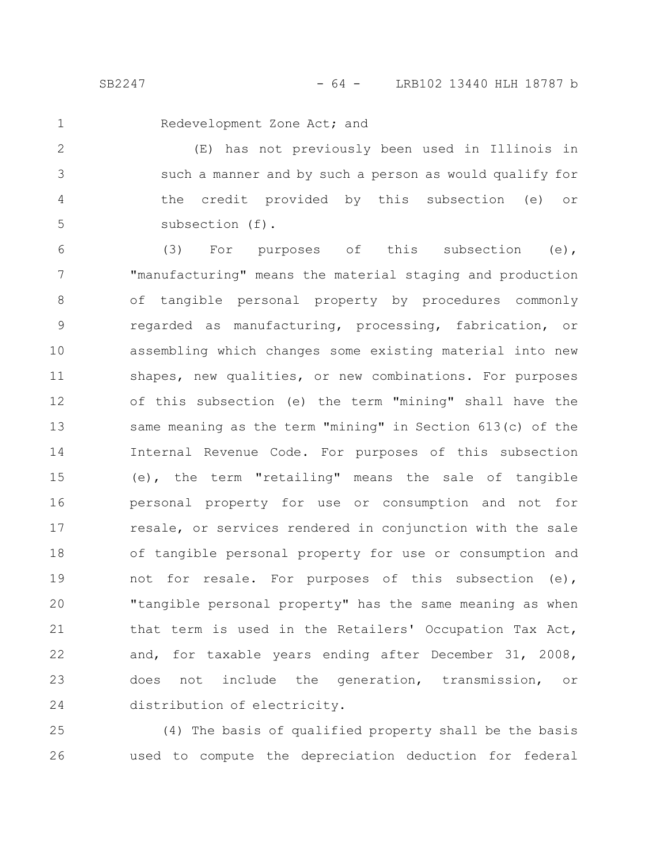1

Redevelopment Zone Act; and

(E) has not previously been used in Illinois in such a manner and by such a person as would qualify for the credit provided by this subsection (e) or subsection (f). 2 3 4 5

(3) For purposes of this subsection (e), "manufacturing" means the material staging and production of tangible personal property by procedures commonly regarded as manufacturing, processing, fabrication, or assembling which changes some existing material into new shapes, new qualities, or new combinations. For purposes of this subsection (e) the term "mining" shall have the same meaning as the term "mining" in Section 613(c) of the Internal Revenue Code. For purposes of this subsection (e), the term "retailing" means the sale of tangible personal property for use or consumption and not for resale, or services rendered in conjunction with the sale of tangible personal property for use or consumption and not for resale. For purposes of this subsection (e), "tangible personal property" has the same meaning as when that term is used in the Retailers' Occupation Tax Act, and, for taxable years ending after December 31, 2008, does not include the generation, transmission, or distribution of electricity. 6 7 8 9 10 11 12 13 14 15 16 17 18 19 20 21 22 23 24

(4) The basis of qualified property shall be the basis used to compute the depreciation deduction for federal 25 26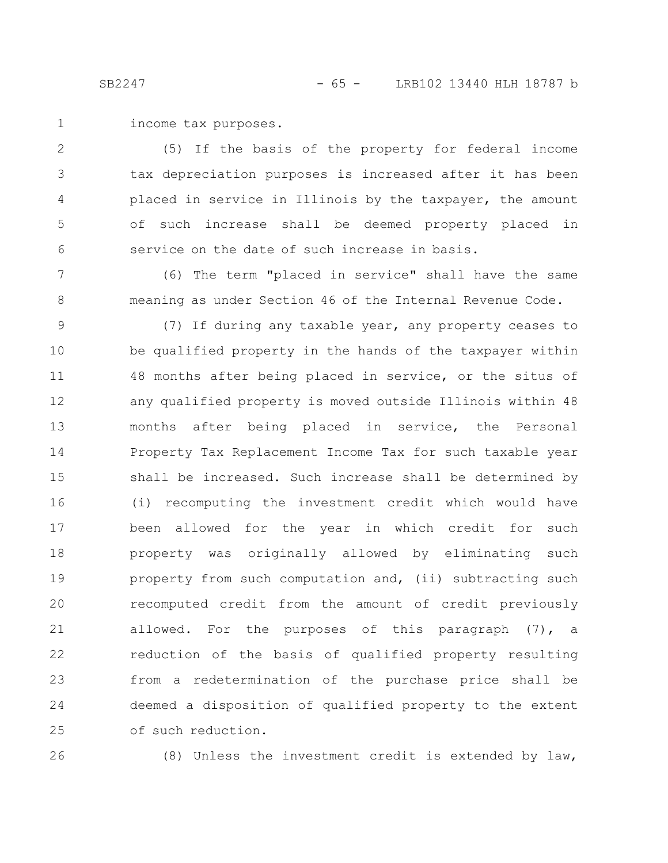income tax purposes. 1

(5) If the basis of the property for federal income tax depreciation purposes is increased after it has been placed in service in Illinois by the taxpayer, the amount of such increase shall be deemed property placed in service on the date of such increase in basis. 2 3 4 5 6

(6) The term "placed in service" shall have the same meaning as under Section 46 of the Internal Revenue Code. 7 8

(7) If during any taxable year, any property ceases to be qualified property in the hands of the taxpayer within 48 months after being placed in service, or the situs of any qualified property is moved outside Illinois within 48 months after being placed in service, the Personal Property Tax Replacement Income Tax for such taxable year shall be increased. Such increase shall be determined by (i) recomputing the investment credit which would have been allowed for the year in which credit for such property was originally allowed by eliminating such property from such computation and, (ii) subtracting such recomputed credit from the amount of credit previously allowed. For the purposes of this paragraph (7), a reduction of the basis of qualified property resulting from a redetermination of the purchase price shall be deemed a disposition of qualified property to the extent of such reduction. 9 10 11 12 13 14 15 16 17 18 19 20 21 22 23 24 25

26

(8) Unless the investment credit is extended by law,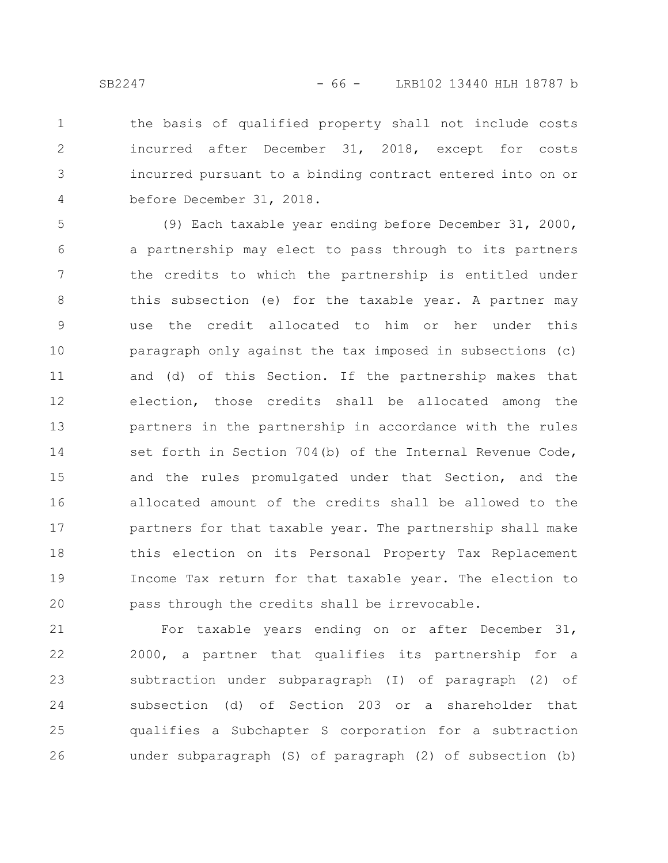the basis of qualified property shall not include costs incurred after December 31, 2018, except for costs incurred pursuant to a binding contract entered into on or before December 31, 2018. 1 2 3 4

(9) Each taxable year ending before December 31, 2000, a partnership may elect to pass through to its partners the credits to which the partnership is entitled under this subsection (e) for the taxable year. A partner may use the credit allocated to him or her under this paragraph only against the tax imposed in subsections (c) and (d) of this Section. If the partnership makes that election, those credits shall be allocated among the partners in the partnership in accordance with the rules set forth in Section 704(b) of the Internal Revenue Code, and the rules promulgated under that Section, and the allocated amount of the credits shall be allowed to the partners for that taxable year. The partnership shall make this election on its Personal Property Tax Replacement Income Tax return for that taxable year. The election to pass through the credits shall be irrevocable. 5 6 7 8 9 10 11 12 13 14 15 16 17 18 19 20

For taxable years ending on or after December 31, 2000, a partner that qualifies its partnership for a subtraction under subparagraph (I) of paragraph (2) of subsection (d) of Section 203 or a shareholder that qualifies a Subchapter S corporation for a subtraction under subparagraph (S) of paragraph (2) of subsection (b) 21 22 23 24 25 26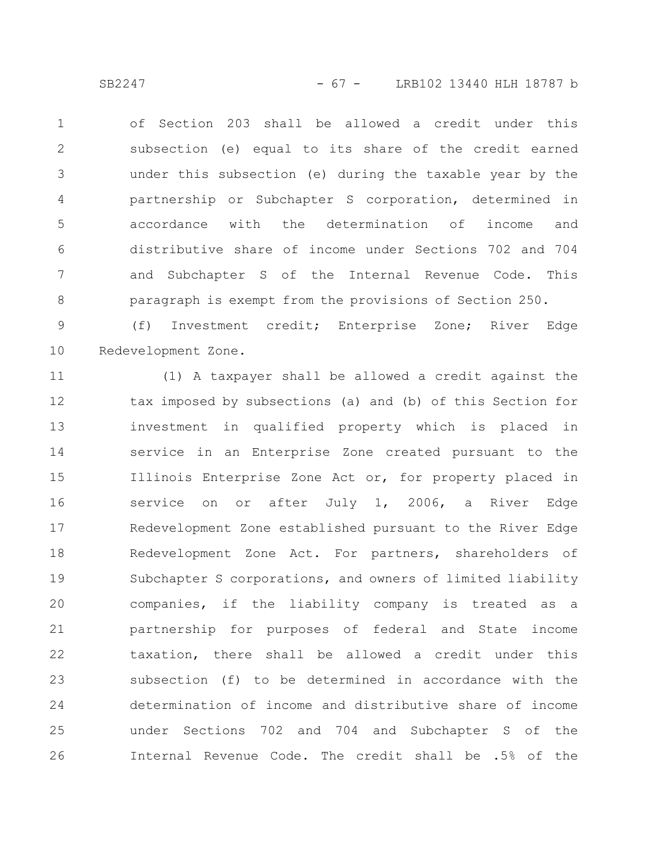SB2247 - 67 - LRB102 13440 HLH 18787 b

of Section 203 shall be allowed a credit under this subsection (e) equal to its share of the credit earned under this subsection (e) during the taxable year by the partnership or Subchapter S corporation, determined in accordance with the determination of income and distributive share of income under Sections 702 and 704 and Subchapter S of the Internal Revenue Code. This paragraph is exempt from the provisions of Section 250. 1 2 3 4 5 6 7 8

(f) Investment credit; Enterprise Zone; River Edge Redevelopment Zone. 9 10

(1) A taxpayer shall be allowed a credit against the tax imposed by subsections (a) and (b) of this Section for investment in qualified property which is placed in service in an Enterprise Zone created pursuant to the Illinois Enterprise Zone Act or, for property placed in service on or after July 1, 2006, a River Edge Redevelopment Zone established pursuant to the River Edge Redevelopment Zone Act. For partners, shareholders of Subchapter S corporations, and owners of limited liability companies, if the liability company is treated as a partnership for purposes of federal and State income taxation, there shall be allowed a credit under this subsection (f) to be determined in accordance with the determination of income and distributive share of income under Sections 702 and 704 and Subchapter S of the Internal Revenue Code. The credit shall be .5% of the 11 12 13 14 15 16 17 18 19 20 21 22 23 24 25 26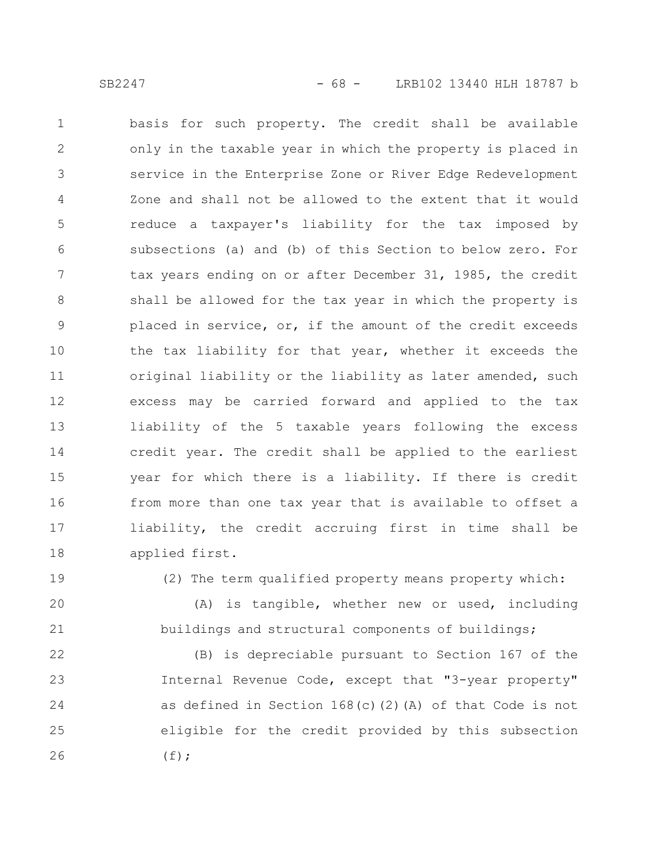basis for such property. The credit shall be available only in the taxable year in which the property is placed in service in the Enterprise Zone or River Edge Redevelopment Zone and shall not be allowed to the extent that it would reduce a taxpayer's liability for the tax imposed by subsections (a) and (b) of this Section to below zero. For tax years ending on or after December 31, 1985, the credit shall be allowed for the tax year in which the property is placed in service, or, if the amount of the credit exceeds the tax liability for that year, whether it exceeds the original liability or the liability as later amended, such excess may be carried forward and applied to the tax liability of the 5 taxable years following the excess credit year. The credit shall be applied to the earliest year for which there is a liability. If there is credit from more than one tax year that is available to offset a liability, the credit accruing first in time shall be applied first. 1 2 3 4 5 6 7 8 9 10 11 12 13 14 15 16 17 18

19

20

21

(2) The term qualified property means property which:

(A) is tangible, whether new or used, including buildings and structural components of buildings;

(B) is depreciable pursuant to Section 167 of the Internal Revenue Code, except that "3-year property" as defined in Section 168(c)(2)(A) of that Code is not eligible for the credit provided by this subsection  $(f);$ 22 23 24 25 26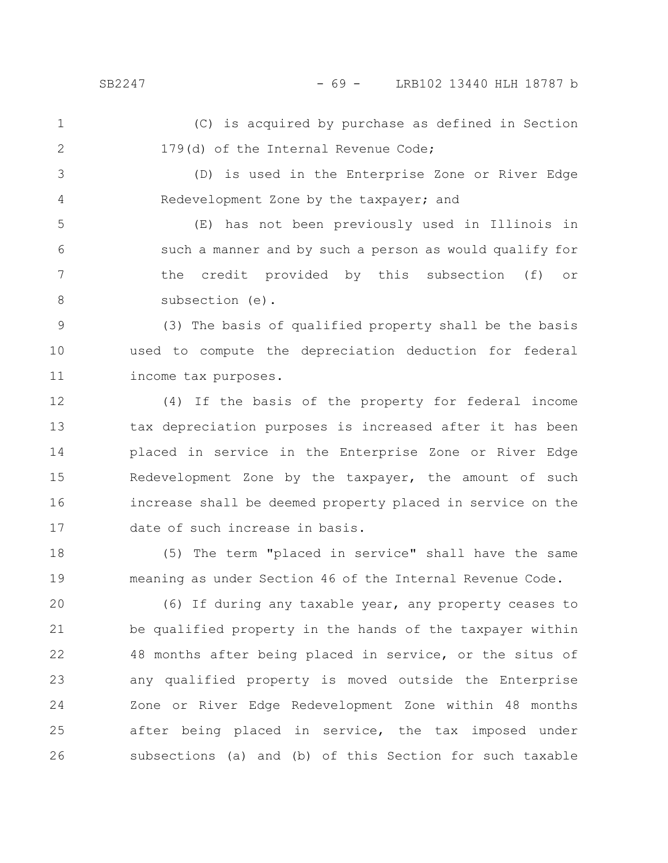(C) is acquired by purchase as defined in Section 179(d) of the Internal Revenue Code; 1 2

(D) is used in the Enterprise Zone or River Edge Redevelopment Zone by the taxpayer; and 3 4

(E) has not been previously used in Illinois in such a manner and by such a person as would qualify for the credit provided by this subsection (f) or subsection (e). 5 6 7 8

(3) The basis of qualified property shall be the basis used to compute the depreciation deduction for federal income tax purposes. 9 10 11

(4) If the basis of the property for federal income tax depreciation purposes is increased after it has been placed in service in the Enterprise Zone or River Edge Redevelopment Zone by the taxpayer, the amount of such increase shall be deemed property placed in service on the date of such increase in basis. 12 13 14 15 16 17

(5) The term "placed in service" shall have the same meaning as under Section 46 of the Internal Revenue Code. 18 19

(6) If during any taxable year, any property ceases to be qualified property in the hands of the taxpayer within 48 months after being placed in service, or the situs of any qualified property is moved outside the Enterprise Zone or River Edge Redevelopment Zone within 48 months after being placed in service, the tax imposed under subsections (a) and (b) of this Section for such taxable 20 21 22 23 24 25 26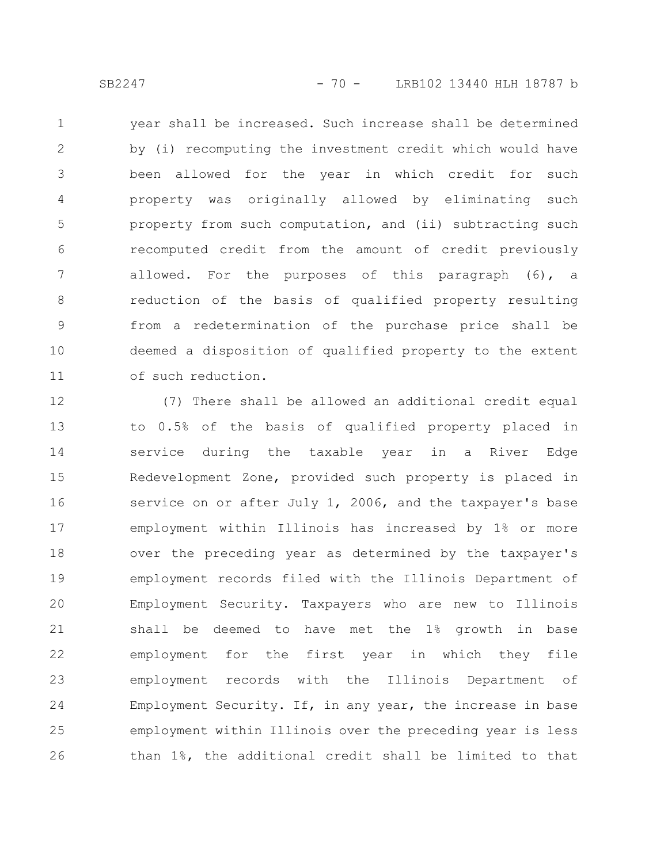year shall be increased. Such increase shall be determined by (i) recomputing the investment credit which would have been allowed for the year in which credit for such property was originally allowed by eliminating such property from such computation, and (ii) subtracting such recomputed credit from the amount of credit previously allowed. For the purposes of this paragraph (6), a reduction of the basis of qualified property resulting from a redetermination of the purchase price shall be deemed a disposition of qualified property to the extent of such reduction. 1 2 3 4 5 6 7 8 9 10 11

(7) There shall be allowed an additional credit equal to 0.5% of the basis of qualified property placed in service during the taxable year in a River Edge Redevelopment Zone, provided such property is placed in service on or after July 1, 2006, and the taxpayer's base employment within Illinois has increased by 1% or more over the preceding year as determined by the taxpayer's employment records filed with the Illinois Department of Employment Security. Taxpayers who are new to Illinois shall be deemed to have met the 1% growth in base employment for the first year in which they file employment records with the Illinois Department of Employment Security. If, in any year, the increase in base employment within Illinois over the preceding year is less than 1%, the additional credit shall be limited to that 12 13 14 15 16 17 18 19 20 21 22 23 24 25 26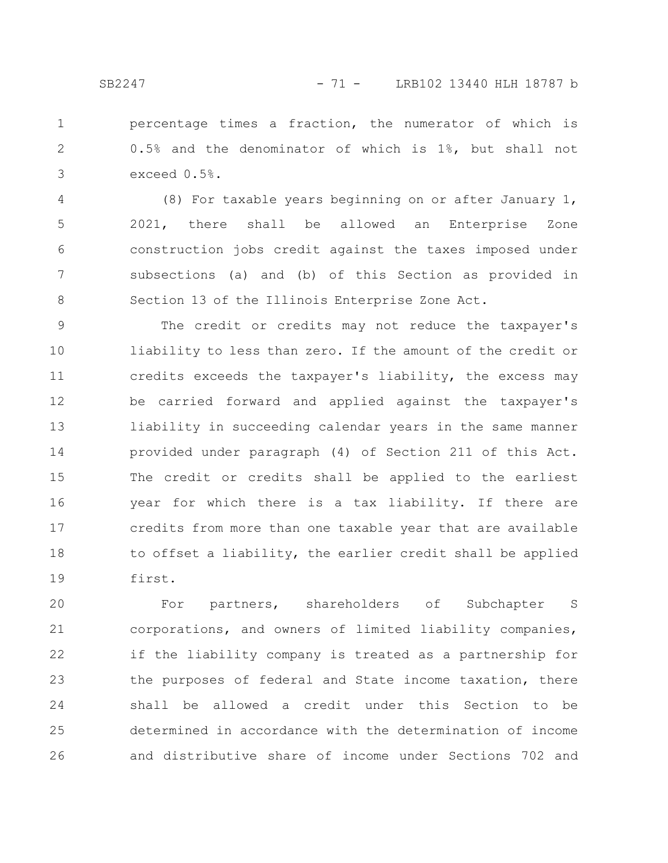percentage times a fraction, the numerator of which is 0.5% and the denominator of which is 1%, but shall not exceed 0.5%. 1 2 3

(8) For taxable years beginning on or after January 1, 2021, there shall be allowed an Enterprise Zone construction jobs credit against the taxes imposed under subsections (a) and (b) of this Section as provided in Section 13 of the Illinois Enterprise Zone Act. 4 5 6 7 8

The credit or credits may not reduce the taxpayer's liability to less than zero. If the amount of the credit or credits exceeds the taxpayer's liability, the excess may be carried forward and applied against the taxpayer's liability in succeeding calendar years in the same manner provided under paragraph (4) of Section 211 of this Act. The credit or credits shall be applied to the earliest year for which there is a tax liability. If there are credits from more than one taxable year that are available to offset a liability, the earlier credit shall be applied first. 9 10 11 12 13 14 15 16 17 18 19

For partners, shareholders of Subchapter S corporations, and owners of limited liability companies, if the liability company is treated as a partnership for the purposes of federal and State income taxation, there shall be allowed a credit under this Section to be determined in accordance with the determination of income and distributive share of income under Sections 702 and 20 21 22 23 24 25 26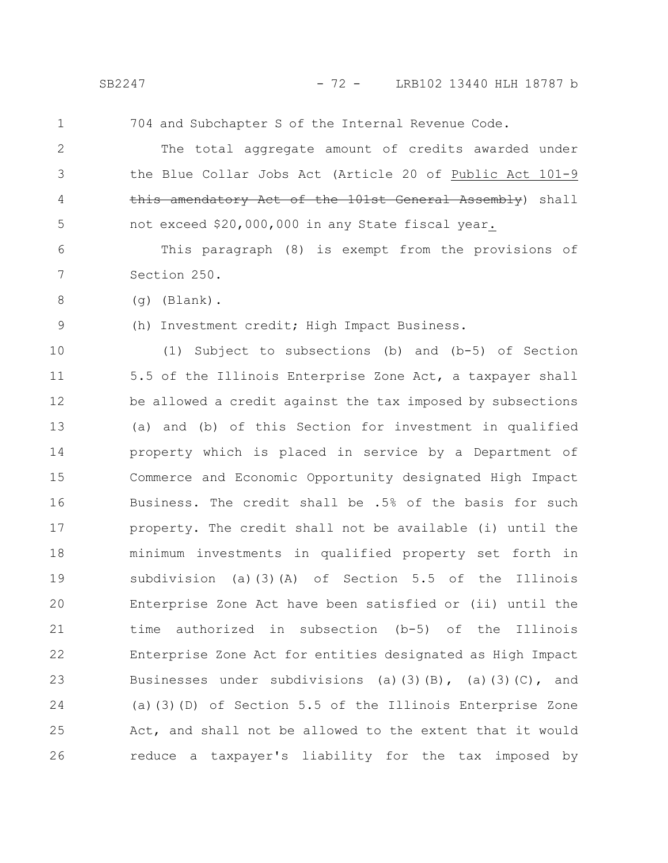1

704 and Subchapter S of the Internal Revenue Code.

The total aggregate amount of credits awarded under the Blue Collar Jobs Act (Article 20 of Public Act 101-9 this amendatory Act of the 101st General Assembly) shall not exceed \$20,000,000 in any State fiscal year. 2 3 4 5

This paragraph (8) is exempt from the provisions of Section 250. 6 7

(g) (Blank).

9

8

(h) Investment credit; High Impact Business.

(1) Subject to subsections (b) and (b-5) of Section 5.5 of the Illinois Enterprise Zone Act, a taxpayer shall be allowed a credit against the tax imposed by subsections (a) and (b) of this Section for investment in qualified property which is placed in service by a Department of Commerce and Economic Opportunity designated High Impact Business. The credit shall be .5% of the basis for such property. The credit shall not be available (i) until the minimum investments in qualified property set forth in subdivision (a)(3)(A) of Section 5.5 of the Illinois Enterprise Zone Act have been satisfied or (ii) until the time authorized in subsection (b-5) of the Illinois Enterprise Zone Act for entities designated as High Impact Businesses under subdivisions (a)(3)(B), (a)(3)(C), and (a)(3)(D) of Section 5.5 of the Illinois Enterprise Zone Act, and shall not be allowed to the extent that it would reduce a taxpayer's liability for the tax imposed by 10 11 12 13 14 15 16 17 18 19 20 21 22 23 24 25 26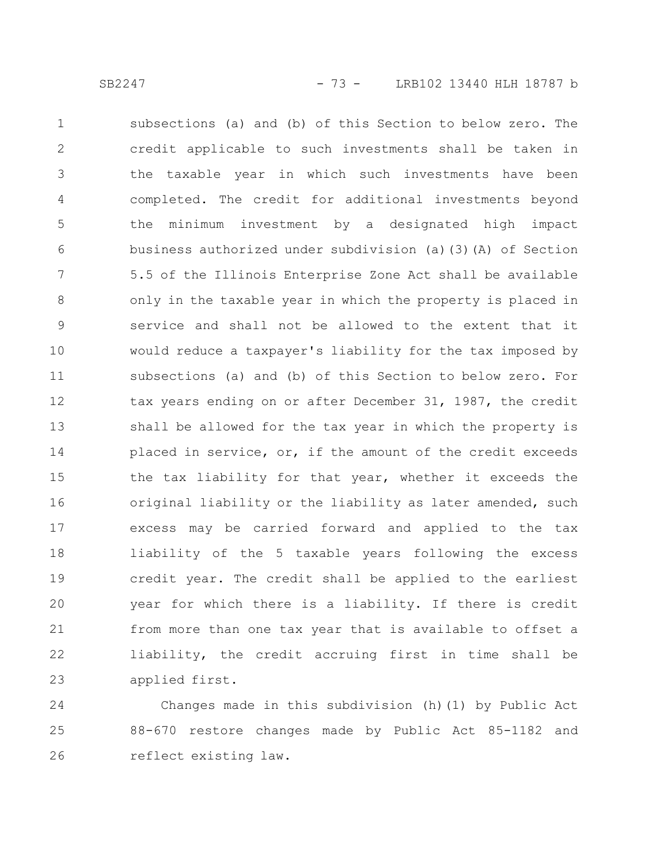subsections (a) and (b) of this Section to below zero. The credit applicable to such investments shall be taken in the taxable year in which such investments have been completed. The credit for additional investments beyond the minimum investment by a designated high impact business authorized under subdivision (a)(3)(A) of Section 5.5 of the Illinois Enterprise Zone Act shall be available only in the taxable year in which the property is placed in service and shall not be allowed to the extent that it would reduce a taxpayer's liability for the tax imposed by subsections (a) and (b) of this Section to below zero. For tax years ending on or after December 31, 1987, the credit shall be allowed for the tax year in which the property is placed in service, or, if the amount of the credit exceeds the tax liability for that year, whether it exceeds the original liability or the liability as later amended, such excess may be carried forward and applied to the tax liability of the 5 taxable years following the excess credit year. The credit shall be applied to the earliest year for which there is a liability. If there is credit from more than one tax year that is available to offset a liability, the credit accruing first in time shall be applied first. 1 2 3 4 5 6 7 8 9 10 11 12 13 14 15 16 17 18 19 20 21 22 23

Changes made in this subdivision (h)(1) by Public Act 88-670 restore changes made by Public Act 85-1182 and reflect existing law. 24 25 26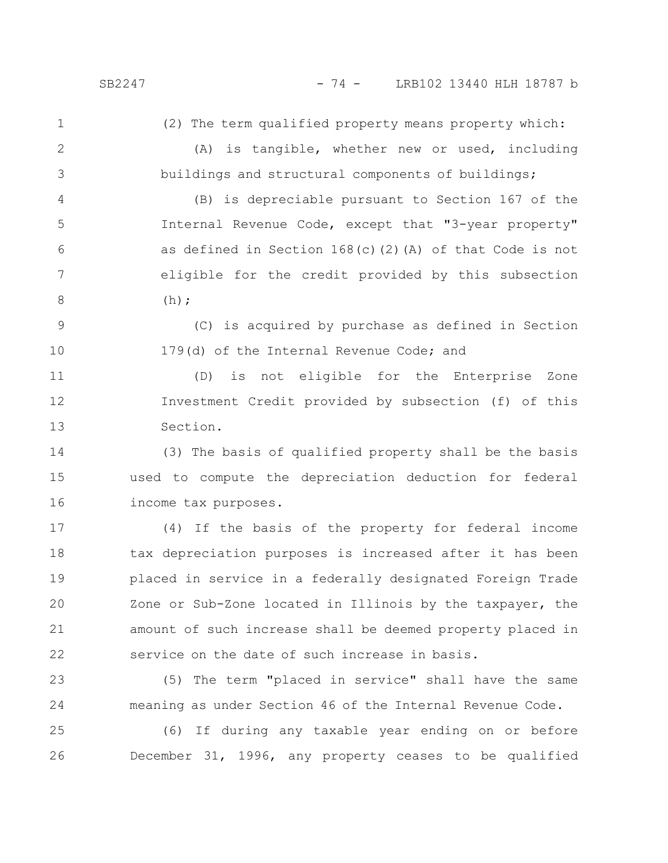(2) The term qualified property means property which:

2

1

3

(A) is tangible, whether new or used, including buildings and structural components of buildings;

(B) is depreciable pursuant to Section 167 of the Internal Revenue Code, except that "3-year property" as defined in Section 168(c)(2)(A) of that Code is not eligible for the credit provided by this subsection  $(h)$ : 4 5 6 7 8

(C) is acquired by purchase as defined in Section 179(d) of the Internal Revenue Code; and 9 10

(D) is not eligible for the Enterprise Zone Investment Credit provided by subsection (f) of this Section. 11 12 13

(3) The basis of qualified property shall be the basis used to compute the depreciation deduction for federal income tax purposes. 14 15 16

(4) If the basis of the property for federal income tax depreciation purposes is increased after it has been placed in service in a federally designated Foreign Trade Zone or Sub-Zone located in Illinois by the taxpayer, the amount of such increase shall be deemed property placed in service on the date of such increase in basis. 17 18 19 20 21 22

(5) The term "placed in service" shall have the same meaning as under Section 46 of the Internal Revenue Code. 23 24

(6) If during any taxable year ending on or before December 31, 1996, any property ceases to be qualified 25 26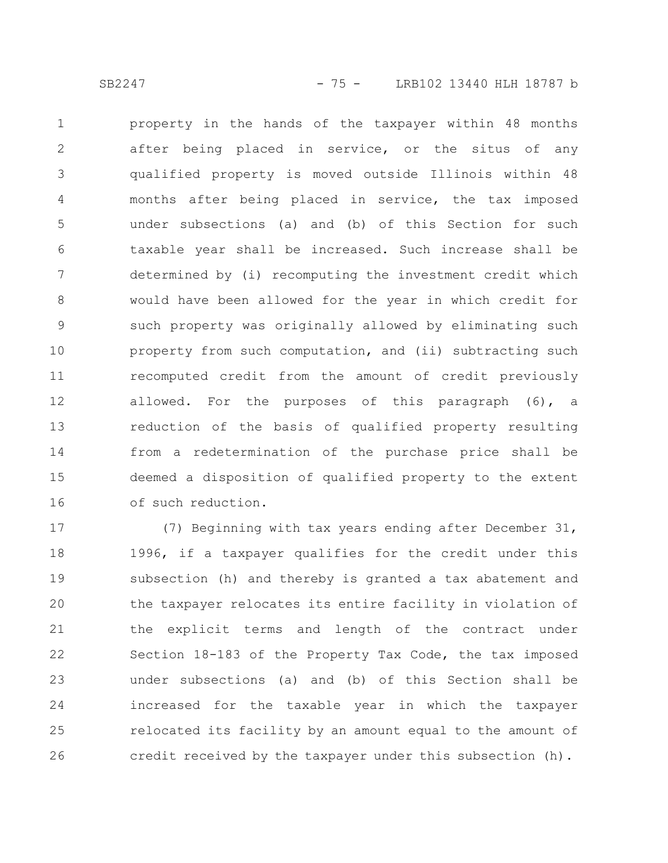property in the hands of the taxpayer within 48 months after being placed in service, or the situs of any qualified property is moved outside Illinois within 48 months after being placed in service, the tax imposed under subsections (a) and (b) of this Section for such taxable year shall be increased. Such increase shall be determined by (i) recomputing the investment credit which would have been allowed for the year in which credit for such property was originally allowed by eliminating such property from such computation, and (ii) subtracting such recomputed credit from the amount of credit previously allowed. For the purposes of this paragraph (6), a reduction of the basis of qualified property resulting from a redetermination of the purchase price shall be deemed a disposition of qualified property to the extent of such reduction. 1 2 3 4 5 6 7 8 9 10 11 12 13 14 15 16

(7) Beginning with tax years ending after December 31, 1996, if a taxpayer qualifies for the credit under this subsection (h) and thereby is granted a tax abatement and the taxpayer relocates its entire facility in violation of the explicit terms and length of the contract under Section 18-183 of the Property Tax Code, the tax imposed under subsections (a) and (b) of this Section shall be increased for the taxable year in which the taxpayer relocated its facility by an amount equal to the amount of credit received by the taxpayer under this subsection (h). 17 18 19 20 21 22 23 24 25 26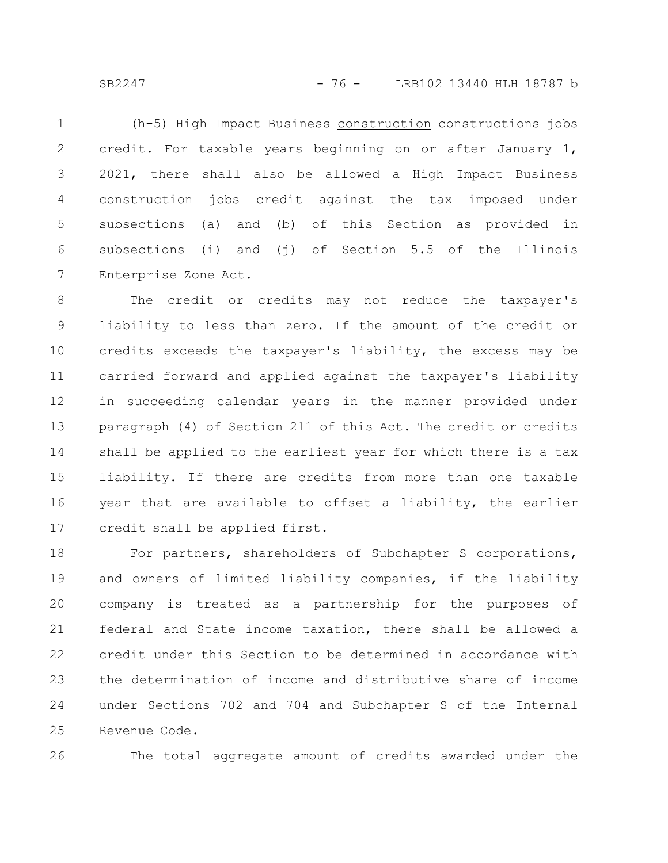SB2247 - 76 - LRB102 13440 HLH 18787 b

(h-5) High Impact Business construction constructions jobs credit. For taxable years beginning on or after January 1, 2021, there shall also be allowed a High Impact Business construction jobs credit against the tax imposed under subsections (a) and (b) of this Section as provided in subsections (i) and (i) of Section 5.5 of the Illinois Enterprise Zone Act. 1 2 3 4 5 6 7

The credit or credits may not reduce the taxpayer's liability to less than zero. If the amount of the credit or credits exceeds the taxpayer's liability, the excess may be carried forward and applied against the taxpayer's liability in succeeding calendar years in the manner provided under paragraph (4) of Section 211 of this Act. The credit or credits shall be applied to the earliest year for which there is a tax liability. If there are credits from more than one taxable year that are available to offset a liability, the earlier credit shall be applied first. 8 9 10 11 12 13 14 15 16 17

For partners, shareholders of Subchapter S corporations, and owners of limited liability companies, if the liability company is treated as a partnership for the purposes of federal and State income taxation, there shall be allowed a credit under this Section to be determined in accordance with the determination of income and distributive share of income under Sections 702 and 704 and Subchapter S of the Internal Revenue Code. 18 19 20 21 22 23 24 25

26

The total aggregate amount of credits awarded under the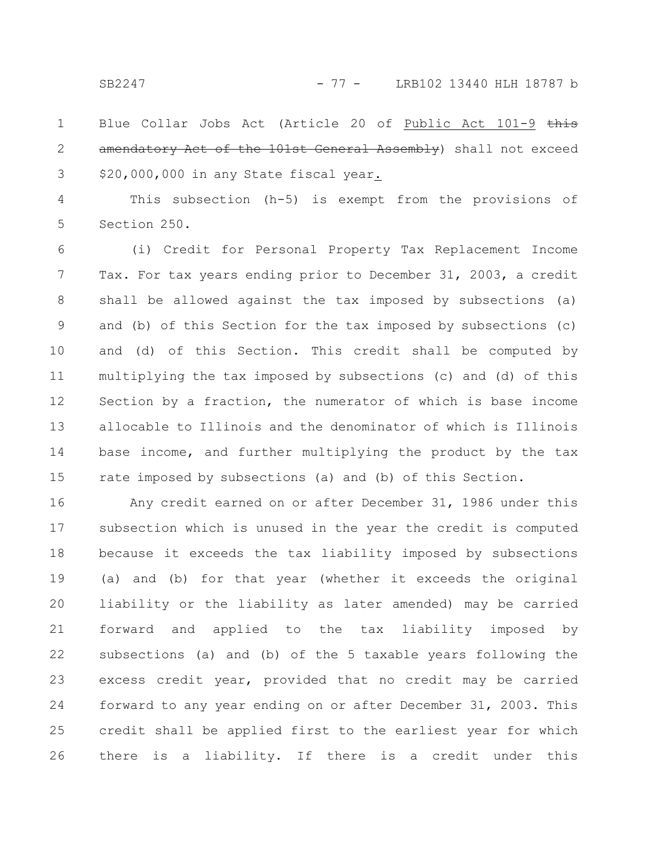Blue Collar Jobs Act (Article 20 of Public Act 101-9 this amendatory Act of the 101st General Assembly) shall not exceed \$20,000,000 in any State fiscal year. 1 2 3

This subsection (h-5) is exempt from the provisions of Section 250. 4 5

(i) Credit for Personal Property Tax Replacement Income Tax. For tax years ending prior to December 31, 2003, a credit shall be allowed against the tax imposed by subsections (a) and (b) of this Section for the tax imposed by subsections (c) and (d) of this Section. This credit shall be computed by multiplying the tax imposed by subsections (c) and (d) of this Section by a fraction, the numerator of which is base income allocable to Illinois and the denominator of which is Illinois base income, and further multiplying the product by the tax rate imposed by subsections (a) and (b) of this Section. 6 7 8 9 10 11 12 13 14 15

Any credit earned on or after December 31, 1986 under this subsection which is unused in the year the credit is computed because it exceeds the tax liability imposed by subsections (a) and (b) for that year (whether it exceeds the original liability or the liability as later amended) may be carried forward and applied to the tax liability imposed by subsections (a) and (b) of the 5 taxable years following the excess credit year, provided that no credit may be carried forward to any year ending on or after December 31, 2003. This credit shall be applied first to the earliest year for which there is a liability. If there is a credit under this 16 17 18 19 20 21 22 23 24 25 26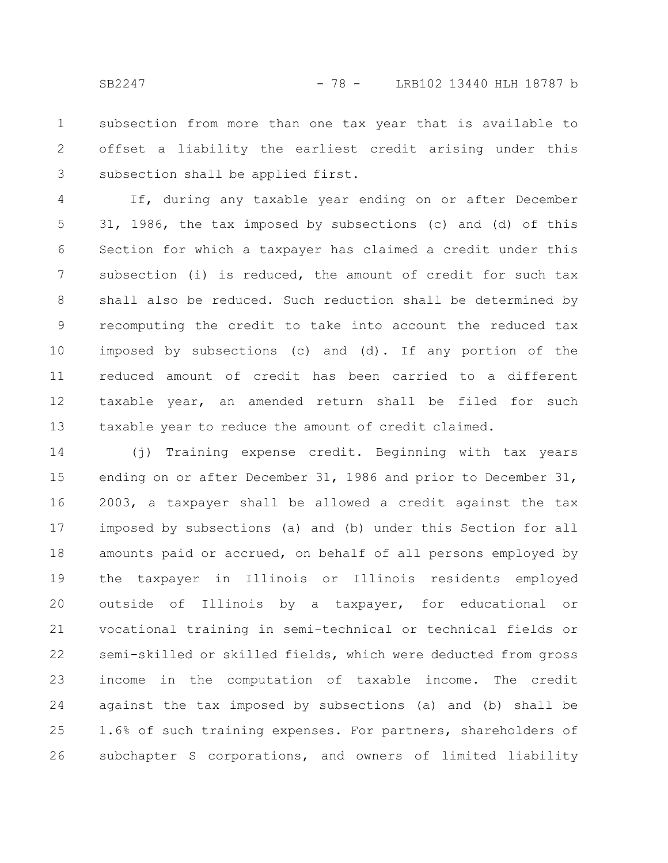subsection from more than one tax year that is available to offset a liability the earliest credit arising under this subsection shall be applied first. 1 2 3

If, during any taxable year ending on or after December 31, 1986, the tax imposed by subsections (c) and (d) of this Section for which a taxpayer has claimed a credit under this subsection (i) is reduced, the amount of credit for such tax shall also be reduced. Such reduction shall be determined by recomputing the credit to take into account the reduced tax imposed by subsections (c) and (d). If any portion of the reduced amount of credit has been carried to a different taxable year, an amended return shall be filed for such taxable year to reduce the amount of credit claimed. 4 5 6 7 8 9 10 11 12 13

(j) Training expense credit. Beginning with tax years ending on or after December 31, 1986 and prior to December 31, 2003, a taxpayer shall be allowed a credit against the tax imposed by subsections (a) and (b) under this Section for all amounts paid or accrued, on behalf of all persons employed by the taxpayer in Illinois or Illinois residents employed outside of Illinois by a taxpayer, for educational or vocational training in semi-technical or technical fields or semi-skilled or skilled fields, which were deducted from gross income in the computation of taxable income. The credit against the tax imposed by subsections (a) and (b) shall be 1.6% of such training expenses. For partners, shareholders of subchapter S corporations, and owners of limited liability 14 15 16 17 18 19 20 21 22 23 24 25 26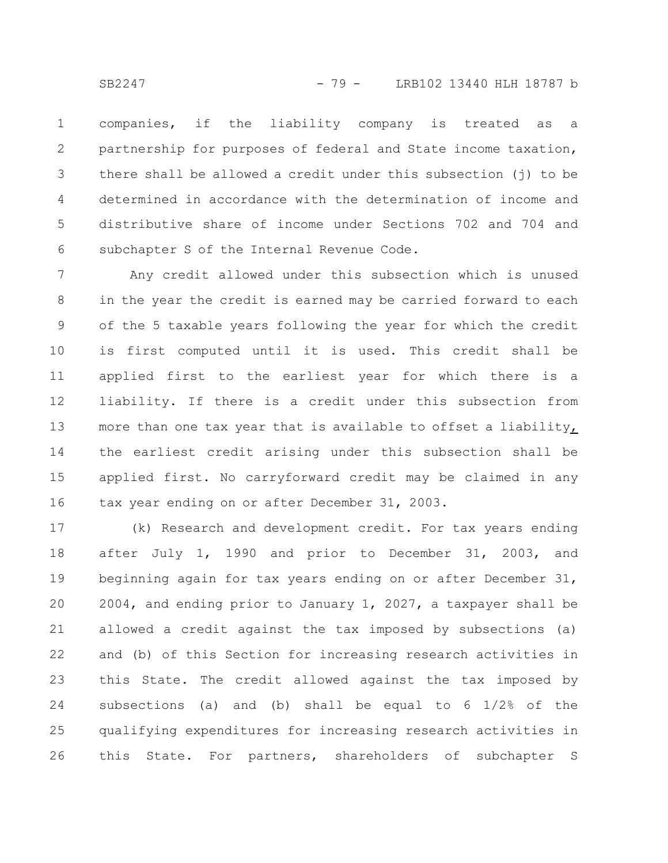companies, if the liability company is treated as a partnership for purposes of federal and State income taxation, there shall be allowed a credit under this subsection (j) to be determined in accordance with the determination of income and distributive share of income under Sections 702 and 704 and subchapter S of the Internal Revenue Code. 1 2 3 4 5 6

Any credit allowed under this subsection which is unused in the year the credit is earned may be carried forward to each of the 5 taxable years following the year for which the credit is first computed until it is used. This credit shall be applied first to the earliest year for which there is a liability. If there is a credit under this subsection from more than one tax year that is available to offset a liability, the earliest credit arising under this subsection shall be applied first. No carryforward credit may be claimed in any tax year ending on or after December 31, 2003. 7 8 9 10 11 12 13 14 15 16

(k) Research and development credit. For tax years ending after July 1, 1990 and prior to December 31, 2003, and beginning again for tax years ending on or after December 31, 2004, and ending prior to January 1, 2027, a taxpayer shall be allowed a credit against the tax imposed by subsections (a) and (b) of this Section for increasing research activities in this State. The credit allowed against the tax imposed by subsections (a) and (b) shall be equal to 6 1/2% of the qualifying expenditures for increasing research activities in this State. For partners, shareholders of subchapter S 17 18 19 20 21 22 23 24 25 26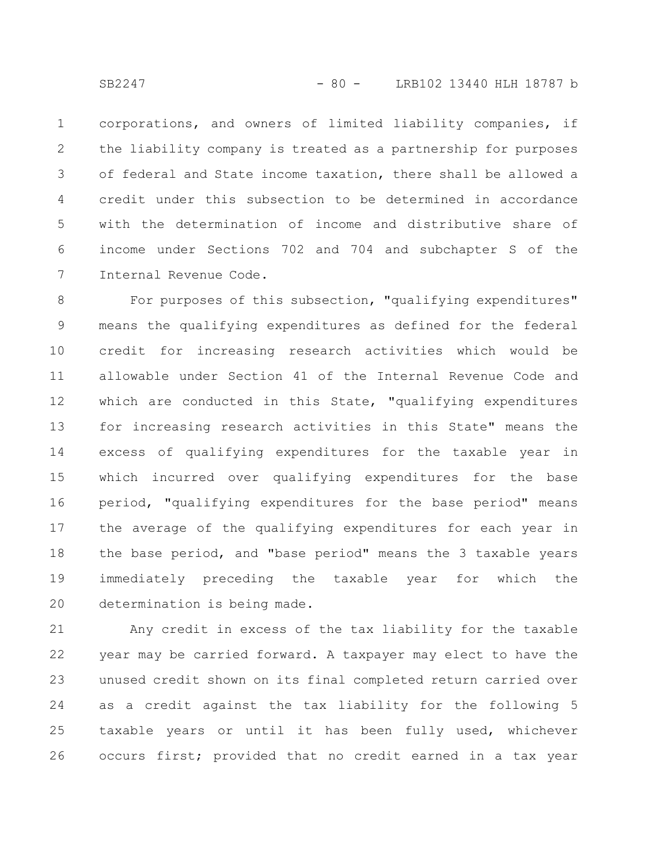corporations, and owners of limited liability companies, if the liability company is treated as a partnership for purposes of federal and State income taxation, there shall be allowed a credit under this subsection to be determined in accordance with the determination of income and distributive share of income under Sections 702 and 704 and subchapter S of the Internal Revenue Code. 1 2 3 4 5 6 7

For purposes of this subsection, "qualifying expenditures" means the qualifying expenditures as defined for the federal credit for increasing research activities which would be allowable under Section 41 of the Internal Revenue Code and which are conducted in this State, "qualifying expenditures for increasing research activities in this State" means the excess of qualifying expenditures for the taxable year in which incurred over qualifying expenditures for the base period, "qualifying expenditures for the base period" means the average of the qualifying expenditures for each year in the base period, and "base period" means the 3 taxable years immediately preceding the taxable year for which the determination is being made. 8 9 10 11 12 13 14 15 16 17 18 19 20

Any credit in excess of the tax liability for the taxable year may be carried forward. A taxpayer may elect to have the unused credit shown on its final completed return carried over as a credit against the tax liability for the following 5 taxable years or until it has been fully used, whichever occurs first; provided that no credit earned in a tax year 21 22 23 24 25 26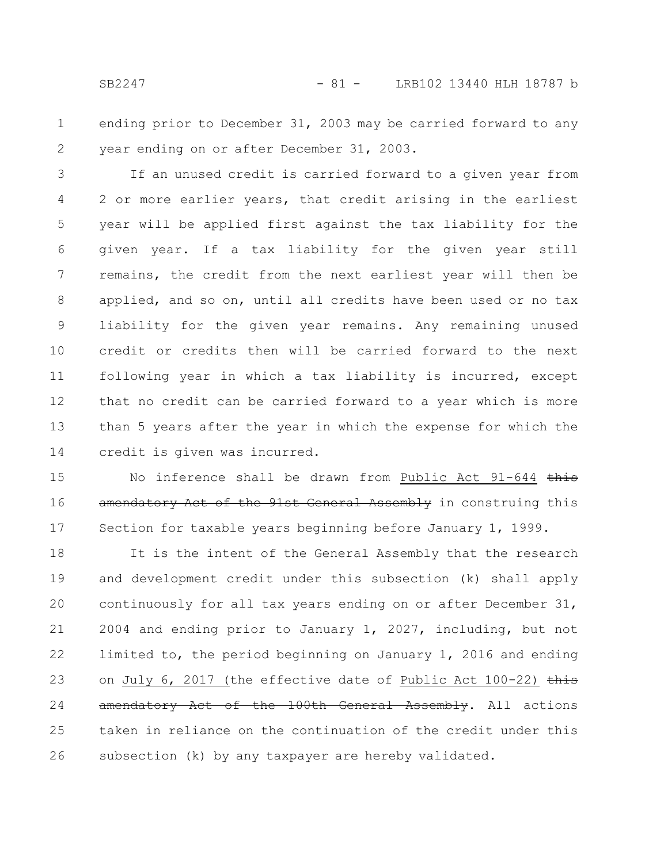ending prior to December 31, 2003 may be carried forward to any year ending on or after December 31, 2003. 1 2

If an unused credit is carried forward to a given year from 2 or more earlier years, that credit arising in the earliest year will be applied first against the tax liability for the given year. If a tax liability for the given year still remains, the credit from the next earliest year will then be applied, and so on, until all credits have been used or no tax liability for the given year remains. Any remaining unused credit or credits then will be carried forward to the next following year in which a tax liability is incurred, except that no credit can be carried forward to a year which is more than 5 years after the year in which the expense for which the credit is given was incurred. 3 4 5 6 7 8 9 10 11 12 13 14

No inference shall be drawn from Public Act 91-644 this amendatory Act of the 91st General Assembly in construing this Section for taxable years beginning before January 1, 1999. 15 16 17

It is the intent of the General Assembly that the research and development credit under this subsection (k) shall apply continuously for all tax years ending on or after December 31, 2004 and ending prior to January 1, 2027, including, but not limited to, the period beginning on January 1, 2016 and ending on July 6, 2017 (the effective date of Public Act 100-22)  $\frac{1}{2}$ amendatory Act of the 100th General Assembly. All actions taken in reliance on the continuation of the credit under this subsection (k) by any taxpayer are hereby validated. 18 19 20 21 22 23 24 25 26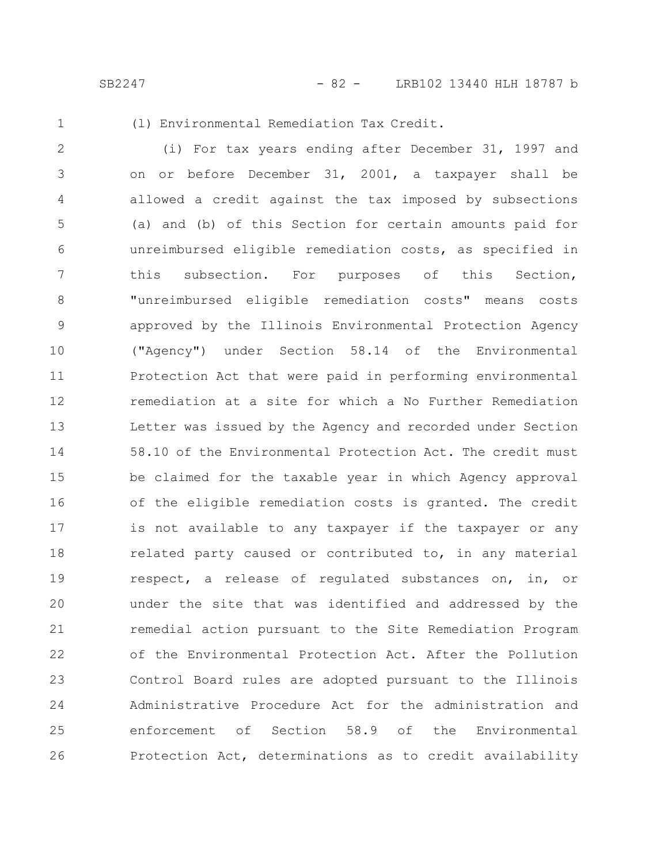SB2247 - 82 - LRB102 13440 HLH 18787 b

1

(l) Environmental Remediation Tax Credit.

(i) For tax years ending after December 31, 1997 and on or before December 31, 2001, a taxpayer shall be allowed a credit against the tax imposed by subsections (a) and (b) of this Section for certain amounts paid for unreimbursed eligible remediation costs, as specified in this subsection. For purposes of this Section, "unreimbursed eligible remediation costs" means costs approved by the Illinois Environmental Protection Agency ("Agency") under Section 58.14 of the Environmental Protection Act that were paid in performing environmental remediation at a site for which a No Further Remediation Letter was issued by the Agency and recorded under Section 58.10 of the Environmental Protection Act. The credit must be claimed for the taxable year in which Agency approval of the eligible remediation costs is granted. The credit is not available to any taxpayer if the taxpayer or any related party caused or contributed to, in any material respect, a release of regulated substances on, in, or under the site that was identified and addressed by the remedial action pursuant to the Site Remediation Program of the Environmental Protection Act. After the Pollution Control Board rules are adopted pursuant to the Illinois Administrative Procedure Act for the administration and enforcement of Section 58.9 of the Environmental Protection Act, determinations as to credit availability 2 3 4 5 6 7 8 9 10 11 12 13 14 15 16 17 18 19 20 21 22 23 24 25 26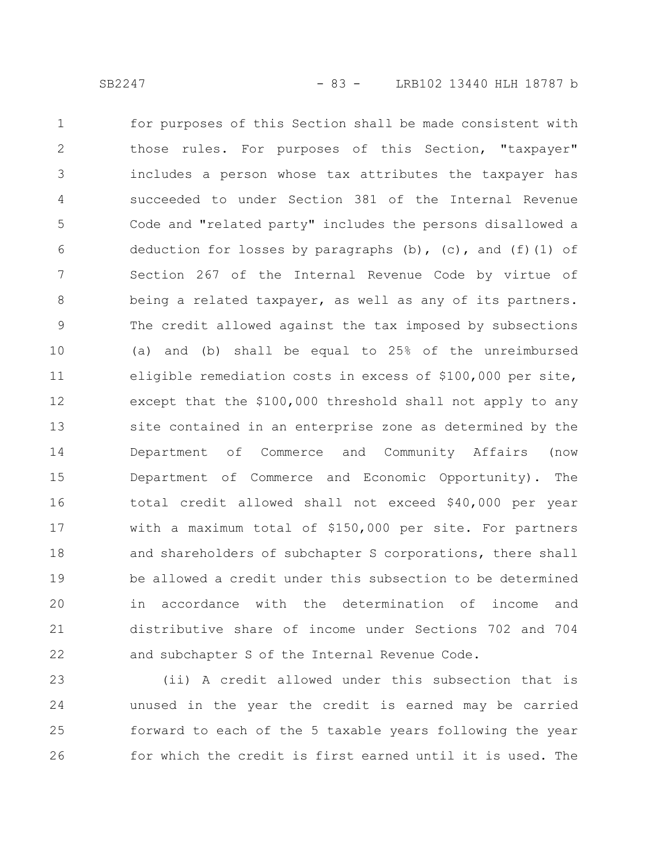for purposes of this Section shall be made consistent with those rules. For purposes of this Section, "taxpayer" includes a person whose tax attributes the taxpayer has succeeded to under Section 381 of the Internal Revenue Code and "related party" includes the persons disallowed a deduction for losses by paragraphs  $(b)$ ,  $(c)$ , and  $(f)$  (1) of Section 267 of the Internal Revenue Code by virtue of being a related taxpayer, as well as any of its partners. The credit allowed against the tax imposed by subsections (a) and (b) shall be equal to 25% of the unreimbursed eligible remediation costs in excess of \$100,000 per site, except that the \$100,000 threshold shall not apply to any site contained in an enterprise zone as determined by the Department of Commerce and Community Affairs (now Department of Commerce and Economic Opportunity). The total credit allowed shall not exceed \$40,000 per year with a maximum total of \$150,000 per site. For partners and shareholders of subchapter S corporations, there shall be allowed a credit under this subsection to be determined in accordance with the determination of income and distributive share of income under Sections 702 and 704 and subchapter S of the Internal Revenue Code. 1 2 3 4 5 6 7 8 9 10 11 12 13 14 15 16 17 18 19 20 21 22

(ii) A credit allowed under this subsection that is unused in the year the credit is earned may be carried forward to each of the 5 taxable years following the year for which the credit is first earned until it is used. The 23 24 25 26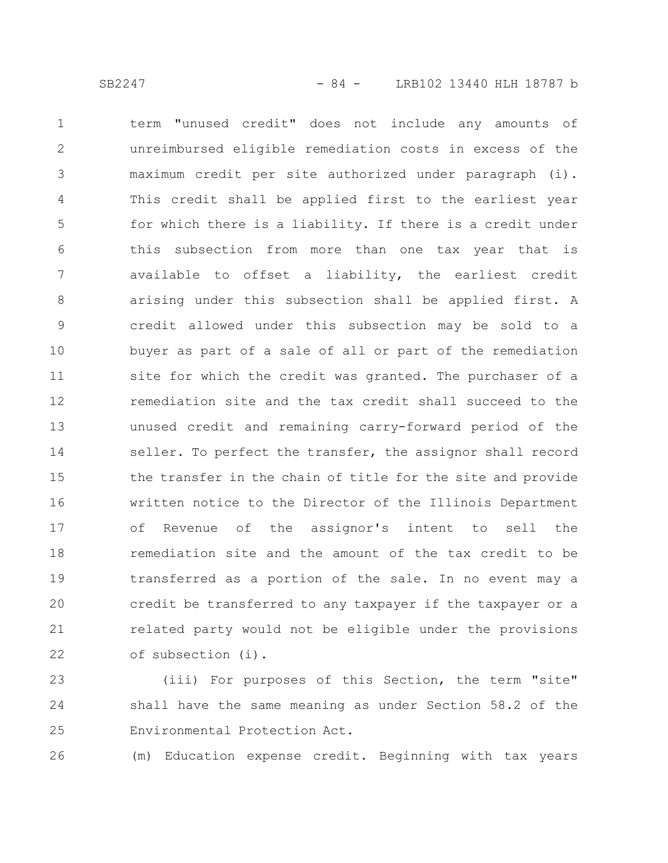term "unused credit" does not include any amounts of unreimbursed eligible remediation costs in excess of the maximum credit per site authorized under paragraph (i). This credit shall be applied first to the earliest year for which there is a liability. If there is a credit under this subsection from more than one tax year that is available to offset a liability, the earliest credit arising under this subsection shall be applied first. A credit allowed under this subsection may be sold to a buyer as part of a sale of all or part of the remediation site for which the credit was granted. The purchaser of a remediation site and the tax credit shall succeed to the unused credit and remaining carry-forward period of the seller. To perfect the transfer, the assignor shall record the transfer in the chain of title for the site and provide written notice to the Director of the Illinois Department of Revenue of the assignor's intent to sell the remediation site and the amount of the tax credit to be transferred as a portion of the sale. In no event may a credit be transferred to any taxpayer if the taxpayer or a related party would not be eligible under the provisions of subsection (i). 1 2 3 4 5 6 7 8 9 10 11 12 13 14 15 16 17 18 19 20 21 22

(iii) For purposes of this Section, the term "site" shall have the same meaning as under Section 58.2 of the Environmental Protection Act. 23 24 25

(m) Education expense credit. Beginning with tax years 26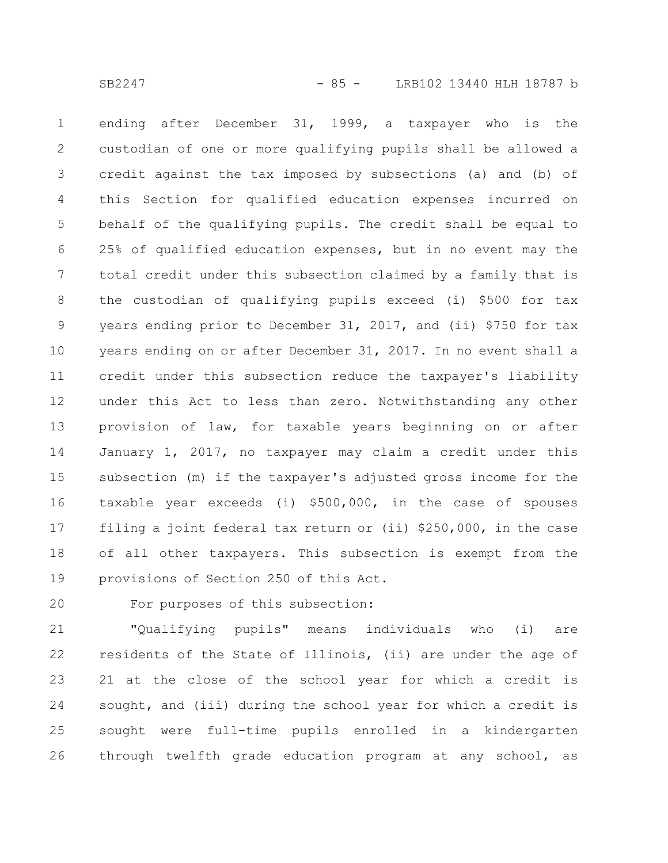ending after December 31, 1999, a taxpayer who is the custodian of one or more qualifying pupils shall be allowed a credit against the tax imposed by subsections (a) and (b) of this Section for qualified education expenses incurred on behalf of the qualifying pupils. The credit shall be equal to 25% of qualified education expenses, but in no event may the total credit under this subsection claimed by a family that is the custodian of qualifying pupils exceed (i) \$500 for tax years ending prior to December 31, 2017, and (ii) \$750 for tax years ending on or after December 31, 2017. In no event shall a credit under this subsection reduce the taxpayer's liability under this Act to less than zero. Notwithstanding any other provision of law, for taxable years beginning on or after January 1, 2017, no taxpayer may claim a credit under this subsection (m) if the taxpayer's adjusted gross income for the taxable year exceeds (i) \$500,000, in the case of spouses filing a joint federal tax return or (ii) \$250,000, in the case of all other taxpayers. This subsection is exempt from the provisions of Section 250 of this Act. 1 2 3 4 5 6 7 8 9 10 11 12 13 14 15 16 17 18 19

20

For purposes of this subsection:

"Qualifying pupils" means individuals who (i) are residents of the State of Illinois, (ii) are under the age of 21 at the close of the school year for which a credit is sought, and (iii) during the school year for which a credit is sought were full-time pupils enrolled in a kindergarten through twelfth grade education program at any school, as 21 22 23 24 25 26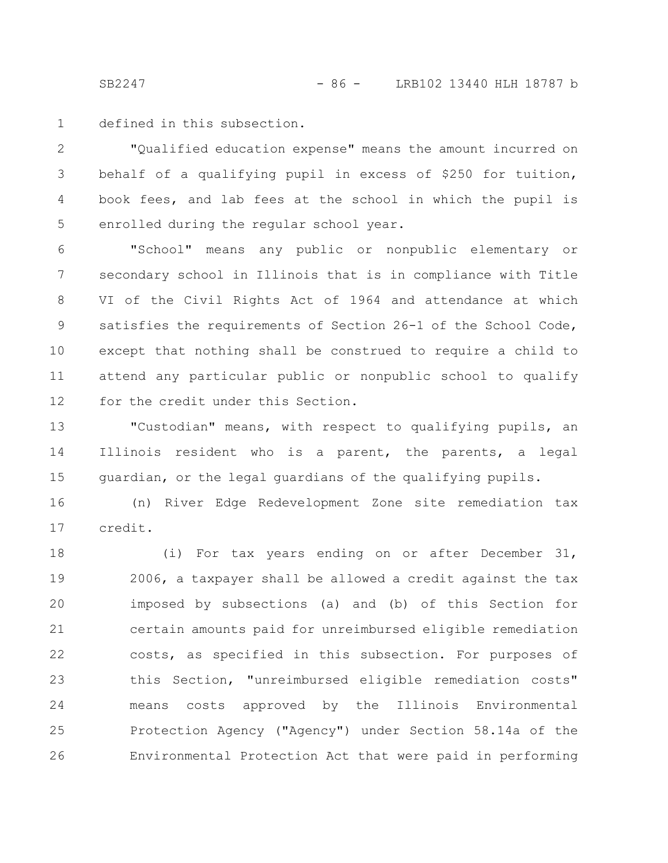SB2247 - 86 - LRB102 13440 HLH 18787 b

defined in this subsection. 1

"Qualified education expense" means the amount incurred on behalf of a qualifying pupil in excess of \$250 for tuition, book fees, and lab fees at the school in which the pupil is enrolled during the regular school year. 2 3 4 5

"School" means any public or nonpublic elementary or secondary school in Illinois that is in compliance with Title VI of the Civil Rights Act of 1964 and attendance at which satisfies the requirements of Section 26-1 of the School Code, except that nothing shall be construed to require a child to attend any particular public or nonpublic school to qualify for the credit under this Section. 6 7 8 9 10 11 12

"Custodian" means, with respect to qualifying pupils, an Illinois resident who is a parent, the parents, a legal guardian, or the legal guardians of the qualifying pupils. 13 14 15

(n) River Edge Redevelopment Zone site remediation tax credit. 16 17

(i) For tax years ending on or after December 31, 2006, a taxpayer shall be allowed a credit against the tax imposed by subsections (a) and (b) of this Section for certain amounts paid for unreimbursed eligible remediation costs, as specified in this subsection. For purposes of this Section, "unreimbursed eligible remediation costs" means costs approved by the Illinois Environmental Protection Agency ("Agency") under Section 58.14a of the Environmental Protection Act that were paid in performing 18 19 20 21 22 23 24 25 26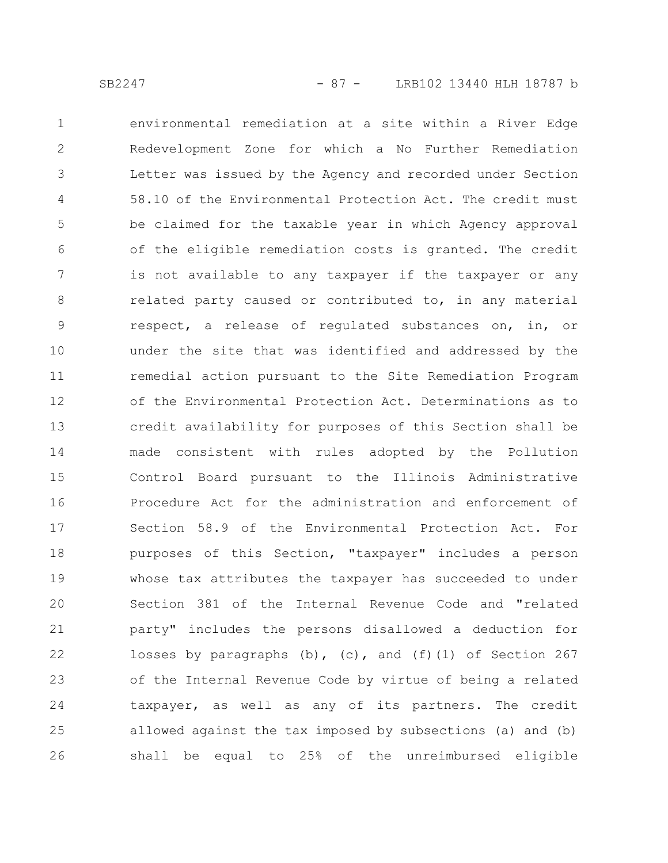environmental remediation at a site within a River Edge Redevelopment Zone for which a No Further Remediation Letter was issued by the Agency and recorded under Section 58.10 of the Environmental Protection Act. The credit must be claimed for the taxable year in which Agency approval of the eligible remediation costs is granted. The credit is not available to any taxpayer if the taxpayer or any related party caused or contributed to, in any material respect, a release of regulated substances on, in, or under the site that was identified and addressed by the remedial action pursuant to the Site Remediation Program of the Environmental Protection Act. Determinations as to credit availability for purposes of this Section shall be made consistent with rules adopted by the Pollution Control Board pursuant to the Illinois Administrative Procedure Act for the administration and enforcement of Section 58.9 of the Environmental Protection Act. For purposes of this Section, "taxpayer" includes a person whose tax attributes the taxpayer has succeeded to under Section 381 of the Internal Revenue Code and "related party" includes the persons disallowed a deduction for losses by paragraphs (b), (c), and (f)(1) of Section 267 of the Internal Revenue Code by virtue of being a related taxpayer, as well as any of its partners. The credit allowed against the tax imposed by subsections (a) and (b) shall be equal to 25% of the unreimbursed eligible 1 2 3 4 5 6 7 8 9 10 11 12 13 14 15 16 17 18 19 20 21 22 23 24 25 26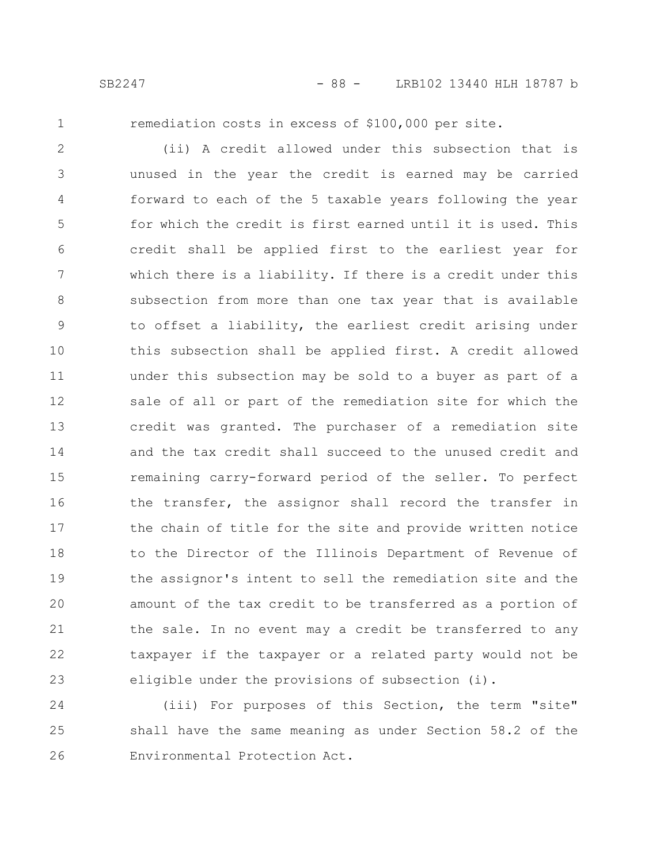1

remediation costs in excess of \$100,000 per site.

(ii) A credit allowed under this subsection that is unused in the year the credit is earned may be carried forward to each of the 5 taxable years following the year for which the credit is first earned until it is used. This credit shall be applied first to the earliest year for which there is a liability. If there is a credit under this subsection from more than one tax year that is available to offset a liability, the earliest credit arising under this subsection shall be applied first. A credit allowed under this subsection may be sold to a buyer as part of a sale of all or part of the remediation site for which the credit was granted. The purchaser of a remediation site and the tax credit shall succeed to the unused credit and remaining carry-forward period of the seller. To perfect the transfer, the assignor shall record the transfer in the chain of title for the site and provide written notice to the Director of the Illinois Department of Revenue of the assignor's intent to sell the remediation site and the amount of the tax credit to be transferred as a portion of the sale. In no event may a credit be transferred to any taxpayer if the taxpayer or a related party would not be eligible under the provisions of subsection (i). 2 3 4 5 6 7 8 9 10 11 12 13 14 15 16 17 18 19 20 21 22 23

(iii) For purposes of this Section, the term "site" shall have the same meaning as under Section 58.2 of the Environmental Protection Act. 24 25 26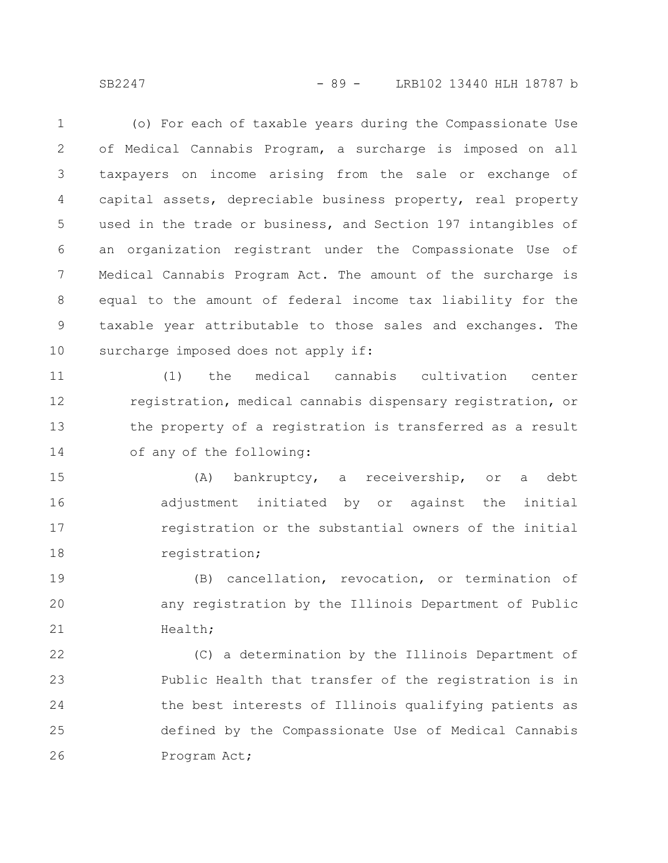SB2247 - 89 - LRB102 13440 HLH 18787 b

(o) For each of taxable years during the Compassionate Use of Medical Cannabis Program, a surcharge is imposed on all taxpayers on income arising from the sale or exchange of capital assets, depreciable business property, real property used in the trade or business, and Section 197 intangibles of an organization registrant under the Compassionate Use of Medical Cannabis Program Act. The amount of the surcharge is equal to the amount of federal income tax liability for the taxable year attributable to those sales and exchanges. The surcharge imposed does not apply if: 1 2 3 4 5 6 7 8 9 10

(1) the medical cannabis cultivation center registration, medical cannabis dispensary registration, or the property of a registration is transferred as a result of any of the following: 11 12 13 14

(A) bankruptcy, a receivership, or a debt adjustment initiated by or against the initial registration or the substantial owners of the initial registration; 15 16 17 18

(B) cancellation, revocation, or termination of any registration by the Illinois Department of Public Health; 19 20 21

(C) a determination by the Illinois Department of Public Health that transfer of the registration is in the best interests of Illinois qualifying patients as defined by the Compassionate Use of Medical Cannabis Program Act; 22 23 24 25 26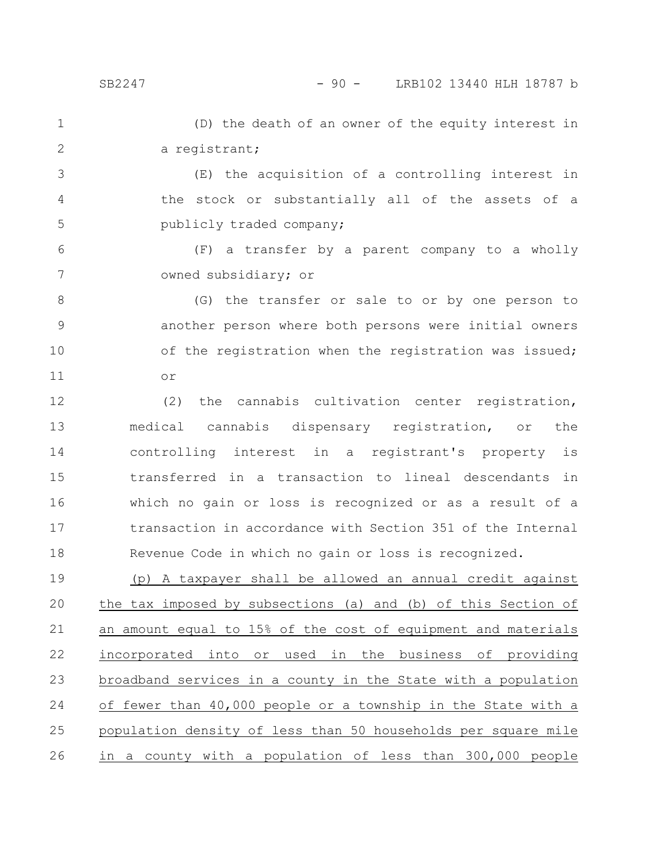(D) the death of an owner of the equity interest in a registrant; 1 2

(E) the acquisition of a controlling interest in the stock or substantially all of the assets of a publicly traded company; 3 4 5

(F) a transfer by a parent company to a wholly owned subsidiary; or 6 7

(G) the transfer or sale to or by one person to another person where both persons were initial owners of the registration when the registration was issued; or 8 9 10 11

(2) the cannabis cultivation center registration, medical cannabis dispensary registration, or the controlling interest in a registrant's property is transferred in a transaction to lineal descendants in which no gain or loss is recognized or as a result of a transaction in accordance with Section 351 of the Internal Revenue Code in which no gain or loss is recognized. 12 13 14 15 16 17 18

(p) A taxpayer shall be allowed an annual credit against the tax imposed by subsections (a) and (b) of this Section of an amount equal to 15% of the cost of equipment and materials incorporated into or used in the business of providing broadband services in a county in the State with a population of fewer than 40,000 people or a township in the State with a population density of less than 50 households per square mile in a county with a population of less than 300,000 people 19 20 21 22 23 24 25 26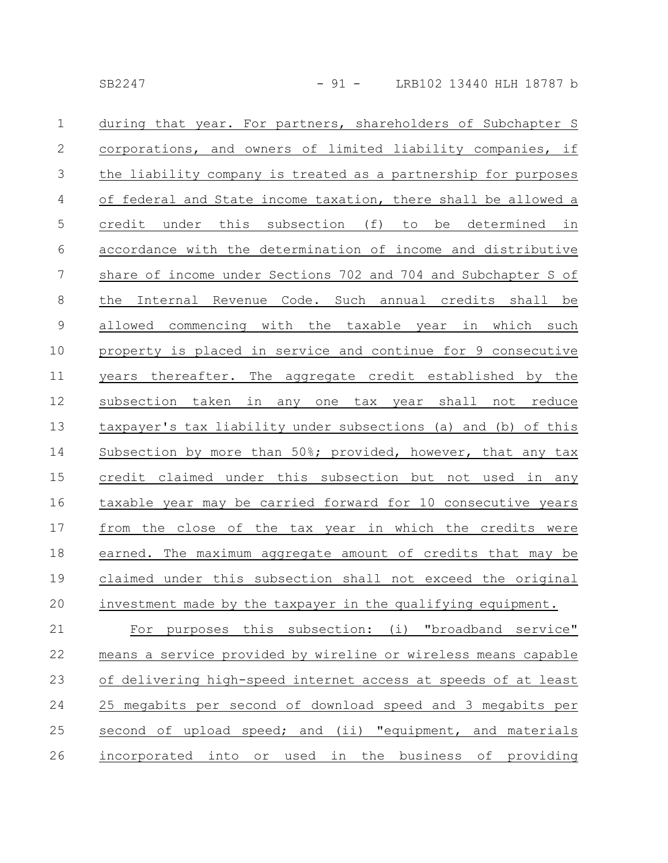| $\mathbf{1}$    | during that year. For partners, shareholders of Subchapter S   |
|-----------------|----------------------------------------------------------------|
| $\mathbf{2}$    | corporations, and owners of limited liability companies, if    |
| $\mathfrak{Z}$  | the liability company is treated as a partnership for purposes |
| $\overline{4}$  | of federal and State income taxation, there shall be allowed a |
| 5               | credit under this subsection (f) to be determined in           |
| 6               | accordance with the determination of income and distributive   |
| $7\phantom{.0}$ | share of income under Sections 702 and 704 and Subchapter S of |
| $8\,$           | Internal Revenue Code. Such annual credits shall be<br>the     |
| $\mathsf 9$     | commencing with the taxable year in which such<br>allowed      |
| 10              | property is placed in service and continue for 9 consecutive   |
| 11              | years thereafter. The aggregate credit established by the      |
| 12              | subsection taken<br>in any one tax year shall not reduce       |
| 13              | taxpayer's tax liability under subsections (a) and (b) of this |
| 14              | Subsection by more than 50%; provided, however, that any tax   |
| 15              | credit claimed under this subsection but not used in any       |
| 16              | taxable year may be carried forward for 10 consecutive years   |
| 17              | from the close of the tax year in which the credits were       |
| 18              | earned. The maximum aggregate amount of credits that may be    |
| 19              | claimed under this subsection shall not exceed the original    |
| 20              | investment made by the taxpayer in the qualifying equipment.   |
| 21              | For purposes this subsection: (i) "broadband service"          |
| 22              | means a service provided by wireline or wireless means capable |
| 23              | of delivering high-speed internet access at speeds of at least |
| 24              | 25 megabits per second of download speed and 3 megabits per    |
| 25              | second of upload speed; and (ii) "equipment, and materials     |
| 26              | incorporated into or used in the business of providing         |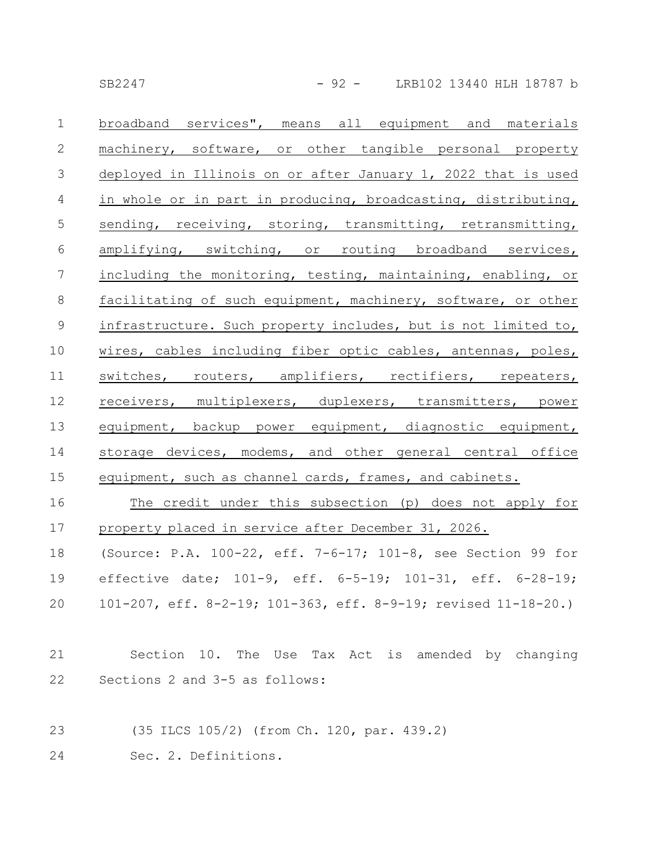SB2247 - 92 - LRB102 13440 HLH 18787 b

broadband services", means all equipment and materials machinery, software, or other tangible personal property deployed in Illinois on or after January 1, 2022 that is used in whole or in part in producing, broadcasting, distributing, sending, receiving, storing, transmitting, retransmitting, amplifying, switching, or routing broadband services, including the monitoring, testing, maintaining, enabling, or facilitating of such equipment, machinery, software, or other infrastructure. Such property includes, but is not limited to, wires, cables including fiber optic cables, antennas, poles, switches, routers, amplifiers, rectifiers, repeaters, receivers, multiplexers, duplexers, transmitters, power equipment, backup power equipment, diagnostic equipment, storage devices, modems, and other general central office equipment, such as channel cards, frames, and cabinets. 1 2 3 4 5 6 7 8 9 10 11 12 13 14 15

The credit under this subsection (p) does not apply for property placed in service after December 31, 2026. (Source: P.A. 100-22, eff. 7-6-17; 101-8, see Section 99 for effective date; 101-9, eff. 6-5-19; 101-31, eff. 6-28-19; 101-207, eff. 8-2-19; 101-363, eff. 8-9-19; revised 11-18-20.) 16 17 18 19 20

- Section 10. The Use Tax Act is amended by changing Sections 2 and 3-5 as follows: 21 22
- (35 ILCS 105/2) (from Ch. 120, par. 439.2) 23
- Sec. 2. Definitions. 24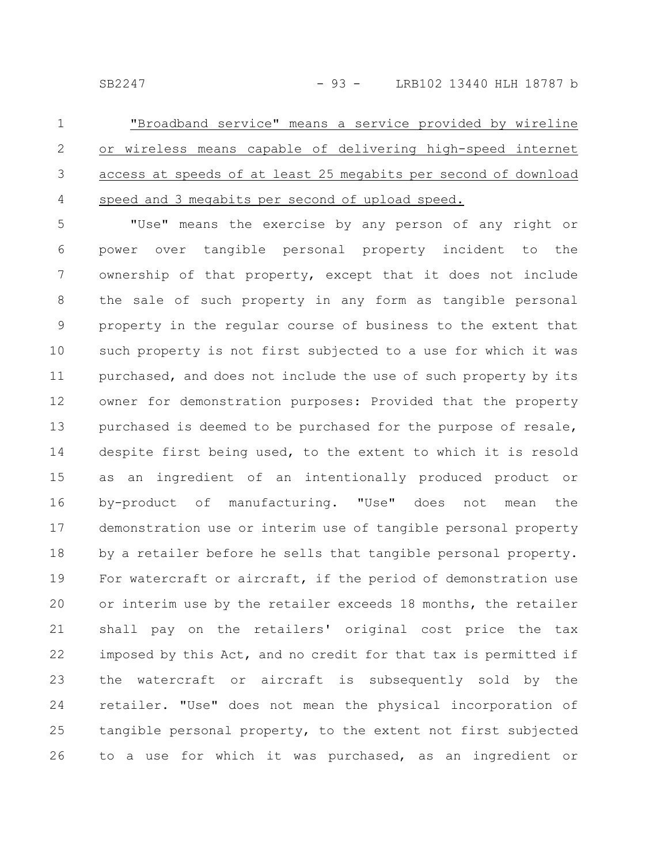| $1 \qquad \qquad$ | "Broadband service" means a service provided by wireline          |
|-------------------|-------------------------------------------------------------------|
|                   | 2 or wireless means capable of delivering high-speed internet     |
|                   | 3 access at speeds of at least 25 megabits per second of download |
|                   | 4 speed and 3 megabits per second of upload speed.                |

"Use" means the exercise by any person of any right or power over tangible personal property incident to the ownership of that property, except that it does not include the sale of such property in any form as tangible personal property in the regular course of business to the extent that such property is not first subjected to a use for which it was purchased, and does not include the use of such property by its owner for demonstration purposes: Provided that the property purchased is deemed to be purchased for the purpose of resale, despite first being used, to the extent to which it is resold as an ingredient of an intentionally produced product or by-product of manufacturing. "Use" does not mean the demonstration use or interim use of tangible personal property by a retailer before he sells that tangible personal property. For watercraft or aircraft, if the period of demonstration use or interim use by the retailer exceeds 18 months, the retailer shall pay on the retailers' original cost price the tax imposed by this Act, and no credit for that tax is permitted if the watercraft or aircraft is subsequently sold by the retailer. "Use" does not mean the physical incorporation of tangible personal property, to the extent not first subjected to a use for which it was purchased, as an ingredient or 5 6 7 8 9 10 11 12 13 14 15 16 17 18 19 20 21 22 23 24 25 26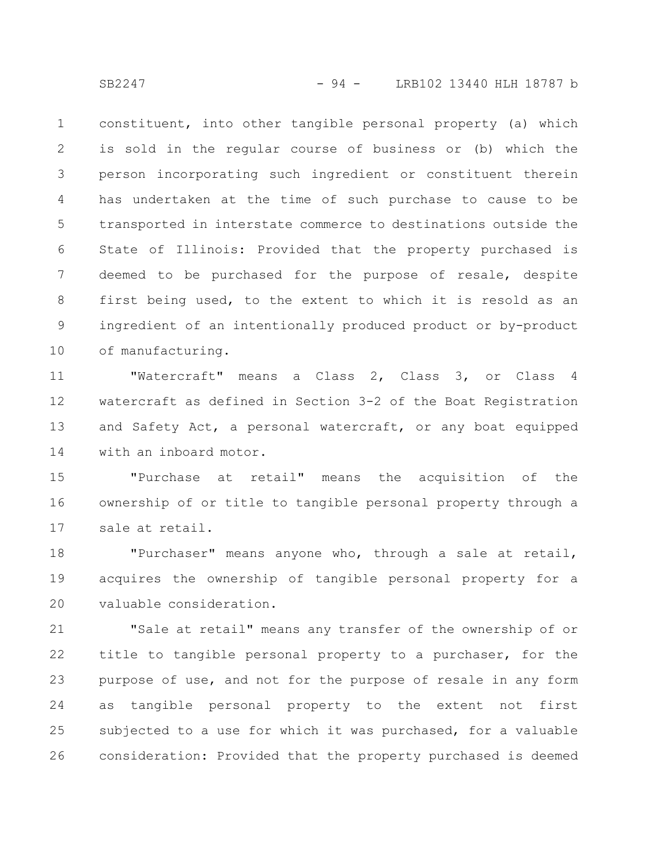constituent, into other tangible personal property (a) which is sold in the regular course of business or (b) which the person incorporating such ingredient or constituent therein has undertaken at the time of such purchase to cause to be transported in interstate commerce to destinations outside the State of Illinois: Provided that the property purchased is deemed to be purchased for the purpose of resale, despite first being used, to the extent to which it is resold as an ingredient of an intentionally produced product or by-product of manufacturing. 1 2 3 4 5 6 7 8 9 10

"Watercraft" means a Class 2, Class 3, or Class 4 watercraft as defined in Section 3-2 of the Boat Registration and Safety Act, a personal watercraft, or any boat equipped with an inboard motor. 11 12 13 14

"Purchase at retail" means the acquisition of the ownership of or title to tangible personal property through a sale at retail. 15 16 17

"Purchaser" means anyone who, through a sale at retail, acquires the ownership of tangible personal property for a valuable consideration. 18 19 20

"Sale at retail" means any transfer of the ownership of or title to tangible personal property to a purchaser, for the purpose of use, and not for the purpose of resale in any form as tangible personal property to the extent not first subjected to a use for which it was purchased, for a valuable consideration: Provided that the property purchased is deemed 21 22 23 24 25 26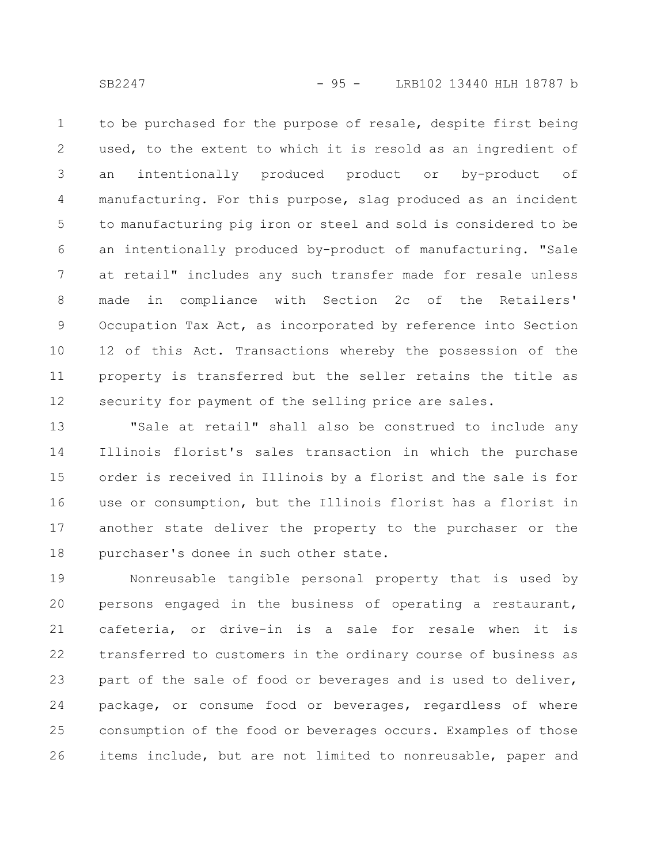SB2247 - 95 - LRB102 13440 HLH 18787 b

to be purchased for the purpose of resale, despite first being used, to the extent to which it is resold as an ingredient of an intentionally produced product or by-product of manufacturing. For this purpose, slag produced as an incident to manufacturing pig iron or steel and sold is considered to be an intentionally produced by-product of manufacturing. "Sale at retail" includes any such transfer made for resale unless made in compliance with Section 2c of the Retailers' Occupation Tax Act, as incorporated by reference into Section 12 of this Act. Transactions whereby the possession of the property is transferred but the seller retains the title as security for payment of the selling price are sales. 1 2 3 4 5 6 7 8 9 10 11 12

"Sale at retail" shall also be construed to include any Illinois florist's sales transaction in which the purchase order is received in Illinois by a florist and the sale is for use or consumption, but the Illinois florist has a florist in another state deliver the property to the purchaser or the purchaser's donee in such other state. 13 14 15 16 17 18

Nonreusable tangible personal property that is used by persons engaged in the business of operating a restaurant, cafeteria, or drive-in is a sale for resale when it is transferred to customers in the ordinary course of business as part of the sale of food or beverages and is used to deliver, package, or consume food or beverages, regardless of where consumption of the food or beverages occurs. Examples of those items include, but are not limited to nonreusable, paper and 19 20 21 22 23 24 25 26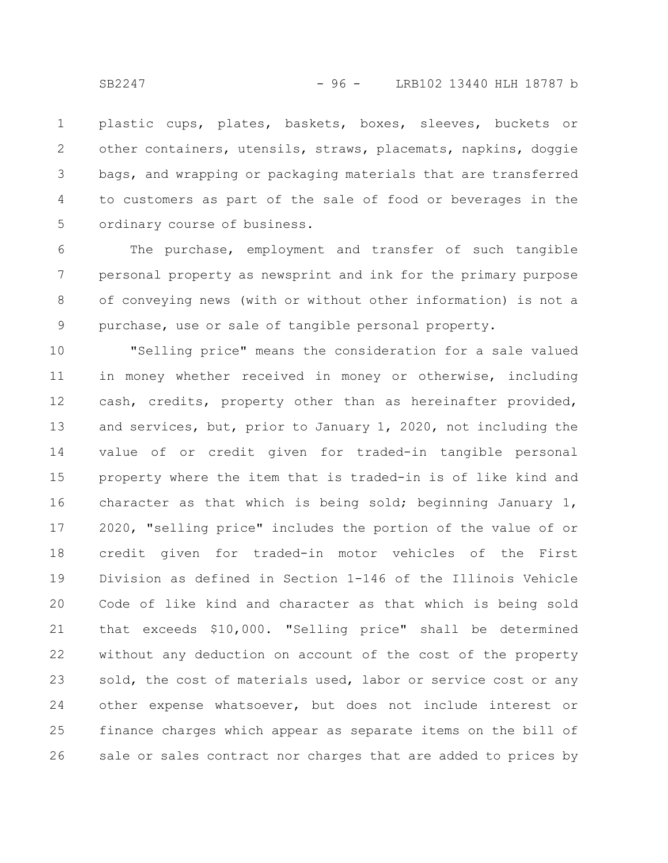plastic cups, plates, baskets, boxes, sleeves, buckets or other containers, utensils, straws, placemats, napkins, doggie bags, and wrapping or packaging materials that are transferred to customers as part of the sale of food or beverages in the ordinary course of business. 1 2 3 4 5

The purchase, employment and transfer of such tangible personal property as newsprint and ink for the primary purpose of conveying news (with or without other information) is not a purchase, use or sale of tangible personal property. 6 7 8 9

"Selling price" means the consideration for a sale valued in money whether received in money or otherwise, including cash, credits, property other than as hereinafter provided, and services, but, prior to January 1, 2020, not including the value of or credit given for traded-in tangible personal property where the item that is traded-in is of like kind and character as that which is being sold; beginning January 1, 2020, "selling price" includes the portion of the value of or credit given for traded-in motor vehicles of the First Division as defined in Section 1-146 of the Illinois Vehicle Code of like kind and character as that which is being sold that exceeds \$10,000. "Selling price" shall be determined without any deduction on account of the cost of the property sold, the cost of materials used, labor or service cost or any other expense whatsoever, but does not include interest or finance charges which appear as separate items on the bill of sale or sales contract nor charges that are added to prices by 10 11 12 13 14 15 16 17 18 19 20 21 22 23 24 25 26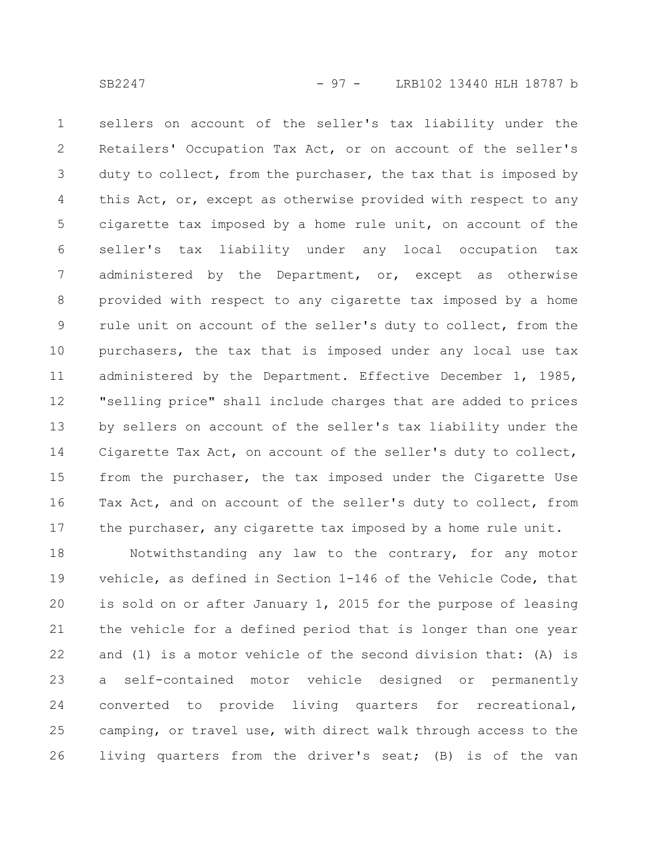sellers on account of the seller's tax liability under the Retailers' Occupation Tax Act, or on account of the seller's duty to collect, from the purchaser, the tax that is imposed by this Act, or, except as otherwise provided with respect to any cigarette tax imposed by a home rule unit, on account of the seller's tax liability under any local occupation tax administered by the Department, or, except as otherwise provided with respect to any cigarette tax imposed by a home rule unit on account of the seller's duty to collect, from the purchasers, the tax that is imposed under any local use tax administered by the Department. Effective December 1, 1985, "selling price" shall include charges that are added to prices by sellers on account of the seller's tax liability under the Cigarette Tax Act, on account of the seller's duty to collect, from the purchaser, the tax imposed under the Cigarette Use Tax Act, and on account of the seller's duty to collect, from the purchaser, any cigarette tax imposed by a home rule unit. 1 2 3 4 5 6 7 8 9 10 11 12 13 14 15 16 17

Notwithstanding any law to the contrary, for any motor vehicle, as defined in Section 1-146 of the Vehicle Code, that is sold on or after January 1, 2015 for the purpose of leasing the vehicle for a defined period that is longer than one year and (1) is a motor vehicle of the second division that: (A) is a self-contained motor vehicle designed or permanently converted to provide living quarters for recreational, camping, or travel use, with direct walk through access to the living quarters from the driver's seat; (B) is of the van 18 19 20 21 22 23 24 25 26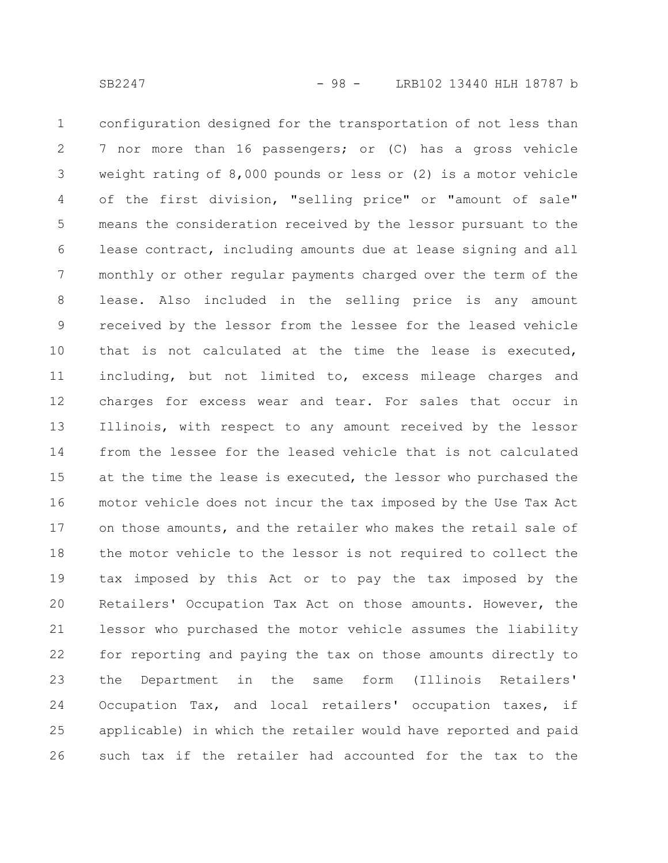configuration designed for the transportation of not less than 7 nor more than 16 passengers; or (C) has a gross vehicle weight rating of 8,000 pounds or less or (2) is a motor vehicle of the first division, "selling price" or "amount of sale" means the consideration received by the lessor pursuant to the lease contract, including amounts due at lease signing and all monthly or other regular payments charged over the term of the lease. Also included in the selling price is any amount received by the lessor from the lessee for the leased vehicle that is not calculated at the time the lease is executed, including, but not limited to, excess mileage charges and charges for excess wear and tear. For sales that occur in Illinois, with respect to any amount received by the lessor from the lessee for the leased vehicle that is not calculated at the time the lease is executed, the lessor who purchased the motor vehicle does not incur the tax imposed by the Use Tax Act on those amounts, and the retailer who makes the retail sale of the motor vehicle to the lessor is not required to collect the tax imposed by this Act or to pay the tax imposed by the Retailers' Occupation Tax Act on those amounts. However, the lessor who purchased the motor vehicle assumes the liability for reporting and paying the tax on those amounts directly to the Department in the same form (Illinois Retailers' Occupation Tax, and local retailers' occupation taxes, if applicable) in which the retailer would have reported and paid such tax if the retailer had accounted for the tax to the 1 2 3 4 5 6 7 8 9 10 11 12 13 14 15 16 17 18 19 20 21 22 23 24 25 26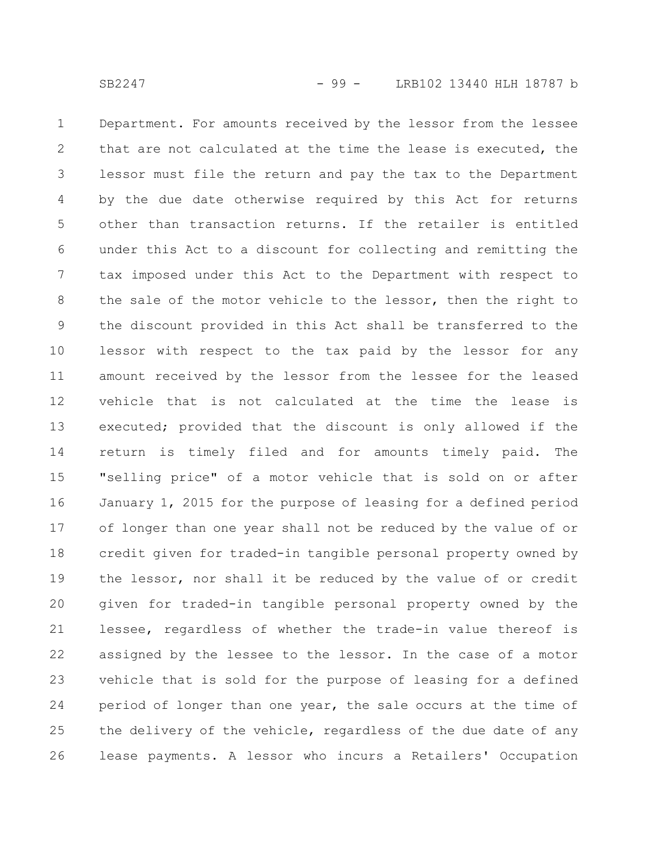Department. For amounts received by the lessor from the lessee that are not calculated at the time the lease is executed, the lessor must file the return and pay the tax to the Department by the due date otherwise required by this Act for returns other than transaction returns. If the retailer is entitled under this Act to a discount for collecting and remitting the tax imposed under this Act to the Department with respect to the sale of the motor vehicle to the lessor, then the right to the discount provided in this Act shall be transferred to the lessor with respect to the tax paid by the lessor for any amount received by the lessor from the lessee for the leased vehicle that is not calculated at the time the lease is executed; provided that the discount is only allowed if the return is timely filed and for amounts timely paid. The "selling price" of a motor vehicle that is sold on or after January 1, 2015 for the purpose of leasing for a defined period of longer than one year shall not be reduced by the value of or credit given for traded-in tangible personal property owned by the lessor, nor shall it be reduced by the value of or credit given for traded-in tangible personal property owned by the lessee, regardless of whether the trade-in value thereof is assigned by the lessee to the lessor. In the case of a motor vehicle that is sold for the purpose of leasing for a defined period of longer than one year, the sale occurs at the time of the delivery of the vehicle, regardless of the due date of any lease payments. A lessor who incurs a Retailers' Occupation 1 2 3 4 5 6 7 8 9 10 11 12 13 14 15 16 17 18 19 20 21 22 23 24 25 26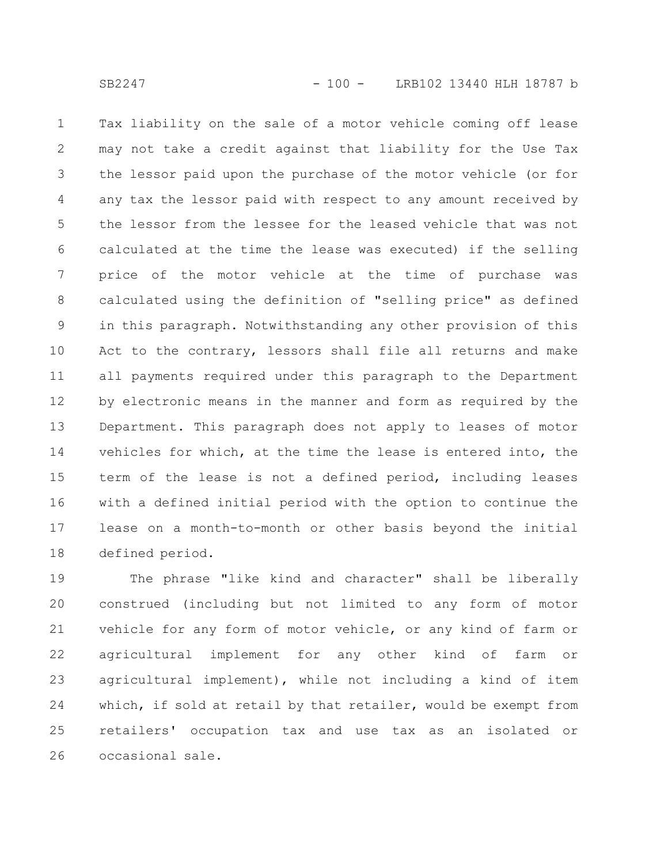Tax liability on the sale of a motor vehicle coming off lease may not take a credit against that liability for the Use Tax the lessor paid upon the purchase of the motor vehicle (or for any tax the lessor paid with respect to any amount received by the lessor from the lessee for the leased vehicle that was not calculated at the time the lease was executed) if the selling price of the motor vehicle at the time of purchase was calculated using the definition of "selling price" as defined in this paragraph. Notwithstanding any other provision of this Act to the contrary, lessors shall file all returns and make all payments required under this paragraph to the Department by electronic means in the manner and form as required by the Department. This paragraph does not apply to leases of motor vehicles for which, at the time the lease is entered into, the term of the lease is not a defined period, including leases with a defined initial period with the option to continue the lease on a month-to-month or other basis beyond the initial defined period. 1 2 3 4 5 6 7 8 9 10 11 12 13 14 15 16 17 18

The phrase "like kind and character" shall be liberally construed (including but not limited to any form of motor vehicle for any form of motor vehicle, or any kind of farm or agricultural implement for any other kind of farm or agricultural implement), while not including a kind of item which, if sold at retail by that retailer, would be exempt from retailers' occupation tax and use tax as an isolated or occasional sale. 19 20 21 22 23 24 25 26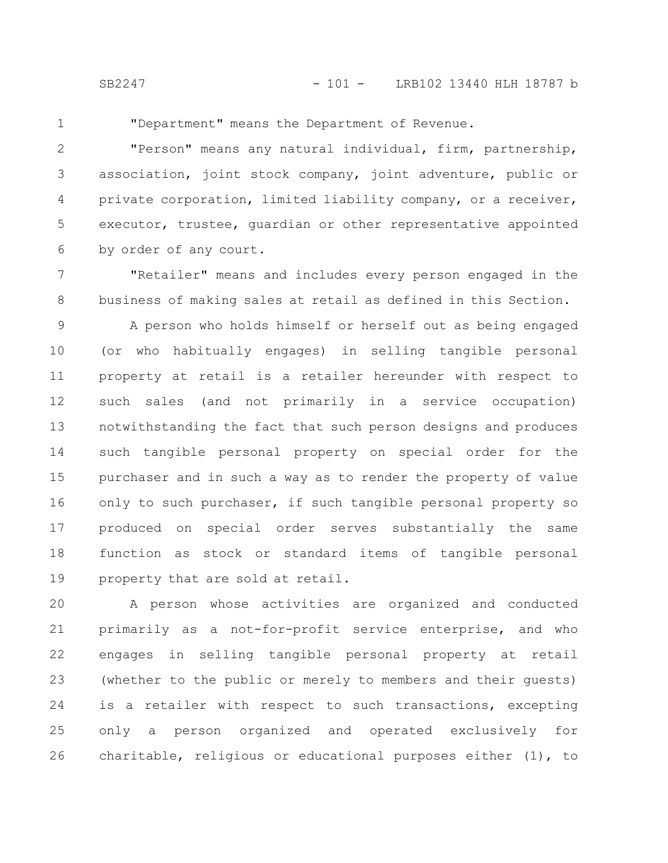1

"Department" means the Department of Revenue.

"Person" means any natural individual, firm, partnership, association, joint stock company, joint adventure, public or private corporation, limited liability company, or a receiver, executor, trustee, guardian or other representative appointed by order of any court. 2 3 4 5 6

"Retailer" means and includes every person engaged in the business of making sales at retail as defined in this Section. 7 8

A person who holds himself or herself out as being engaged (or who habitually engages) in selling tangible personal property at retail is a retailer hereunder with respect to such sales (and not primarily in a service occupation) notwithstanding the fact that such person designs and produces such tangible personal property on special order for the purchaser and in such a way as to render the property of value only to such purchaser, if such tangible personal property so produced on special order serves substantially the same function as stock or standard items of tangible personal property that are sold at retail. 9 10 11 12 13 14 15 16 17 18 19

A person whose activities are organized and conducted primarily as a not-for-profit service enterprise, and who engages in selling tangible personal property at retail (whether to the public or merely to members and their guests) is a retailer with respect to such transactions, excepting only a person organized and operated exclusively for charitable, religious or educational purposes either (1), to 20 21 22 23 24 25 26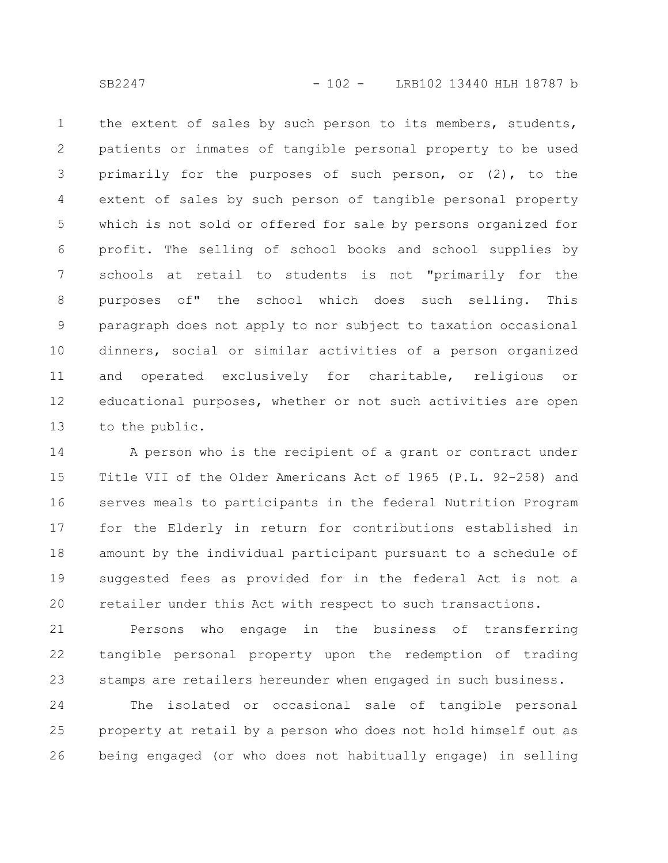SB2247 - 102 - LRB102 13440 HLH 18787 b

the extent of sales by such person to its members, students, patients or inmates of tangible personal property to be used primarily for the purposes of such person, or (2), to the extent of sales by such person of tangible personal property which is not sold or offered for sale by persons organized for profit. The selling of school books and school supplies by schools at retail to students is not "primarily for the purposes of" the school which does such selling. This paragraph does not apply to nor subject to taxation occasional dinners, social or similar activities of a person organized and operated exclusively for charitable, religious or educational purposes, whether or not such activities are open to the public. 1 2 3 4 5 6 7 8 9 10 11 12 13

A person who is the recipient of a grant or contract under Title VII of the Older Americans Act of 1965 (P.L. 92-258) and serves meals to participants in the federal Nutrition Program for the Elderly in return for contributions established in amount by the individual participant pursuant to a schedule of suggested fees as provided for in the federal Act is not a retailer under this Act with respect to such transactions. 14 15 16 17 18 19 20

Persons who engage in the business of transferring tangible personal property upon the redemption of trading stamps are retailers hereunder when engaged in such business. 21 22 23

The isolated or occasional sale of tangible personal property at retail by a person who does not hold himself out as being engaged (or who does not habitually engage) in selling 24 25 26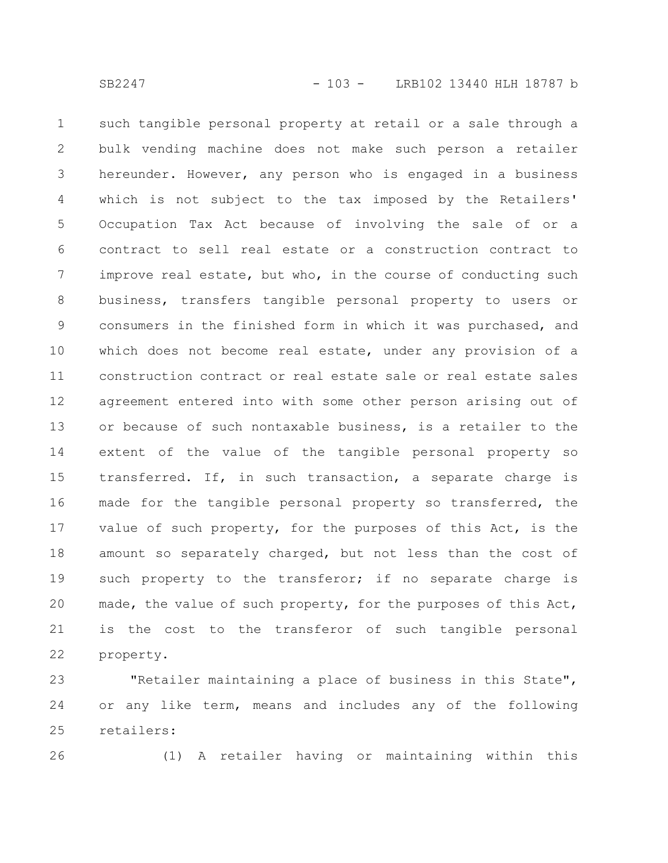such tangible personal property at retail or a sale through a bulk vending machine does not make such person a retailer hereunder. However, any person who is engaged in a business which is not subject to the tax imposed by the Retailers' Occupation Tax Act because of involving the sale of or a contract to sell real estate or a construction contract to improve real estate, but who, in the course of conducting such business, transfers tangible personal property to users or consumers in the finished form in which it was purchased, and which does not become real estate, under any provision of a construction contract or real estate sale or real estate sales agreement entered into with some other person arising out of or because of such nontaxable business, is a retailer to the extent of the value of the tangible personal property so transferred. If, in such transaction, a separate charge is made for the tangible personal property so transferred, the value of such property, for the purposes of this Act, is the amount so separately charged, but not less than the cost of such property to the transferor; if no separate charge is made, the value of such property, for the purposes of this Act, is the cost to the transferor of such tangible personal property. 1 2 3 4 5 6 7 8 9 10 11 12 13 14 15 16 17 18 19 20 21 22

"Retailer maintaining a place of business in this State", or any like term, means and includes any of the following retailers: 23 24 25

26

(1) A retailer having or maintaining within this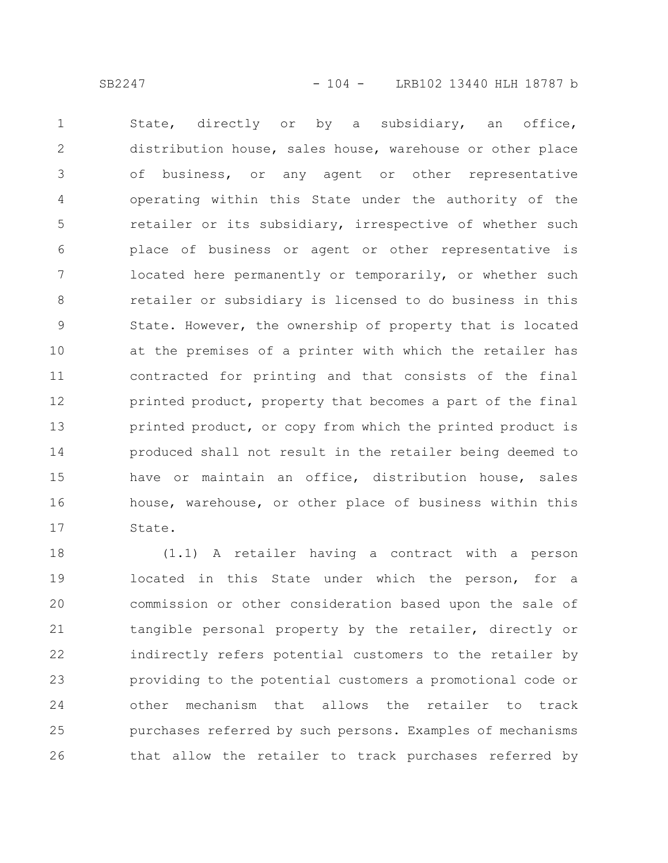State, directly or by a subsidiary, an office, distribution house, sales house, warehouse or other place of business, or any agent or other representative operating within this State under the authority of the retailer or its subsidiary, irrespective of whether such place of business or agent or other representative is located here permanently or temporarily, or whether such retailer or subsidiary is licensed to do business in this State. However, the ownership of property that is located at the premises of a printer with which the retailer has contracted for printing and that consists of the final printed product, property that becomes a part of the final printed product, or copy from which the printed product is produced shall not result in the retailer being deemed to have or maintain an office, distribution house, sales house, warehouse, or other place of business within this State. 1 2 3 4 5 6 7 8 9 10 11 12 13 14 15 16 17

(1.1) A retailer having a contract with a person located in this State under which the person, for a commission or other consideration based upon the sale of tangible personal property by the retailer, directly or indirectly refers potential customers to the retailer by providing to the potential customers a promotional code or other mechanism that allows the retailer to track purchases referred by such persons. Examples of mechanisms that allow the retailer to track purchases referred by 18 19 20 21 22 23 24 25 26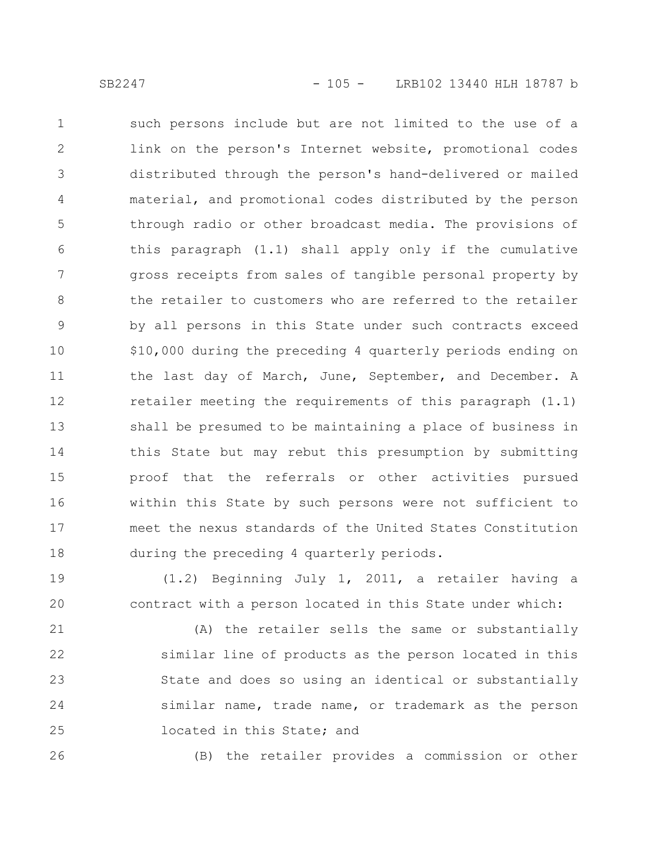such persons include but are not limited to the use of a link on the person's Internet website, promotional codes distributed through the person's hand-delivered or mailed material, and promotional codes distributed by the person through radio or other broadcast media. The provisions of this paragraph (1.1) shall apply only if the cumulative gross receipts from sales of tangible personal property by the retailer to customers who are referred to the retailer by all persons in this State under such contracts exceed \$10,000 during the preceding 4 quarterly periods ending on the last day of March, June, September, and December. A retailer meeting the requirements of this paragraph (1.1) shall be presumed to be maintaining a place of business in this State but may rebut this presumption by submitting proof that the referrals or other activities pursued within this State by such persons were not sufficient to meet the nexus standards of the United States Constitution during the preceding 4 quarterly periods. 1 2 3 4 5 6 7 8 9 10 11 12 13 14 15 16 17 18

(1.2) Beginning July 1, 2011, a retailer having a contract with a person located in this State under which: 19 20

(A) the retailer sells the same or substantially similar line of products as the person located in this State and does so using an identical or substantially similar name, trade name, or trademark as the person located in this State; and 21 22 23 24 25

26

(B) the retailer provides a commission or other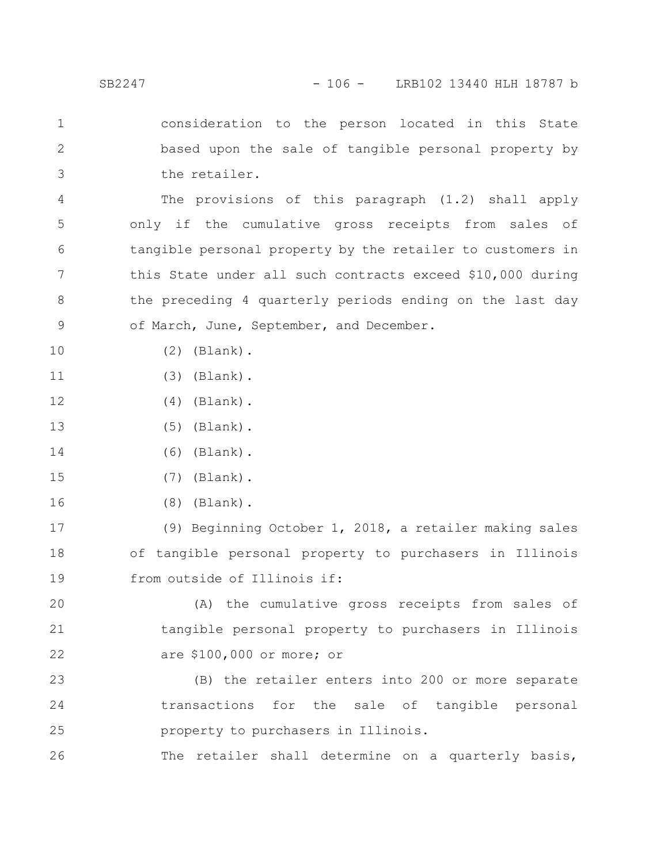consideration to the person located in this State based upon the sale of tangible personal property by the retailer. 1 2 3

The provisions of this paragraph (1.2) shall apply only if the cumulative gross receipts from sales of tangible personal property by the retailer to customers in this State under all such contracts exceed \$10,000 during the preceding 4 quarterly periods ending on the last day of March, June, September, and December. 4 5 6 7 8 9

(2) (Blank).

10

- (3) (Blank). 11
- (4) (Blank). 12
- (5) (Blank). 13
- (6) (Blank). 14
- (7) (Blank). 15
- (8) (Blank). 16

(9) Beginning October 1, 2018, a retailer making sales of tangible personal property to purchasers in Illinois from outside of Illinois if: 17 18 19

(A) the cumulative gross receipts from sales of tangible personal property to purchasers in Illinois are \$100,000 or more; or 20 21 22

(B) the retailer enters into 200 or more separate transactions for the sale of tangible personal property to purchasers in Illinois. 23 24 25

The retailer shall determine on a quarterly basis, 26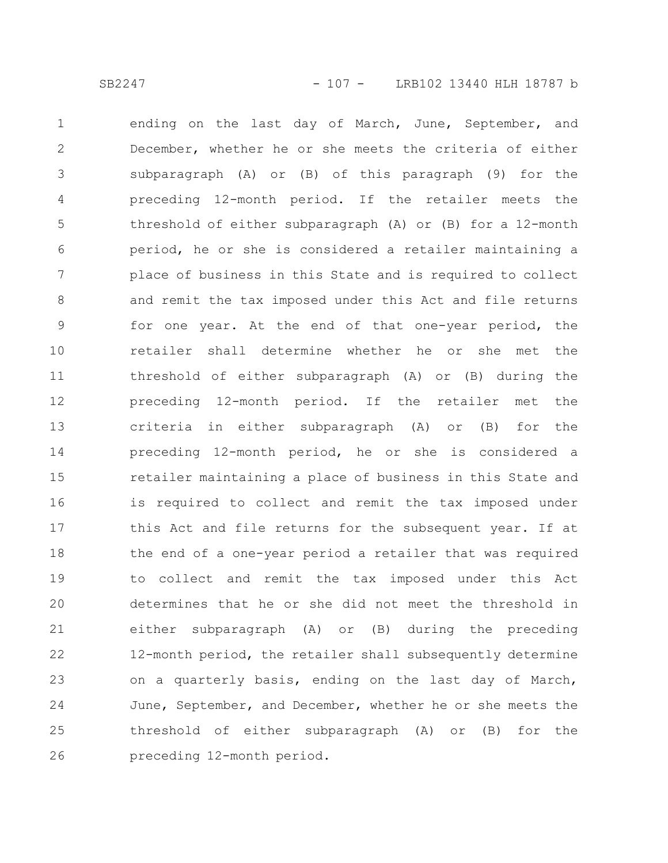ending on the last day of March, June, September, and December, whether he or she meets the criteria of either subparagraph (A) or (B) of this paragraph (9) for the preceding 12-month period. If the retailer meets the threshold of either subparagraph (A) or (B) for a 12-month period, he or she is considered a retailer maintaining a place of business in this State and is required to collect and remit the tax imposed under this Act and file returns for one year. At the end of that one-year period, the retailer shall determine whether he or she met the threshold of either subparagraph (A) or (B) during the preceding 12-month period. If the retailer met the criteria in either subparagraph (A) or (B) for the preceding 12-month period, he or she is considered a retailer maintaining a place of business in this State and is required to collect and remit the tax imposed under this Act and file returns for the subsequent year. If at the end of a one-year period a retailer that was required to collect and remit the tax imposed under this Act determines that he or she did not meet the threshold in either subparagraph (A) or (B) during the preceding 12-month period, the retailer shall subsequently determine on a quarterly basis, ending on the last day of March, June, September, and December, whether he or she meets the threshold of either subparagraph (A) or (B) for the preceding 12-month period. 1 2 3 4 5 6 7 8 9 10 11 12 13 14 15 16 17 18 19 20 21 22 23 24 25 26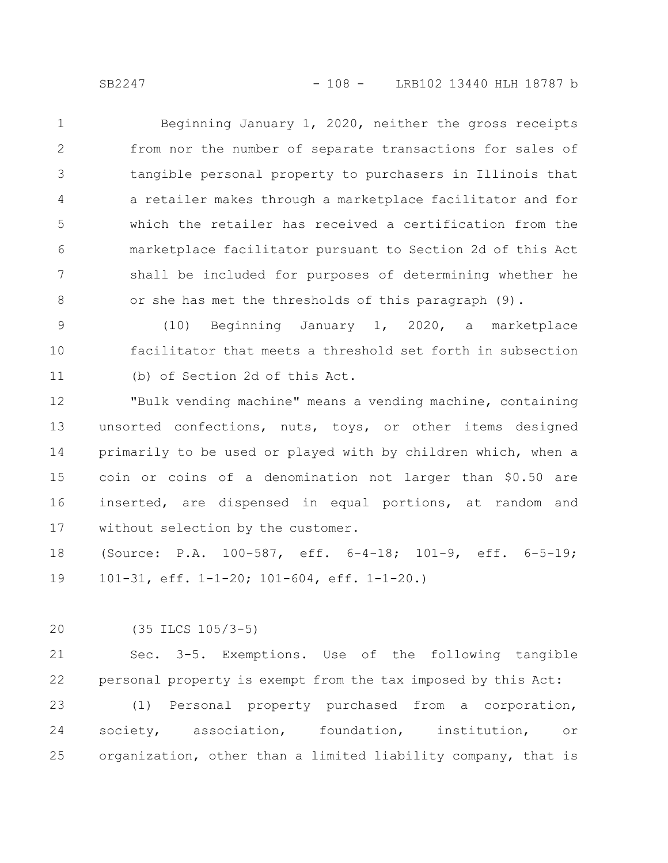Beginning January 1, 2020, neither the gross receipts from nor the number of separate transactions for sales of tangible personal property to purchasers in Illinois that a retailer makes through a marketplace facilitator and for which the retailer has received a certification from the marketplace facilitator pursuant to Section 2d of this Act shall be included for purposes of determining whether he or she has met the thresholds of this paragraph (9). 1 2 3 4 5 6 7 8

(10) Beginning January 1, 2020, a marketplace facilitator that meets a threshold set forth in subsection (b) of Section 2d of this Act. 9 10 11

"Bulk vending machine" means a vending machine, containing unsorted confections, nuts, toys, or other items designed primarily to be used or played with by children which, when a coin or coins of a denomination not larger than \$0.50 are inserted, are dispensed in equal portions, at random and without selection by the customer. 12 13 14 15 16 17

(Source: P.A. 100-587, eff. 6-4-18; 101-9, eff. 6-5-19; 101-31, eff. 1-1-20; 101-604, eff. 1-1-20.) 18 19

(35 ILCS 105/3-5) 20

Sec. 3-5. Exemptions. Use of the following tangible personal property is exempt from the tax imposed by this Act: 21 22

(1) Personal property purchased from a corporation, society, association, foundation, institution, or organization, other than a limited liability company, that is 23 24 25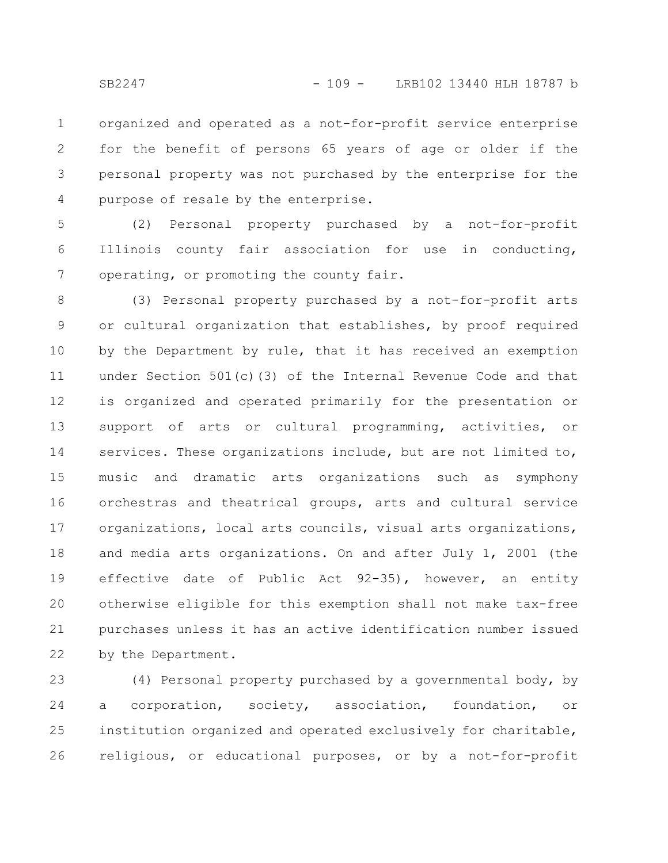organized and operated as a not-for-profit service enterprise for the benefit of persons 65 years of age or older if the personal property was not purchased by the enterprise for the purpose of resale by the enterprise. 1 2 3 4

(2) Personal property purchased by a not-for-profit Illinois county fair association for use in conducting, operating, or promoting the county fair. 5 6 7

(3) Personal property purchased by a not-for-profit arts or cultural organization that establishes, by proof required by the Department by rule, that it has received an exemption under Section 501(c)(3) of the Internal Revenue Code and that is organized and operated primarily for the presentation or support of arts or cultural programming, activities, or services. These organizations include, but are not limited to, music and dramatic arts organizations such as symphony orchestras and theatrical groups, arts and cultural service organizations, local arts councils, visual arts organizations, and media arts organizations. On and after July 1, 2001 (the effective date of Public Act 92-35), however, an entity otherwise eligible for this exemption shall not make tax-free purchases unless it has an active identification number issued by the Department. 8 9 10 11 12 13 14 15 16 17 18 19 20 21 22

(4) Personal property purchased by a governmental body, by a corporation, society, association, foundation, or institution organized and operated exclusively for charitable, religious, or educational purposes, or by a not-for-profit 23 24 25 26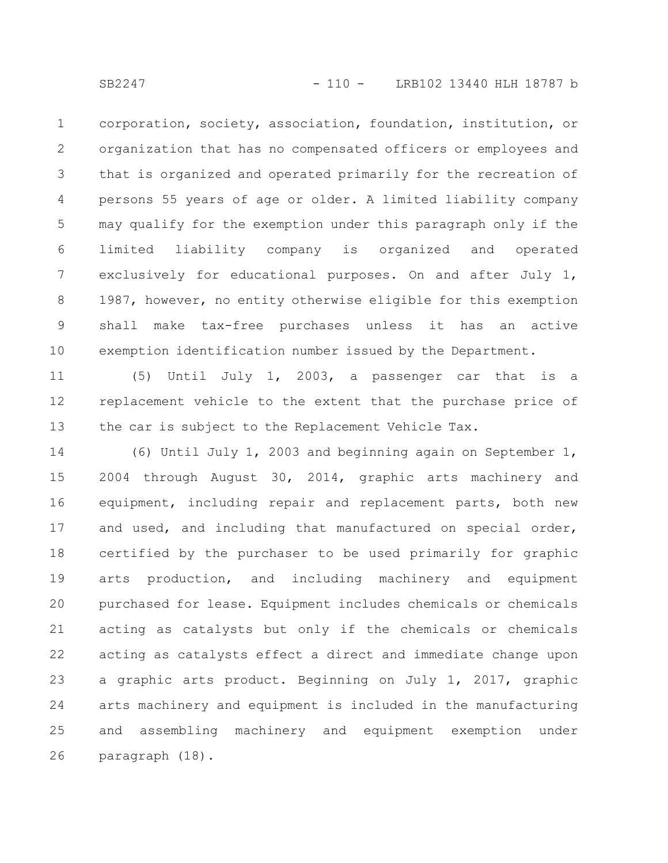corporation, society, association, foundation, institution, or organization that has no compensated officers or employees and that is organized and operated primarily for the recreation of persons 55 years of age or older. A limited liability company may qualify for the exemption under this paragraph only if the limited liability company is organized and operated exclusively for educational purposes. On and after July 1, 1987, however, no entity otherwise eligible for this exemption shall make tax-free purchases unless it has an active exemption identification number issued by the Department. 1 2 3 4 5 6 7 8 9 10

(5) Until July 1, 2003, a passenger car that is a replacement vehicle to the extent that the purchase price of the car is subject to the Replacement Vehicle Tax. 11 12 13

(6) Until July 1, 2003 and beginning again on September 1, 2004 through August 30, 2014, graphic arts machinery and equipment, including repair and replacement parts, both new and used, and including that manufactured on special order, certified by the purchaser to be used primarily for graphic arts production, and including machinery and equipment purchased for lease. Equipment includes chemicals or chemicals acting as catalysts but only if the chemicals or chemicals acting as catalysts effect a direct and immediate change upon a graphic arts product. Beginning on July 1, 2017, graphic arts machinery and equipment is included in the manufacturing and assembling machinery and equipment exemption under paragraph (18). 14 15 16 17 18 19 20 21 22 23 24 25 26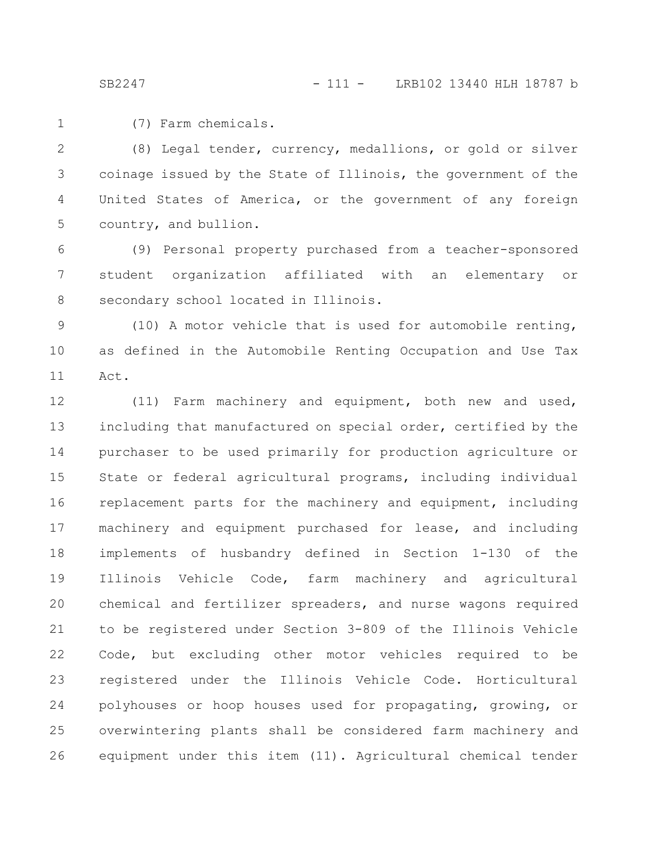(7) Farm chemicals. 1

(8) Legal tender, currency, medallions, or gold or silver coinage issued by the State of Illinois, the government of the United States of America, or the government of any foreign country, and bullion. 2 3 4 5

(9) Personal property purchased from a teacher-sponsored student organization affiliated with an elementary or secondary school located in Illinois. 6 7 8

(10) A motor vehicle that is used for automobile renting, as defined in the Automobile Renting Occupation and Use Tax Act. 9 10 11

(11) Farm machinery and equipment, both new and used, including that manufactured on special order, certified by the purchaser to be used primarily for production agriculture or State or federal agricultural programs, including individual replacement parts for the machinery and equipment, including machinery and equipment purchased for lease, and including implements of husbandry defined in Section 1-130 of the Illinois Vehicle Code, farm machinery and agricultural chemical and fertilizer spreaders, and nurse wagons required to be registered under Section 3-809 of the Illinois Vehicle Code, but excluding other motor vehicles required to be registered under the Illinois Vehicle Code. Horticultural polyhouses or hoop houses used for propagating, growing, or overwintering plants shall be considered farm machinery and equipment under this item (11). Agricultural chemical tender 12 13 14 15 16 17 18 19 20 21 22 23 24 25 26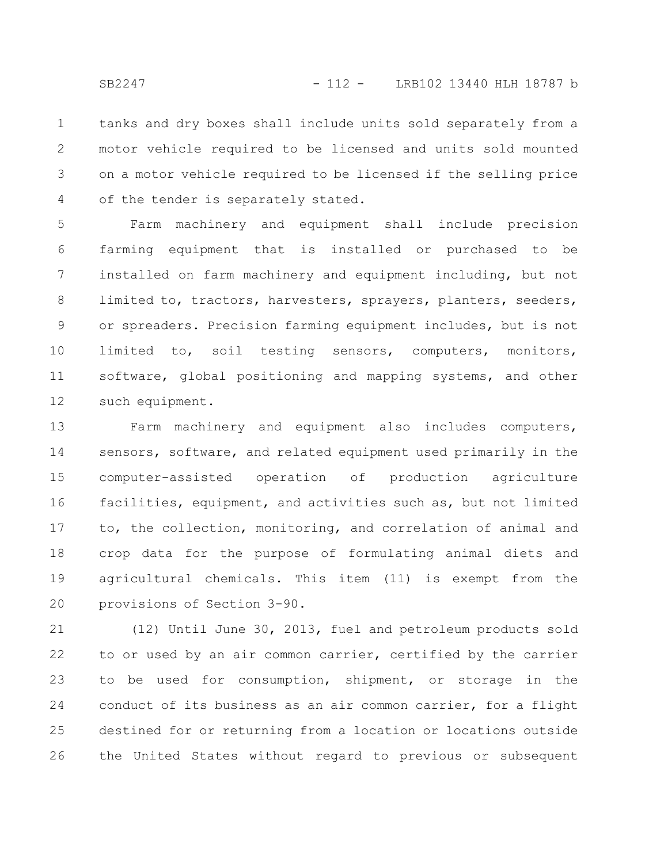tanks and dry boxes shall include units sold separately from a motor vehicle required to be licensed and units sold mounted on a motor vehicle required to be licensed if the selling price of the tender is separately stated. 1 2 3 4

Farm machinery and equipment shall include precision farming equipment that is installed or purchased to be installed on farm machinery and equipment including, but not limited to, tractors, harvesters, sprayers, planters, seeders, or spreaders. Precision farming equipment includes, but is not limited to, soil testing sensors, computers, monitors, software, global positioning and mapping systems, and other such equipment. 5 6 7 8 9 10 11 12

Farm machinery and equipment also includes computers, sensors, software, and related equipment used primarily in the computer-assisted operation of production agriculture facilities, equipment, and activities such as, but not limited to, the collection, monitoring, and correlation of animal and crop data for the purpose of formulating animal diets and agricultural chemicals. This item (11) is exempt from the provisions of Section 3-90. 13 14 15 16 17 18 19 20

(12) Until June 30, 2013, fuel and petroleum products sold to or used by an air common carrier, certified by the carrier to be used for consumption, shipment, or storage in the conduct of its business as an air common carrier, for a flight destined for or returning from a location or locations outside the United States without regard to previous or subsequent 21 22 23 24 25 26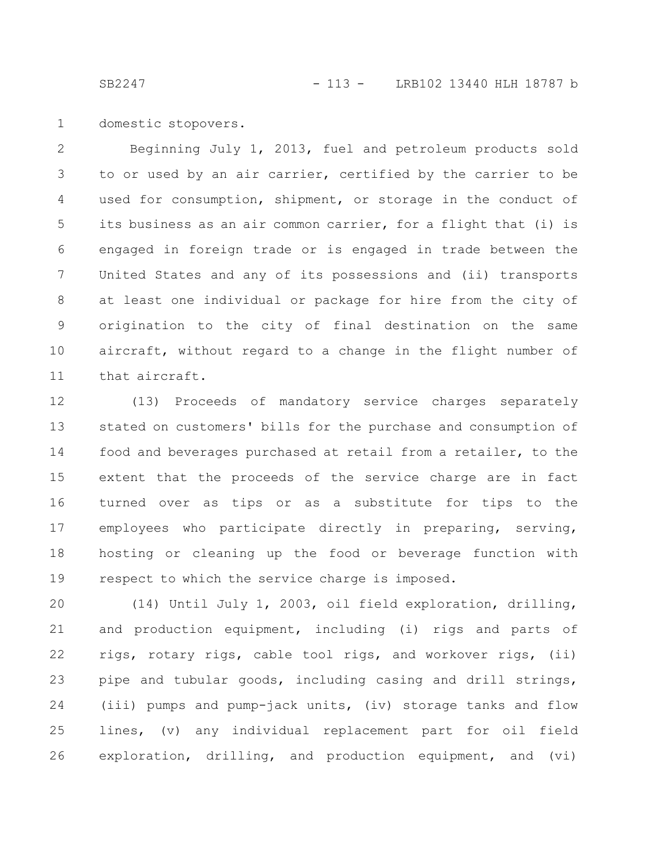domestic stopovers. 1

Beginning July 1, 2013, fuel and petroleum products sold to or used by an air carrier, certified by the carrier to be used for consumption, shipment, or storage in the conduct of its business as an air common carrier, for a flight that (i) is engaged in foreign trade or is engaged in trade between the United States and any of its possessions and (ii) transports at least one individual or package for hire from the city of origination to the city of final destination on the same aircraft, without regard to a change in the flight number of that aircraft. 2 3 4 5 6 7 8 9 10 11

(13) Proceeds of mandatory service charges separately stated on customers' bills for the purchase and consumption of food and beverages purchased at retail from a retailer, to the extent that the proceeds of the service charge are in fact turned over as tips or as a substitute for tips to the employees who participate directly in preparing, serving, hosting or cleaning up the food or beverage function with respect to which the service charge is imposed. 12 13 14 15 16 17 18 19

(14) Until July 1, 2003, oil field exploration, drilling, and production equipment, including (i) rigs and parts of rigs, rotary rigs, cable tool rigs, and workover rigs, (ii) pipe and tubular goods, including casing and drill strings, (iii) pumps and pump-jack units, (iv) storage tanks and flow lines, (v) any individual replacement part for oil field exploration, drilling, and production equipment, and (vi) 20 21 22 23 24 25 26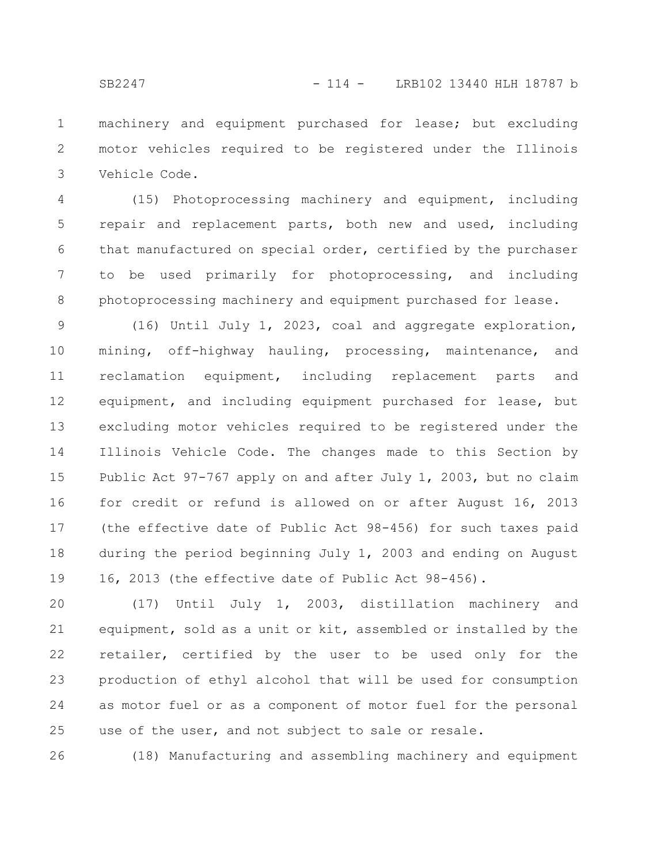machinery and equipment purchased for lease; but excluding motor vehicles required to be registered under the Illinois Vehicle Code. 1 2 3

(15) Photoprocessing machinery and equipment, including repair and replacement parts, both new and used, including that manufactured on special order, certified by the purchaser to be used primarily for photoprocessing, and including photoprocessing machinery and equipment purchased for lease. 4 5 6 7 8

(16) Until July 1, 2023, coal and aggregate exploration, mining, off-highway hauling, processing, maintenance, and reclamation equipment, including replacement parts and equipment, and including equipment purchased for lease, but excluding motor vehicles required to be registered under the Illinois Vehicle Code. The changes made to this Section by Public Act 97-767 apply on and after July 1, 2003, but no claim for credit or refund is allowed on or after August 16, 2013 (the effective date of Public Act 98-456) for such taxes paid during the period beginning July 1, 2003 and ending on August 16, 2013 (the effective date of Public Act 98-456). 9 10 11 12 13 14 15 16 17 18 19

(17) Until July 1, 2003, distillation machinery and equipment, sold as a unit or kit, assembled or installed by the retailer, certified by the user to be used only for the production of ethyl alcohol that will be used for consumption as motor fuel or as a component of motor fuel for the personal use of the user, and not subject to sale or resale. 20 21 22 23 24 25

(18) Manufacturing and assembling machinery and equipment 26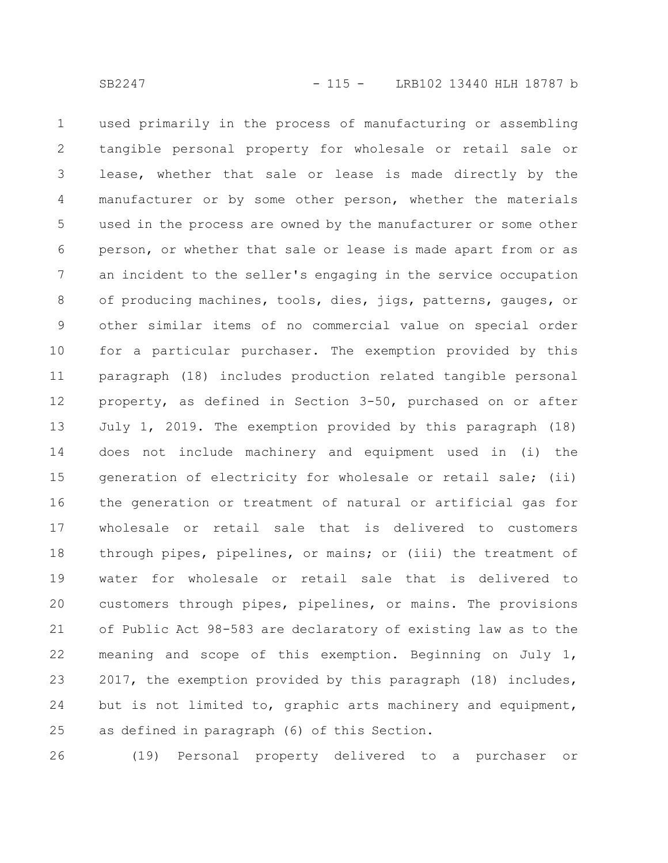used primarily in the process of manufacturing or assembling tangible personal property for wholesale or retail sale or lease, whether that sale or lease is made directly by the manufacturer or by some other person, whether the materials used in the process are owned by the manufacturer or some other person, or whether that sale or lease is made apart from or as an incident to the seller's engaging in the service occupation of producing machines, tools, dies, jigs, patterns, gauges, or other similar items of no commercial value on special order for a particular purchaser. The exemption provided by this paragraph (18) includes production related tangible personal property, as defined in Section 3-50, purchased on or after July 1, 2019. The exemption provided by this paragraph (18) does not include machinery and equipment used in (i) the generation of electricity for wholesale or retail sale; (ii) the generation or treatment of natural or artificial gas for wholesale or retail sale that is delivered to customers through pipes, pipelines, or mains; or (iii) the treatment of water for wholesale or retail sale that is delivered to customers through pipes, pipelines, or mains. The provisions of Public Act 98-583 are declaratory of existing law as to the meaning and scope of this exemption. Beginning on July 1, 2017, the exemption provided by this paragraph (18) includes, but is not limited to, graphic arts machinery and equipment, as defined in paragraph (6) of this Section. 1 2 3 4 5 6 7 8 9 10 11 12 13 14 15 16 17 18 19 20 21 22 23 24 25

(19) Personal property delivered to a purchaser or 26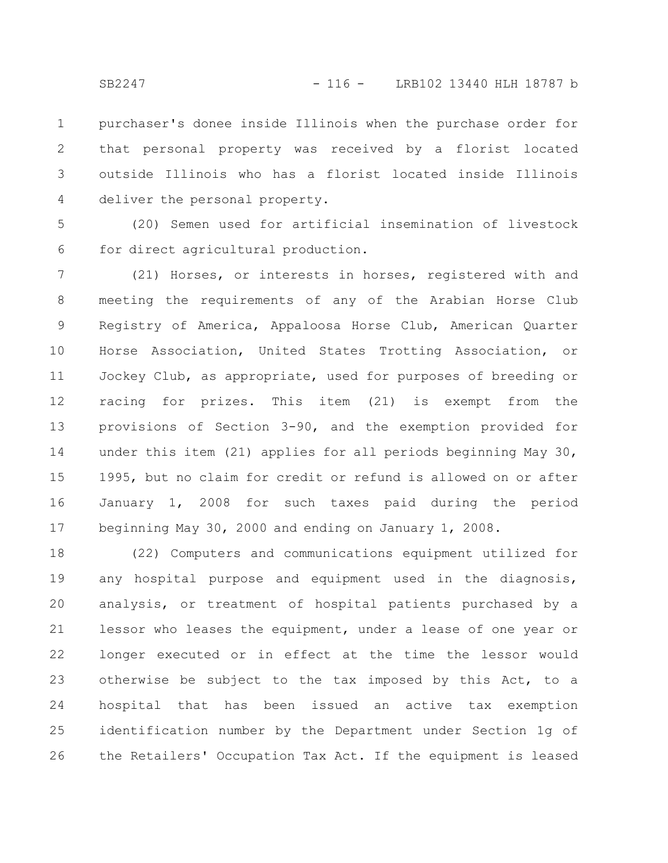purchaser's donee inside Illinois when the purchase order for that personal property was received by a florist located outside Illinois who has a florist located inside Illinois deliver the personal property. 1 2 3 4

(20) Semen used for artificial insemination of livestock for direct agricultural production. 5 6

(21) Horses, or interests in horses, registered with and meeting the requirements of any of the Arabian Horse Club Registry of America, Appaloosa Horse Club, American Quarter Horse Association, United States Trotting Association, or Jockey Club, as appropriate, used for purposes of breeding or racing for prizes. This item (21) is exempt from the provisions of Section 3-90, and the exemption provided for under this item (21) applies for all periods beginning May 30, 1995, but no claim for credit or refund is allowed on or after January 1, 2008 for such taxes paid during the period beginning May 30, 2000 and ending on January 1, 2008. 7 8 9 10 11 12 13 14 15 16 17

(22) Computers and communications equipment utilized for any hospital purpose and equipment used in the diagnosis, analysis, or treatment of hospital patients purchased by a lessor who leases the equipment, under a lease of one year or longer executed or in effect at the time the lessor would otherwise be subject to the tax imposed by this Act, to a hospital that has been issued an active tax exemption identification number by the Department under Section 1g of the Retailers' Occupation Tax Act. If the equipment is leased 18 19 20 21 22 23 24 25 26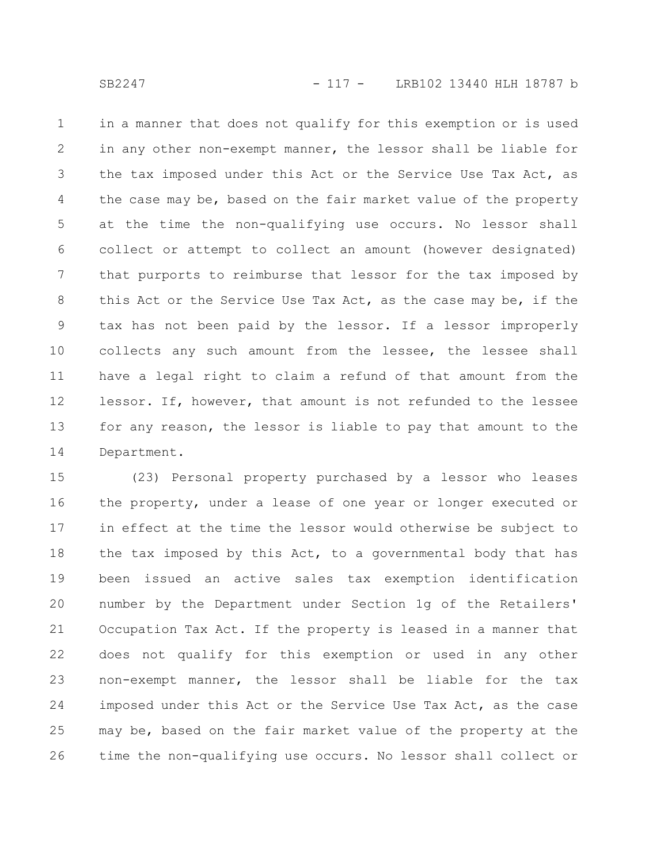in a manner that does not qualify for this exemption or is used in any other non-exempt manner, the lessor shall be liable for the tax imposed under this Act or the Service Use Tax Act, as the case may be, based on the fair market value of the property at the time the non-qualifying use occurs. No lessor shall collect or attempt to collect an amount (however designated) that purports to reimburse that lessor for the tax imposed by this Act or the Service Use Tax Act, as the case may be, if the tax has not been paid by the lessor. If a lessor improperly collects any such amount from the lessee, the lessee shall have a legal right to claim a refund of that amount from the lessor. If, however, that amount is not refunded to the lessee for any reason, the lessor is liable to pay that amount to the Department. 1 2 3 4 5 6 7 8 9 10 11 12 13 14

(23) Personal property purchased by a lessor who leases the property, under a lease of one year or longer executed or in effect at the time the lessor would otherwise be subject to the tax imposed by this Act, to a governmental body that has been issued an active sales tax exemption identification number by the Department under Section 1g of the Retailers' Occupation Tax Act. If the property is leased in a manner that does not qualify for this exemption or used in any other non-exempt manner, the lessor shall be liable for the tax imposed under this Act or the Service Use Tax Act, as the case may be, based on the fair market value of the property at the time the non-qualifying use occurs. No lessor shall collect or 15 16 17 18 19 20 21 22 23 24 25 26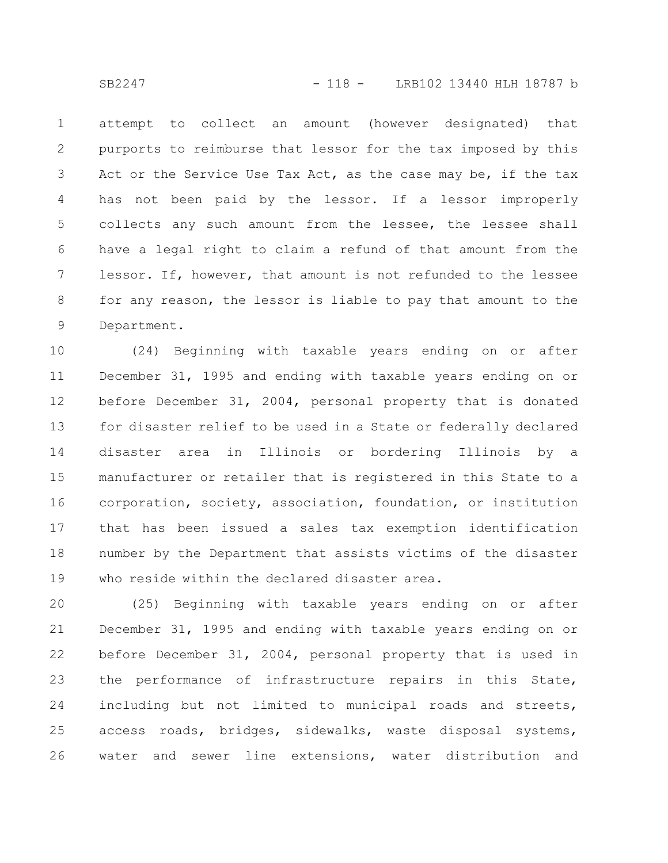attempt to collect an amount (however designated) that purports to reimburse that lessor for the tax imposed by this Act or the Service Use Tax Act, as the case may be, if the tax has not been paid by the lessor. If a lessor improperly collects any such amount from the lessee, the lessee shall have a legal right to claim a refund of that amount from the lessor. If, however, that amount is not refunded to the lessee for any reason, the lessor is liable to pay that amount to the Department. 1 2 3 4 5 6 7 8 9

(24) Beginning with taxable years ending on or after December 31, 1995 and ending with taxable years ending on or before December 31, 2004, personal property that is donated for disaster relief to be used in a State or federally declared disaster area in Illinois or bordering Illinois by a manufacturer or retailer that is registered in this State to a corporation, society, association, foundation, or institution that has been issued a sales tax exemption identification number by the Department that assists victims of the disaster who reside within the declared disaster area. 10 11 12 13 14 15 16 17 18 19

(25) Beginning with taxable years ending on or after December 31, 1995 and ending with taxable years ending on or before December 31, 2004, personal property that is used in the performance of infrastructure repairs in this State, including but not limited to municipal roads and streets, access roads, bridges, sidewalks, waste disposal systems, water and sewer line extensions, water distribution and 20 21 22 23 24 25 26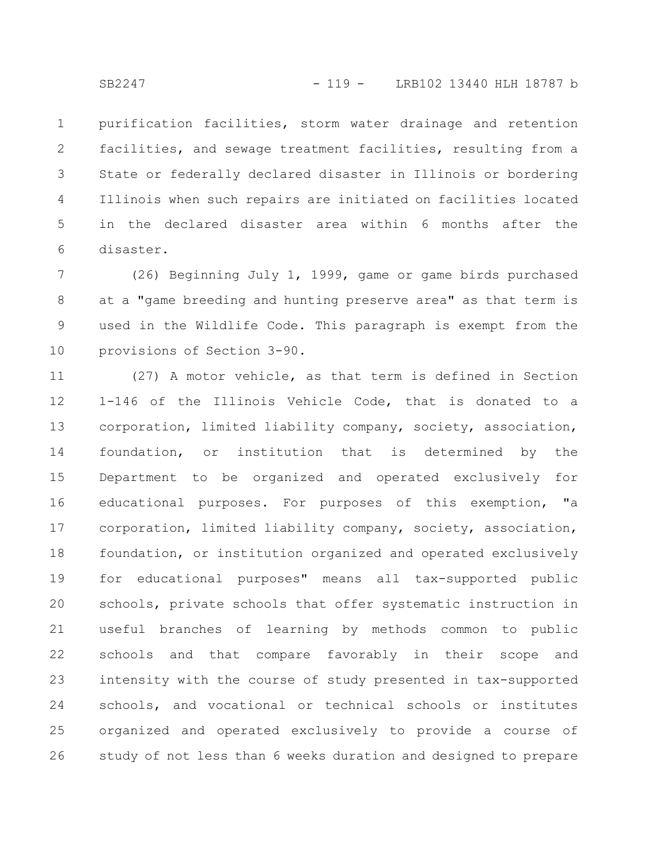purification facilities, storm water drainage and retention facilities, and sewage treatment facilities, resulting from a State or federally declared disaster in Illinois or bordering Illinois when such repairs are initiated on facilities located in the declared disaster area within 6 months after the disaster. 1 2 3 4 5 6

(26) Beginning July 1, 1999, game or game birds purchased at a "game breeding and hunting preserve area" as that term is used in the Wildlife Code. This paragraph is exempt from the provisions of Section 3-90. 7 8 9 10

(27) A motor vehicle, as that term is defined in Section 1-146 of the Illinois Vehicle Code, that is donated to a corporation, limited liability company, society, association, foundation, or institution that is determined by the Department to be organized and operated exclusively for educational purposes. For purposes of this exemption, "a corporation, limited liability company, society, association, foundation, or institution organized and operated exclusively for educational purposes" means all tax-supported public schools, private schools that offer systematic instruction in useful branches of learning by methods common to public schools and that compare favorably in their scope and intensity with the course of study presented in tax-supported schools, and vocational or technical schools or institutes organized and operated exclusively to provide a course of study of not less than 6 weeks duration and designed to prepare 11 12 13 14 15 16 17 18 19 20 21 22 23 24 25 26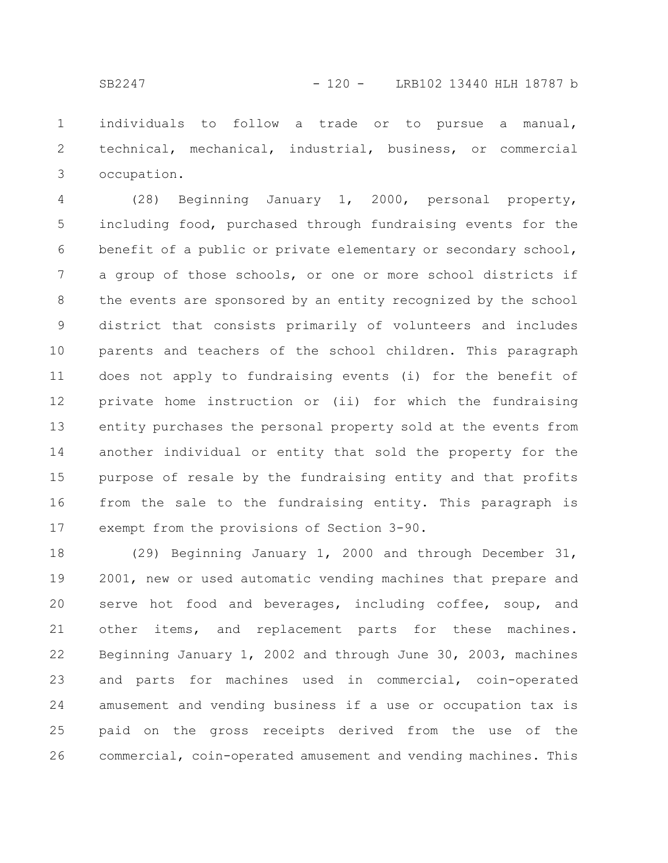individuals to follow a trade or to pursue a manual, technical, mechanical, industrial, business, or commercial occupation. 1 2 3

(28) Beginning January 1, 2000, personal property, including food, purchased through fundraising events for the benefit of a public or private elementary or secondary school, a group of those schools, or one or more school districts if the events are sponsored by an entity recognized by the school district that consists primarily of volunteers and includes parents and teachers of the school children. This paragraph does not apply to fundraising events (i) for the benefit of private home instruction or (ii) for which the fundraising entity purchases the personal property sold at the events from another individual or entity that sold the property for the purpose of resale by the fundraising entity and that profits from the sale to the fundraising entity. This paragraph is exempt from the provisions of Section 3-90. 4 5 6 7 8 9 10 11 12 13 14 15 16 17

(29) Beginning January 1, 2000 and through December 31, 2001, new or used automatic vending machines that prepare and serve hot food and beverages, including coffee, soup, and other items, and replacement parts for these machines. Beginning January 1, 2002 and through June 30, 2003, machines and parts for machines used in commercial, coin-operated amusement and vending business if a use or occupation tax is paid on the gross receipts derived from the use of the commercial, coin-operated amusement and vending machines. This 18 19 20 21 22 23 24 25 26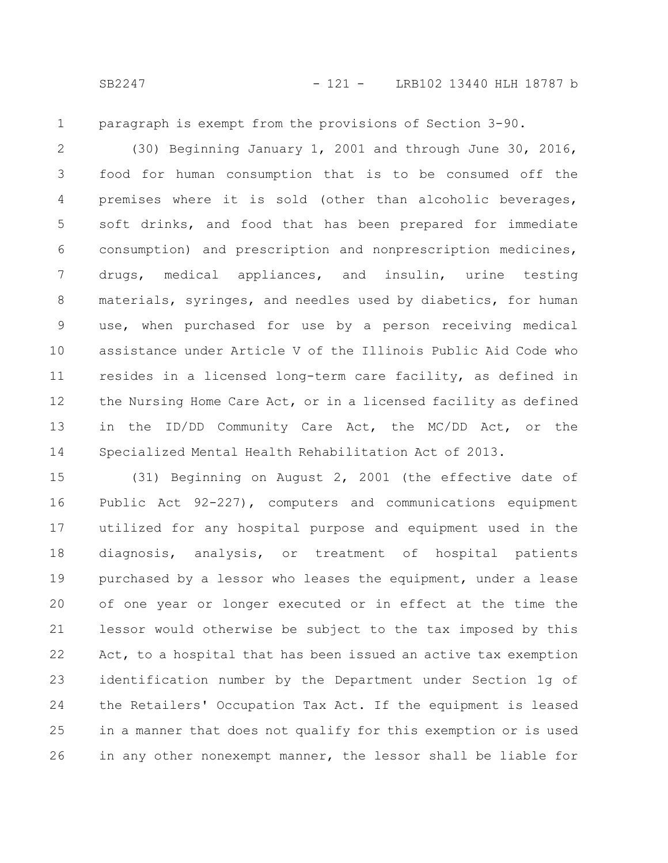1

paragraph is exempt from the provisions of Section 3-90.

(30) Beginning January 1, 2001 and through June 30, 2016, food for human consumption that is to be consumed off the premises where it is sold (other than alcoholic beverages, soft drinks, and food that has been prepared for immediate consumption) and prescription and nonprescription medicines, drugs, medical appliances, and insulin, urine testing materials, syringes, and needles used by diabetics, for human use, when purchased for use by a person receiving medical assistance under Article V of the Illinois Public Aid Code who resides in a licensed long-term care facility, as defined in the Nursing Home Care Act, or in a licensed facility as defined in the ID/DD Community Care Act, the MC/DD Act, or the Specialized Mental Health Rehabilitation Act of 2013. 2 3 4 5 6 7 8 9 10 11 12 13 14

(31) Beginning on August 2, 2001 (the effective date of Public Act 92-227), computers and communications equipment utilized for any hospital purpose and equipment used in the diagnosis, analysis, or treatment of hospital patients purchased by a lessor who leases the equipment, under a lease of one year or longer executed or in effect at the time the lessor would otherwise be subject to the tax imposed by this Act, to a hospital that has been issued an active tax exemption identification number by the Department under Section 1g of the Retailers' Occupation Tax Act. If the equipment is leased in a manner that does not qualify for this exemption or is used in any other nonexempt manner, the lessor shall be liable for 15 16 17 18 19 20 21 22 23 24 25 26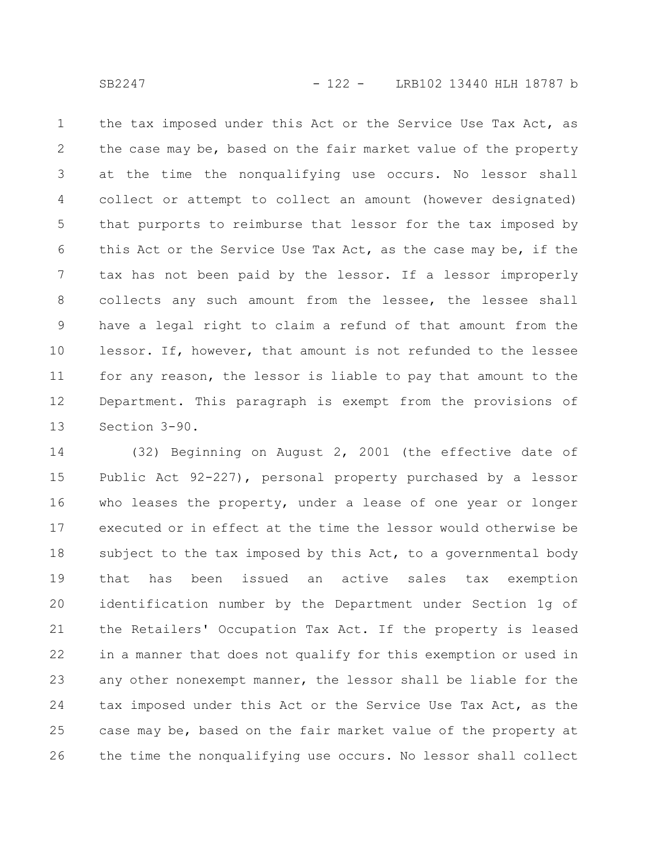the tax imposed under this Act or the Service Use Tax Act, as the case may be, based on the fair market value of the property at the time the nonqualifying use occurs. No lessor shall collect or attempt to collect an amount (however designated) that purports to reimburse that lessor for the tax imposed by this Act or the Service Use Tax Act, as the case may be, if the tax has not been paid by the lessor. If a lessor improperly collects any such amount from the lessee, the lessee shall have a legal right to claim a refund of that amount from the lessor. If, however, that amount is not refunded to the lessee for any reason, the lessor is liable to pay that amount to the Department. This paragraph is exempt from the provisions of Section 3-90. 1 2 3 4 5 6 7 8 9 10 11 12 13

(32) Beginning on August 2, 2001 (the effective date of Public Act 92-227), personal property purchased by a lessor who leases the property, under a lease of one year or longer executed or in effect at the time the lessor would otherwise be subject to the tax imposed by this Act, to a governmental body that has been issued an active sales tax exemption identification number by the Department under Section 1g of the Retailers' Occupation Tax Act. If the property is leased in a manner that does not qualify for this exemption or used in any other nonexempt manner, the lessor shall be liable for the tax imposed under this Act or the Service Use Tax Act, as the case may be, based on the fair market value of the property at the time the nonqualifying use occurs. No lessor shall collect 14 15 16 17 18 19 20 21 22 23 24 25 26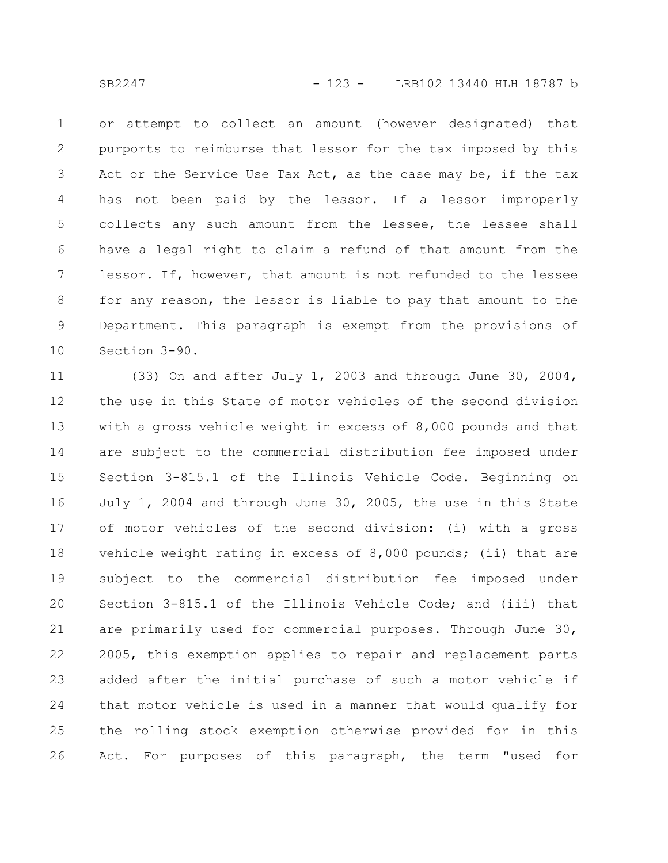or attempt to collect an amount (however designated) that purports to reimburse that lessor for the tax imposed by this Act or the Service Use Tax Act, as the case may be, if the tax has not been paid by the lessor. If a lessor improperly collects any such amount from the lessee, the lessee shall have a legal right to claim a refund of that amount from the lessor. If, however, that amount is not refunded to the lessee for any reason, the lessor is liable to pay that amount to the Department. This paragraph is exempt from the provisions of Section 3-90. 1 2 3 4 5 6 7 8 9 10

(33) On and after July 1, 2003 and through June 30, 2004, the use in this State of motor vehicles of the second division with a gross vehicle weight in excess of 8,000 pounds and that are subject to the commercial distribution fee imposed under Section 3-815.1 of the Illinois Vehicle Code. Beginning on July 1, 2004 and through June 30, 2005, the use in this State of motor vehicles of the second division: (i) with a gross vehicle weight rating in excess of 8,000 pounds; (ii) that are subject to the commercial distribution fee imposed under Section 3-815.1 of the Illinois Vehicle Code; and (iii) that are primarily used for commercial purposes. Through June 30, 2005, this exemption applies to repair and replacement parts added after the initial purchase of such a motor vehicle if that motor vehicle is used in a manner that would qualify for the rolling stock exemption otherwise provided for in this Act. For purposes of this paragraph, the term "used for 11 12 13 14 15 16 17 18 19 20 21 22 23 24 25 26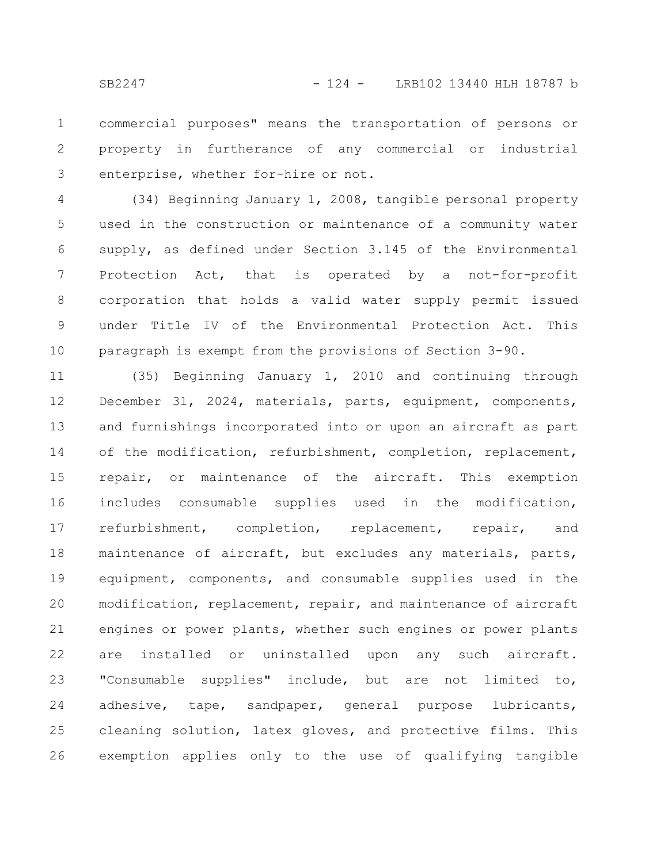commercial purposes" means the transportation of persons or property in furtherance of any commercial or industrial enterprise, whether for-hire or not. 1 2 3

(34) Beginning January 1, 2008, tangible personal property used in the construction or maintenance of a community water supply, as defined under Section 3.145 of the Environmental Protection Act, that is operated by a not-for-profit corporation that holds a valid water supply permit issued under Title IV of the Environmental Protection Act. This paragraph is exempt from the provisions of Section 3-90. 4 5 6 7 8 9 10

(35) Beginning January 1, 2010 and continuing through December 31, 2024, materials, parts, equipment, components, and furnishings incorporated into or upon an aircraft as part of the modification, refurbishment, completion, replacement, repair, or maintenance of the aircraft. This exemption includes consumable supplies used in the modification, refurbishment, completion, replacement, repair, and maintenance of aircraft, but excludes any materials, parts, equipment, components, and consumable supplies used in the modification, replacement, repair, and maintenance of aircraft engines or power plants, whether such engines or power plants are installed or uninstalled upon any such aircraft. "Consumable supplies" include, but are not limited to, adhesive, tape, sandpaper, general purpose lubricants, cleaning solution, latex gloves, and protective films. This exemption applies only to the use of qualifying tangible 11 12 13 14 15 16 17 18 19 20 21 22 23 24 25 26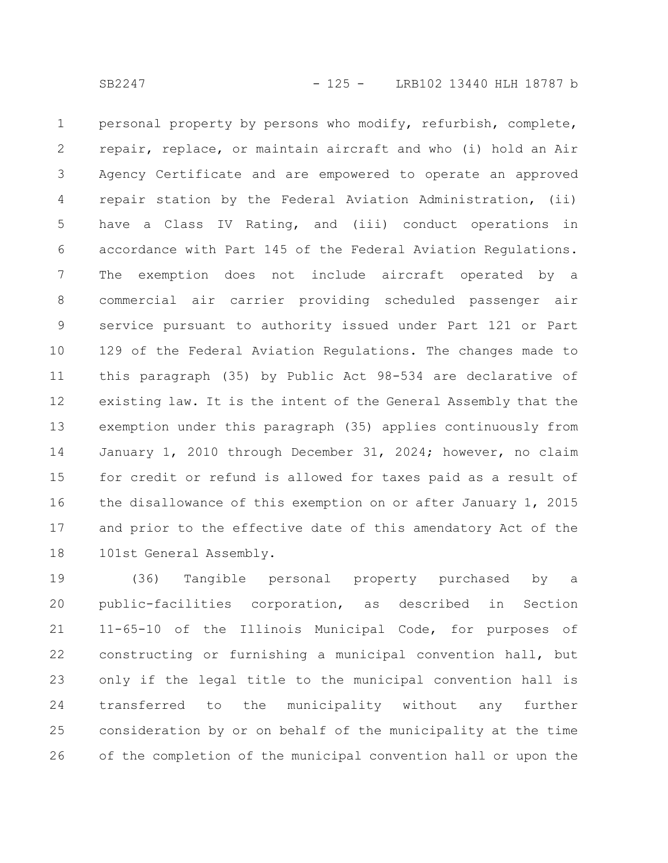personal property by persons who modify, refurbish, complete, repair, replace, or maintain aircraft and who (i) hold an Air Agency Certificate and are empowered to operate an approved repair station by the Federal Aviation Administration, (ii) have a Class IV Rating, and (iii) conduct operations in accordance with Part 145 of the Federal Aviation Regulations. The exemption does not include aircraft operated by a commercial air carrier providing scheduled passenger air service pursuant to authority issued under Part 121 or Part 129 of the Federal Aviation Regulations. The changes made to this paragraph (35) by Public Act 98-534 are declarative of existing law. It is the intent of the General Assembly that the exemption under this paragraph (35) applies continuously from January 1, 2010 through December 31, 2024; however, no claim for credit or refund is allowed for taxes paid as a result of the disallowance of this exemption on or after January 1, 2015 and prior to the effective date of this amendatory Act of the 101st General Assembly. 1 2 3 4 5 6 7 8 9 10 11 12 13 14 15 16 17 18

(36) Tangible personal property purchased by a public-facilities corporation, as described in Section 11-65-10 of the Illinois Municipal Code, for purposes of constructing or furnishing a municipal convention hall, but only if the legal title to the municipal convention hall is transferred to the municipality without any further consideration by or on behalf of the municipality at the time of the completion of the municipal convention hall or upon the 19 20 21 22 23 24 25 26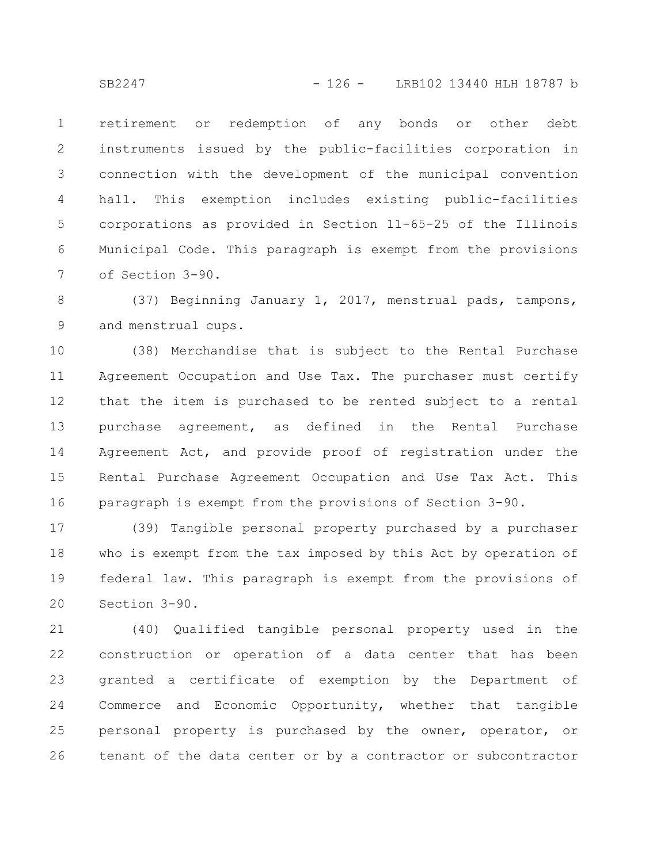retirement or redemption of any bonds or other debt instruments issued by the public-facilities corporation in connection with the development of the municipal convention hall. This exemption includes existing public-facilities corporations as provided in Section 11-65-25 of the Illinois Municipal Code. This paragraph is exempt from the provisions of Section 3-90. 1 2 3 4 5 6 7

(37) Beginning January 1, 2017, menstrual pads, tampons, and menstrual cups. 8 9

(38) Merchandise that is subject to the Rental Purchase Agreement Occupation and Use Tax. The purchaser must certify that the item is purchased to be rented subject to a rental purchase agreement, as defined in the Rental Purchase Agreement Act, and provide proof of registration under the Rental Purchase Agreement Occupation and Use Tax Act. This paragraph is exempt from the provisions of Section 3-90. 10 11 12 13 14 15 16

(39) Tangible personal property purchased by a purchaser who is exempt from the tax imposed by this Act by operation of federal law. This paragraph is exempt from the provisions of Section 3-90. 17 18 19 20

(40) Qualified tangible personal property used in the construction or operation of a data center that has been granted a certificate of exemption by the Department of Commerce and Economic Opportunity, whether that tangible personal property is purchased by the owner, operator, or tenant of the data center or by a contractor or subcontractor 21 22 23 24 25 26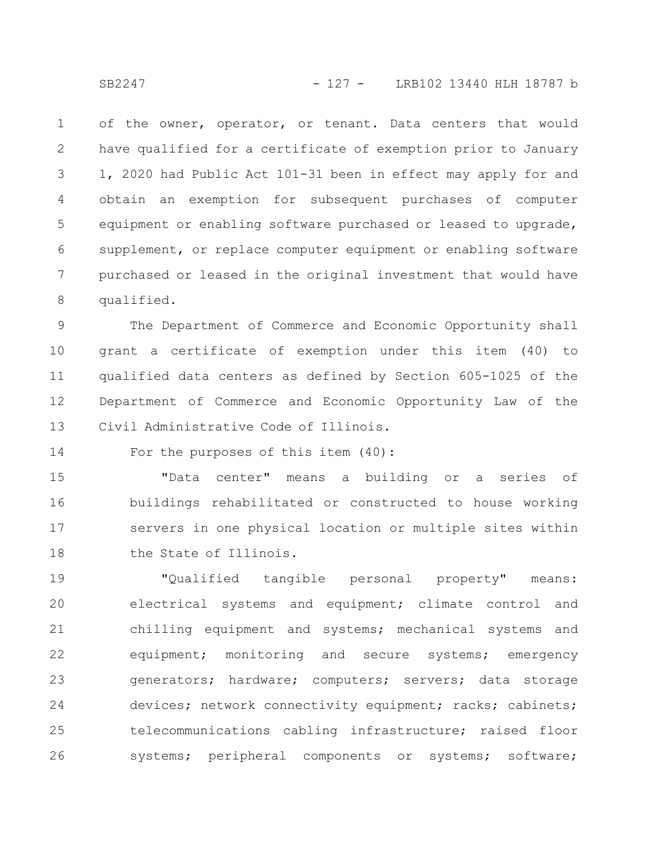of the owner, operator, or tenant. Data centers that would have qualified for a certificate of exemption prior to January 1, 2020 had Public Act 101-31 been in effect may apply for and obtain an exemption for subsequent purchases of computer equipment or enabling software purchased or leased to upgrade, supplement, or replace computer equipment or enabling software purchased or leased in the original investment that would have qualified. 1 2 3 4 5 6 7 8

The Department of Commerce and Economic Opportunity shall grant a certificate of exemption under this item (40) to qualified data centers as defined by Section 605-1025 of the Department of Commerce and Economic Opportunity Law of the Civil Administrative Code of Illinois. 9 10 11 12 13

For the purposes of this item (40): 14

"Data center" means a building or a series of buildings rehabilitated or constructed to house working servers in one physical location or multiple sites within the State of Illinois. 15 16 17 18

"Qualified tangible personal property" means: electrical systems and equipment; climate control and chilling equipment and systems; mechanical systems and equipment; monitoring and secure systems; emergency generators; hardware; computers; servers; data storage devices; network connectivity equipment; racks; cabinets; telecommunications cabling infrastructure; raised floor systems; peripheral components or systems; software; 19 20 21 22 23 24 25 26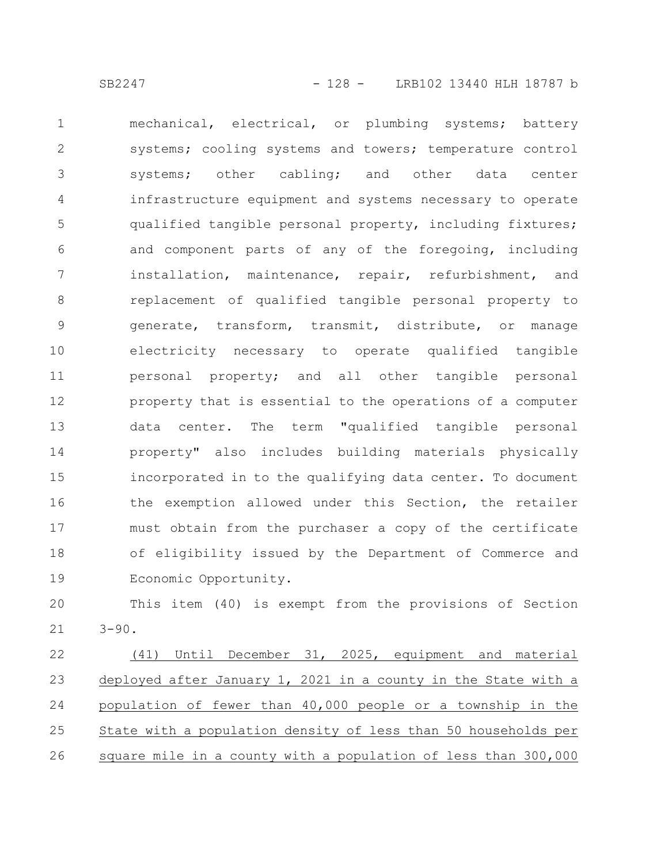mechanical, electrical, or plumbing systems; battery systems; cooling systems and towers; temperature control systems; other cabling; and other data center infrastructure equipment and systems necessary to operate qualified tangible personal property, including fixtures; and component parts of any of the foregoing, including installation, maintenance, repair, refurbishment, and replacement of qualified tangible personal property to generate, transform, transmit, distribute, or manage electricity necessary to operate qualified tangible personal property; and all other tangible personal property that is essential to the operations of a computer data center. The term "qualified tangible personal property" also includes building materials physically incorporated in to the qualifying data center. To document the exemption allowed under this Section, the retailer must obtain from the purchaser a copy of the certificate of eligibility issued by the Department of Commerce and Economic Opportunity. 1 2 3 4 5 6 7 8 9 10 11 12 13 14 15 16 17 18 19

This item (40) is exempt from the provisions of Section  $3 - 90.$ 20 21

(41) Until December 31, 2025, equipment and material deployed after January 1, 2021 in a county in the State with a population of fewer than 40,000 people or a township in the State with a population density of less than 50 households per square mile in a county with a population of less than 300,000 22 23 24 25 26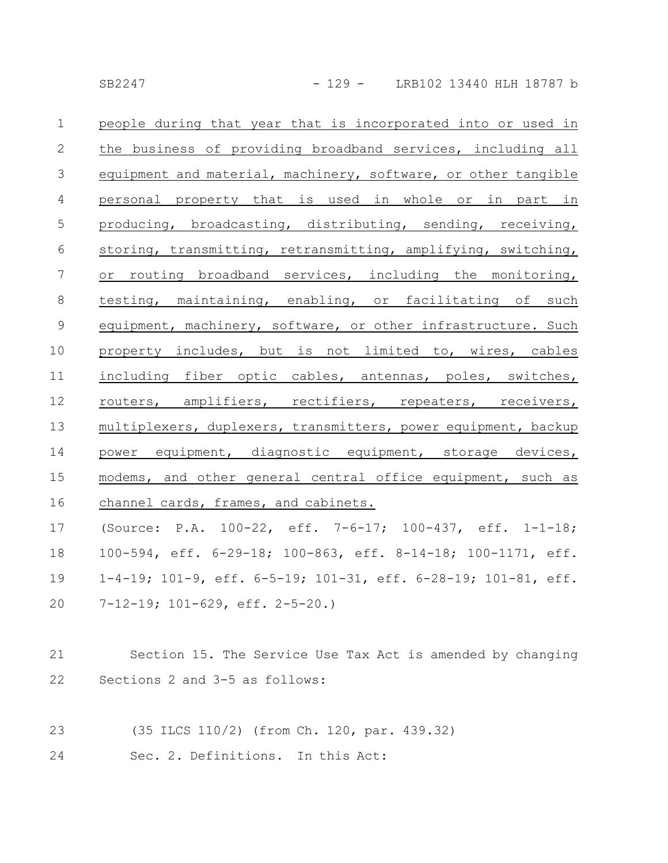| $\mathbf{1}$    | people during that year that is incorporated into or used in                     |
|-----------------|----------------------------------------------------------------------------------|
| $\mathbf{2}$    | the business of providing broadband services, including all                      |
| $\mathfrak{Z}$  | equipment and material, machinery, software, or other tangible                   |
| $\overline{4}$  | personal property that is used in whole or in part in                            |
| $\mathsf S$     | producing, broadcasting, distributing, sending, receiving,                       |
| 6               | storing, transmitting, retransmitting, amplifying, switching,                    |
| $7\phantom{.0}$ | or routing broadband services, including the monitoring,                         |
| $8\,$           | testing, maintaining, enabling, or facilitating of such                          |
| $\mathsf 9$     | equipment, machinery, software, or other infrastructure. Such                    |
| 10              | property includes, but is not limited to, wires, cables                          |
| 11              | including fiber optic cables, antennas, poles, switches,                         |
| 12              | routers, amplifiers, rectifiers, repeaters, receivers,                           |
| 13              | multiplexers, duplexers, transmitters, power equipment, backup                   |
| 14              | power equipment, diagnostic equipment, storage devices,                          |
| 15              | modems, and other general central office equipment, such as                      |
| 16              | channel cards, frames, and cabinets.                                             |
| 17              | (Source: P.A. 100-22, eff. 7-6-17; 100-437, eff. 1-1-18;                         |
| 18              | 100-594, eff. 6-29-18; 100-863, eff. 8-14-18; 100-1171, eff.                     |
| 19              | $1-4-19$ ; $101-9$ , eff. $6-5-19$ ; $101-31$ , eff. $6-28-19$ ; $101-81$ , eff. |
| 20              | 7-12-19; 101-629, eff. 2-5-20.)                                                  |
|                 |                                                                                  |
| 21              | Section 15. The Service Use Tax Act is amended by changing                       |
| 22              | Sections 2 and 3-5 as follows:                                                   |
|                 |                                                                                  |
| 23              | (35 ILCS 110/2) (from Ch. 120, par. 439.32)                                      |
| 24              | Sec. 2. Definitions. In this Act:                                                |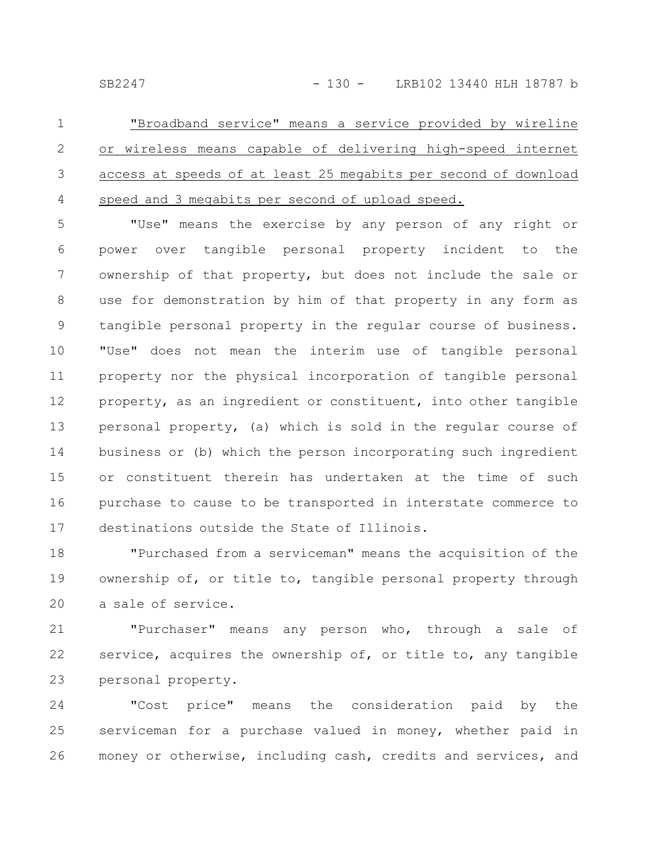"Broadband service" means a service provided by wireline or wireless means capable of delivering high-speed internet access at speeds of at least 25 megabits per second of download speed and 3 megabits per second of upload speed. 1 2 3 4

"Use" means the exercise by any person of any right or power over tangible personal property incident to the ownership of that property, but does not include the sale or use for demonstration by him of that property in any form as tangible personal property in the regular course of business. "Use" does not mean the interim use of tangible personal property nor the physical incorporation of tangible personal property, as an ingredient or constituent, into other tangible personal property, (a) which is sold in the regular course of business or (b) which the person incorporating such ingredient or constituent therein has undertaken at the time of such purchase to cause to be transported in interstate commerce to destinations outside the State of Illinois. 5 6 7 8 9 10 11 12 13 14 15 16 17

"Purchased from a serviceman" means the acquisition of the ownership of, or title to, tangible personal property through a sale of service. 18 19 20

"Purchaser" means any person who, through a sale of service, acquires the ownership of, or title to, any tangible personal property. 21 22 23

"Cost price" means the consideration paid by the serviceman for a purchase valued in money, whether paid in money or otherwise, including cash, credits and services, and 24 25 26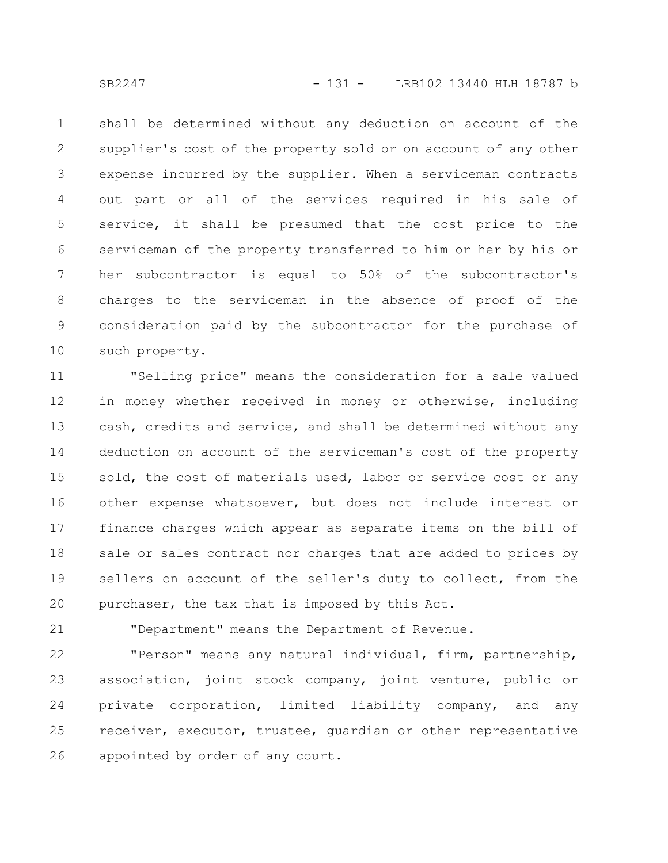shall be determined without any deduction on account of the supplier's cost of the property sold or on account of any other expense incurred by the supplier. When a serviceman contracts out part or all of the services required in his sale of service, it shall be presumed that the cost price to the serviceman of the property transferred to him or her by his or her subcontractor is equal to 50% of the subcontractor's charges to the serviceman in the absence of proof of the consideration paid by the subcontractor for the purchase of such property. 1 2 3 4 5 6 7 8 9 10

"Selling price" means the consideration for a sale valued in money whether received in money or otherwise, including cash, credits and service, and shall be determined without any deduction on account of the serviceman's cost of the property sold, the cost of materials used, labor or service cost or any other expense whatsoever, but does not include interest or finance charges which appear as separate items on the bill of sale or sales contract nor charges that are added to prices by sellers on account of the seller's duty to collect, from the purchaser, the tax that is imposed by this Act. 11 12 13 14 15 16 17 18 19 20

"Department" means the Department of Revenue.

"Person" means any natural individual, firm, partnership, association, joint stock company, joint venture, public or private corporation, limited liability company, and any receiver, executor, trustee, guardian or other representative appointed by order of any court. 22 23 24 25 26

21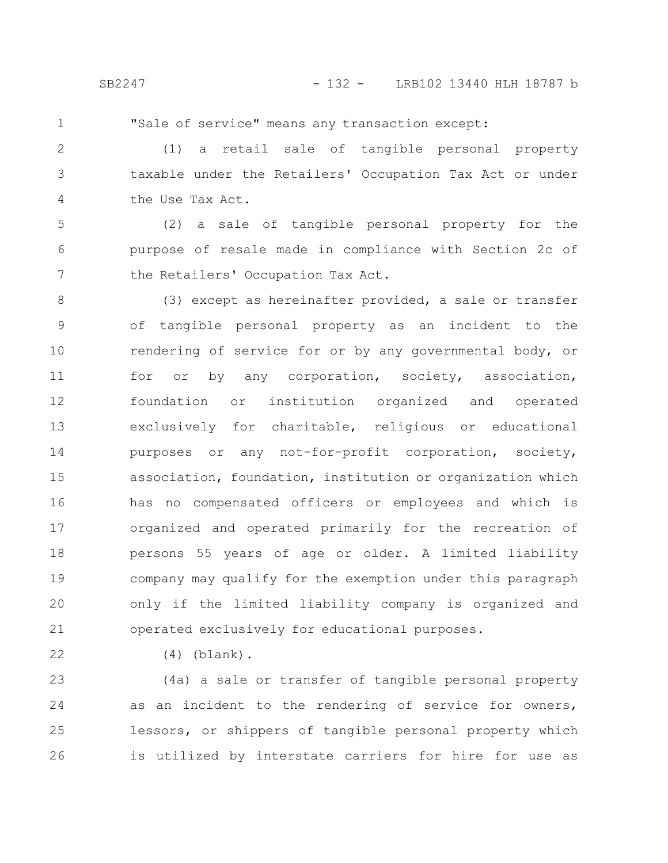1

"Sale of service" means any transaction except:

(1) a retail sale of tangible personal property taxable under the Retailers' Occupation Tax Act or under the Use Tax Act. 2 3 4

(2) a sale of tangible personal property for the purpose of resale made in compliance with Section 2c of the Retailers' Occupation Tax Act. 5 6 7

(3) except as hereinafter provided, a sale or transfer of tangible personal property as an incident to the rendering of service for or by any governmental body, or for or by any corporation, society, association, foundation or institution organized and operated exclusively for charitable, religious or educational purposes or any not-for-profit corporation, society, association, foundation, institution or organization which has no compensated officers or employees and which is organized and operated primarily for the recreation of persons 55 years of age or older. A limited liability company may qualify for the exemption under this paragraph only if the limited liability company is organized and operated exclusively for educational purposes. 8 9 10 11 12 13 14 15 16 17 18 19 20 21

22

(4) (blank).

(4a) a sale or transfer of tangible personal property as an incident to the rendering of service for owners, lessors, or shippers of tangible personal property which is utilized by interstate carriers for hire for use as 23 24 25 26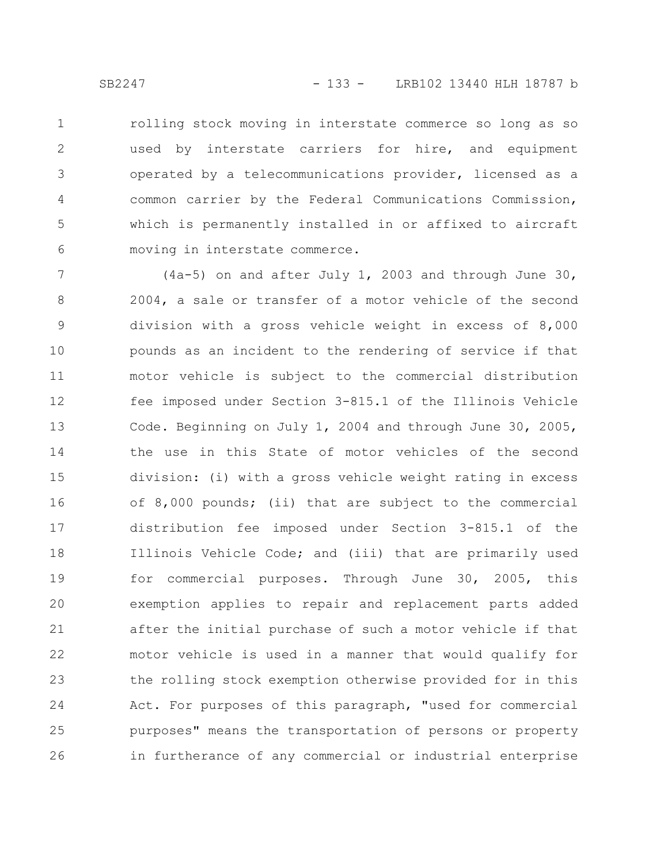rolling stock moving in interstate commerce so long as so used by interstate carriers for hire, and equipment operated by a telecommunications provider, licensed as a common carrier by the Federal Communications Commission, which is permanently installed in or affixed to aircraft moving in interstate commerce. 1 2 3 4 5 6

(4a-5) on and after July 1, 2003 and through June 30, 2004, a sale or transfer of a motor vehicle of the second division with a gross vehicle weight in excess of 8,000 pounds as an incident to the rendering of service if that motor vehicle is subject to the commercial distribution fee imposed under Section 3-815.1 of the Illinois Vehicle Code. Beginning on July 1, 2004 and through June 30, 2005, the use in this State of motor vehicles of the second division: (i) with a gross vehicle weight rating in excess of 8,000 pounds; (ii) that are subject to the commercial distribution fee imposed under Section 3-815.1 of the Illinois Vehicle Code; and (iii) that are primarily used for commercial purposes. Through June 30, 2005, this exemption applies to repair and replacement parts added after the initial purchase of such a motor vehicle if that motor vehicle is used in a manner that would qualify for the rolling stock exemption otherwise provided for in this Act. For purposes of this paragraph, "used for commercial purposes" means the transportation of persons or property in furtherance of any commercial or industrial enterprise 7 8 9 10 11 12 13 14 15 16 17 18 19 20 21 22 23 24 25 26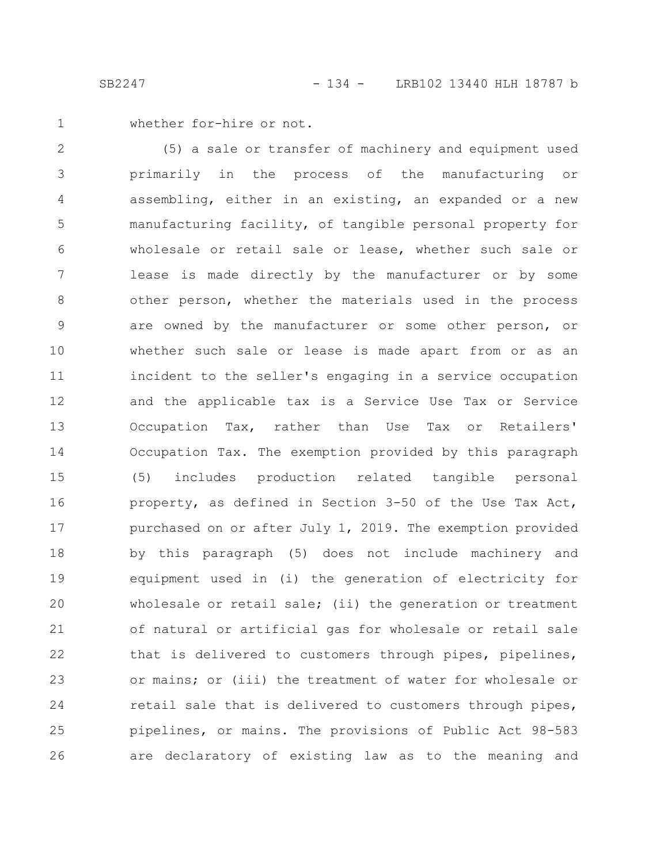whether for-hire or not. 1

(5) a sale or transfer of machinery and equipment used primarily in the process of the manufacturing or assembling, either in an existing, an expanded or a new manufacturing facility, of tangible personal property for wholesale or retail sale or lease, whether such sale or lease is made directly by the manufacturer or by some other person, whether the materials used in the process are owned by the manufacturer or some other person, or whether such sale or lease is made apart from or as an incident to the seller's engaging in a service occupation and the applicable tax is a Service Use Tax or Service Occupation Tax, rather than Use Tax or Retailers' Occupation Tax. The exemption provided by this paragraph (5) includes production related tangible personal property, as defined in Section 3-50 of the Use Tax Act, purchased on or after July 1, 2019. The exemption provided by this paragraph (5) does not include machinery and equipment used in (i) the generation of electricity for wholesale or retail sale; (ii) the generation or treatment of natural or artificial gas for wholesale or retail sale that is delivered to customers through pipes, pipelines, or mains; or (iii) the treatment of water for wholesale or retail sale that is delivered to customers through pipes, pipelines, or mains. The provisions of Public Act 98-583 are declaratory of existing law as to the meaning and 2 3 4 5 6 7 8 9 10 11 12 13 14 15 16 17 18 19 20 21 22 23 24 25 26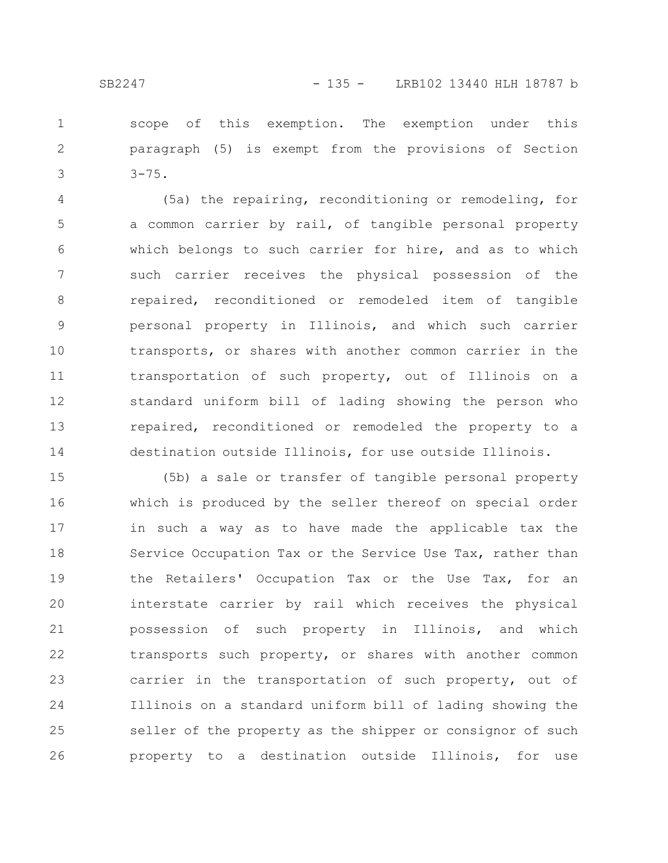scope of this exemption. The exemption under this paragraph (5) is exempt from the provisions of Section  $3 - 75.$ 1 2 3

(5a) the repairing, reconditioning or remodeling, for a common carrier by rail, of tangible personal property which belongs to such carrier for hire, and as to which such carrier receives the physical possession of the repaired, reconditioned or remodeled item of tangible personal property in Illinois, and which such carrier transports, or shares with another common carrier in the transportation of such property, out of Illinois on a standard uniform bill of lading showing the person who repaired, reconditioned or remodeled the property to a destination outside Illinois, for use outside Illinois. 4 5 6 7 8 9 10 11 12 13 14

(5b) a sale or transfer of tangible personal property which is produced by the seller thereof on special order in such a way as to have made the applicable tax the Service Occupation Tax or the Service Use Tax, rather than the Retailers' Occupation Tax or the Use Tax, for an interstate carrier by rail which receives the physical possession of such property in Illinois, and which transports such property, or shares with another common carrier in the transportation of such property, out of Illinois on a standard uniform bill of lading showing the seller of the property as the shipper or consignor of such property to a destination outside Illinois, for use 15 16 17 18 19 20 21 22 23 24 25 26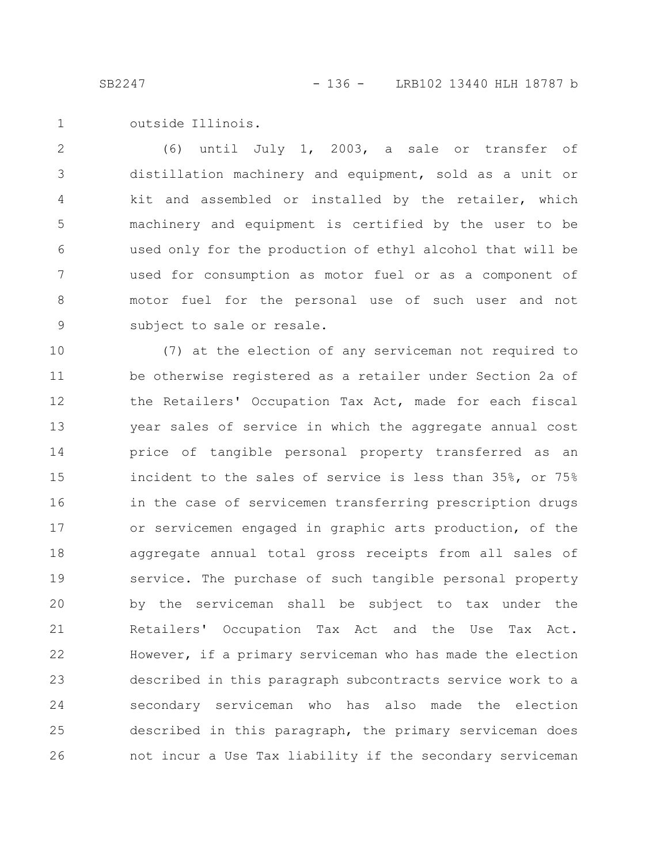outside Illinois. 1

(6) until July 1, 2003, a sale or transfer of distillation machinery and equipment, sold as a unit or kit and assembled or installed by the retailer, which machinery and equipment is certified by the user to be used only for the production of ethyl alcohol that will be used for consumption as motor fuel or as a component of motor fuel for the personal use of such user and not subject to sale or resale. 2 3 4 5 6 7 8 9

(7) at the election of any serviceman not required to be otherwise registered as a retailer under Section 2a of the Retailers' Occupation Tax Act, made for each fiscal year sales of service in which the aggregate annual cost price of tangible personal property transferred as an incident to the sales of service is less than 35%, or 75% in the case of servicemen transferring prescription drugs or servicemen engaged in graphic arts production, of the aggregate annual total gross receipts from all sales of service. The purchase of such tangible personal property by the serviceman shall be subject to tax under the Retailers' Occupation Tax Act and the Use Tax Act. However, if a primary serviceman who has made the election described in this paragraph subcontracts service work to a secondary serviceman who has also made the election described in this paragraph, the primary serviceman does not incur a Use Tax liability if the secondary serviceman 10 11 12 13 14 15 16 17 18 19 20 21 22 23 24 25 26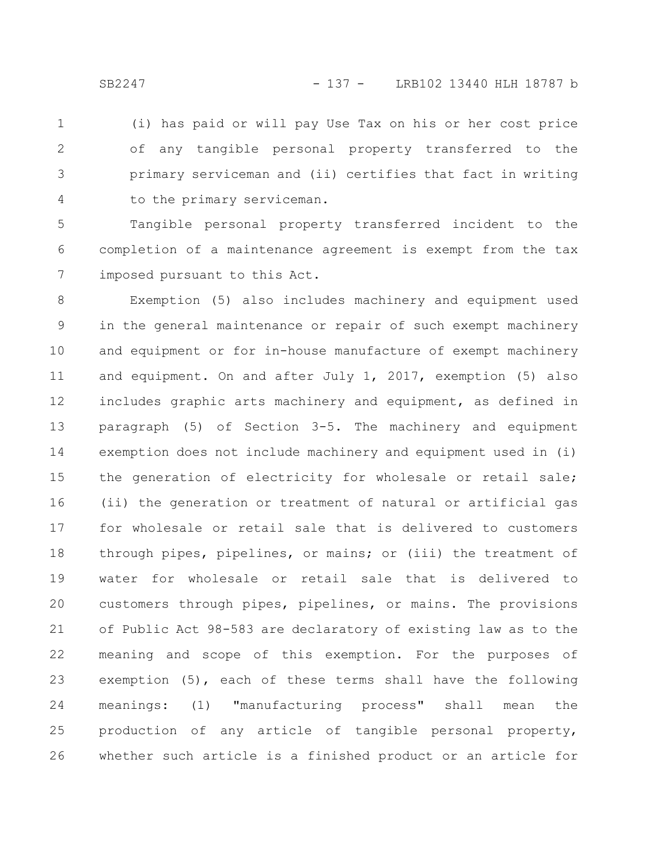(i) has paid or will pay Use Tax on his or her cost price of any tangible personal property transferred to the primary serviceman and (ii) certifies that fact in writing to the primary serviceman. 1 2 3 4

Tangible personal property transferred incident to the completion of a maintenance agreement is exempt from the tax imposed pursuant to this Act. 5 6 7

Exemption (5) also includes machinery and equipment used in the general maintenance or repair of such exempt machinery and equipment or for in-house manufacture of exempt machinery and equipment. On and after July 1, 2017, exemption (5) also includes graphic arts machinery and equipment, as defined in paragraph (5) of Section 3-5. The machinery and equipment exemption does not include machinery and equipment used in (i) the generation of electricity for wholesale or retail sale; (ii) the generation or treatment of natural or artificial gas for wholesale or retail sale that is delivered to customers through pipes, pipelines, or mains; or (iii) the treatment of water for wholesale or retail sale that is delivered to customers through pipes, pipelines, or mains. The provisions of Public Act 98-583 are declaratory of existing law as to the meaning and scope of this exemption. For the purposes of exemption (5), each of these terms shall have the following meanings: (1) "manufacturing process" shall mean the production of any article of tangible personal property, whether such article is a finished product or an article for 8 9 10 11 12 13 14 15 16 17 18 19 20 21 22 23 24 25 26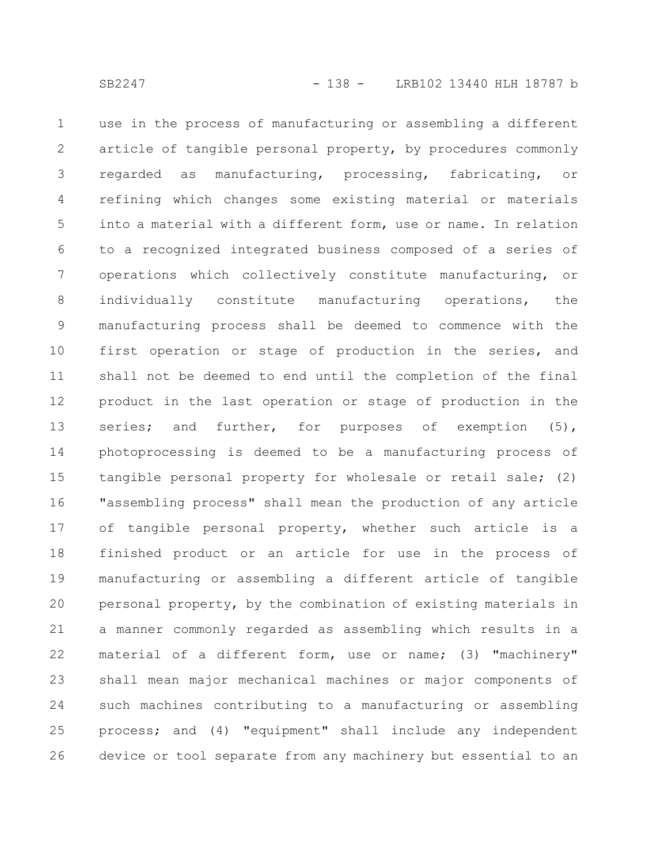use in the process of manufacturing or assembling a different article of tangible personal property, by procedures commonly regarded as manufacturing, processing, fabricating, or refining which changes some existing material or materials into a material with a different form, use or name. In relation to a recognized integrated business composed of a series of operations which collectively constitute manufacturing, or individually constitute manufacturing operations, the manufacturing process shall be deemed to commence with the first operation or stage of production in the series, and shall not be deemed to end until the completion of the final product in the last operation or stage of production in the series; and further, for purposes of exemption (5), photoprocessing is deemed to be a manufacturing process of tangible personal property for wholesale or retail sale; (2) "assembling process" shall mean the production of any article of tangible personal property, whether such article is a finished product or an article for use in the process of manufacturing or assembling a different article of tangible personal property, by the combination of existing materials in a manner commonly regarded as assembling which results in a material of a different form, use or name; (3) "machinery" shall mean major mechanical machines or major components of such machines contributing to a manufacturing or assembling process; and (4) "equipment" shall include any independent device or tool separate from any machinery but essential to an 1 2 3 4 5 6 7 8 9 10 11 12 13 14 15 16 17 18 19 20 21 22 23 24 25 26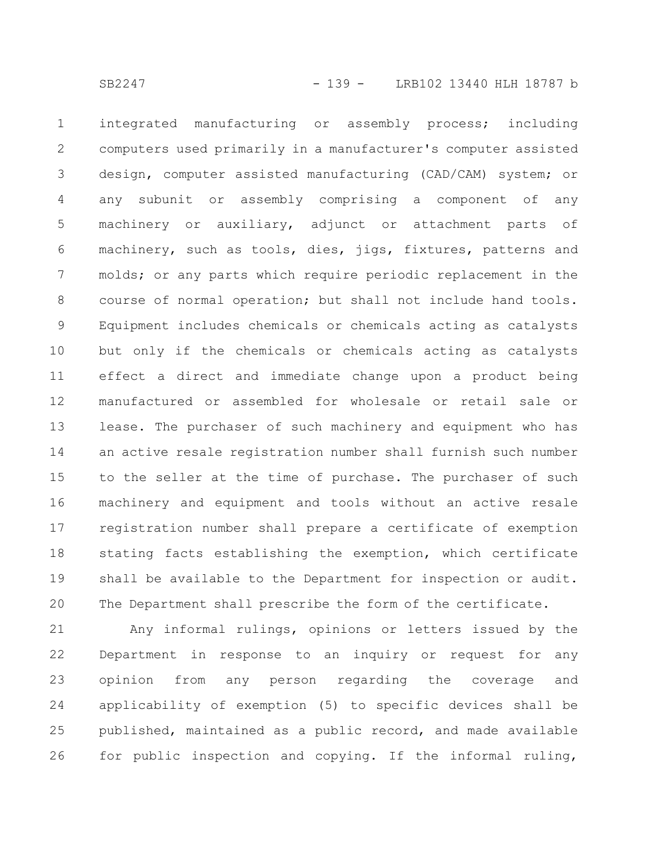integrated manufacturing or assembly process; including computers used primarily in a manufacturer's computer assisted design, computer assisted manufacturing (CAD/CAM) system; or any subunit or assembly comprising a component of any machinery or auxiliary, adjunct or attachment parts of machinery, such as tools, dies, jigs, fixtures, patterns and molds; or any parts which require periodic replacement in the course of normal operation; but shall not include hand tools. Equipment includes chemicals or chemicals acting as catalysts but only if the chemicals or chemicals acting as catalysts effect a direct and immediate change upon a product being manufactured or assembled for wholesale or retail sale or lease. The purchaser of such machinery and equipment who has an active resale registration number shall furnish such number to the seller at the time of purchase. The purchaser of such machinery and equipment and tools without an active resale registration number shall prepare a certificate of exemption stating facts establishing the exemption, which certificate shall be available to the Department for inspection or audit. The Department shall prescribe the form of the certificate. 1 2 3 4 5 6 7 8 9 10 11 12 13 14 15 16 17 18 19 20

Any informal rulings, opinions or letters issued by the Department in response to an inquiry or request for any opinion from any person regarding the coverage and applicability of exemption (5) to specific devices shall be published, maintained as a public record, and made available for public inspection and copying. If the informal ruling, 21 22 23 24 25 26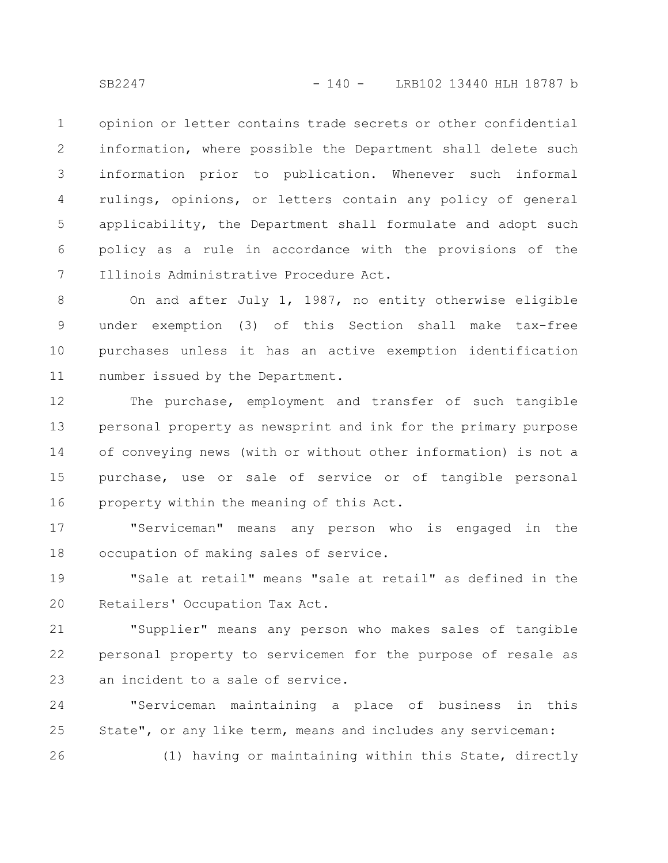opinion or letter contains trade secrets or other confidential information, where possible the Department shall delete such information prior to publication. Whenever such informal rulings, opinions, or letters contain any policy of general applicability, the Department shall formulate and adopt such policy as a rule in accordance with the provisions of the Illinois Administrative Procedure Act. 1 2 3 4 5 6 7

On and after July 1, 1987, no entity otherwise eligible under exemption (3) of this Section shall make tax-free purchases unless it has an active exemption identification number issued by the Department. 8 9 10 11

The purchase, employment and transfer of such tangible personal property as newsprint and ink for the primary purpose of conveying news (with or without other information) is not a purchase, use or sale of service or of tangible personal property within the meaning of this Act. 12 13 14 15 16

"Serviceman" means any person who is engaged in the occupation of making sales of service. 17 18

"Sale at retail" means "sale at retail" as defined in the Retailers' Occupation Tax Act. 19 20

"Supplier" means any person who makes sales of tangible personal property to servicemen for the purpose of resale as an incident to a sale of service. 21 22 23

"Serviceman maintaining a place of business in this State", or any like term, means and includes any serviceman: (1) having or maintaining within this State, directly 24 25 26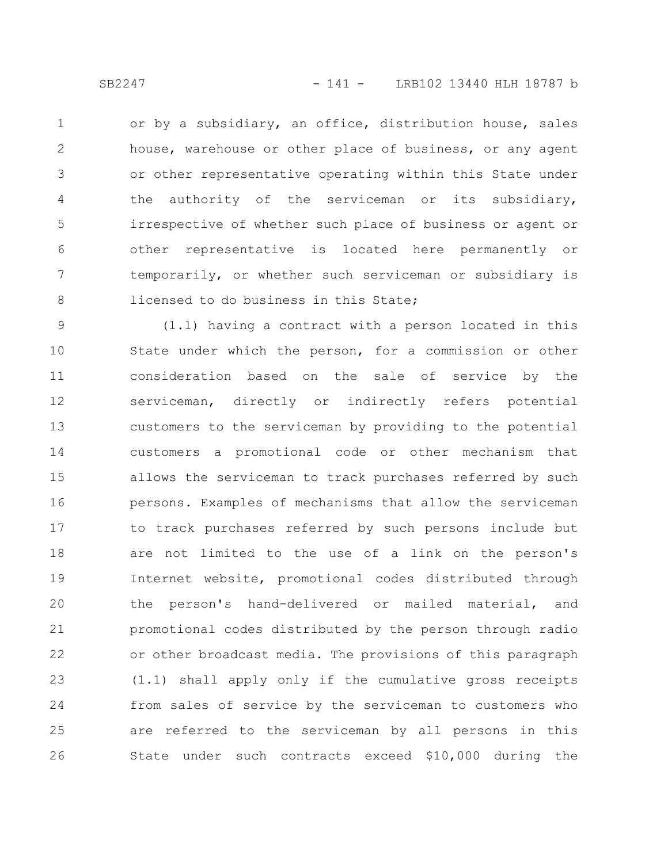or by a subsidiary, an office, distribution house, sales house, warehouse or other place of business, or any agent or other representative operating within this State under the authority of the serviceman or its subsidiary, irrespective of whether such place of business or agent or other representative is located here permanently or temporarily, or whether such serviceman or subsidiary is licensed to do business in this State; 1 2 3 4 5 6 7 8

(1.1) having a contract with a person located in this State under which the person, for a commission or other consideration based on the sale of service by the serviceman, directly or indirectly refers potential customers to the serviceman by providing to the potential customers a promotional code or other mechanism that allows the serviceman to track purchases referred by such persons. Examples of mechanisms that allow the serviceman to track purchases referred by such persons include but are not limited to the use of a link on the person's Internet website, promotional codes distributed through the person's hand-delivered or mailed material, and promotional codes distributed by the person through radio or other broadcast media. The provisions of this paragraph (1.1) shall apply only if the cumulative gross receipts from sales of service by the serviceman to customers who are referred to the serviceman by all persons in this State under such contracts exceed \$10,000 during the 9 10 11 12 13 14 15 16 17 18 19 20 21 22 23 24 25 26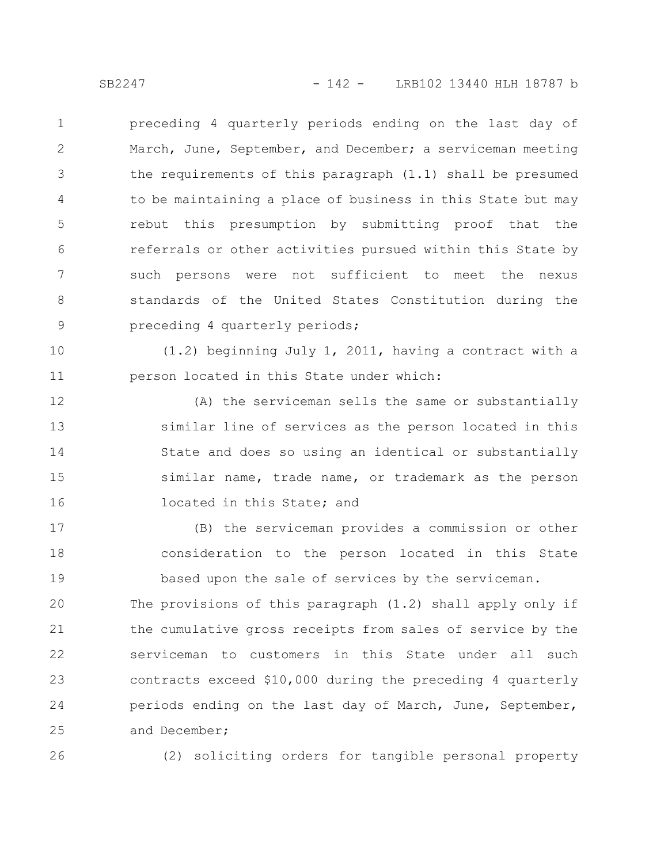preceding 4 quarterly periods ending on the last day of March, June, September, and December; a serviceman meeting the requirements of this paragraph (1.1) shall be presumed to be maintaining a place of business in this State but may rebut this presumption by submitting proof that the referrals or other activities pursued within this State by such persons were not sufficient to meet the nexus standards of the United States Constitution during the preceding 4 quarterly periods; 1 2 3 4 5 6 7 8 9

(1.2) beginning July 1, 2011, having a contract with a person located in this State under which: 10 11

(A) the serviceman sells the same or substantially similar line of services as the person located in this State and does so using an identical or substantially similar name, trade name, or trademark as the person located in this State; and 12 13 14 15 16

(B) the serviceman provides a commission or other consideration to the person located in this State based upon the sale of services by the serviceman. 17 18 19

The provisions of this paragraph (1.2) shall apply only if the cumulative gross receipts from sales of service by the serviceman to customers in this State under all such contracts exceed \$10,000 during the preceding 4 quarterly periods ending on the last day of March, June, September, and December; 20 21 22 23 24 25

26

(2) soliciting orders for tangible personal property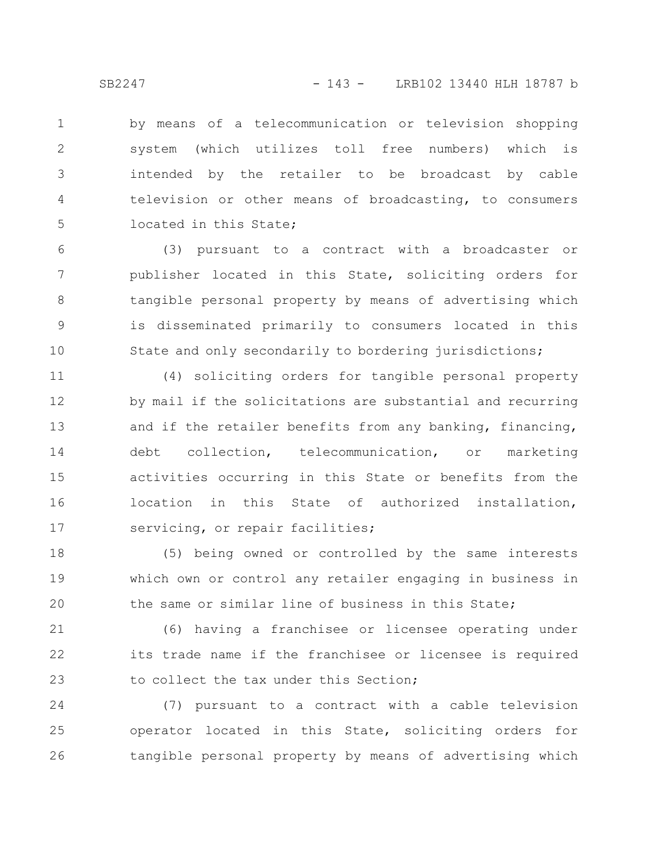by means of a telecommunication or television shopping system (which utilizes toll free numbers) which is intended by the retailer to be broadcast by cable television or other means of broadcasting, to consumers located in this State; 1 2 3 4 5

(3) pursuant to a contract with a broadcaster or publisher located in this State, soliciting orders for tangible personal property by means of advertising which is disseminated primarily to consumers located in this State and only secondarily to bordering jurisdictions; 6 7 8 9 10

(4) soliciting orders for tangible personal property by mail if the solicitations are substantial and recurring and if the retailer benefits from any banking, financing, debt collection, telecommunication, or marketing activities occurring in this State or benefits from the location in this State of authorized installation, servicing, or repair facilities; 11 12 13 14 15 16 17

(5) being owned or controlled by the same interests which own or control any retailer engaging in business in the same or similar line of business in this State; 18 19 20

(6) having a franchisee or licensee operating under its trade name if the franchisee or licensee is required to collect the tax under this Section; 21 22 23

(7) pursuant to a contract with a cable television operator located in this State, soliciting orders for tangible personal property by means of advertising which 24 25 26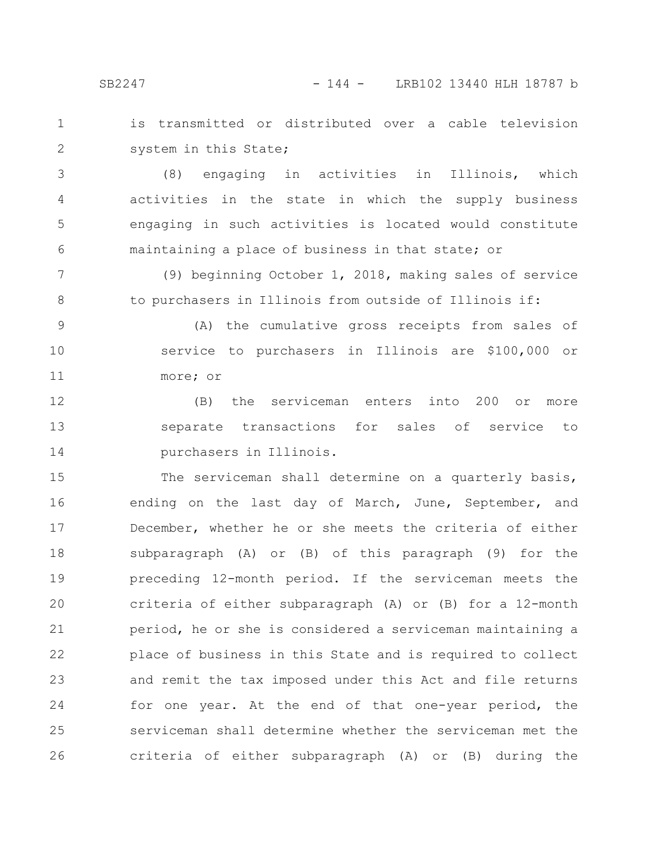SB2247 - 144 - LRB102 13440 HLH 18787 b

is transmitted or distributed over a cable television system in this State; 1 2

(8) engaging in activities in Illinois, which activities in the state in which the supply business engaging in such activities is located would constitute maintaining a place of business in that state; or 3 4 5 6

(9) beginning October 1, 2018, making sales of service to purchasers in Illinois from outside of Illinois if: 7 8

(A) the cumulative gross receipts from sales of service to purchasers in Illinois are \$100,000 or more; or 9 10 11

(B) the serviceman enters into 200 or more separate transactions for sales of service to purchasers in Illinois. 12 13 14

The serviceman shall determine on a quarterly basis, ending on the last day of March, June, September, and December, whether he or she meets the criteria of either subparagraph (A) or (B) of this paragraph (9) for the preceding 12-month period. If the serviceman meets the criteria of either subparagraph (A) or (B) for a 12-month period, he or she is considered a serviceman maintaining a place of business in this State and is required to collect and remit the tax imposed under this Act and file returns for one year. At the end of that one-year period, the serviceman shall determine whether the serviceman met the criteria of either subparagraph (A) or (B) during the 15 16 17 18 19 20 21 22 23 24 25 26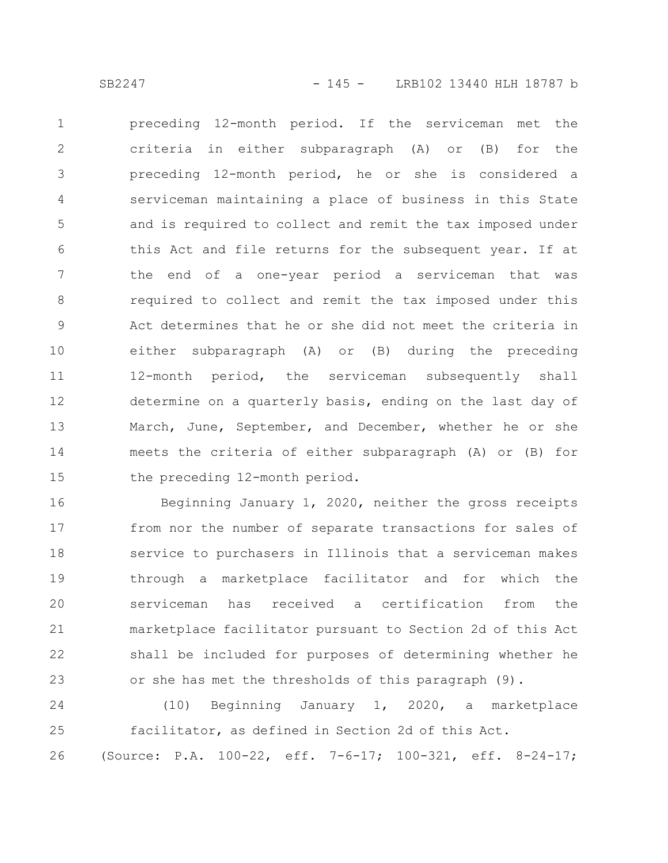preceding 12-month period. If the serviceman met the criteria in either subparagraph (A) or (B) for the preceding 12-month period, he or she is considered a serviceman maintaining a place of business in this State and is required to collect and remit the tax imposed under this Act and file returns for the subsequent year. If at the end of a one-year period a serviceman that was required to collect and remit the tax imposed under this Act determines that he or she did not meet the criteria in either subparagraph (A) or (B) during the preceding 12-month period, the serviceman subsequently shall determine on a quarterly basis, ending on the last day of March, June, September, and December, whether he or she meets the criteria of either subparagraph (A) or (B) for the preceding 12-month period. 1 2 3 4 5 6 7 8 9 10 11 12 13 14 15

Beginning January 1, 2020, neither the gross receipts from nor the number of separate transactions for sales of service to purchasers in Illinois that a serviceman makes through a marketplace facilitator and for which the serviceman has received a certification from the marketplace facilitator pursuant to Section 2d of this Act shall be included for purposes of determining whether he or she has met the thresholds of this paragraph (9). 16 17 18 19 20 21 22 23

(10) Beginning January 1, 2020, a marketplace facilitator, as defined in Section 2d of this Act. (Source: P.A. 100-22, eff. 7-6-17; 100-321, eff. 8-24-17; 24 25 26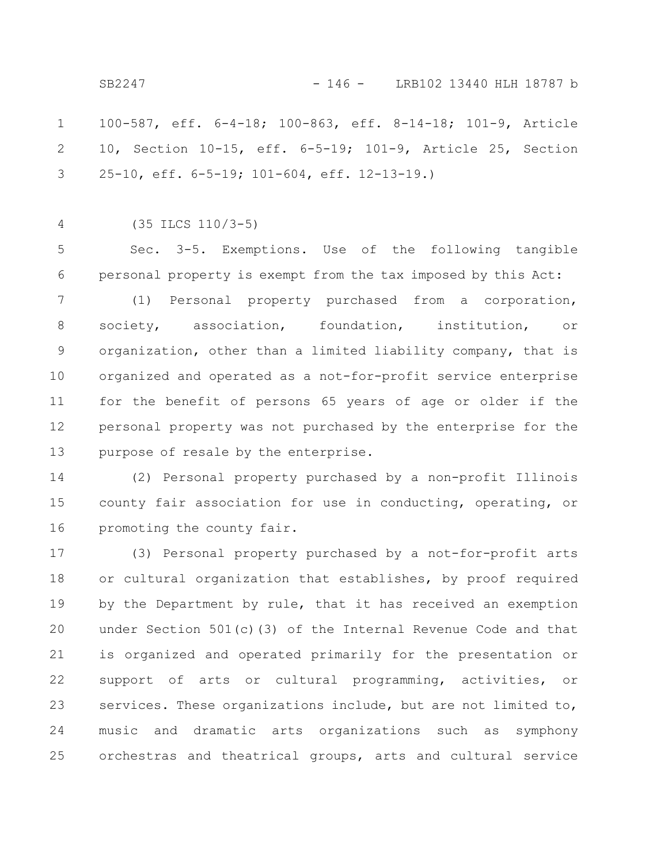SB2247 - 146 - LRB102 13440 HLH 18787 b

100-587, eff. 6-4-18; 100-863, eff. 8-14-18; 101-9, Article 10, Section 10-15, eff. 6-5-19; 101-9, Article 25, Section 25-10, eff. 6-5-19; 101-604, eff. 12-13-19.) 1 2 3

4

(35 ILCS 110/3-5)

Sec. 3-5. Exemptions. Use of the following tangible personal property is exempt from the tax imposed by this Act: 5 6

(1) Personal property purchased from a corporation, society, association, foundation, institution, or organization, other than a limited liability company, that is organized and operated as a not-for-profit service enterprise for the benefit of persons 65 years of age or older if the personal property was not purchased by the enterprise for the purpose of resale by the enterprise. 7 8 9 10 11 12 13

(2) Personal property purchased by a non-profit Illinois county fair association for use in conducting, operating, or promoting the county fair. 14 15 16

(3) Personal property purchased by a not-for-profit arts or cultural organization that establishes, by proof required by the Department by rule, that it has received an exemption under Section 501(c)(3) of the Internal Revenue Code and that is organized and operated primarily for the presentation or support of arts or cultural programming, activities, or services. These organizations include, but are not limited to, music and dramatic arts organizations such as symphony orchestras and theatrical groups, arts and cultural service 17 18 19 20 21 22 23 24 25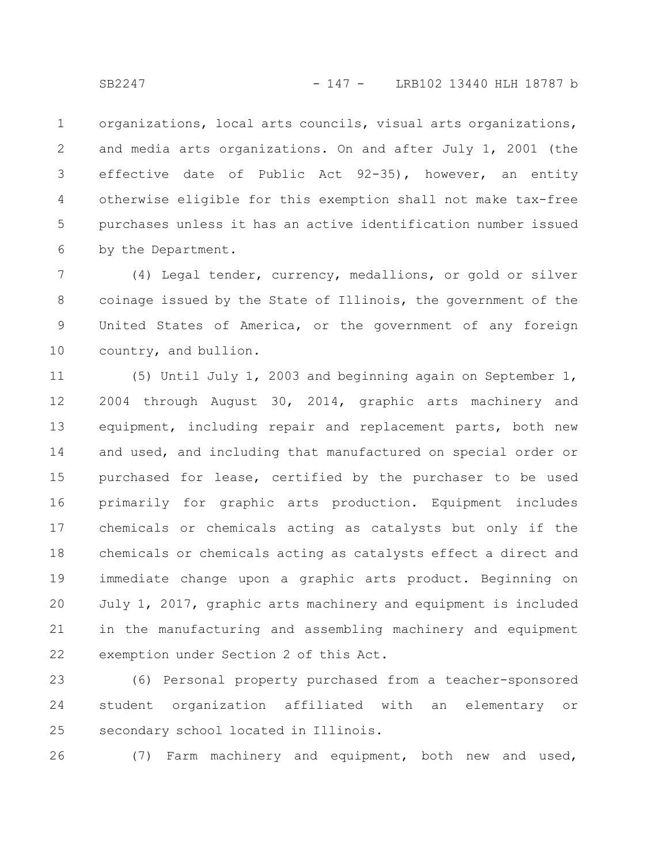organizations, local arts councils, visual arts organizations, and media arts organizations. On and after July 1, 2001 (the effective date of Public Act 92-35), however, an entity otherwise eligible for this exemption shall not make tax-free purchases unless it has an active identification number issued by the Department. 1 2 3 4 5 6

(4) Legal tender, currency, medallions, or gold or silver coinage issued by the State of Illinois, the government of the United States of America, or the government of any foreign country, and bullion. 7 8 9 10

(5) Until July 1, 2003 and beginning again on September 1, 2004 through August 30, 2014, graphic arts machinery and equipment, including repair and replacement parts, both new and used, and including that manufactured on special order or purchased for lease, certified by the purchaser to be used primarily for graphic arts production. Equipment includes chemicals or chemicals acting as catalysts but only if the chemicals or chemicals acting as catalysts effect a direct and immediate change upon a graphic arts product. Beginning on July 1, 2017, graphic arts machinery and equipment is included in the manufacturing and assembling machinery and equipment exemption under Section 2 of this Act. 11 12 13 14 15 16 17 18 19 20 21 22

(6) Personal property purchased from a teacher-sponsored student organization affiliated with an elementary or secondary school located in Illinois. 23 24 25

(7) Farm machinery and equipment, both new and used, 26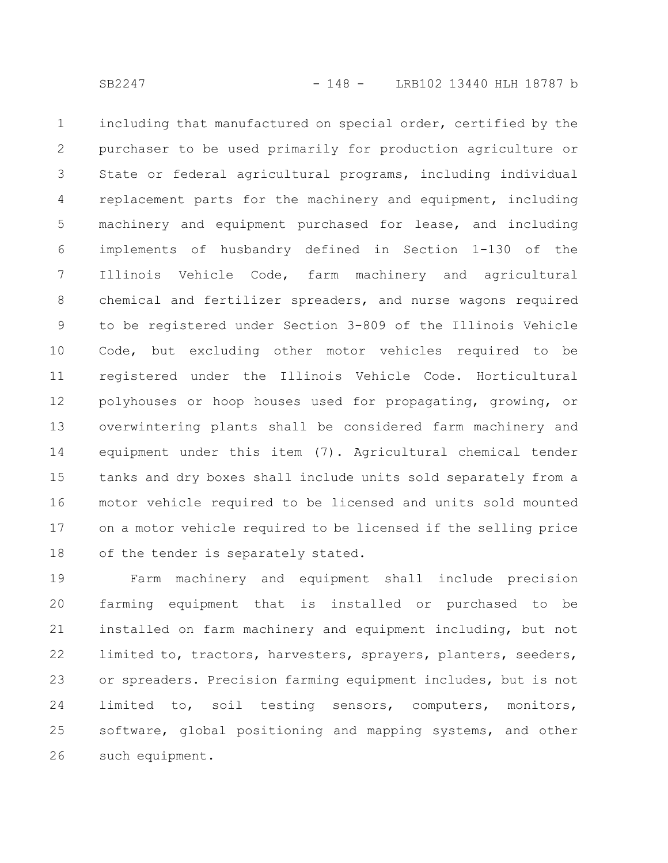including that manufactured on special order, certified by the purchaser to be used primarily for production agriculture or State or federal agricultural programs, including individual replacement parts for the machinery and equipment, including machinery and equipment purchased for lease, and including implements of husbandry defined in Section 1-130 of the Illinois Vehicle Code, farm machinery and agricultural chemical and fertilizer spreaders, and nurse wagons required to be registered under Section 3-809 of the Illinois Vehicle Code, but excluding other motor vehicles required to be registered under the Illinois Vehicle Code. Horticultural polyhouses or hoop houses used for propagating, growing, or overwintering plants shall be considered farm machinery and equipment under this item (7). Agricultural chemical tender tanks and dry boxes shall include units sold separately from a motor vehicle required to be licensed and units sold mounted on a motor vehicle required to be licensed if the selling price of the tender is separately stated. 1 2 3 4 5 6 7 8 9 10 11 12 13 14 15 16 17 18

Farm machinery and equipment shall include precision farming equipment that is installed or purchased to be installed on farm machinery and equipment including, but not limited to, tractors, harvesters, sprayers, planters, seeders, or spreaders. Precision farming equipment includes, but is not limited to, soil testing sensors, computers, monitors, software, global positioning and mapping systems, and other such equipment. 19 20 21 22 23 24 25 26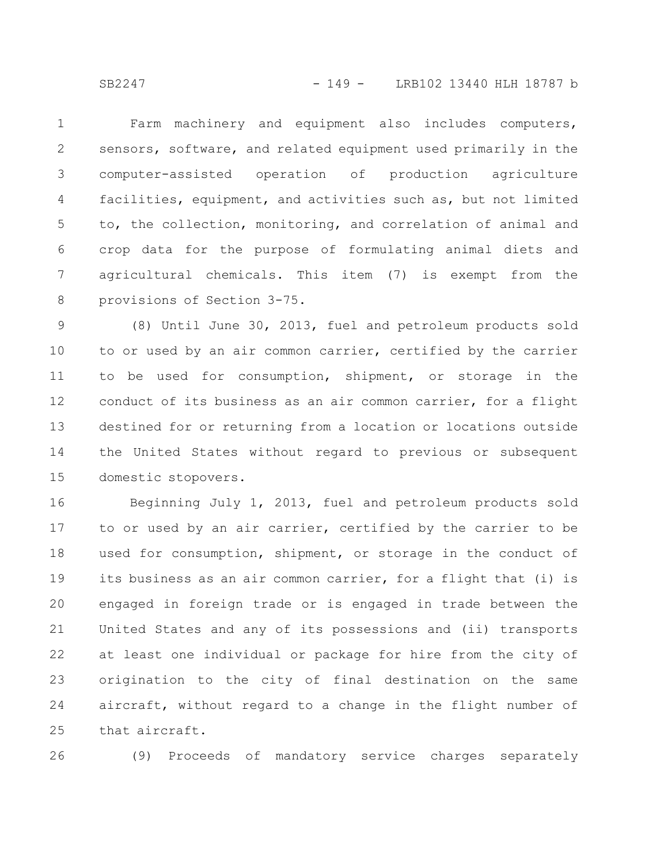Farm machinery and equipment also includes computers, sensors, software, and related equipment used primarily in the computer-assisted operation of production agriculture facilities, equipment, and activities such as, but not limited to, the collection, monitoring, and correlation of animal and crop data for the purpose of formulating animal diets and agricultural chemicals. This item (7) is exempt from the provisions of Section 3-75. 1 2 3 4 5 6 7 8

(8) Until June 30, 2013, fuel and petroleum products sold to or used by an air common carrier, certified by the carrier to be used for consumption, shipment, or storage in the conduct of its business as an air common carrier, for a flight destined for or returning from a location or locations outside the United States without regard to previous or subsequent domestic stopovers. 9 10 11 12 13 14 15

Beginning July 1, 2013, fuel and petroleum products sold to or used by an air carrier, certified by the carrier to be used for consumption, shipment, or storage in the conduct of its business as an air common carrier, for a flight that (i) is engaged in foreign trade or is engaged in trade between the United States and any of its possessions and (ii) transports at least one individual or package for hire from the city of origination to the city of final destination on the same aircraft, without regard to a change in the flight number of that aircraft. 16 17 18 19 20 21 22 23 24 25

26

(9) Proceeds of mandatory service charges separately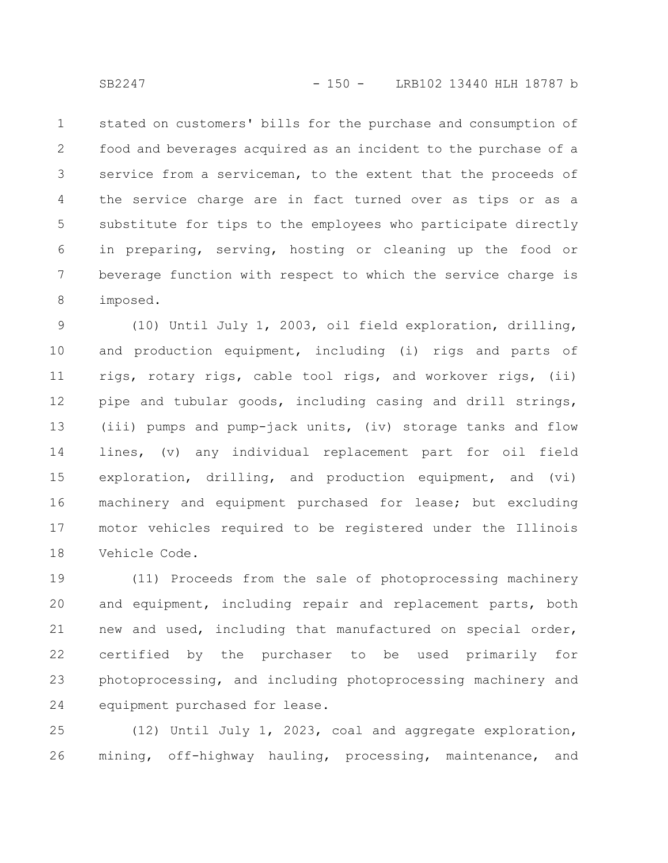stated on customers' bills for the purchase and consumption of food and beverages acquired as an incident to the purchase of a service from a serviceman, to the extent that the proceeds of the service charge are in fact turned over as tips or as a substitute for tips to the employees who participate directly in preparing, serving, hosting or cleaning up the food or beverage function with respect to which the service charge is imposed. 1 2 3 4 5 6 7 8

(10) Until July 1, 2003, oil field exploration, drilling, and production equipment, including (i) rigs and parts of rigs, rotary rigs, cable tool rigs, and workover rigs, (ii) pipe and tubular goods, including casing and drill strings, (iii) pumps and pump-jack units, (iv) storage tanks and flow lines, (v) any individual replacement part for oil field exploration, drilling, and production equipment, and (vi) machinery and equipment purchased for lease; but excluding motor vehicles required to be registered under the Illinois Vehicle Code. 9 10 11 12 13 14 15 16 17 18

(11) Proceeds from the sale of photoprocessing machinery and equipment, including repair and replacement parts, both new and used, including that manufactured on special order, certified by the purchaser to be used primarily for photoprocessing, and including photoprocessing machinery and equipment purchased for lease. 19 20 21 22 23 24

(12) Until July 1, 2023, coal and aggregate exploration, mining, off-highway hauling, processing, maintenance, and 25 26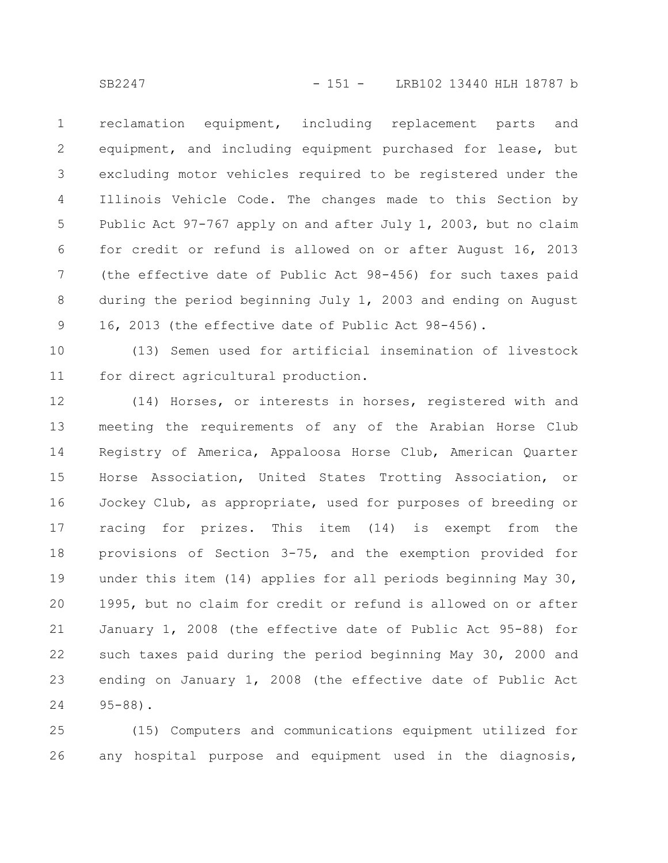reclamation equipment, including replacement parts and equipment, and including equipment purchased for lease, but excluding motor vehicles required to be registered under the Illinois Vehicle Code. The changes made to this Section by Public Act 97-767 apply on and after July 1, 2003, but no claim for credit or refund is allowed on or after August 16, 2013 (the effective date of Public Act 98-456) for such taxes paid during the period beginning July 1, 2003 and ending on August 16, 2013 (the effective date of Public Act 98-456). 1 2 3 4 5 6 7 8 9

(13) Semen used for artificial insemination of livestock for direct agricultural production. 10 11

(14) Horses, or interests in horses, registered with and meeting the requirements of any of the Arabian Horse Club Registry of America, Appaloosa Horse Club, American Quarter Horse Association, United States Trotting Association, or Jockey Club, as appropriate, used for purposes of breeding or racing for prizes. This item (14) is exempt from the provisions of Section 3-75, and the exemption provided for under this item (14) applies for all periods beginning May 30, 1995, but no claim for credit or refund is allowed on or after January 1, 2008 (the effective date of Public Act 95-88) for such taxes paid during the period beginning May 30, 2000 and ending on January 1, 2008 (the effective date of Public Act 95-88). 12 13 14 15 16 17 18 19 20 21 22 23 24

(15) Computers and communications equipment utilized for any hospital purpose and equipment used in the diagnosis, 25 26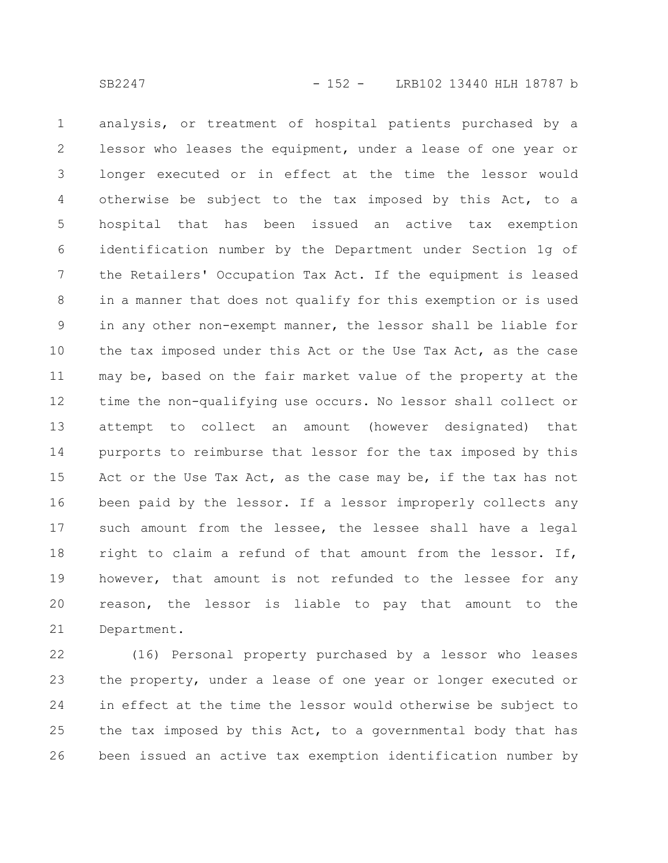analysis, or treatment of hospital patients purchased by a lessor who leases the equipment, under a lease of one year or longer executed or in effect at the time the lessor would otherwise be subject to the tax imposed by this Act, to a hospital that has been issued an active tax exemption identification number by the Department under Section 1g of the Retailers' Occupation Tax Act. If the equipment is leased in a manner that does not qualify for this exemption or is used in any other non-exempt manner, the lessor shall be liable for the tax imposed under this Act or the Use Tax Act, as the case may be, based on the fair market value of the property at the time the non-qualifying use occurs. No lessor shall collect or attempt to collect an amount (however designated) that purports to reimburse that lessor for the tax imposed by this Act or the Use Tax Act, as the case may be, if the tax has not been paid by the lessor. If a lessor improperly collects any such amount from the lessee, the lessee shall have a legal right to claim a refund of that amount from the lessor. If, however, that amount is not refunded to the lessee for any reason, the lessor is liable to pay that amount to the Department. 1 2 3 4 5 6 7 8 9 10 11 12 13 14 15 16 17 18 19 20 21

(16) Personal property purchased by a lessor who leases the property, under a lease of one year or longer executed or in effect at the time the lessor would otherwise be subject to the tax imposed by this Act, to a governmental body that has been issued an active tax exemption identification number by 22 23 24 25 26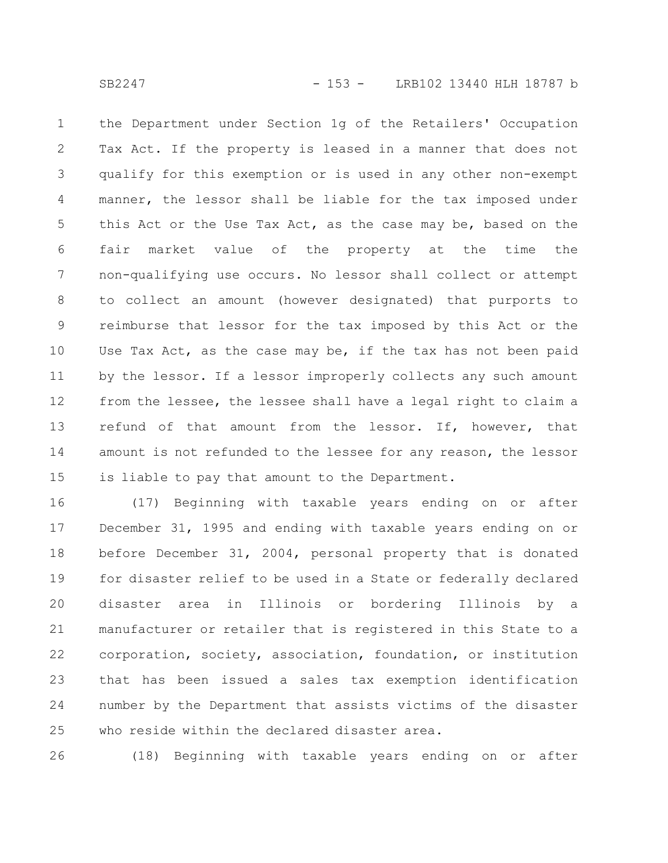the Department under Section 1g of the Retailers' Occupation Tax Act. If the property is leased in a manner that does not qualify for this exemption or is used in any other non-exempt manner, the lessor shall be liable for the tax imposed under this Act or the Use Tax Act, as the case may be, based on the fair market value of the property at the time the non-qualifying use occurs. No lessor shall collect or attempt to collect an amount (however designated) that purports to reimburse that lessor for the tax imposed by this Act or the Use Tax Act, as the case may be, if the tax has not been paid by the lessor. If a lessor improperly collects any such amount from the lessee, the lessee shall have a legal right to claim a refund of that amount from the lessor. If, however, that amount is not refunded to the lessee for any reason, the lessor is liable to pay that amount to the Department. 1 2 3 4 5 6 7 8 9 10 11 12 13 14 15

(17) Beginning with taxable years ending on or after December 31, 1995 and ending with taxable years ending on or before December 31, 2004, personal property that is donated for disaster relief to be used in a State or federally declared disaster area in Illinois or bordering Illinois by a manufacturer or retailer that is registered in this State to a corporation, society, association, foundation, or institution that has been issued a sales tax exemption identification number by the Department that assists victims of the disaster who reside within the declared disaster area. 16 17 18 19 20 21 22 23 24 25

(18) Beginning with taxable years ending on or after 26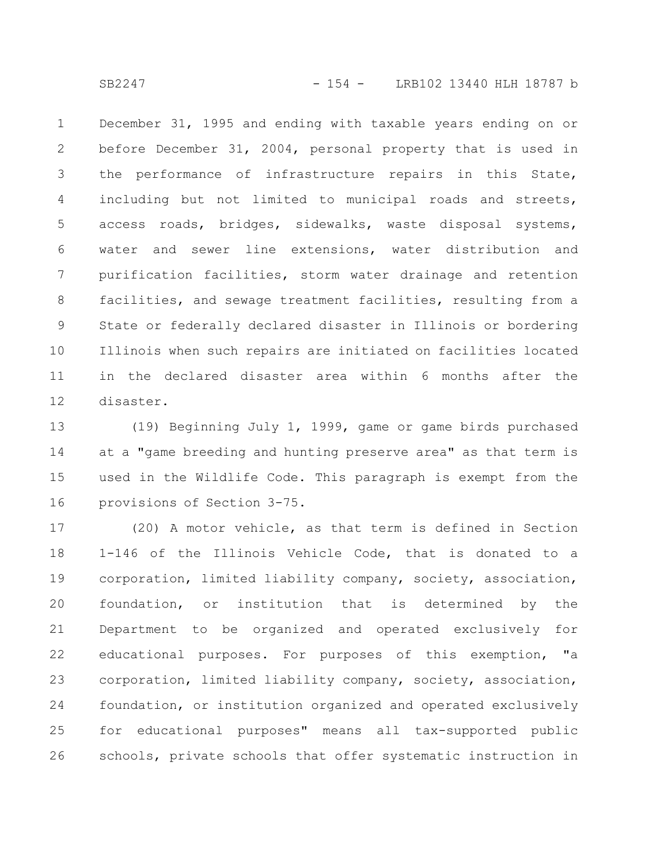December 31, 1995 and ending with taxable years ending on or before December 31, 2004, personal property that is used in the performance of infrastructure repairs in this State, including but not limited to municipal roads and streets, access roads, bridges, sidewalks, waste disposal systems, water and sewer line extensions, water distribution and purification facilities, storm water drainage and retention facilities, and sewage treatment facilities, resulting from a State or federally declared disaster in Illinois or bordering Illinois when such repairs are initiated on facilities located in the declared disaster area within 6 months after the disaster. 1 2 3 4 5 6 7 8 9 10 11 12

(19) Beginning July 1, 1999, game or game birds purchased at a "game breeding and hunting preserve area" as that term is used in the Wildlife Code. This paragraph is exempt from the provisions of Section 3-75. 13 14 15 16

(20) A motor vehicle, as that term is defined in Section 1-146 of the Illinois Vehicle Code, that is donated to a corporation, limited liability company, society, association, foundation, or institution that is determined by the Department to be organized and operated exclusively for educational purposes. For purposes of this exemption, "a corporation, limited liability company, society, association, foundation, or institution organized and operated exclusively for educational purposes" means all tax-supported public schools, private schools that offer systematic instruction in 17 18 19 20 21 22 23 24 25 26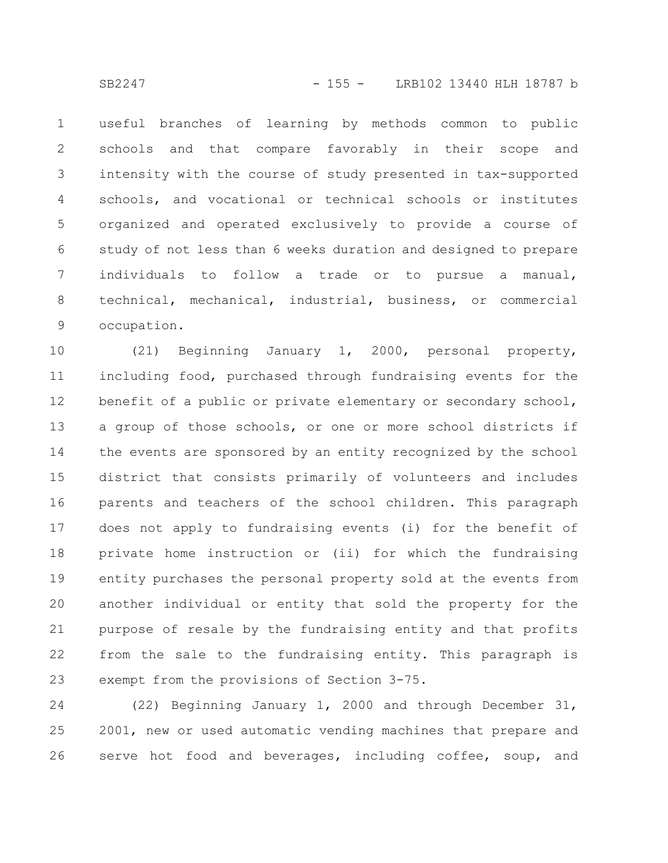useful branches of learning by methods common to public schools and that compare favorably in their scope and intensity with the course of study presented in tax-supported schools, and vocational or technical schools or institutes organized and operated exclusively to provide a course of study of not less than 6 weeks duration and designed to prepare individuals to follow a trade or to pursue a manual, technical, mechanical, industrial, business, or commercial occupation. 1 2 3 4 5 6 7 8 9

(21) Beginning January 1, 2000, personal property, including food, purchased through fundraising events for the benefit of a public or private elementary or secondary school, a group of those schools, or one or more school districts if the events are sponsored by an entity recognized by the school district that consists primarily of volunteers and includes parents and teachers of the school children. This paragraph does not apply to fundraising events (i) for the benefit of private home instruction or (ii) for which the fundraising entity purchases the personal property sold at the events from another individual or entity that sold the property for the purpose of resale by the fundraising entity and that profits from the sale to the fundraising entity. This paragraph is exempt from the provisions of Section 3-75. 10 11 12 13 14 15 16 17 18 19 20 21 22 23

(22) Beginning January 1, 2000 and through December 31, 2001, new or used automatic vending machines that prepare and serve hot food and beverages, including coffee, soup, and 24 25 26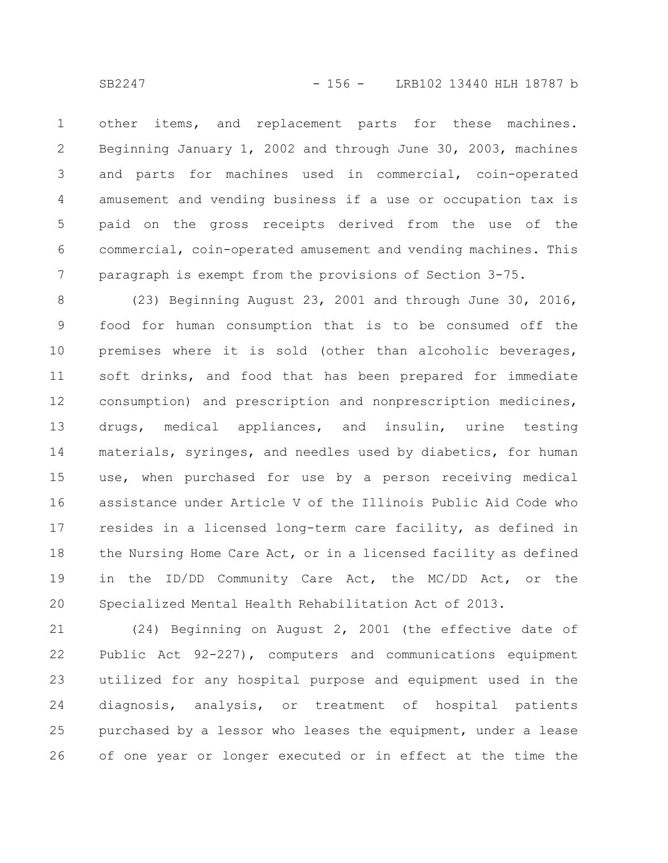other items, and replacement parts for these machines. Beginning January 1, 2002 and through June 30, 2003, machines and parts for machines used in commercial, coin-operated amusement and vending business if a use or occupation tax is paid on the gross receipts derived from the use of the commercial, coin-operated amusement and vending machines. This paragraph is exempt from the provisions of Section 3-75. 1 2 3 4 5 6 7

(23) Beginning August 23, 2001 and through June 30, 2016, food for human consumption that is to be consumed off the premises where it is sold (other than alcoholic beverages, soft drinks, and food that has been prepared for immediate consumption) and prescription and nonprescription medicines, drugs, medical appliances, and insulin, urine testing materials, syringes, and needles used by diabetics, for human use, when purchased for use by a person receiving medical assistance under Article V of the Illinois Public Aid Code who resides in a licensed long-term care facility, as defined in the Nursing Home Care Act, or in a licensed facility as defined in the ID/DD Community Care Act, the MC/DD Act, or the Specialized Mental Health Rehabilitation Act of 2013. 8 9 10 11 12 13 14 15 16 17 18 19 20

(24) Beginning on August 2, 2001 (the effective date of Public Act 92-227), computers and communications equipment utilized for any hospital purpose and equipment used in the diagnosis, analysis, or treatment of hospital patients purchased by a lessor who leases the equipment, under a lease of one year or longer executed or in effect at the time the 21 22 23 24 25 26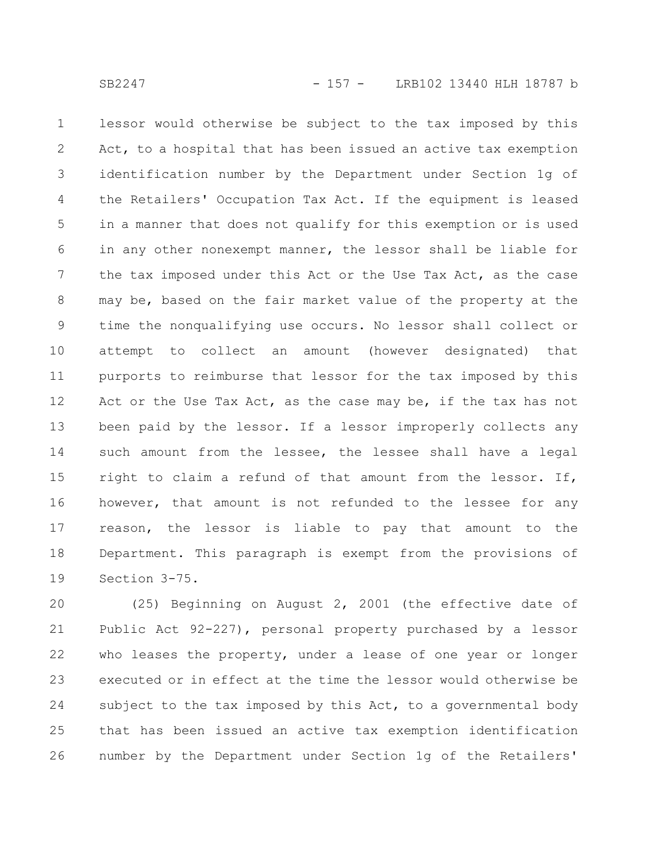lessor would otherwise be subject to the tax imposed by this Act, to a hospital that has been issued an active tax exemption identification number by the Department under Section 1g of the Retailers' Occupation Tax Act. If the equipment is leased in a manner that does not qualify for this exemption or is used in any other nonexempt manner, the lessor shall be liable for the tax imposed under this Act or the Use Tax Act, as the case may be, based on the fair market value of the property at the time the nonqualifying use occurs. No lessor shall collect or attempt to collect an amount (however designated) that purports to reimburse that lessor for the tax imposed by this Act or the Use Tax Act, as the case may be, if the tax has not been paid by the lessor. If a lessor improperly collects any such amount from the lessee, the lessee shall have a legal right to claim a refund of that amount from the lessor. If, however, that amount is not refunded to the lessee for any reason, the lessor is liable to pay that amount to the Department. This paragraph is exempt from the provisions of Section 3-75. 1 2 3 4 5 6 7 8 9 10 11 12 13 14 15 16 17 18 19

(25) Beginning on August 2, 2001 (the effective date of Public Act 92-227), personal property purchased by a lessor who leases the property, under a lease of one year or longer executed or in effect at the time the lessor would otherwise be subject to the tax imposed by this Act, to a governmental body that has been issued an active tax exemption identification number by the Department under Section 1g of the Retailers' 20 21 22 23 24 25 26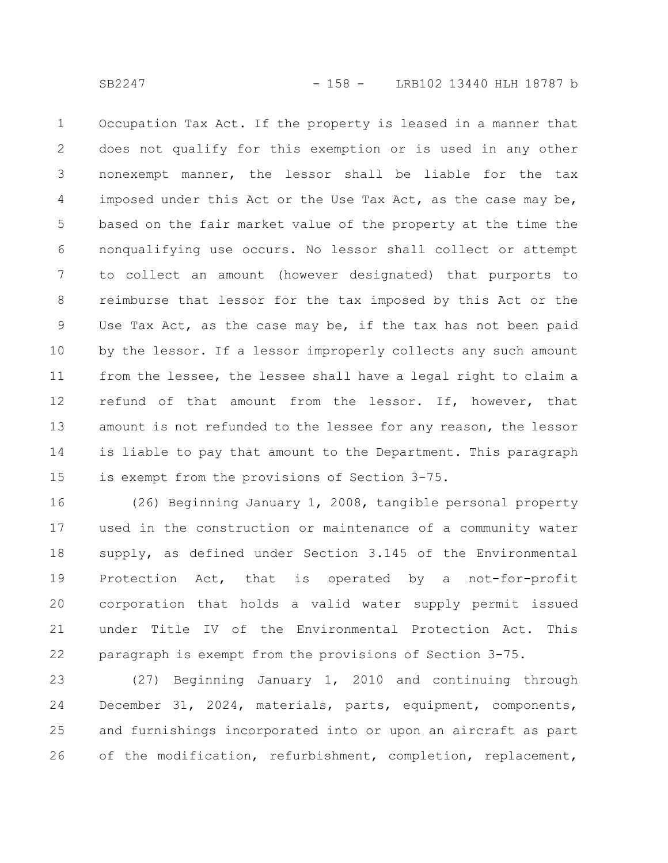Occupation Tax Act. If the property is leased in a manner that does not qualify for this exemption or is used in any other nonexempt manner, the lessor shall be liable for the tax imposed under this Act or the Use Tax Act, as the case may be, based on the fair market value of the property at the time the nonqualifying use occurs. No lessor shall collect or attempt to collect an amount (however designated) that purports to reimburse that lessor for the tax imposed by this Act or the Use Tax Act, as the case may be, if the tax has not been paid by the lessor. If a lessor improperly collects any such amount from the lessee, the lessee shall have a legal right to claim a refund of that amount from the lessor. If, however, that amount is not refunded to the lessee for any reason, the lessor is liable to pay that amount to the Department. This paragraph is exempt from the provisions of Section 3-75. 1 2 3 4 5 6 7 8 9 10 11 12 13 14 15

(26) Beginning January 1, 2008, tangible personal property used in the construction or maintenance of a community water supply, as defined under Section 3.145 of the Environmental Protection Act, that is operated by a not-for-profit corporation that holds a valid water supply permit issued under Title IV of the Environmental Protection Act. This paragraph is exempt from the provisions of Section 3-75. 16 17 18 19 20 21 22

(27) Beginning January 1, 2010 and continuing through December 31, 2024, materials, parts, equipment, components, and furnishings incorporated into or upon an aircraft as part of the modification, refurbishment, completion, replacement, 23 24 25 26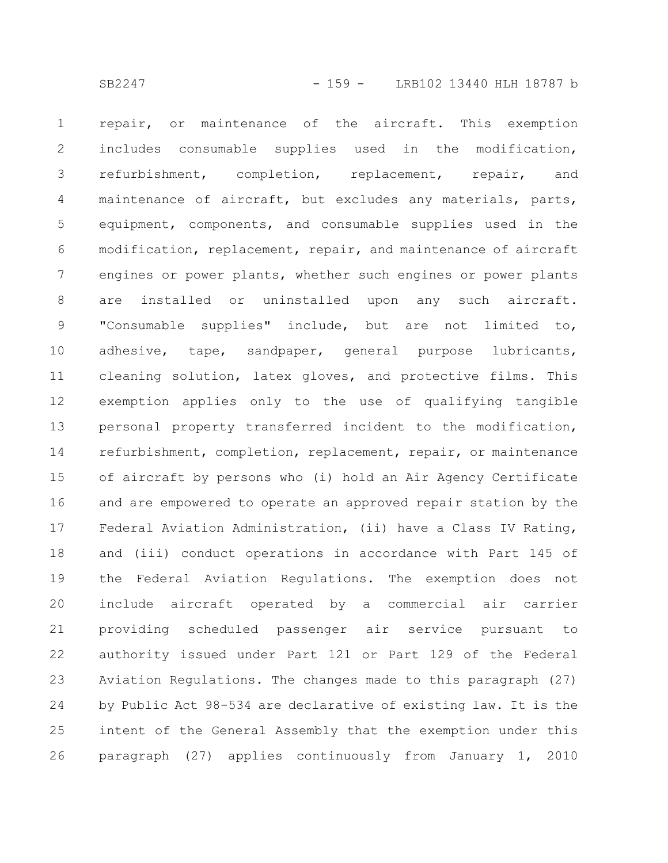repair, or maintenance of the aircraft. This exemption includes consumable supplies used in the modification, refurbishment, completion, replacement, repair, and maintenance of aircraft, but excludes any materials, parts, equipment, components, and consumable supplies used in the modification, replacement, repair, and maintenance of aircraft engines or power plants, whether such engines or power plants are installed or uninstalled upon any such aircraft. "Consumable supplies" include, but are not limited to, adhesive, tape, sandpaper, general purpose lubricants, cleaning solution, latex gloves, and protective films. This exemption applies only to the use of qualifying tangible personal property transferred incident to the modification, refurbishment, completion, replacement, repair, or maintenance of aircraft by persons who (i) hold an Air Agency Certificate and are empowered to operate an approved repair station by the Federal Aviation Administration, (ii) have a Class IV Rating, and (iii) conduct operations in accordance with Part 145 of the Federal Aviation Regulations. The exemption does not include aircraft operated by a commercial air carrier providing scheduled passenger air service pursuant to authority issued under Part 121 or Part 129 of the Federal Aviation Regulations. The changes made to this paragraph (27) by Public Act 98-534 are declarative of existing law. It is the intent of the General Assembly that the exemption under this paragraph (27) applies continuously from January 1, 2010 1 2 3 4 5 6 7 8 9 10 11 12 13 14 15 16 17 18 19 20 21 22 23 24 25 26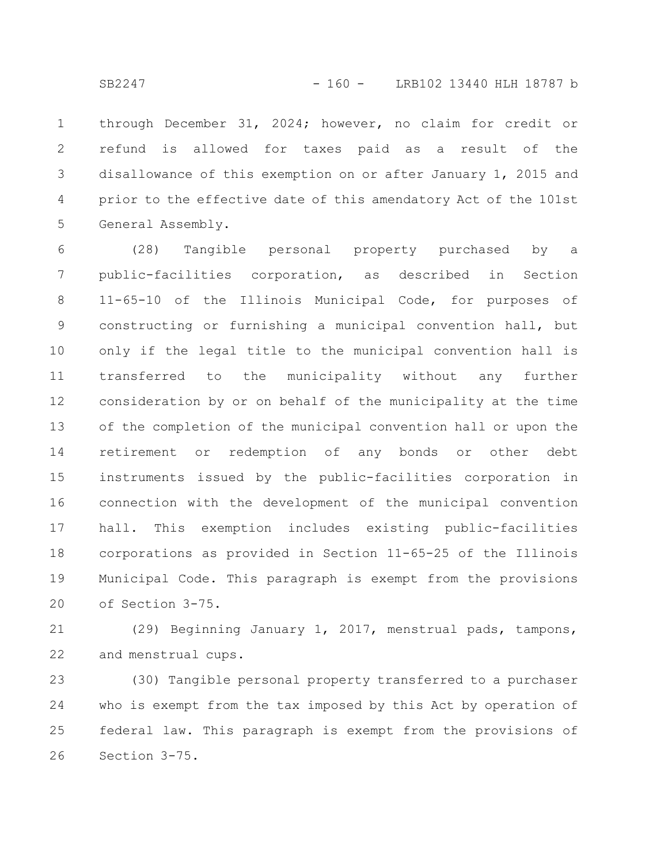through December 31, 2024; however, no claim for credit or refund is allowed for taxes paid as a result of the disallowance of this exemption on or after January 1, 2015 and prior to the effective date of this amendatory Act of the 101st General Assembly. 1 2 3 4 5

(28) Tangible personal property purchased by a public-facilities corporation, as described in Section 11-65-10 of the Illinois Municipal Code, for purposes of constructing or furnishing a municipal convention hall, but only if the legal title to the municipal convention hall is transferred to the municipality without any further consideration by or on behalf of the municipality at the time of the completion of the municipal convention hall or upon the retirement or redemption of any bonds or other debt instruments issued by the public-facilities corporation in connection with the development of the municipal convention hall. This exemption includes existing public-facilities corporations as provided in Section 11-65-25 of the Illinois Municipal Code. This paragraph is exempt from the provisions of Section 3-75. 6 7 8 9 10 11 12 13 14 15 16 17 18 19 20

(29) Beginning January 1, 2017, menstrual pads, tampons, and menstrual cups. 21 22

(30) Tangible personal property transferred to a purchaser who is exempt from the tax imposed by this Act by operation of federal law. This paragraph is exempt from the provisions of Section 3-75. 23 24 25 26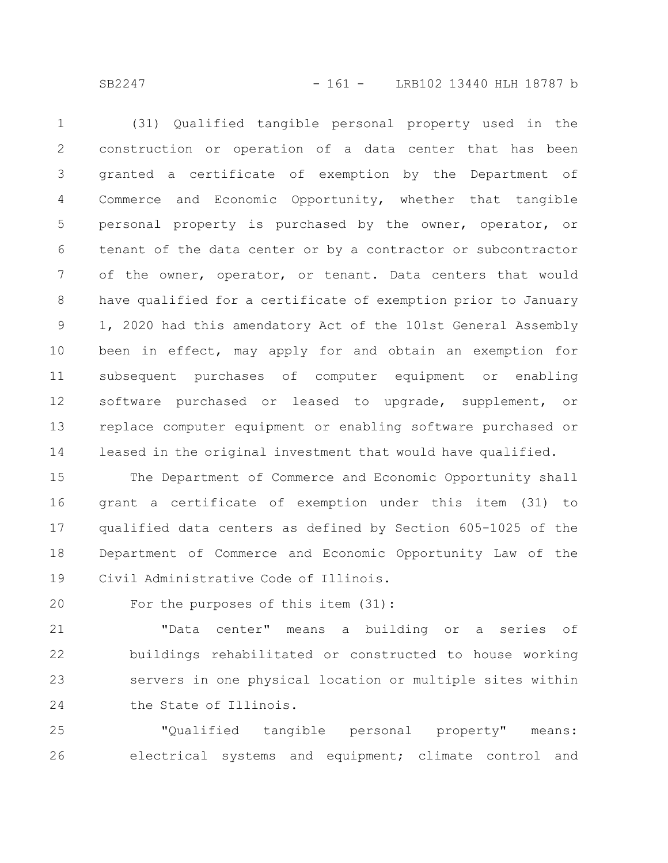SB2247 - 161 - LRB102 13440 HLH 18787 b

(31) Qualified tangible personal property used in the construction or operation of a data center that has been granted a certificate of exemption by the Department of Commerce and Economic Opportunity, whether that tangible personal property is purchased by the owner, operator, or tenant of the data center or by a contractor or subcontractor of the owner, operator, or tenant. Data centers that would have qualified for a certificate of exemption prior to January 1, 2020 had this amendatory Act of the 101st General Assembly been in effect, may apply for and obtain an exemption for subsequent purchases of computer equipment or enabling software purchased or leased to upgrade, supplement, or replace computer equipment or enabling software purchased or leased in the original investment that would have qualified. 1 2 3 4 5 6 7 8 9 10 11 12 13 14

The Department of Commerce and Economic Opportunity shall grant a certificate of exemption under this item (31) to qualified data centers as defined by Section 605-1025 of the Department of Commerce and Economic Opportunity Law of the Civil Administrative Code of Illinois. 15 16 17 18 19

For the purposes of this item (31): 20

"Data center" means a building or a series of buildings rehabilitated or constructed to house working servers in one physical location or multiple sites within the State of Illinois. 21 22 23 24

"Qualified tangible personal property" means: electrical systems and equipment; climate control and 25 26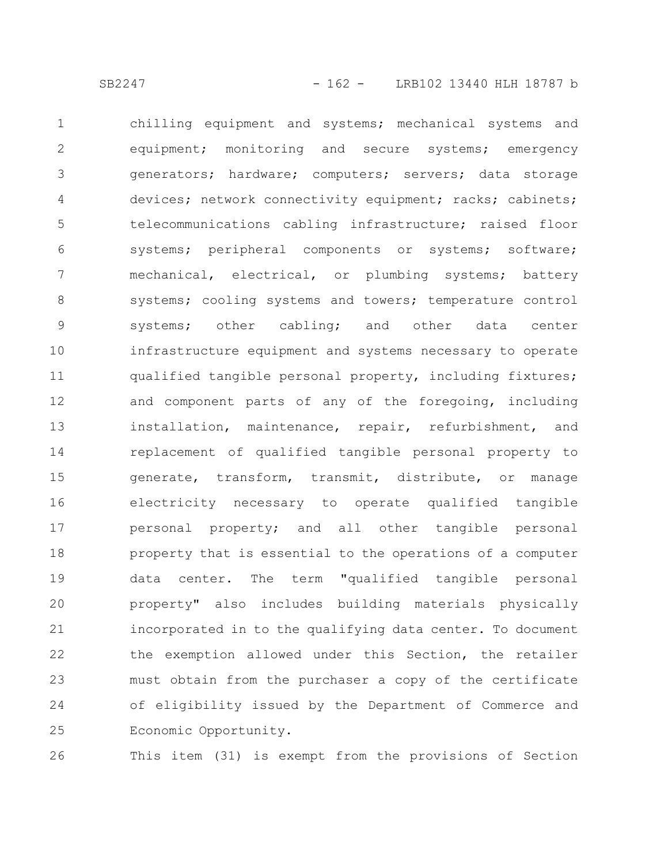chilling equipment and systems; mechanical systems and equipment; monitoring and secure systems; emergency generators; hardware; computers; servers; data storage devices; network connectivity equipment; racks; cabinets; telecommunications cabling infrastructure; raised floor systems; peripheral components or systems; software; mechanical, electrical, or plumbing systems; battery systems; cooling systems and towers; temperature control systems; other cabling; and other data center infrastructure equipment and systems necessary to operate qualified tangible personal property, including fixtures; and component parts of any of the foregoing, including installation, maintenance, repair, refurbishment, and replacement of qualified tangible personal property to generate, transform, transmit, distribute, or manage electricity necessary to operate qualified tangible personal property; and all other tangible personal property that is essential to the operations of a computer data center. The term "qualified tangible personal property" also includes building materials physically incorporated in to the qualifying data center. To document the exemption allowed under this Section, the retailer must obtain from the purchaser a copy of the certificate of eligibility issued by the Department of Commerce and Economic Opportunity. 1 2 3 4 5 6 7 8 9 10 11 12 13 14 15 16 17 18 19 20 21 22 23 24 25

26

This item (31) is exempt from the provisions of Section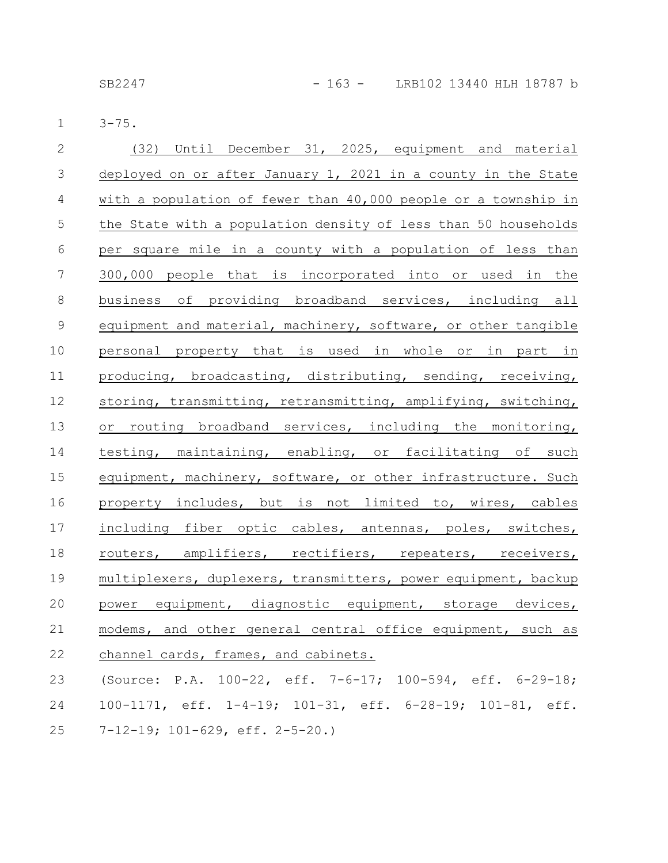SB2247 - 163 - LRB102 13440 HLH 18787 b

3-75. 1

| $\overline{2}$ | (32) Until December 31, 2025, equipment and material           |
|----------------|----------------------------------------------------------------|
| $\mathfrak{Z}$ | deployed on or after January 1, 2021 in a county in the State  |
| $\overline{4}$ | with a population of fewer than 40,000 people or a township in |
| $\mathsf S$    | the State with a population density of less than 50 households |
| $6\,$          | per square mile in a county with a population of less than     |
| $\overline{7}$ | 300,000 people that is incorporated into or used in the        |
| $\,8\,$        | business of providing broadband services, including all        |
| $\mathcal{G}$  | equipment and material, machinery, software, or other tangible |
| 10             | personal property that is used in whole or in part in          |
| 11             | producing, broadcasting, distributing, sending, receiving,     |
| 12             | storing, transmitting, retransmitting, amplifying, switching,  |
| 13             | or routing broadband services, including the monitoring,       |
| 14             | testing, maintaining, enabling, or facilitating of such        |
| 15             | equipment, machinery, software, or other infrastructure. Such  |
| 16             | property includes, but is not limited to, wires, cables        |
| 17             | including fiber optic cables, antennas, poles, switches,       |
| 18             | routers, amplifiers, rectifiers, repeaters, receivers,         |
| 19             | multiplexers, duplexers, transmitters, power equipment, backup |
| 20             | power equipment, diagnostic equipment, storage devices,        |
| 21             | modems, and other general central office equipment, such as    |
| 22             | channel cards, frames, and cabinets.                           |
| 23             | (Source: P.A. 100-22, eff. 7-6-17; 100-594, eff. 6-29-18;      |
| 24             | 100-1171, eff. 1-4-19; 101-31, eff. 6-28-19; 101-81, eff.      |
|                |                                                                |

7-12-19; 101-629, eff. 2-5-20.) 25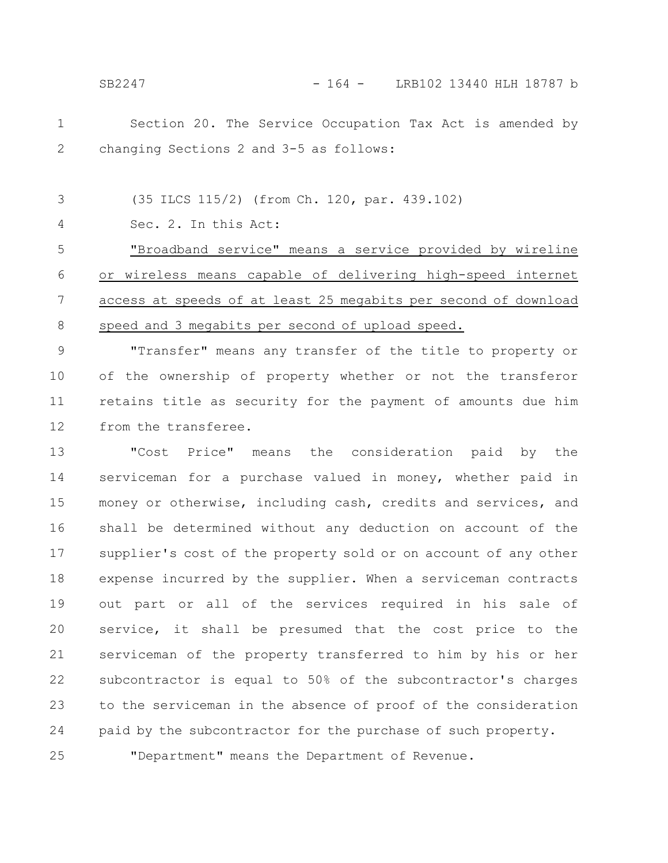25

Section 20. The Service Occupation Tax Act is amended by changing Sections 2 and 3-5 as follows: 1 2

(35 ILCS 115/2) (from Ch. 120, par. 439.102) 3

Sec. 2. In this Act: 4

"Broadband service" means a service provided by wireline or wireless means capable of delivering high-speed internet access at speeds of at least 25 megabits per second of download speed and 3 megabits per second of upload speed. 5 6 7 8

"Transfer" means any transfer of the title to property or of the ownership of property whether or not the transferor retains title as security for the payment of amounts due him from the transferee. 9 10 11 12

"Cost Price" means the consideration paid by the serviceman for a purchase valued in money, whether paid in money or otherwise, including cash, credits and services, and shall be determined without any deduction on account of the supplier's cost of the property sold or on account of any other expense incurred by the supplier. When a serviceman contracts out part or all of the services required in his sale of service, it shall be presumed that the cost price to the serviceman of the property transferred to him by his or her subcontractor is equal to 50% of the subcontractor's charges to the serviceman in the absence of proof of the consideration paid by the subcontractor for the purchase of such property. 13 14 15 16 17 18 19 20 21 22 23 24

"Department" means the Department of Revenue.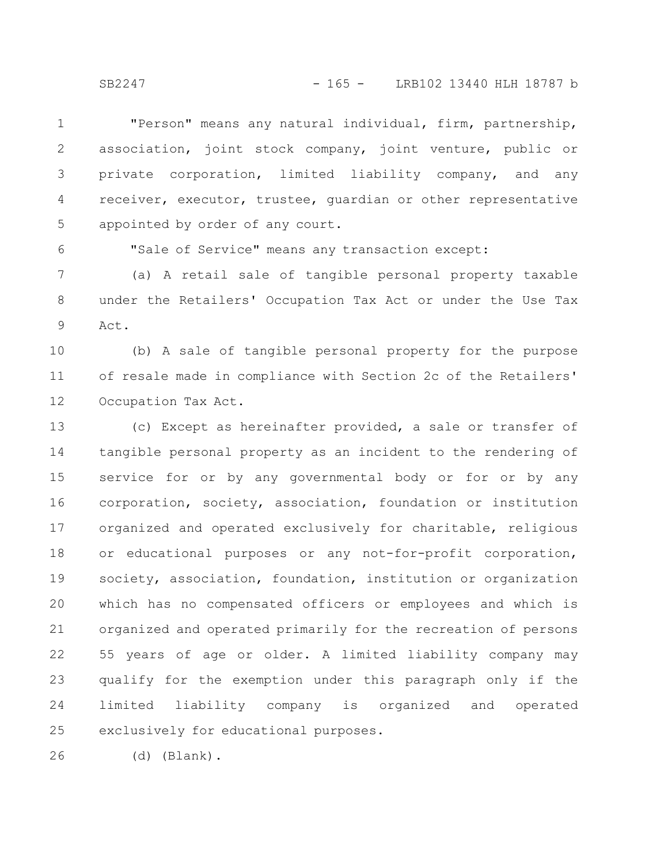"Person" means any natural individual, firm, partnership, association, joint stock company, joint venture, public or private corporation, limited liability company, and any receiver, executor, trustee, guardian or other representative appointed by order of any court. 1 2 3 4 5

"Sale of Service" means any transaction except:

(a) A retail sale of tangible personal property taxable under the Retailers' Occupation Tax Act or under the Use Tax Act. 7 8 9

(b) A sale of tangible personal property for the purpose of resale made in compliance with Section 2c of the Retailers' Occupation Tax Act. 10 11 12

(c) Except as hereinafter provided, a sale or transfer of tangible personal property as an incident to the rendering of service for or by any governmental body or for or by any corporation, society, association, foundation or institution organized and operated exclusively for charitable, religious or educational purposes or any not-for-profit corporation, society, association, foundation, institution or organization which has no compensated officers or employees and which is organized and operated primarily for the recreation of persons 55 years of age or older. A limited liability company may qualify for the exemption under this paragraph only if the limited liability company is organized and operated exclusively for educational purposes. 13 14 15 16 17 18 19 20 21 22 23 24 25

(d) (Blank). 26

6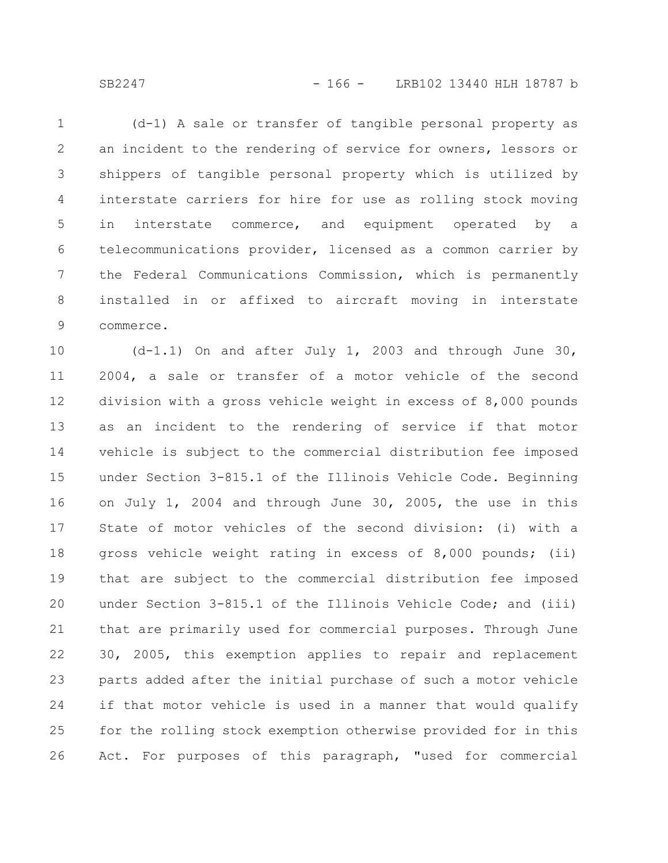SB2247 - 166 - LRB102 13440 HLH 18787 b

(d-1) A sale or transfer of tangible personal property as an incident to the rendering of service for owners, lessors or shippers of tangible personal property which is utilized by interstate carriers for hire for use as rolling stock moving in interstate commerce, and equipment operated by a telecommunications provider, licensed as a common carrier by the Federal Communications Commission, which is permanently installed in or affixed to aircraft moving in interstate commerce. 1 2 3 4 5 6 7 8 9

(d-1.1) On and after July 1, 2003 and through June 30, 2004, a sale or transfer of a motor vehicle of the second division with a gross vehicle weight in excess of 8,000 pounds as an incident to the rendering of service if that motor vehicle is subject to the commercial distribution fee imposed under Section 3-815.1 of the Illinois Vehicle Code. Beginning on July 1, 2004 and through June 30, 2005, the use in this State of motor vehicles of the second division: (i) with a gross vehicle weight rating in excess of 8,000 pounds; (ii) that are subject to the commercial distribution fee imposed under Section 3-815.1 of the Illinois Vehicle Code; and (iii) that are primarily used for commercial purposes. Through June 30, 2005, this exemption applies to repair and replacement parts added after the initial purchase of such a motor vehicle if that motor vehicle is used in a manner that would qualify for the rolling stock exemption otherwise provided for in this Act. For purposes of this paragraph, "used for commercial 10 11 12 13 14 15 16 17 18 19 20 21 22 23 24 25 26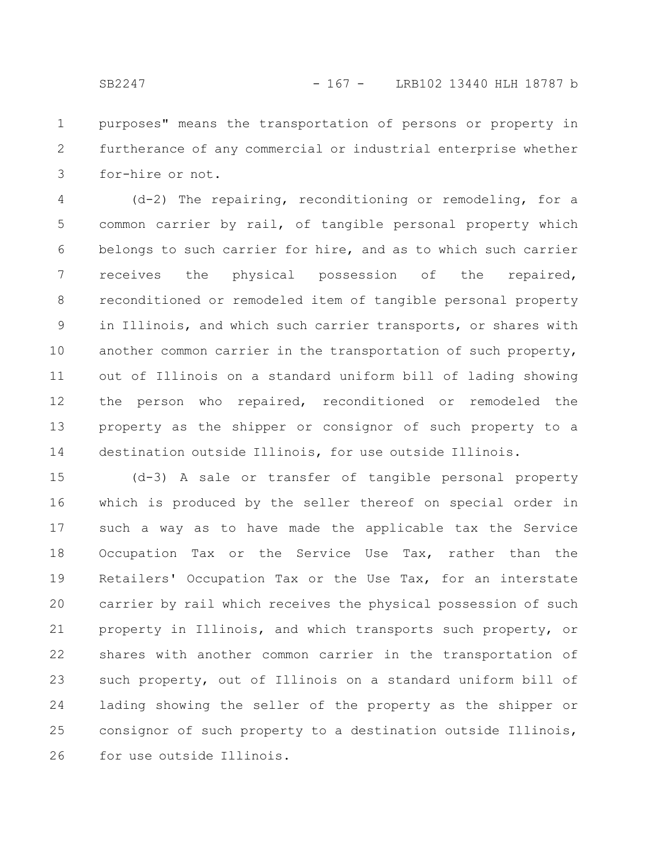purposes" means the transportation of persons or property in furtherance of any commercial or industrial enterprise whether for-hire or not. 1 2 3

(d-2) The repairing, reconditioning or remodeling, for a common carrier by rail, of tangible personal property which belongs to such carrier for hire, and as to which such carrier receives the physical possession of the repaired, reconditioned or remodeled item of tangible personal property in Illinois, and which such carrier transports, or shares with another common carrier in the transportation of such property, out of Illinois on a standard uniform bill of lading showing the person who repaired, reconditioned or remodeled the property as the shipper or consignor of such property to a destination outside Illinois, for use outside Illinois. 4 5 6 7 8 9 10 11 12 13 14

(d-3) A sale or transfer of tangible personal property which is produced by the seller thereof on special order in such a way as to have made the applicable tax the Service Occupation Tax or the Service Use Tax, rather than the Retailers' Occupation Tax or the Use Tax, for an interstate carrier by rail which receives the physical possession of such property in Illinois, and which transports such property, or shares with another common carrier in the transportation of such property, out of Illinois on a standard uniform bill of lading showing the seller of the property as the shipper or consignor of such property to a destination outside Illinois, for use outside Illinois. 15 16 17 18 19 20 21 22 23 24 25 26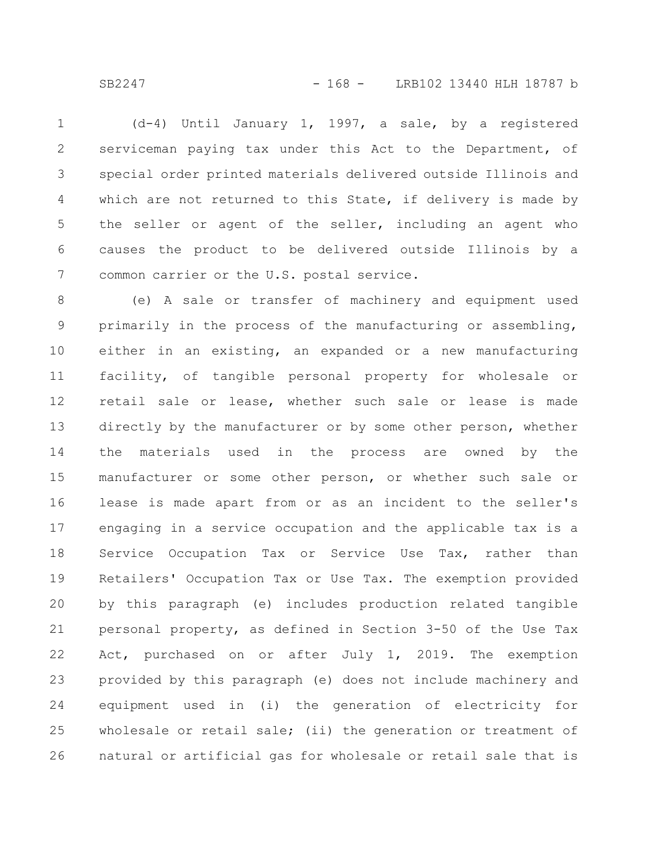SB2247 - 168 - LRB102 13440 HLH 18787 b

(d-4) Until January 1, 1997, a sale, by a registered serviceman paying tax under this Act to the Department, of special order printed materials delivered outside Illinois and which are not returned to this State, if delivery is made by the seller or agent of the seller, including an agent who causes the product to be delivered outside Illinois by a common carrier or the U.S. postal service. 1 2 3 4 5 6 7

(e) A sale or transfer of machinery and equipment used primarily in the process of the manufacturing or assembling, either in an existing, an expanded or a new manufacturing facility, of tangible personal property for wholesale or retail sale or lease, whether such sale or lease is made directly by the manufacturer or by some other person, whether the materials used in the process are owned by the manufacturer or some other person, or whether such sale or lease is made apart from or as an incident to the seller's engaging in a service occupation and the applicable tax is a Service Occupation Tax or Service Use Tax, rather than Retailers' Occupation Tax or Use Tax. The exemption provided by this paragraph (e) includes production related tangible personal property, as defined in Section 3-50 of the Use Tax Act, purchased on or after July 1, 2019. The exemption provided by this paragraph (e) does not include machinery and equipment used in (i) the generation of electricity for wholesale or retail sale; (ii) the generation or treatment of natural or artificial gas for wholesale or retail sale that is 8 9 10 11 12 13 14 15 16 17 18 19 20 21 22 23 24 25 26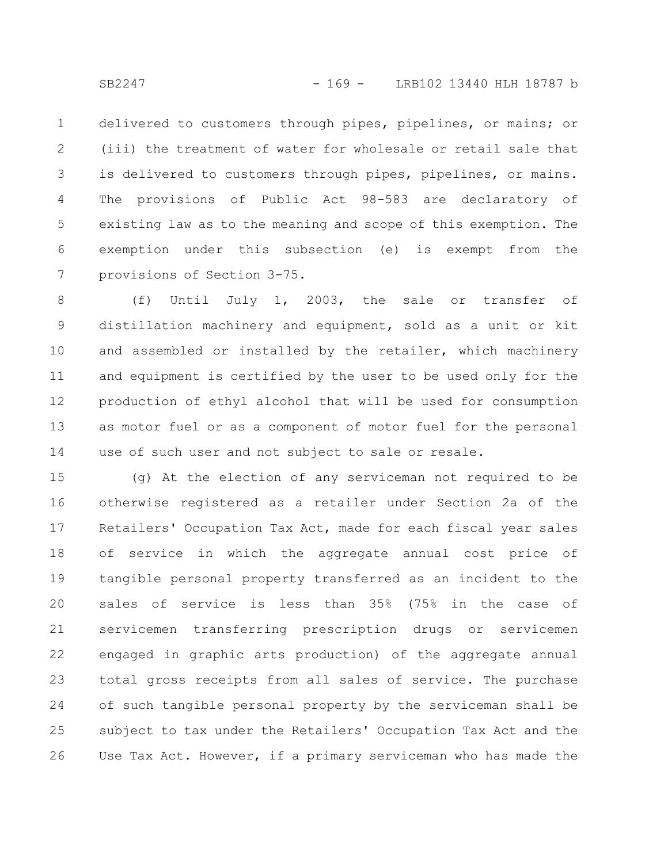delivered to customers through pipes, pipelines, or mains; or (iii) the treatment of water for wholesale or retail sale that is delivered to customers through pipes, pipelines, or mains. The provisions of Public Act 98-583 are declaratory of existing law as to the meaning and scope of this exemption. The exemption under this subsection (e) is exempt from the provisions of Section 3-75. 1 2 3 4 5 6 7

(f) Until July 1, 2003, the sale or transfer of distillation machinery and equipment, sold as a unit or kit and assembled or installed by the retailer, which machinery and equipment is certified by the user to be used only for the production of ethyl alcohol that will be used for consumption as motor fuel or as a component of motor fuel for the personal use of such user and not subject to sale or resale. 8 9 10 11 12 13 14

(g) At the election of any serviceman not required to be otherwise registered as a retailer under Section 2a of the Retailers' Occupation Tax Act, made for each fiscal year sales of service in which the aggregate annual cost price of tangible personal property transferred as an incident to the sales of service is less than 35% (75% in the case of servicemen transferring prescription drugs or servicemen engaged in graphic arts production) of the aggregate annual total gross receipts from all sales of service. The purchase of such tangible personal property by the serviceman shall be subject to tax under the Retailers' Occupation Tax Act and the Use Tax Act. However, if a primary serviceman who has made the 15 16 17 18 19 20 21 22 23 24 25 26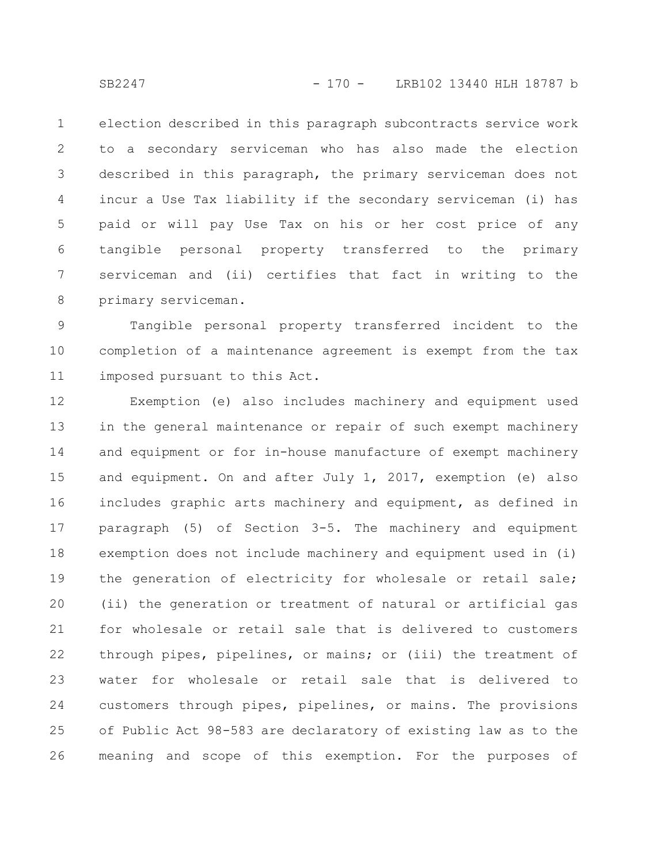election described in this paragraph subcontracts service work to a secondary serviceman who has also made the election described in this paragraph, the primary serviceman does not incur a Use Tax liability if the secondary serviceman (i) has paid or will pay Use Tax on his or her cost price of any tangible personal property transferred to the primary serviceman and (ii) certifies that fact in writing to the primary serviceman. 1 2 3 4 5 6 7 8

Tangible personal property transferred incident to the completion of a maintenance agreement is exempt from the tax imposed pursuant to this Act. 9 10 11

Exemption (e) also includes machinery and equipment used in the general maintenance or repair of such exempt machinery and equipment or for in-house manufacture of exempt machinery and equipment. On and after July 1, 2017, exemption (e) also includes graphic arts machinery and equipment, as defined in paragraph (5) of Section 3-5. The machinery and equipment exemption does not include machinery and equipment used in (i) the generation of electricity for wholesale or retail sale; (ii) the generation or treatment of natural or artificial gas for wholesale or retail sale that is delivered to customers through pipes, pipelines, or mains; or (iii) the treatment of water for wholesale or retail sale that is delivered to customers through pipes, pipelines, or mains. The provisions of Public Act 98-583 are declaratory of existing law as to the meaning and scope of this exemption. For the purposes of 12 13 14 15 16 17 18 19 20 21 22 23 24 25 26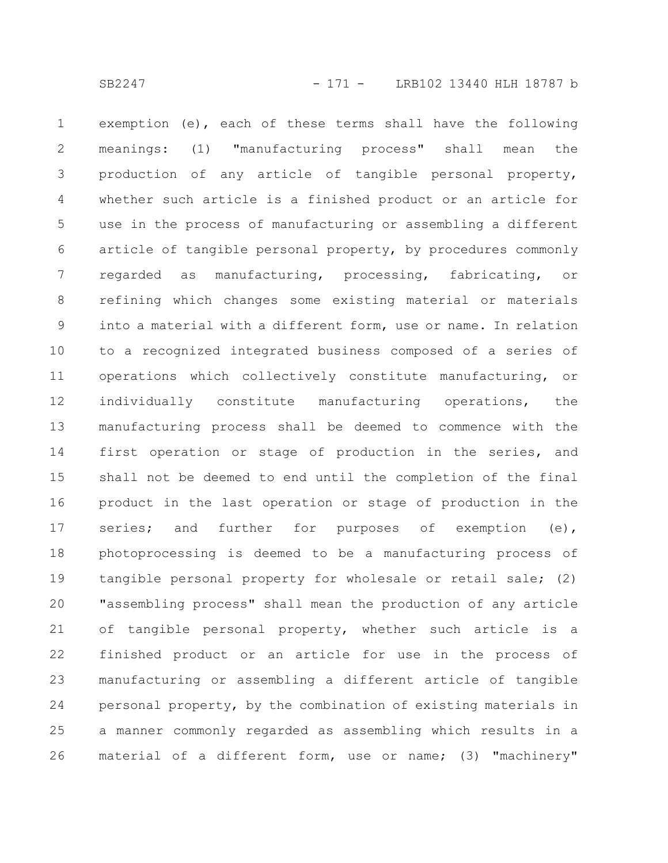exemption (e), each of these terms shall have the following meanings: (1) "manufacturing process" shall mean the production of any article of tangible personal property, whether such article is a finished product or an article for use in the process of manufacturing or assembling a different article of tangible personal property, by procedures commonly regarded as manufacturing, processing, fabricating, or refining which changes some existing material or materials into a material with a different form, use or name. In relation to a recognized integrated business composed of a series of operations which collectively constitute manufacturing, or individually constitute manufacturing operations, the manufacturing process shall be deemed to commence with the first operation or stage of production in the series, and shall not be deemed to end until the completion of the final product in the last operation or stage of production in the series; and further for purposes of exemption (e), photoprocessing is deemed to be a manufacturing process of tangible personal property for wholesale or retail sale; (2) "assembling process" shall mean the production of any article of tangible personal property, whether such article is a finished product or an article for use in the process of manufacturing or assembling a different article of tangible personal property, by the combination of existing materials in a manner commonly regarded as assembling which results in a material of a different form, use or name; (3) "machinery" 1 2 3 4 5 6 7 8 9 10 11 12 13 14 15 16 17 18 19 20 21 22 23 24 25 26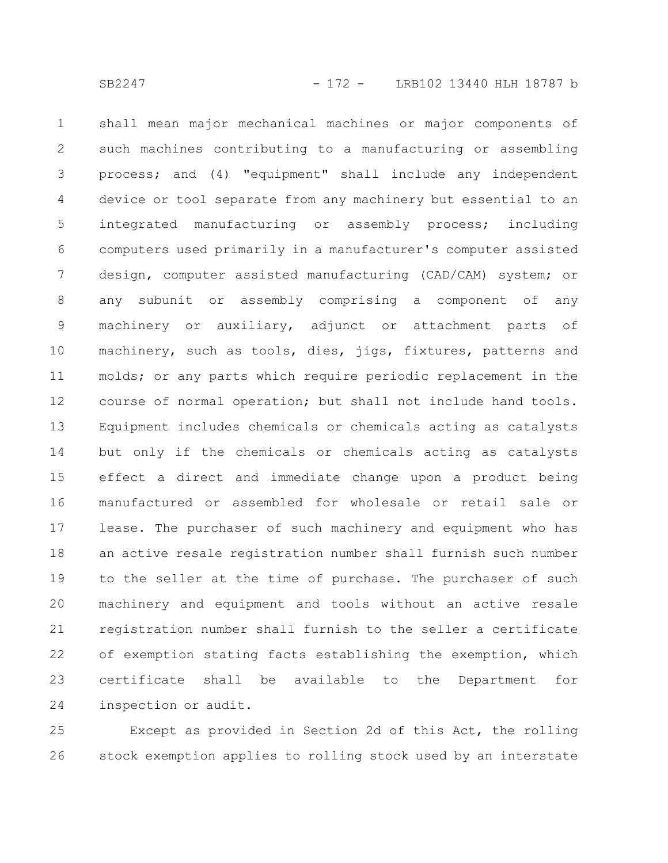shall mean major mechanical machines or major components of such machines contributing to a manufacturing or assembling process; and (4) "equipment" shall include any independent device or tool separate from any machinery but essential to an integrated manufacturing or assembly process; including computers used primarily in a manufacturer's computer assisted design, computer assisted manufacturing (CAD/CAM) system; or any subunit or assembly comprising a component of any machinery or auxiliary, adjunct or attachment parts of machinery, such as tools, dies, jigs, fixtures, patterns and molds; or any parts which require periodic replacement in the course of normal operation; but shall not include hand tools. Equipment includes chemicals or chemicals acting as catalysts but only if the chemicals or chemicals acting as catalysts effect a direct and immediate change upon a product being manufactured or assembled for wholesale or retail sale or lease. The purchaser of such machinery and equipment who has an active resale registration number shall furnish such number to the seller at the time of purchase. The purchaser of such machinery and equipment and tools without an active resale registration number shall furnish to the seller a certificate of exemption stating facts establishing the exemption, which certificate shall be available to the Department for inspection or audit. 1 2 3 4 5 6 7 8 9 10 11 12 13 14 15 16 17 18 19 20 21 22 23 24

Except as provided in Section 2d of this Act, the rolling stock exemption applies to rolling stock used by an interstate 25 26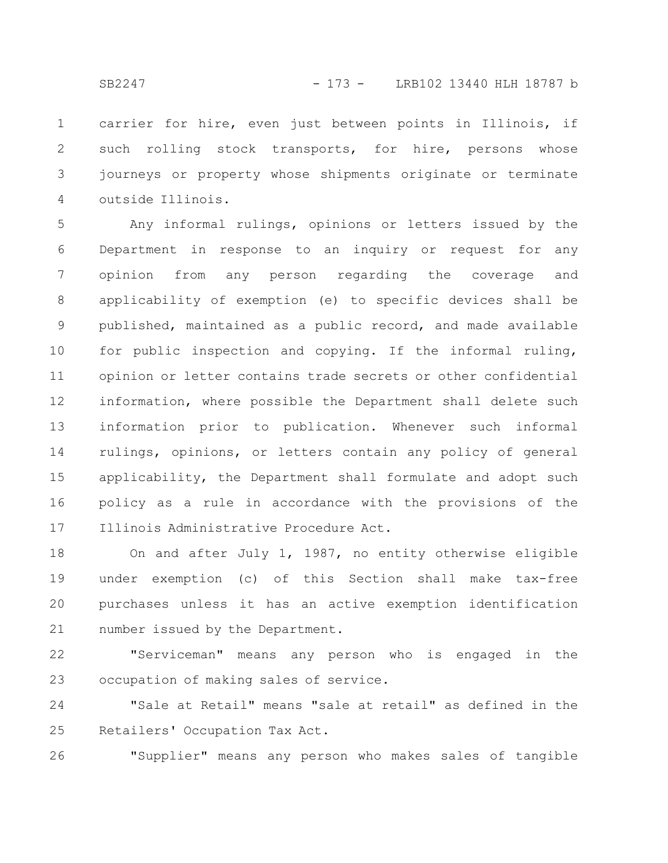carrier for hire, even just between points in Illinois, if such rolling stock transports, for hire, persons whose journeys or property whose shipments originate or terminate outside Illinois. 1 2 3 4

Any informal rulings, opinions or letters issued by the Department in response to an inquiry or request for any opinion from any person regarding the coverage and applicability of exemption (e) to specific devices shall be published, maintained as a public record, and made available for public inspection and copying. If the informal ruling, opinion or letter contains trade secrets or other confidential information, where possible the Department shall delete such information prior to publication. Whenever such informal rulings, opinions, or letters contain any policy of general applicability, the Department shall formulate and adopt such policy as a rule in accordance with the provisions of the Illinois Administrative Procedure Act. 5 6 7 8 9 10 11 12 13 14 15 16 17

On and after July 1, 1987, no entity otherwise eligible under exemption (c) of this Section shall make tax-free purchases unless it has an active exemption identification number issued by the Department. 18 19 20 21

"Serviceman" means any person who is engaged in the occupation of making sales of service. 22 23

"Sale at Retail" means "sale at retail" as defined in the Retailers' Occupation Tax Act. 24 25

"Supplier" means any person who makes sales of tangible 26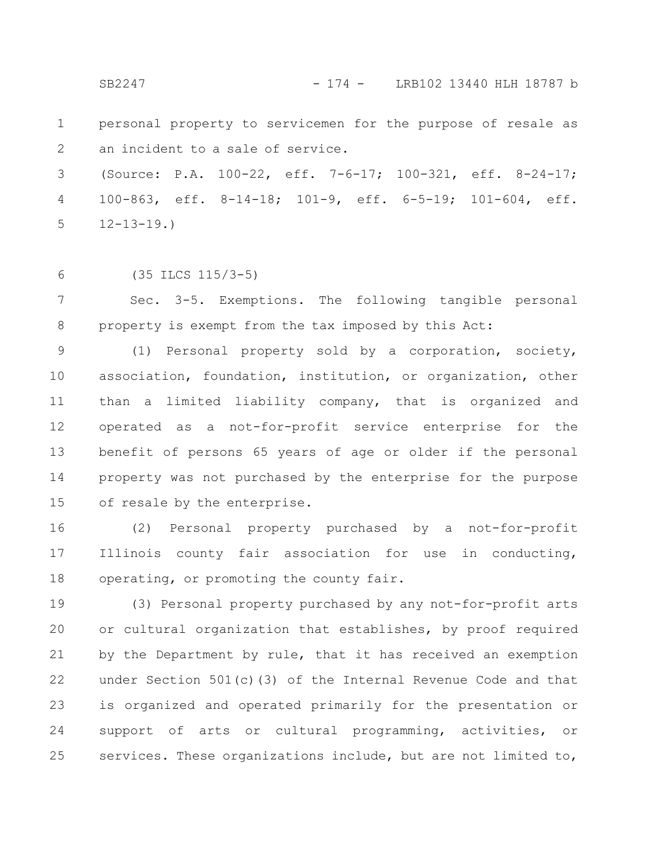SB2247 - 174 - LRB102 13440 HLH 18787 b

personal property to servicemen for the purpose of resale as an incident to a sale of service. 1 2

(Source: P.A. 100-22, eff. 7-6-17; 100-321, eff. 8-24-17; 100-863, eff. 8-14-18; 101-9, eff. 6-5-19; 101-604, eff.  $12 - 13 - 19.$ 3 4 5

6

(35 ILCS 115/3-5)

Sec. 3-5. Exemptions. The following tangible personal property is exempt from the tax imposed by this Act: 7 8

(1) Personal property sold by a corporation, society, association, foundation, institution, or organization, other than a limited liability company, that is organized and operated as a not-for-profit service enterprise for the benefit of persons 65 years of age or older if the personal property was not purchased by the enterprise for the purpose of resale by the enterprise. 9 10 11 12 13 14 15

(2) Personal property purchased by a not-for-profit Illinois county fair association for use in conducting, operating, or promoting the county fair. 16 17 18

(3) Personal property purchased by any not-for-profit arts or cultural organization that establishes, by proof required by the Department by rule, that it has received an exemption under Section 501(c)(3) of the Internal Revenue Code and that is organized and operated primarily for the presentation or support of arts or cultural programming, activities, or services. These organizations include, but are not limited to, 19 20 21 22 23 24 25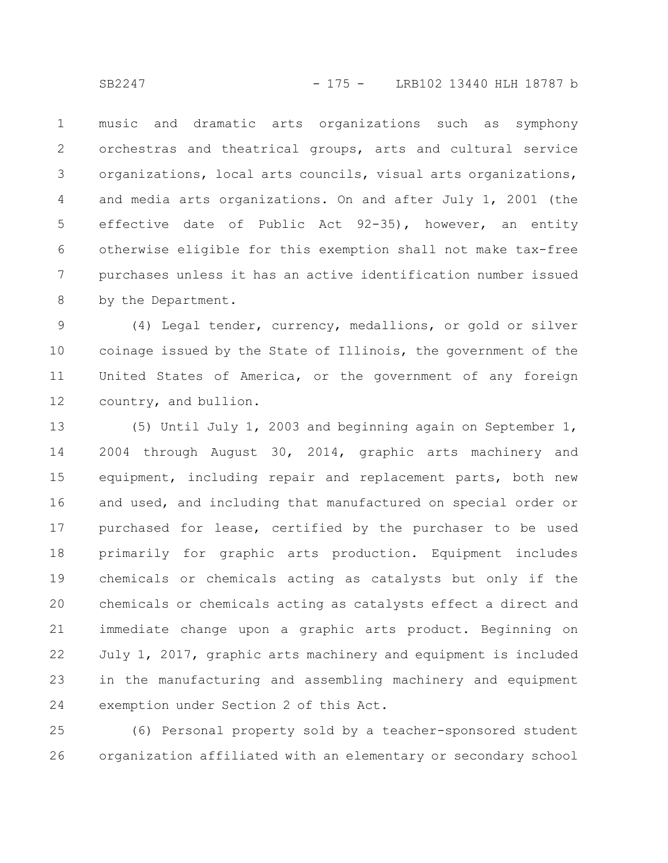music and dramatic arts organizations such as symphony orchestras and theatrical groups, arts and cultural service organizations, local arts councils, visual arts organizations, and media arts organizations. On and after July 1, 2001 (the effective date of Public Act 92-35), however, an entity otherwise eligible for this exemption shall not make tax-free purchases unless it has an active identification number issued by the Department. 1 2 3 4 5 6 7 8

(4) Legal tender, currency, medallions, or gold or silver coinage issued by the State of Illinois, the government of the United States of America, or the government of any foreign country, and bullion. 9 10 11 12

(5) Until July 1, 2003 and beginning again on September 1, 2004 through August 30, 2014, graphic arts machinery and equipment, including repair and replacement parts, both new and used, and including that manufactured on special order or purchased for lease, certified by the purchaser to be used primarily for graphic arts production. Equipment includes chemicals or chemicals acting as catalysts but only if the chemicals or chemicals acting as catalysts effect a direct and immediate change upon a graphic arts product. Beginning on July 1, 2017, graphic arts machinery and equipment is included in the manufacturing and assembling machinery and equipment exemption under Section 2 of this Act. 13 14 15 16 17 18 19 20 21 22 23 24

(6) Personal property sold by a teacher-sponsored student organization affiliated with an elementary or secondary school 25 26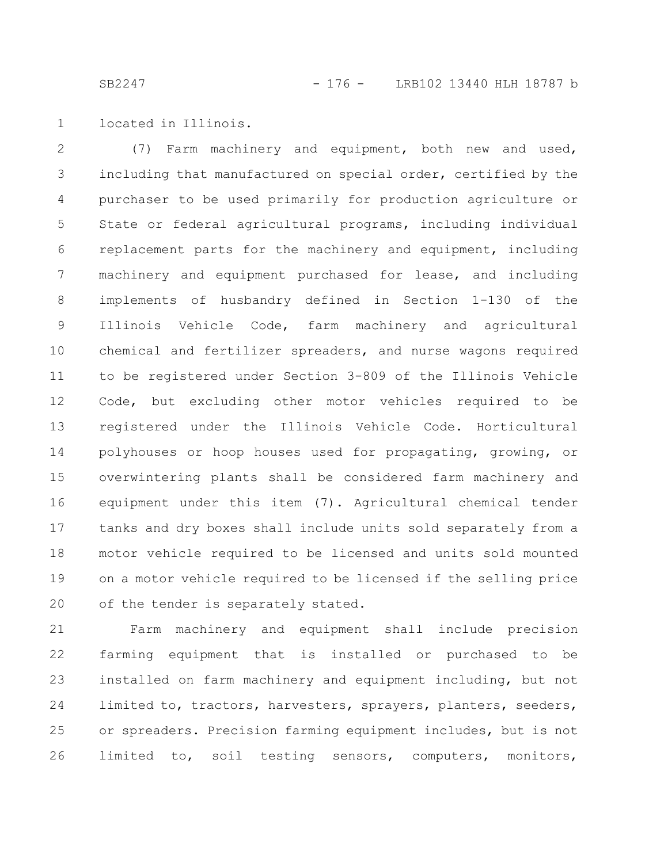located in Illinois. 1

(7) Farm machinery and equipment, both new and used, including that manufactured on special order, certified by the purchaser to be used primarily for production agriculture or State or federal agricultural programs, including individual replacement parts for the machinery and equipment, including machinery and equipment purchased for lease, and including implements of husbandry defined in Section 1-130 of the Illinois Vehicle Code, farm machinery and agricultural chemical and fertilizer spreaders, and nurse wagons required to be registered under Section 3-809 of the Illinois Vehicle Code, but excluding other motor vehicles required to be registered under the Illinois Vehicle Code. Horticultural polyhouses or hoop houses used for propagating, growing, or overwintering plants shall be considered farm machinery and equipment under this item (7). Agricultural chemical tender tanks and dry boxes shall include units sold separately from a motor vehicle required to be licensed and units sold mounted on a motor vehicle required to be licensed if the selling price of the tender is separately stated. 2 3 4 5 6 7 8 9 10 11 12 13 14 15 16 17 18 19 20

Farm machinery and equipment shall include precision farming equipment that is installed or purchased to be installed on farm machinery and equipment including, but not limited to, tractors, harvesters, sprayers, planters, seeders, or spreaders. Precision farming equipment includes, but is not limited to, soil testing sensors, computers, monitors, 21 22 23 24 25 26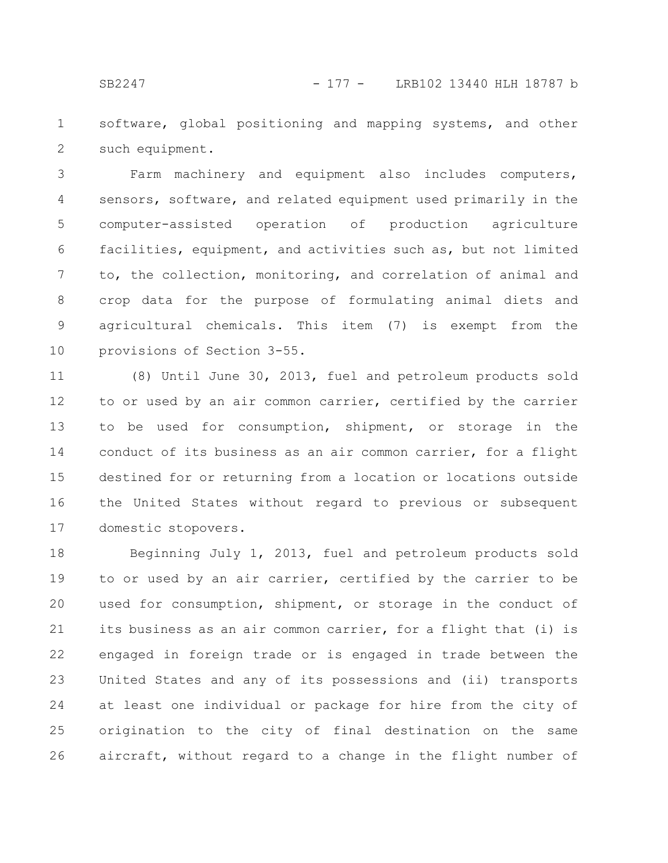software, global positioning and mapping systems, and other such equipment. 1 2

Farm machinery and equipment also includes computers, sensors, software, and related equipment used primarily in the computer-assisted operation of production agriculture facilities, equipment, and activities such as, but not limited to, the collection, monitoring, and correlation of animal and crop data for the purpose of formulating animal diets and agricultural chemicals. This item (7) is exempt from the provisions of Section 3-55. 3 4 5 6 7 8 9 10

(8) Until June 30, 2013, fuel and petroleum products sold to or used by an air common carrier, certified by the carrier to be used for consumption, shipment, or storage in the conduct of its business as an air common carrier, for a flight destined for or returning from a location or locations outside the United States without regard to previous or subsequent domestic stopovers. 11 12 13 14 15 16 17

Beginning July 1, 2013, fuel and petroleum products sold to or used by an air carrier, certified by the carrier to be used for consumption, shipment, or storage in the conduct of its business as an air common carrier, for a flight that (i) is engaged in foreign trade or is engaged in trade between the United States and any of its possessions and (ii) transports at least one individual or package for hire from the city of origination to the city of final destination on the same aircraft, without regard to a change in the flight number of 18 19 20 21 22 23 24 25 26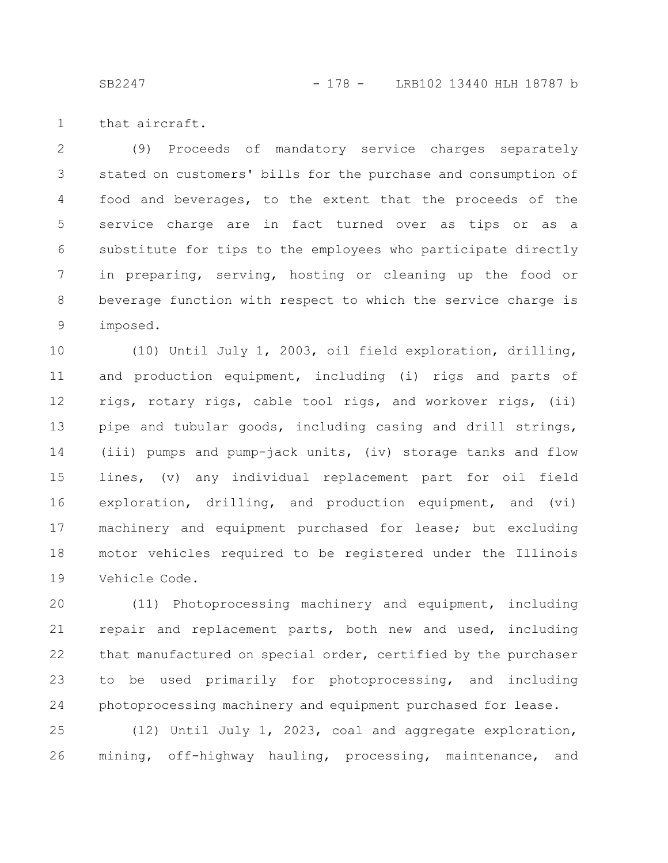SB2247 - 178 - LRB102 13440 HLH 18787 b

that aircraft. 1

(9) Proceeds of mandatory service charges separately stated on customers' bills for the purchase and consumption of food and beverages, to the extent that the proceeds of the service charge are in fact turned over as tips or as a substitute for tips to the employees who participate directly in preparing, serving, hosting or cleaning up the food or beverage function with respect to which the service charge is imposed. 2 3 4 5 6 7 8 9

(10) Until July 1, 2003, oil field exploration, drilling, and production equipment, including (i) rigs and parts of rigs, rotary rigs, cable tool rigs, and workover rigs, (ii) pipe and tubular goods, including casing and drill strings, (iii) pumps and pump-jack units, (iv) storage tanks and flow lines, (v) any individual replacement part for oil field exploration, drilling, and production equipment, and (vi) machinery and equipment purchased for lease; but excluding motor vehicles required to be registered under the Illinois Vehicle Code. 10 11 12 13 14 15 16 17 18 19

(11) Photoprocessing machinery and equipment, including repair and replacement parts, both new and used, including that manufactured on special order, certified by the purchaser to be used primarily for photoprocessing, and including photoprocessing machinery and equipment purchased for lease. 20 21 22 23 24

(12) Until July 1, 2023, coal and aggregate exploration, mining, off-highway hauling, processing, maintenance, and 25 26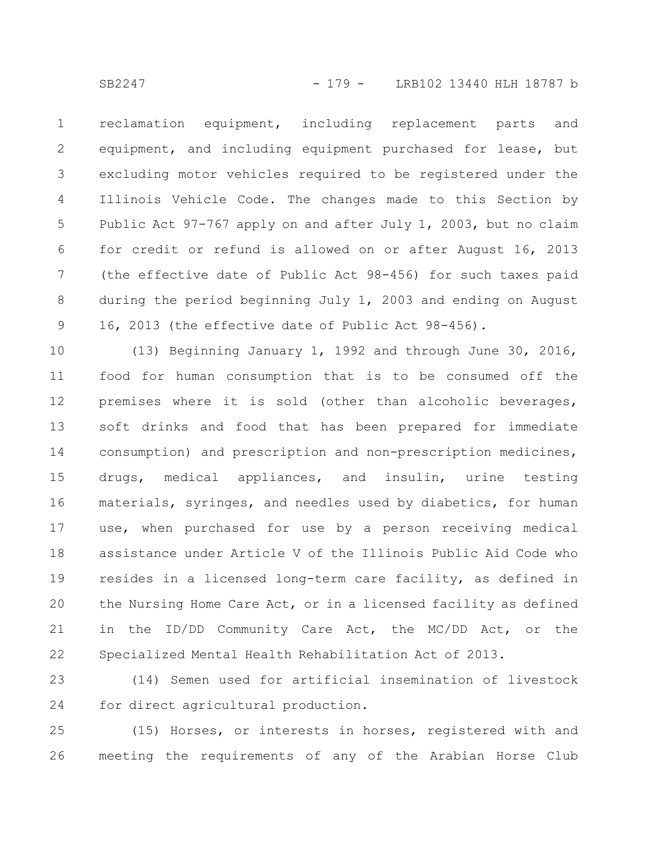reclamation equipment, including replacement parts and equipment, and including equipment purchased for lease, but excluding motor vehicles required to be registered under the Illinois Vehicle Code. The changes made to this Section by Public Act 97-767 apply on and after July 1, 2003, but no claim for credit or refund is allowed on or after August 16, 2013 (the effective date of Public Act 98-456) for such taxes paid during the period beginning July 1, 2003 and ending on August 16, 2013 (the effective date of Public Act 98-456). 1 2 3 4 5 6 7 8 9

(13) Beginning January 1, 1992 and through June 30, 2016, food for human consumption that is to be consumed off the premises where it is sold (other than alcoholic beverages, soft drinks and food that has been prepared for immediate consumption) and prescription and non-prescription medicines, drugs, medical appliances, and insulin, urine testing materials, syringes, and needles used by diabetics, for human use, when purchased for use by a person receiving medical assistance under Article V of the Illinois Public Aid Code who resides in a licensed long-term care facility, as defined in the Nursing Home Care Act, or in a licensed facility as defined in the ID/DD Community Care Act, the MC/DD Act, or the Specialized Mental Health Rehabilitation Act of 2013. 10 11 12 13 14 15 16 17 18 19 20 21 22

(14) Semen used for artificial insemination of livestock for direct agricultural production. 23 24

(15) Horses, or interests in horses, registered with and meeting the requirements of any of the Arabian Horse Club 25 26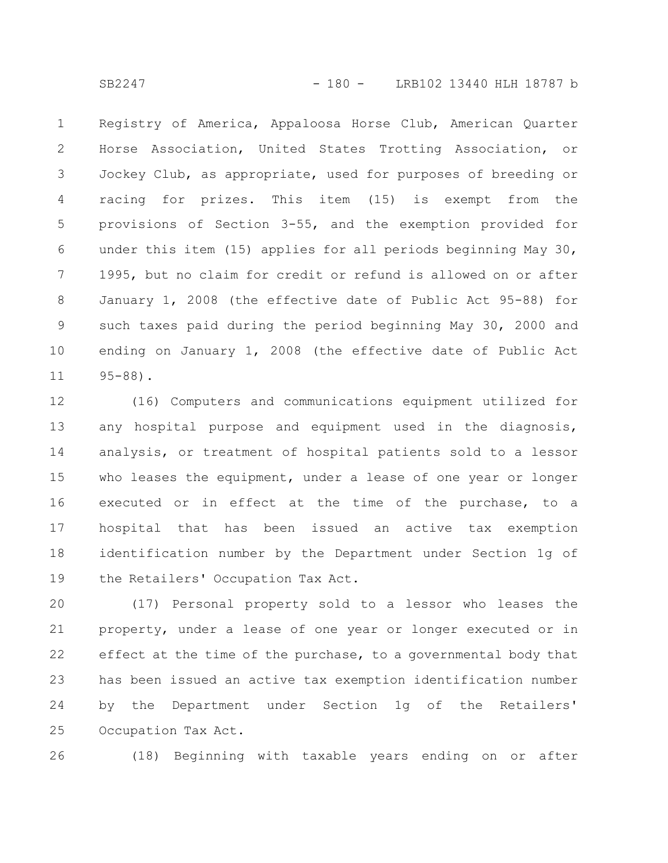Registry of America, Appaloosa Horse Club, American Quarter Horse Association, United States Trotting Association, or Jockey Club, as appropriate, used for purposes of breeding or racing for prizes. This item (15) is exempt from the provisions of Section 3-55, and the exemption provided for under this item (15) applies for all periods beginning May 30, 1995, but no claim for credit or refund is allowed on or after January 1, 2008 (the effective date of Public Act 95-88) for such taxes paid during the period beginning May 30, 2000 and ending on January 1, 2008 (the effective date of Public Act 95-88). 1 2 3 4 5 6 7 8 9 10 11

(16) Computers and communications equipment utilized for any hospital purpose and equipment used in the diagnosis, analysis, or treatment of hospital patients sold to a lessor who leases the equipment, under a lease of one year or longer executed or in effect at the time of the purchase, to a hospital that has been issued an active tax exemption identification number by the Department under Section 1g of the Retailers' Occupation Tax Act. 12 13 14 15 16 17 18 19

(17) Personal property sold to a lessor who leases the property, under a lease of one year or longer executed or in effect at the time of the purchase, to a governmental body that has been issued an active tax exemption identification number by the Department under Section 1g of the Retailers' Occupation Tax Act. 20 21 22 23 24 25

(18) Beginning with taxable years ending on or after 26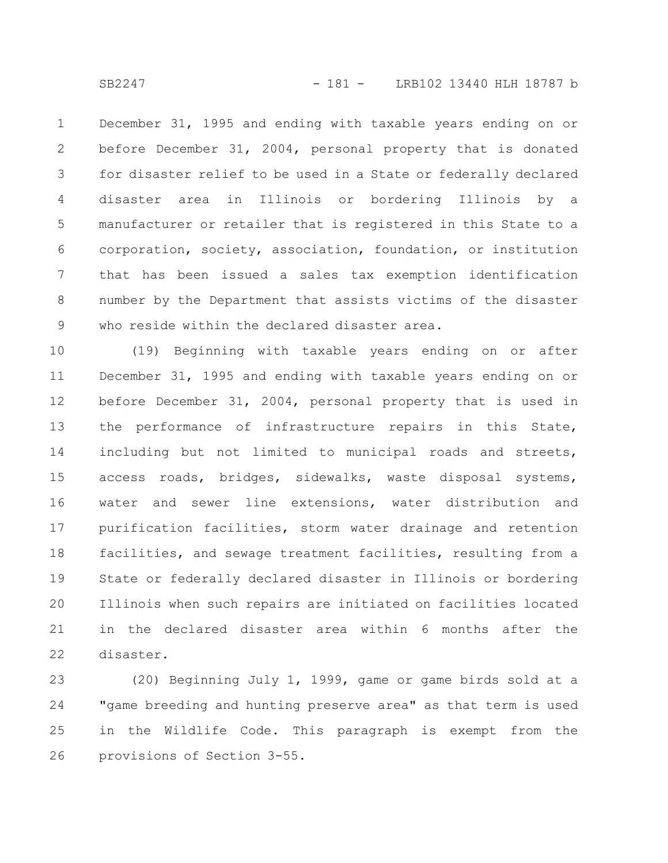December 31, 1995 and ending with taxable years ending on or before December 31, 2004, personal property that is donated for disaster relief to be used in a State or federally declared disaster area in Illinois or bordering Illinois by a manufacturer or retailer that is registered in this State to a corporation, society, association, foundation, or institution that has been issued a sales tax exemption identification number by the Department that assists victims of the disaster who reside within the declared disaster area. 1 2 3 4 5 6 7 8 9

(19) Beginning with taxable years ending on or after December 31, 1995 and ending with taxable years ending on or before December 31, 2004, personal property that is used in the performance of infrastructure repairs in this State, including but not limited to municipal roads and streets, access roads, bridges, sidewalks, waste disposal systems, water and sewer line extensions, water distribution and purification facilities, storm water drainage and retention facilities, and sewage treatment facilities, resulting from a State or federally declared disaster in Illinois or bordering Illinois when such repairs are initiated on facilities located in the declared disaster area within 6 months after the disaster. 10 11 12 13 14 15 16 17 18 19 20 21 22

(20) Beginning July 1, 1999, game or game birds sold at a "game breeding and hunting preserve area" as that term is used in the Wildlife Code. This paragraph is exempt from the provisions of Section 3-55. 23 24 25 26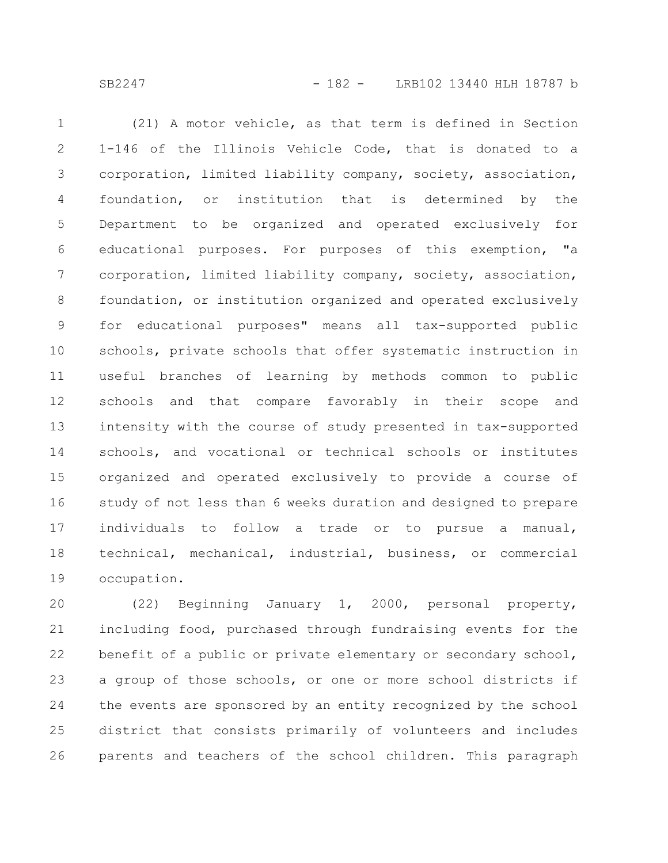SB2247 - 182 - LRB102 13440 HLH 18787 b

(21) A motor vehicle, as that term is defined in Section 1-146 of the Illinois Vehicle Code, that is donated to a corporation, limited liability company, society, association, foundation, or institution that is determined by the Department to be organized and operated exclusively for educational purposes. For purposes of this exemption, "a corporation, limited liability company, society, association, foundation, or institution organized and operated exclusively for educational purposes" means all tax-supported public schools, private schools that offer systematic instruction in useful branches of learning by methods common to public schools and that compare favorably in their scope and intensity with the course of study presented in tax-supported schools, and vocational or technical schools or institutes organized and operated exclusively to provide a course of study of not less than 6 weeks duration and designed to prepare individuals to follow a trade or to pursue a manual, technical, mechanical, industrial, business, or commercial occupation. 1 2 3 4 5 6 7 8 9 10 11 12 13 14 15 16 17 18 19

(22) Beginning January 1, 2000, personal property, including food, purchased through fundraising events for the benefit of a public or private elementary or secondary school, a group of those schools, or one or more school districts if the events are sponsored by an entity recognized by the school district that consists primarily of volunteers and includes parents and teachers of the school children. This paragraph 20 21 22 23 24 25 26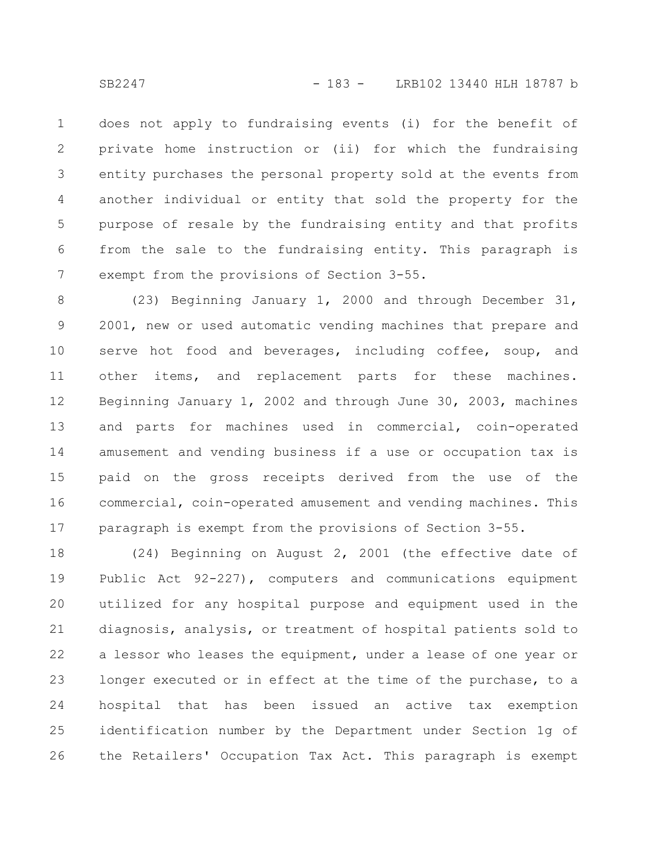does not apply to fundraising events (i) for the benefit of private home instruction or (ii) for which the fundraising entity purchases the personal property sold at the events from another individual or entity that sold the property for the purpose of resale by the fundraising entity and that profits from the sale to the fundraising entity. This paragraph is exempt from the provisions of Section 3-55. 1 2 3 4 5 6 7

(23) Beginning January 1, 2000 and through December 31, 2001, new or used automatic vending machines that prepare and serve hot food and beverages, including coffee, soup, and other items, and replacement parts for these machines. Beginning January 1, 2002 and through June 30, 2003, machines and parts for machines used in commercial, coin-operated amusement and vending business if a use or occupation tax is paid on the gross receipts derived from the use of the commercial, coin-operated amusement and vending machines. This paragraph is exempt from the provisions of Section 3-55. 8 9 10 11 12 13 14 15 16 17

(24) Beginning on August 2, 2001 (the effective date of Public Act 92-227), computers and communications equipment utilized for any hospital purpose and equipment used in the diagnosis, analysis, or treatment of hospital patients sold to a lessor who leases the equipment, under a lease of one year or longer executed or in effect at the time of the purchase, to a hospital that has been issued an active tax exemption identification number by the Department under Section 1g of the Retailers' Occupation Tax Act. This paragraph is exempt 18 19 20 21 22 23 24 25 26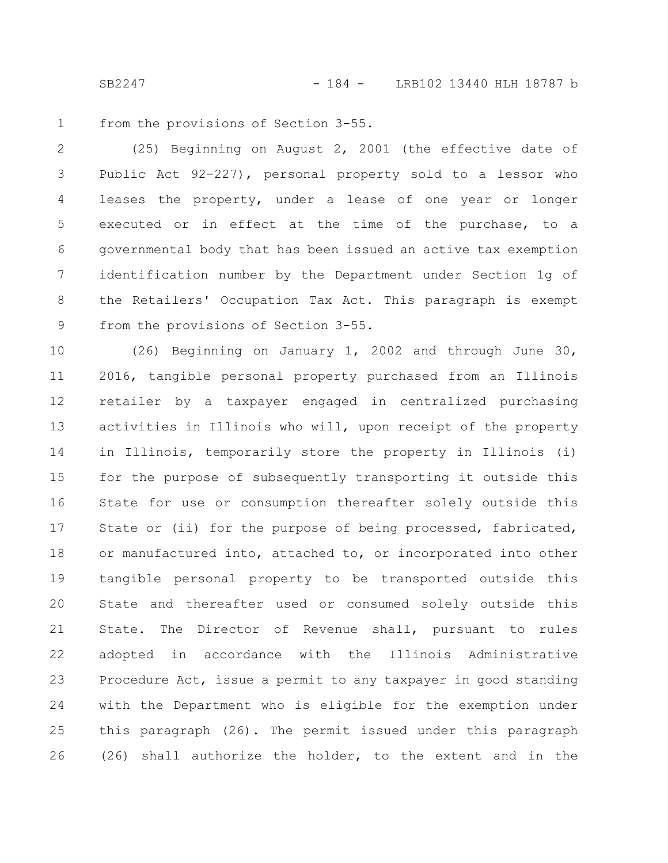SB2247 - 184 - LRB102 13440 HLH 18787 b

from the provisions of Section 3-55. 1

(25) Beginning on August 2, 2001 (the effective date of Public Act 92-227), personal property sold to a lessor who leases the property, under a lease of one year or longer executed or in effect at the time of the purchase, to a governmental body that has been issued an active tax exemption identification number by the Department under Section 1g of the Retailers' Occupation Tax Act. This paragraph is exempt from the provisions of Section 3-55. 2 3 4 5 6 7 8 9

(26) Beginning on January 1, 2002 and through June 30, 2016, tangible personal property purchased from an Illinois retailer by a taxpayer engaged in centralized purchasing activities in Illinois who will, upon receipt of the property in Illinois, temporarily store the property in Illinois (i) for the purpose of subsequently transporting it outside this State for use or consumption thereafter solely outside this State or (ii) for the purpose of being processed, fabricated, or manufactured into, attached to, or incorporated into other tangible personal property to be transported outside this State and thereafter used or consumed solely outside this State. The Director of Revenue shall, pursuant to rules adopted in accordance with the Illinois Administrative Procedure Act, issue a permit to any taxpayer in good standing with the Department who is eligible for the exemption under this paragraph (26). The permit issued under this paragraph (26) shall authorize the holder, to the extent and in the 10 11 12 13 14 15 16 17 18 19 20 21 22 23 24 25 26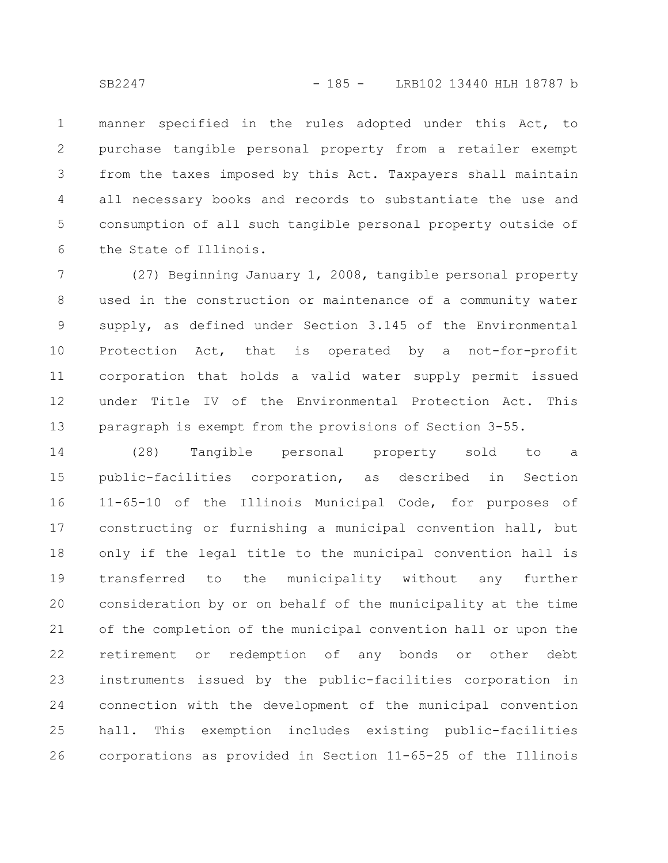manner specified in the rules adopted under this Act, to purchase tangible personal property from a retailer exempt from the taxes imposed by this Act. Taxpayers shall maintain all necessary books and records to substantiate the use and consumption of all such tangible personal property outside of the State of Illinois. 1 2 3 4 5 6

(27) Beginning January 1, 2008, tangible personal property used in the construction or maintenance of a community water supply, as defined under Section 3.145 of the Environmental Protection Act, that is operated by a not-for-profit corporation that holds a valid water supply permit issued under Title IV of the Environmental Protection Act. This paragraph is exempt from the provisions of Section 3-55. 7 8 9 10 11 12 13

(28) Tangible personal property sold to a public-facilities corporation, as described in Section 11-65-10 of the Illinois Municipal Code, for purposes of constructing or furnishing a municipal convention hall, but only if the legal title to the municipal convention hall is transferred to the municipality without any further consideration by or on behalf of the municipality at the time of the completion of the municipal convention hall or upon the retirement or redemption of any bonds or other debt instruments issued by the public-facilities corporation in connection with the development of the municipal convention hall. This exemption includes existing public-facilities corporations as provided in Section 11-65-25 of the Illinois 14 15 16 17 18 19 20 21 22 23 24 25 26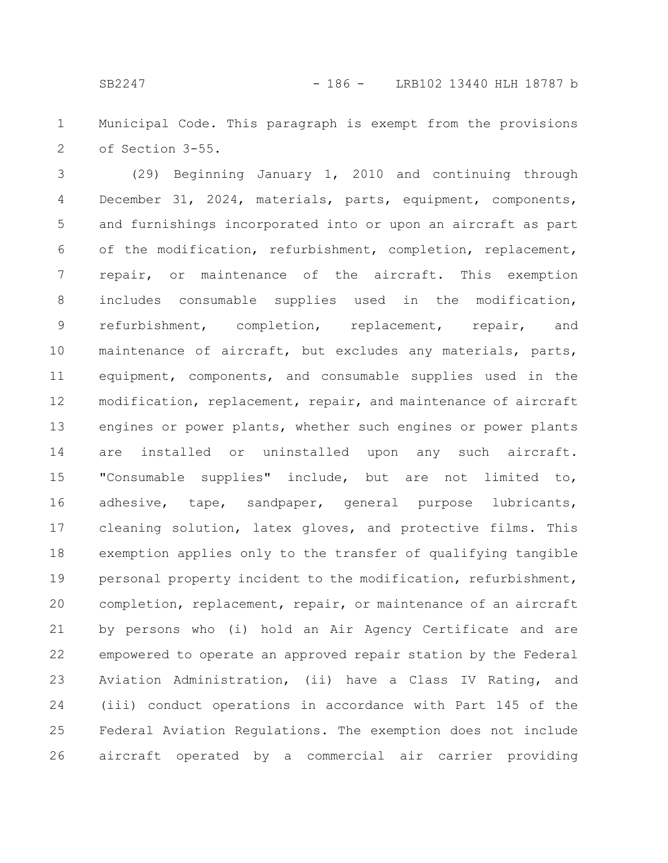Municipal Code. This paragraph is exempt from the provisions of Section 3-55. 1 2

(29) Beginning January 1, 2010 and continuing through December 31, 2024, materials, parts, equipment, components, and furnishings incorporated into or upon an aircraft as part of the modification, refurbishment, completion, replacement, repair, or maintenance of the aircraft. This exemption includes consumable supplies used in the modification, refurbishment, completion, replacement, repair, and maintenance of aircraft, but excludes any materials, parts, equipment, components, and consumable supplies used in the modification, replacement, repair, and maintenance of aircraft engines or power plants, whether such engines or power plants are installed or uninstalled upon any such aircraft. "Consumable supplies" include, but are not limited to, adhesive, tape, sandpaper, general purpose lubricants, cleaning solution, latex gloves, and protective films. This exemption applies only to the transfer of qualifying tangible personal property incident to the modification, refurbishment, completion, replacement, repair, or maintenance of an aircraft by persons who (i) hold an Air Agency Certificate and are empowered to operate an approved repair station by the Federal Aviation Administration, (ii) have a Class IV Rating, and (iii) conduct operations in accordance with Part 145 of the Federal Aviation Regulations. The exemption does not include aircraft operated by a commercial air carrier providing 3 4 5 6 7 8 9 10 11 12 13 14 15 16 17 18 19 20 21 22 23 24 25 26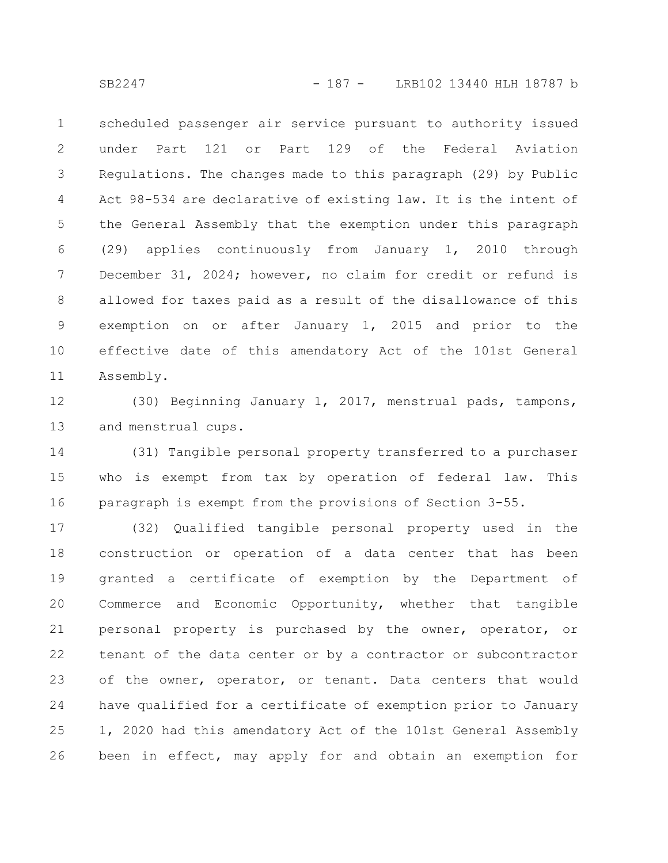scheduled passenger air service pursuant to authority issued under Part 121 or Part 129 of the Federal Aviation Regulations. The changes made to this paragraph (29) by Public Act 98-534 are declarative of existing law. It is the intent of the General Assembly that the exemption under this paragraph (29) applies continuously from January 1, 2010 through December 31, 2024; however, no claim for credit or refund is allowed for taxes paid as a result of the disallowance of this exemption on or after January 1, 2015 and prior to the effective date of this amendatory Act of the 101st General Assembly. 1 2 3 4 5 6 7 8 9 10 11

(30) Beginning January 1, 2017, menstrual pads, tampons, and menstrual cups. 12 13

(31) Tangible personal property transferred to a purchaser who is exempt from tax by operation of federal law. This paragraph is exempt from the provisions of Section 3-55. 14 15 16

(32) Qualified tangible personal property used in the construction or operation of a data center that has been granted a certificate of exemption by the Department of Commerce and Economic Opportunity, whether that tangible personal property is purchased by the owner, operator, or tenant of the data center or by a contractor or subcontractor of the owner, operator, or tenant. Data centers that would have qualified for a certificate of exemption prior to January 1, 2020 had this amendatory Act of the 101st General Assembly been in effect, may apply for and obtain an exemption for 17 18 19 20 21 22 23 24 25 26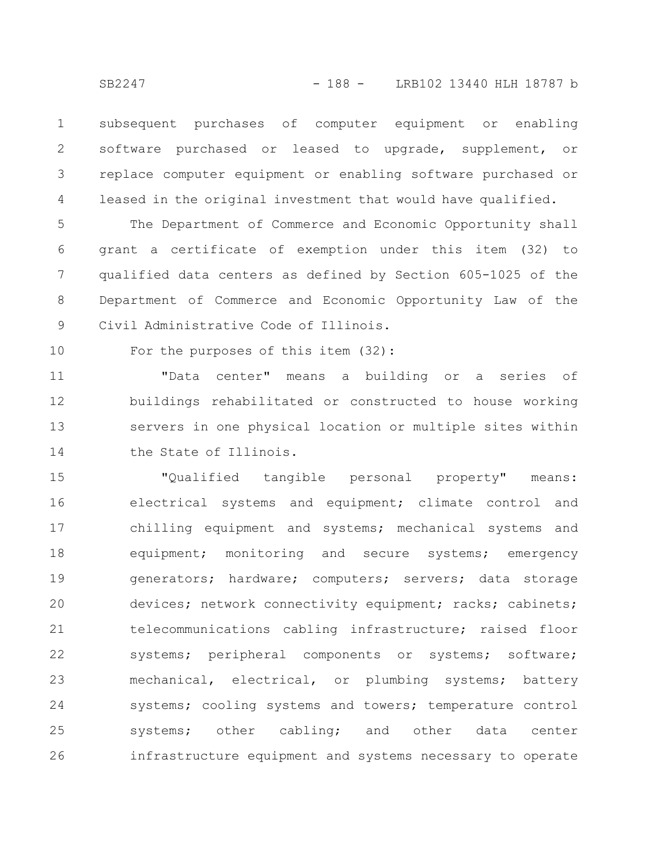subsequent purchases of computer equipment or enabling software purchased or leased to upgrade, supplement, or replace computer equipment or enabling software purchased or leased in the original investment that would have qualified. 1 2 3 4

The Department of Commerce and Economic Opportunity shall grant a certificate of exemption under this item (32) to qualified data centers as defined by Section 605-1025 of the Department of Commerce and Economic Opportunity Law of the Civil Administrative Code of Illinois. 5 6 7 8 9

10

For the purposes of this item (32):

"Data center" means a building or a series of buildings rehabilitated or constructed to house working servers in one physical location or multiple sites within the State of Illinois. 11 12 13 14

"Qualified tangible personal property" means: electrical systems and equipment; climate control and chilling equipment and systems; mechanical systems and equipment; monitoring and secure systems; emergency generators; hardware; computers; servers; data storage devices; network connectivity equipment; racks; cabinets; telecommunications cabling infrastructure; raised floor systems; peripheral components or systems; software; mechanical, electrical, or plumbing systems; battery systems; cooling systems and towers; temperature control systems; other cabling; and other data center infrastructure equipment and systems necessary to operate 15 16 17 18 19 20 21 22 23 24 25 26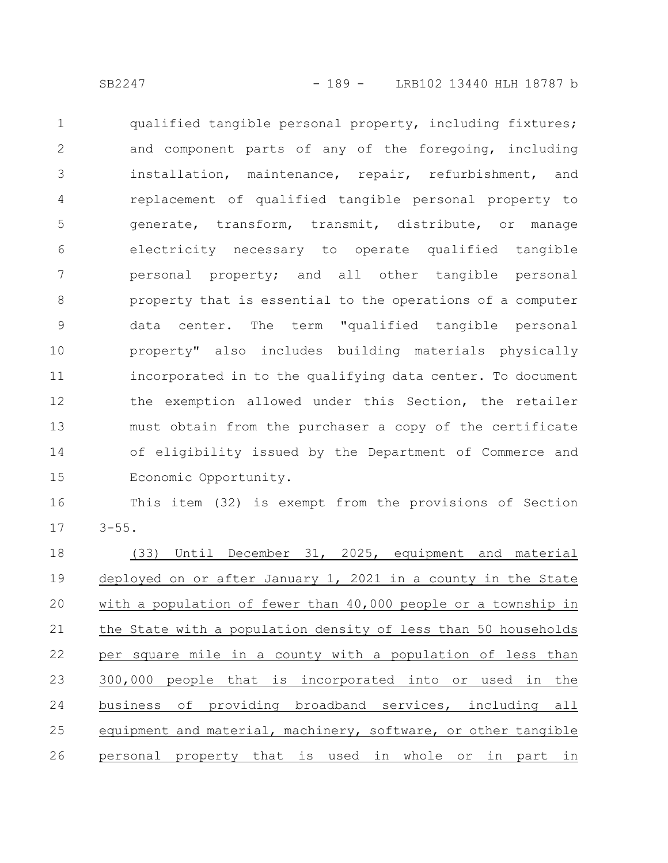qualified tangible personal property, including fixtures; and component parts of any of the foregoing, including installation, maintenance, repair, refurbishment, and replacement of qualified tangible personal property to generate, transform, transmit, distribute, or manage electricity necessary to operate qualified tangible personal property; and all other tangible personal property that is essential to the operations of a computer data center. The term "qualified tangible personal property" also includes building materials physically incorporated in to the qualifying data center. To document the exemption allowed under this Section, the retailer must obtain from the purchaser a copy of the certificate of eligibility issued by the Department of Commerce and Economic Opportunity. 1 2 3 4 5 6 7 8 9 10 11 12 13 14 15

This item (32) is exempt from the provisions of Section  $3 - 55$ . 16 17

(33) Until December 31, 2025, equipment and material deployed on or after January 1, 2021 in a county in the State with a population of fewer than 40,000 people or a township in the State with a population density of less than 50 households per square mile in a county with a population of less than 300,000 people that is incorporated into or used in the business of providing broadband services, including all equipment and material, machinery, software, or other tangible personal property that is used in whole or in part in 18 19 20 21 22 23 24 25 26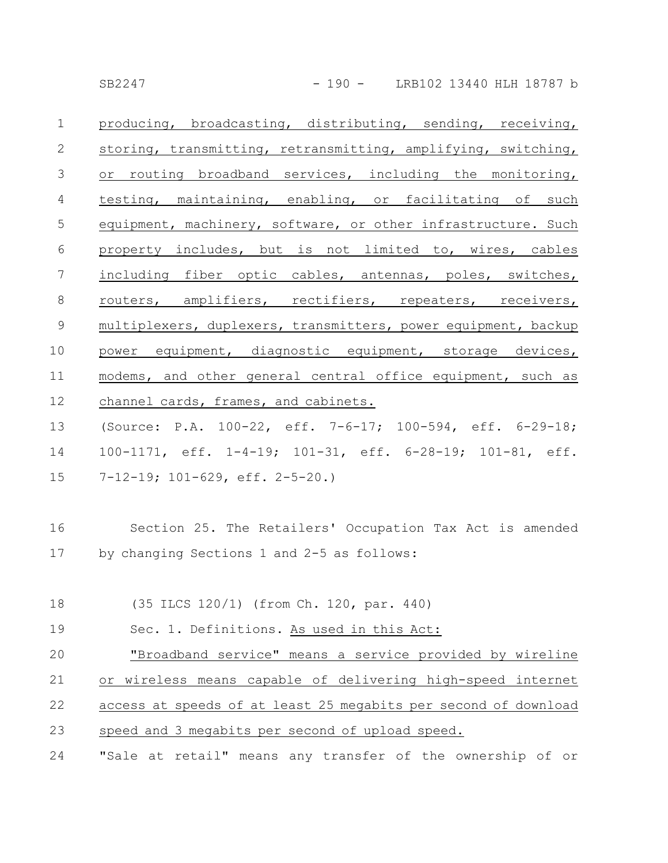producing, broadcasting, distributing, sending, receiving, storing, transmitting, retransmitting, amplifying, switching, or routing broadband services, including the monitoring, testing, maintaining, enabling, or facilitating of such equipment, machinery, software, or other infrastructure. Such property includes, but is not limited to, wires, cables including fiber optic cables, antennas, poles, switches, routers, amplifiers, rectifiers, repeaters, receivers, multiplexers, duplexers, transmitters, power equipment, backup power equipment, diagnostic equipment, storage devices, modems, and other general central office equipment, such as channel cards, frames, and cabinets. 1 2 3 4 5 6 7 8 9 10 11 12

(Source: P.A. 100-22, eff. 7-6-17; 100-594, eff. 6-29-18; 100-1171, eff. 1-4-19; 101-31, eff. 6-28-19; 101-81, eff. 7-12-19; 101-629, eff. 2-5-20.) 13 14 15

- Section 25. The Retailers' Occupation Tax Act is amended by changing Sections 1 and 2-5 as follows: 16 17
- (35 ILCS 120/1) (from Ch. 120, par. 440) Sec. 1. Definitions. As used in this Act: 18 19

"Broadband service" means a service provided by wireline or wireless means capable of delivering high-speed internet access at speeds of at least 25 megabits per second of download speed and 3 megabits per second of upload speed. 20 21 22 23

"Sale at retail" means any transfer of the ownership of or 24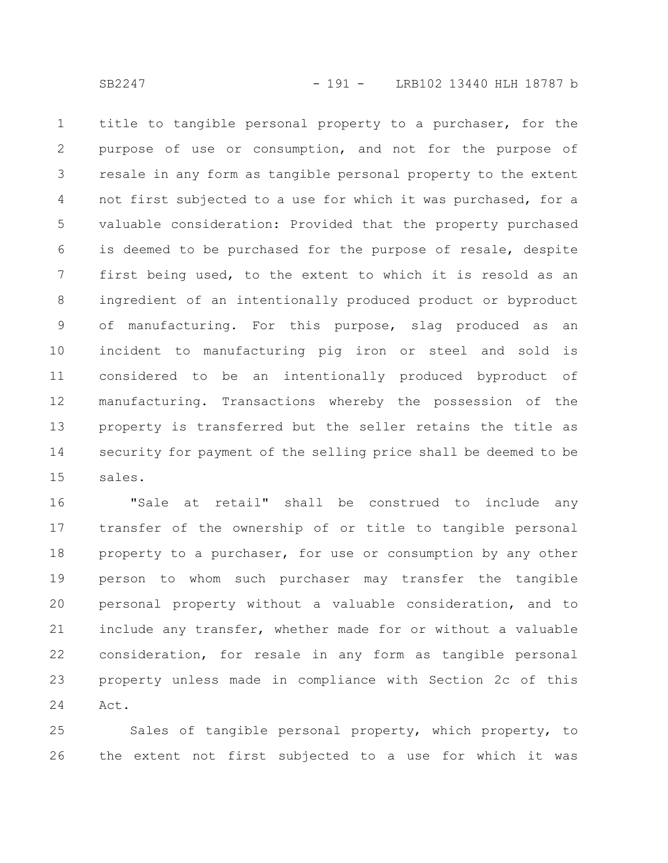title to tangible personal property to a purchaser, for the purpose of use or consumption, and not for the purpose of resale in any form as tangible personal property to the extent not first subjected to a use for which it was purchased, for a valuable consideration: Provided that the property purchased is deemed to be purchased for the purpose of resale, despite first being used, to the extent to which it is resold as an ingredient of an intentionally produced product or byproduct of manufacturing. For this purpose, slag produced as an incident to manufacturing pig iron or steel and sold is considered to be an intentionally produced byproduct of manufacturing. Transactions whereby the possession of the property is transferred but the seller retains the title as security for payment of the selling price shall be deemed to be sales. 1 2 3 4 5 6 7 8 9 10 11 12 13 14 15

"Sale at retail" shall be construed to include any transfer of the ownership of or title to tangible personal property to a purchaser, for use or consumption by any other person to whom such purchaser may transfer the tangible personal property without a valuable consideration, and to include any transfer, whether made for or without a valuable consideration, for resale in any form as tangible personal property unless made in compliance with Section 2c of this Act. 16 17 18 19 20 21 22 23 24

Sales of tangible personal property, which property, to the extent not first subjected to a use for which it was 25 26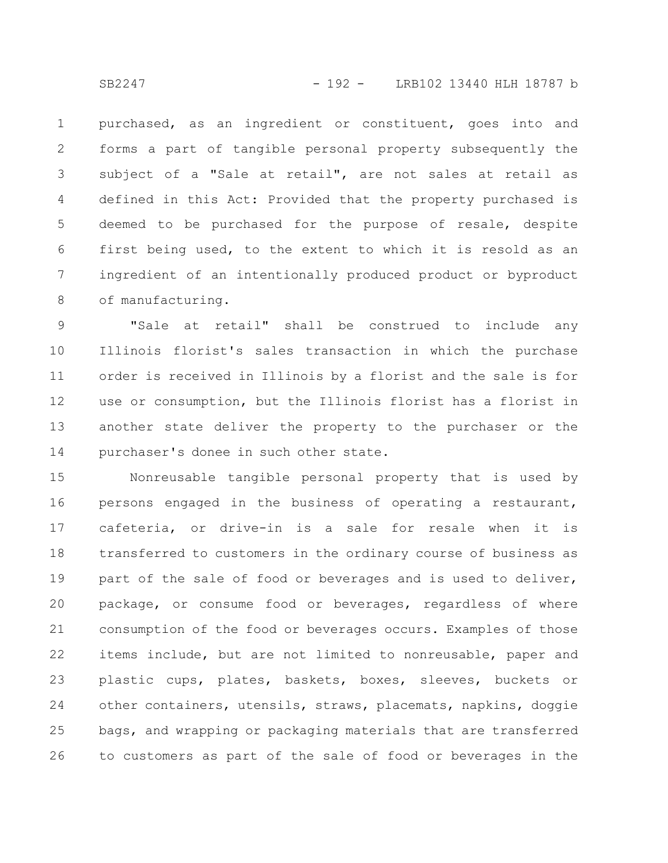purchased, as an ingredient or constituent, goes into and forms a part of tangible personal property subsequently the subject of a "Sale at retail", are not sales at retail as defined in this Act: Provided that the property purchased is deemed to be purchased for the purpose of resale, despite first being used, to the extent to which it is resold as an ingredient of an intentionally produced product or byproduct of manufacturing. 1 2 3 4 5 6 7 8

"Sale at retail" shall be construed to include any Illinois florist's sales transaction in which the purchase order is received in Illinois by a florist and the sale is for use or consumption, but the Illinois florist has a florist in another state deliver the property to the purchaser or the purchaser's donee in such other state. 9 10 11 12 13 14

Nonreusable tangible personal property that is used by persons engaged in the business of operating a restaurant, cafeteria, or drive-in is a sale for resale when it is transferred to customers in the ordinary course of business as part of the sale of food or beverages and is used to deliver, package, or consume food or beverages, regardless of where consumption of the food or beverages occurs. Examples of those items include, but are not limited to nonreusable, paper and plastic cups, plates, baskets, boxes, sleeves, buckets or other containers, utensils, straws, placemats, napkins, doggie bags, and wrapping or packaging materials that are transferred to customers as part of the sale of food or beverages in the 15 16 17 18 19 20 21 22 23 24 25 26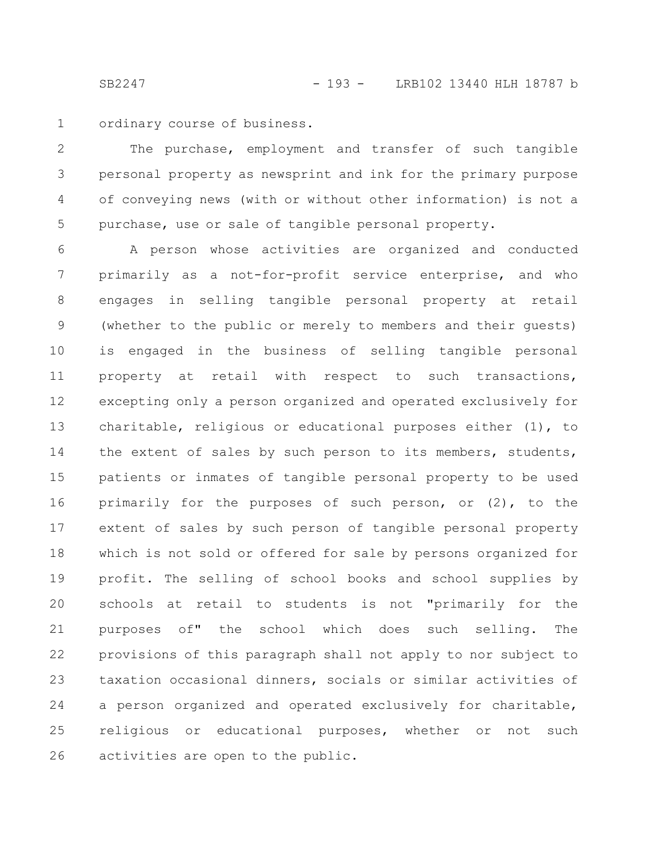ordinary course of business. 1

The purchase, employment and transfer of such tangible personal property as newsprint and ink for the primary purpose of conveying news (with or without other information) is not a purchase, use or sale of tangible personal property. 2 3 4 5

A person whose activities are organized and conducted primarily as a not-for-profit service enterprise, and who engages in selling tangible personal property at retail (whether to the public or merely to members and their guests) is engaged in the business of selling tangible personal property at retail with respect to such transactions, excepting only a person organized and operated exclusively for charitable, religious or educational purposes either (1), to the extent of sales by such person to its members, students, patients or inmates of tangible personal property to be used primarily for the purposes of such person, or (2), to the extent of sales by such person of tangible personal property which is not sold or offered for sale by persons organized for profit. The selling of school books and school supplies by schools at retail to students is not "primarily for the purposes of" the school which does such selling. The provisions of this paragraph shall not apply to nor subject to taxation occasional dinners, socials or similar activities of a person organized and operated exclusively for charitable, religious or educational purposes, whether or not such activities are open to the public. 6 7 8 9 10 11 12 13 14 15 16 17 18 19 20 21 22 23 24 25 26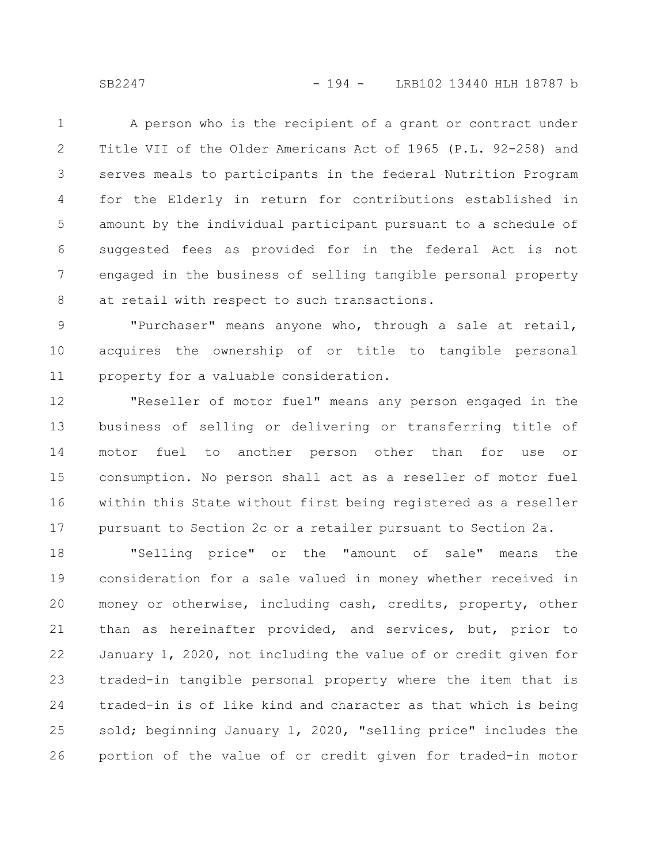SB2247 - 194 - LRB102 13440 HLH 18787 b

A person who is the recipient of a grant or contract under Title VII of the Older Americans Act of 1965 (P.L. 92-258) and serves meals to participants in the federal Nutrition Program for the Elderly in return for contributions established in amount by the individual participant pursuant to a schedule of suggested fees as provided for in the federal Act is not engaged in the business of selling tangible personal property at retail with respect to such transactions. 1 2 3 4 5 6 7 8

"Purchaser" means anyone who, through a sale at retail, acquires the ownership of or title to tangible personal property for a valuable consideration. 9 10 11

"Reseller of motor fuel" means any person engaged in the business of selling or delivering or transferring title of motor fuel to another person other than for use or consumption. No person shall act as a reseller of motor fuel within this State without first being registered as a reseller pursuant to Section 2c or a retailer pursuant to Section 2a. 12 13 14 15 16 17

"Selling price" or the "amount of sale" means the consideration for a sale valued in money whether received in money or otherwise, including cash, credits, property, other than as hereinafter provided, and services, but, prior to January 1, 2020, not including the value of or credit given for traded-in tangible personal property where the item that is traded-in is of like kind and character as that which is being sold; beginning January 1, 2020, "selling price" includes the portion of the value of or credit given for traded-in motor 18 19 20 21 22 23 24 25 26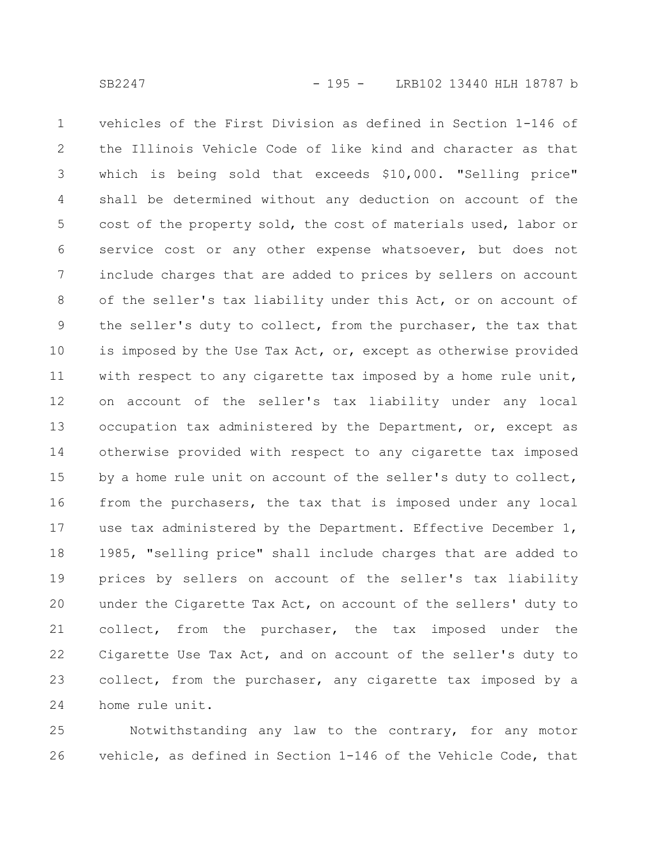vehicles of the First Division as defined in Section 1-146 of the Illinois Vehicle Code of like kind and character as that which is being sold that exceeds \$10,000. "Selling price" shall be determined without any deduction on account of the cost of the property sold, the cost of materials used, labor or service cost or any other expense whatsoever, but does not include charges that are added to prices by sellers on account of the seller's tax liability under this Act, or on account of the seller's duty to collect, from the purchaser, the tax that is imposed by the Use Tax Act, or, except as otherwise provided with respect to any cigarette tax imposed by a home rule unit, on account of the seller's tax liability under any local occupation tax administered by the Department, or, except as otherwise provided with respect to any cigarette tax imposed by a home rule unit on account of the seller's duty to collect, from the purchasers, the tax that is imposed under any local use tax administered by the Department. Effective December 1, 1985, "selling price" shall include charges that are added to prices by sellers on account of the seller's tax liability under the Cigarette Tax Act, on account of the sellers' duty to collect, from the purchaser, the tax imposed under the Cigarette Use Tax Act, and on account of the seller's duty to collect, from the purchaser, any cigarette tax imposed by a home rule unit. 1 2 3 4 5 6 7 8 9 10 11 12 13 14 15 16 17 18 19 20 21 22 23 24

Notwithstanding any law to the contrary, for any motor vehicle, as defined in Section 1-146 of the Vehicle Code, that 25 26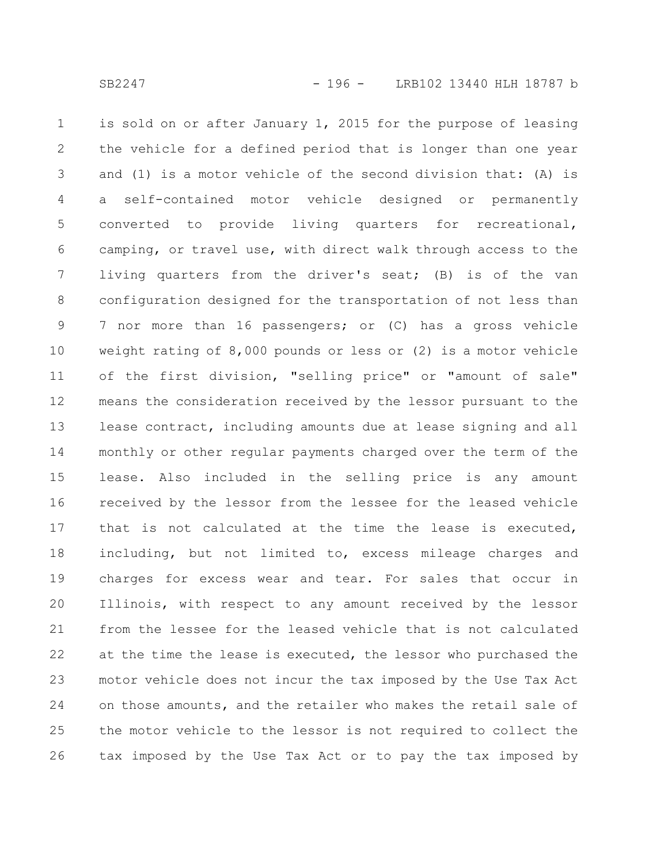is sold on or after January 1, 2015 for the purpose of leasing the vehicle for a defined period that is longer than one year and (1) is a motor vehicle of the second division that: (A) is a self-contained motor vehicle designed or permanently converted to provide living quarters for recreational, camping, or travel use, with direct walk through access to the living quarters from the driver's seat; (B) is of the van configuration designed for the transportation of not less than 7 nor more than 16 passengers; or (C) has a gross vehicle weight rating of 8,000 pounds or less or (2) is a motor vehicle of the first division, "selling price" or "amount of sale" means the consideration received by the lessor pursuant to the lease contract, including amounts due at lease signing and all monthly or other regular payments charged over the term of the lease. Also included in the selling price is any amount received by the lessor from the lessee for the leased vehicle that is not calculated at the time the lease is executed, including, but not limited to, excess mileage charges and charges for excess wear and tear. For sales that occur in Illinois, with respect to any amount received by the lessor from the lessee for the leased vehicle that is not calculated at the time the lease is executed, the lessor who purchased the motor vehicle does not incur the tax imposed by the Use Tax Act on those amounts, and the retailer who makes the retail sale of the motor vehicle to the lessor is not required to collect the tax imposed by the Use Tax Act or to pay the tax imposed by 1 2 3 4 5 6 7 8 9 10 11 12 13 14 15 16 17 18 19 20 21 22 23 24 25 26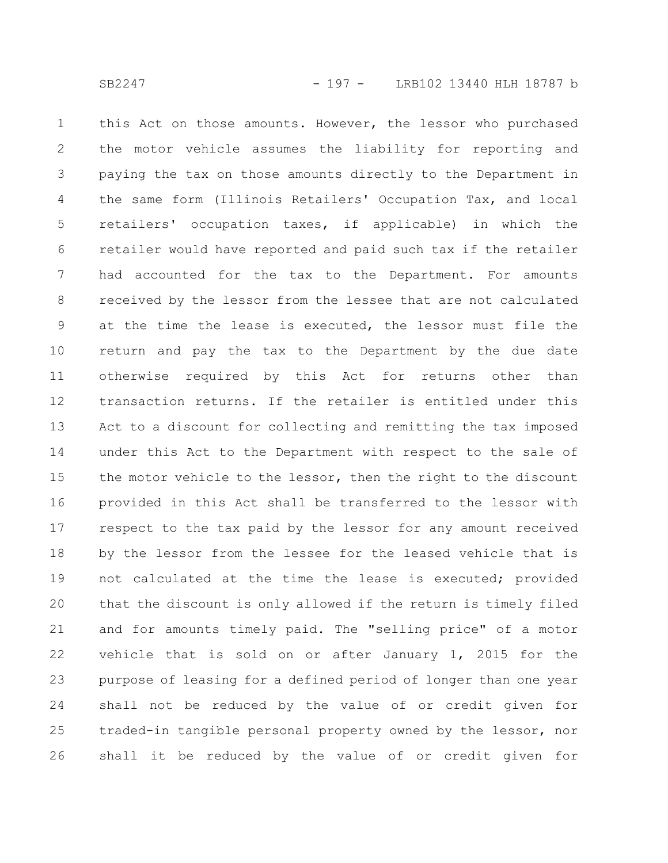this Act on those amounts. However, the lessor who purchased the motor vehicle assumes the liability for reporting and paying the tax on those amounts directly to the Department in the same form (Illinois Retailers' Occupation Tax, and local retailers' occupation taxes, if applicable) in which the retailer would have reported and paid such tax if the retailer had accounted for the tax to the Department. For amounts received by the lessor from the lessee that are not calculated at the time the lease is executed, the lessor must file the return and pay the tax to the Department by the due date otherwise required by this Act for returns other than transaction returns. If the retailer is entitled under this Act to a discount for collecting and remitting the tax imposed under this Act to the Department with respect to the sale of the motor vehicle to the lessor, then the right to the discount provided in this Act shall be transferred to the lessor with respect to the tax paid by the lessor for any amount received by the lessor from the lessee for the leased vehicle that is not calculated at the time the lease is executed; provided that the discount is only allowed if the return is timely filed and for amounts timely paid. The "selling price" of a motor vehicle that is sold on or after January 1, 2015 for the purpose of leasing for a defined period of longer than one year shall not be reduced by the value of or credit given for traded-in tangible personal property owned by the lessor, nor shall it be reduced by the value of or credit given for 1 2 3 4 5 6 7 8 9 10 11 12 13 14 15 16 17 18 19 20 21 22 23 24 25 26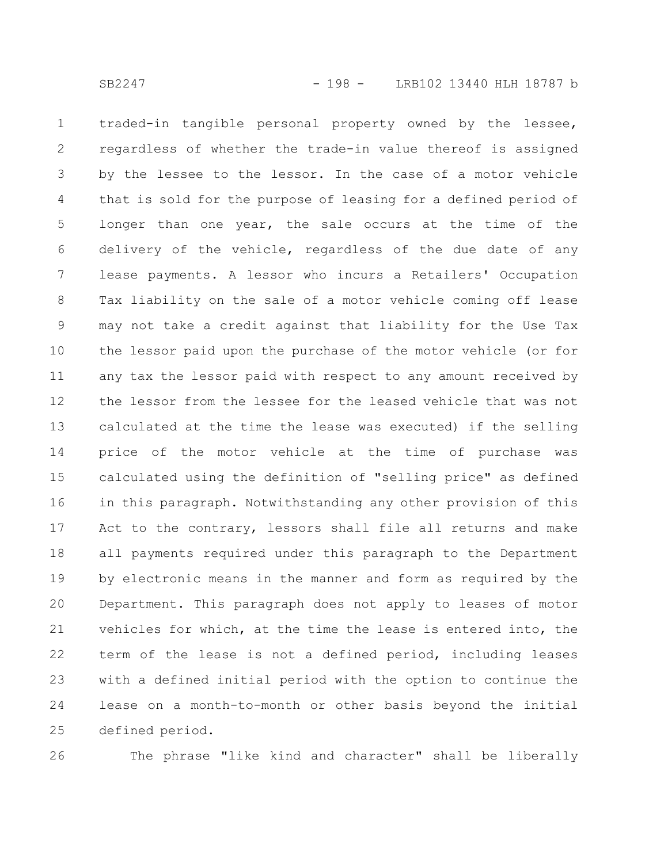traded-in tangible personal property owned by the lessee, regardless of whether the trade-in value thereof is assigned by the lessee to the lessor. In the case of a motor vehicle that is sold for the purpose of leasing for a defined period of longer than one year, the sale occurs at the time of the delivery of the vehicle, regardless of the due date of any lease payments. A lessor who incurs a Retailers' Occupation Tax liability on the sale of a motor vehicle coming off lease may not take a credit against that liability for the Use Tax the lessor paid upon the purchase of the motor vehicle (or for any tax the lessor paid with respect to any amount received by the lessor from the lessee for the leased vehicle that was not calculated at the time the lease was executed) if the selling price of the motor vehicle at the time of purchase was calculated using the definition of "selling price" as defined in this paragraph. Notwithstanding any other provision of this Act to the contrary, lessors shall file all returns and make all payments required under this paragraph to the Department by electronic means in the manner and form as required by the Department. This paragraph does not apply to leases of motor vehicles for which, at the time the lease is entered into, the term of the lease is not a defined period, including leases with a defined initial period with the option to continue the lease on a month-to-month or other basis beyond the initial defined period. 1 2 3 4 5 6 7 8 9 10 11 12 13 14 15 16 17 18 19 20 21 22 23 24 25

26

The phrase "like kind and character" shall be liberally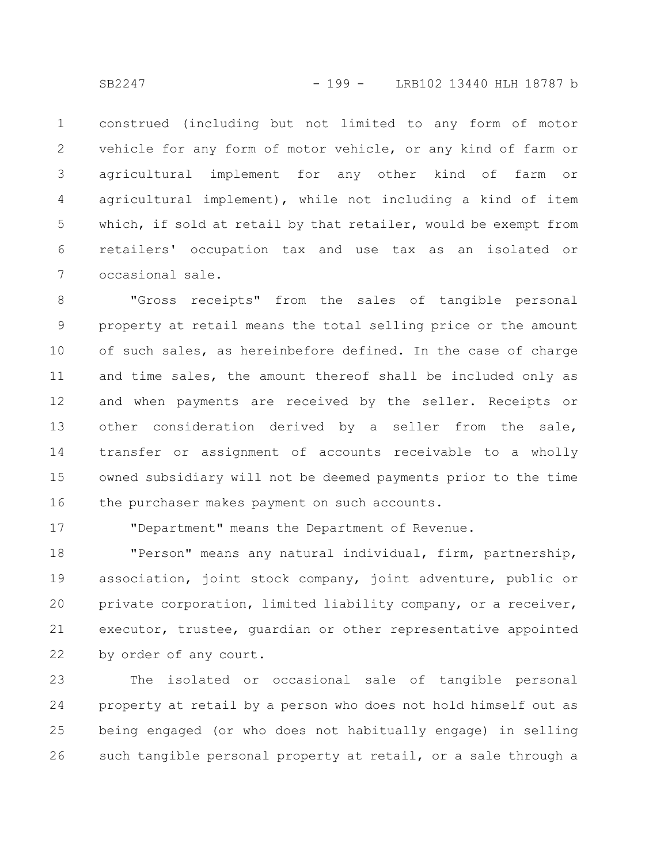construed (including but not limited to any form of motor vehicle for any form of motor vehicle, or any kind of farm or agricultural implement for any other kind of farm or agricultural implement), while not including a kind of item which, if sold at retail by that retailer, would be exempt from retailers' occupation tax and use tax as an isolated or occasional sale. 1 2 3 4 5 6 7

"Gross receipts" from the sales of tangible personal property at retail means the total selling price or the amount of such sales, as hereinbefore defined. In the case of charge and time sales, the amount thereof shall be included only as and when payments are received by the seller. Receipts or other consideration derived by a seller from the sale, transfer or assignment of accounts receivable to a wholly owned subsidiary will not be deemed payments prior to the time the purchaser makes payment on such accounts. 8 9 10 11 12 13 14 15 16

17

"Department" means the Department of Revenue.

"Person" means any natural individual, firm, partnership, association, joint stock company, joint adventure, public or private corporation, limited liability company, or a receiver, executor, trustee, guardian or other representative appointed by order of any court. 18 19 20 21 22

The isolated or occasional sale of tangible personal property at retail by a person who does not hold himself out as being engaged (or who does not habitually engage) in selling such tangible personal property at retail, or a sale through a 23 24 25 26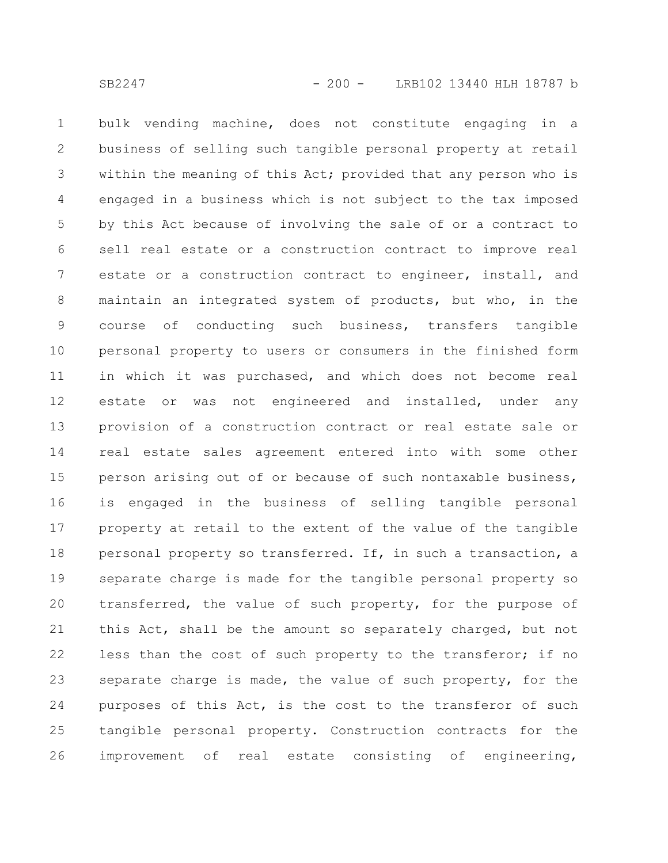bulk vending machine, does not constitute engaging in a business of selling such tangible personal property at retail within the meaning of this Act; provided that any person who is engaged in a business which is not subject to the tax imposed by this Act because of involving the sale of or a contract to sell real estate or a construction contract to improve real estate or a construction contract to engineer, install, and maintain an integrated system of products, but who, in the course of conducting such business, transfers tangible personal property to users or consumers in the finished form in which it was purchased, and which does not become real estate or was not engineered and installed, under any provision of a construction contract or real estate sale or real estate sales agreement entered into with some other person arising out of or because of such nontaxable business, is engaged in the business of selling tangible personal property at retail to the extent of the value of the tangible personal property so transferred. If, in such a transaction, a separate charge is made for the tangible personal property so transferred, the value of such property, for the purpose of this Act, shall be the amount so separately charged, but not less than the cost of such property to the transferor; if no separate charge is made, the value of such property, for the purposes of this Act, is the cost to the transferor of such tangible personal property. Construction contracts for the improvement of real estate consisting of engineering, 1 2 3 4 5 6 7 8 9 10 11 12 13 14 15 16 17 18 19 20 21 22 23 24 25 26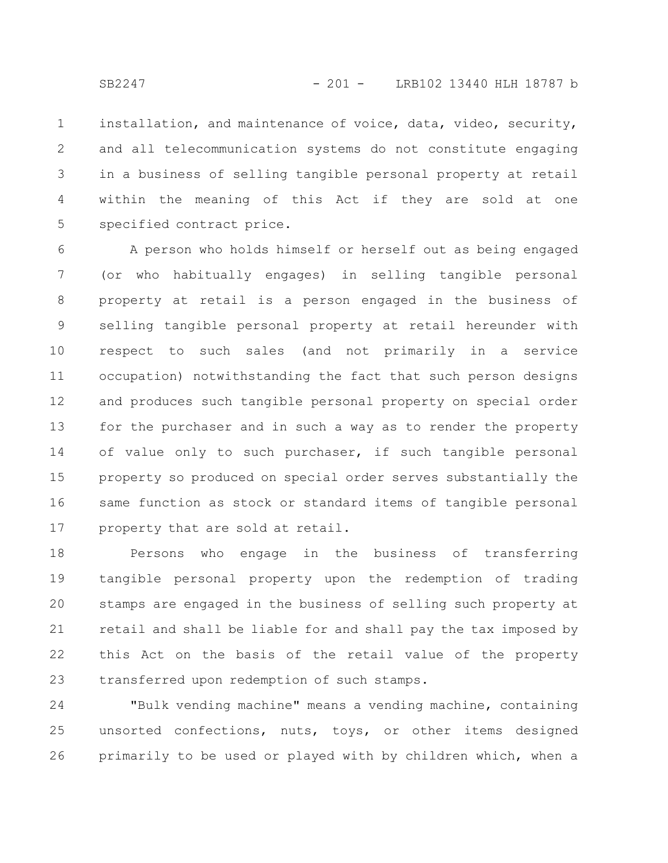installation, and maintenance of voice, data, video, security, and all telecommunication systems do not constitute engaging in a business of selling tangible personal property at retail within the meaning of this Act if they are sold at one specified contract price. 1 2 3 4 5

A person who holds himself or herself out as being engaged (or who habitually engages) in selling tangible personal property at retail is a person engaged in the business of selling tangible personal property at retail hereunder with respect to such sales (and not primarily in a service occupation) notwithstanding the fact that such person designs and produces such tangible personal property on special order for the purchaser and in such a way as to render the property of value only to such purchaser, if such tangible personal property so produced on special order serves substantially the same function as stock or standard items of tangible personal property that are sold at retail. 6 7 8 9 10 11 12 13 14 15 16 17

Persons who engage in the business of transferring tangible personal property upon the redemption of trading stamps are engaged in the business of selling such property at retail and shall be liable for and shall pay the tax imposed by this Act on the basis of the retail value of the property transferred upon redemption of such stamps. 18 19 20 21 22 23

"Bulk vending machine" means a vending machine, containing unsorted confections, nuts, toys, or other items designed primarily to be used or played with by children which, when a 24 25 26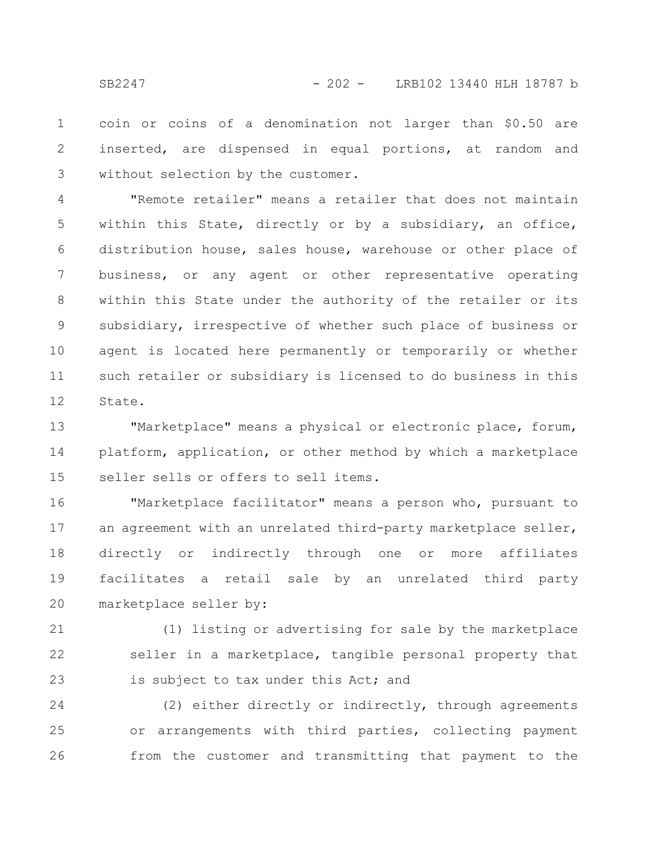coin or coins of a denomination not larger than \$0.50 are inserted, are dispensed in equal portions, at random and without selection by the customer. 1 2 3

"Remote retailer" means a retailer that does not maintain within this State, directly or by a subsidiary, an office, distribution house, sales house, warehouse or other place of business, or any agent or other representative operating within this State under the authority of the retailer or its subsidiary, irrespective of whether such place of business or agent is located here permanently or temporarily or whether such retailer or subsidiary is licensed to do business in this State. 4 5 6 7 8 9 10 11 12

"Marketplace" means a physical or electronic place, forum, platform, application, or other method by which a marketplace seller sells or offers to sell items. 13 14 15

"Marketplace facilitator" means a person who, pursuant to an agreement with an unrelated third-party marketplace seller, directly or indirectly through one or more affiliates facilitates a retail sale by an unrelated third party marketplace seller by: 16 17 18 19 20

(1) listing or advertising for sale by the marketplace seller in a marketplace, tangible personal property that is subject to tax under this Act; and 21 22 23

(2) either directly or indirectly, through agreements or arrangements with third parties, collecting payment from the customer and transmitting that payment to the 24 25 26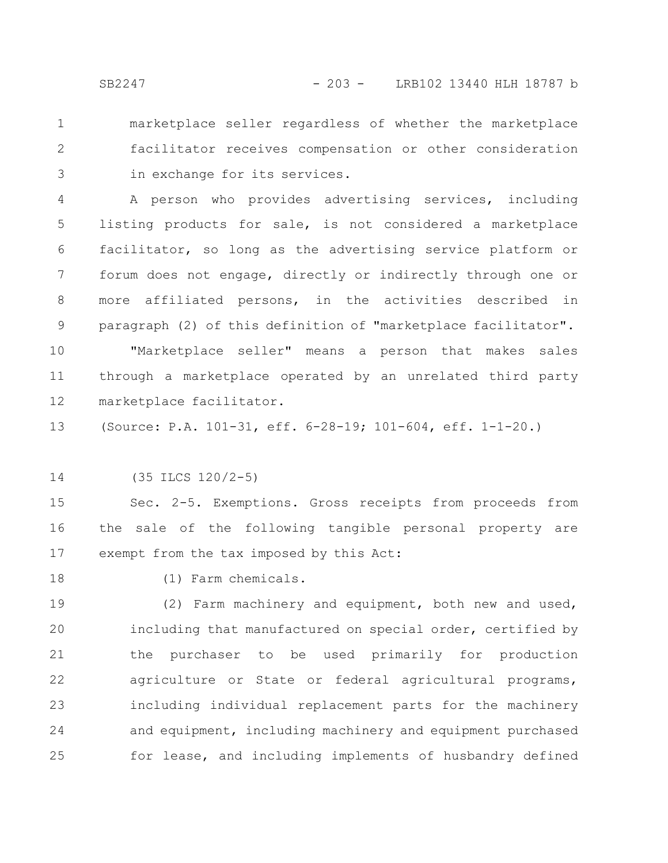marketplace seller regardless of whether the marketplace facilitator receives compensation or other consideration in exchange for its services. 1 2 3

A person who provides advertising services, including listing products for sale, is not considered a marketplace facilitator, so long as the advertising service platform or forum does not engage, directly or indirectly through one or more affiliated persons, in the activities described in paragraph (2) of this definition of "marketplace facilitator". 4 5 6 7 8 9

"Marketplace seller" means a person that makes sales through a marketplace operated by an unrelated third party marketplace facilitator. 10 11 12

(Source: P.A. 101-31, eff. 6-28-19; 101-604, eff. 1-1-20.) 13

(35 ILCS 120/2-5) 14

Sec. 2-5. Exemptions. Gross receipts from proceeds from the sale of the following tangible personal property are exempt from the tax imposed by this Act: 15 16 17

18

(1) Farm chemicals.

(2) Farm machinery and equipment, both new and used, including that manufactured on special order, certified by the purchaser to be used primarily for production agriculture or State or federal agricultural programs, including individual replacement parts for the machinery and equipment, including machinery and equipment purchased for lease, and including implements of husbandry defined 19 20 21 22 23 24 25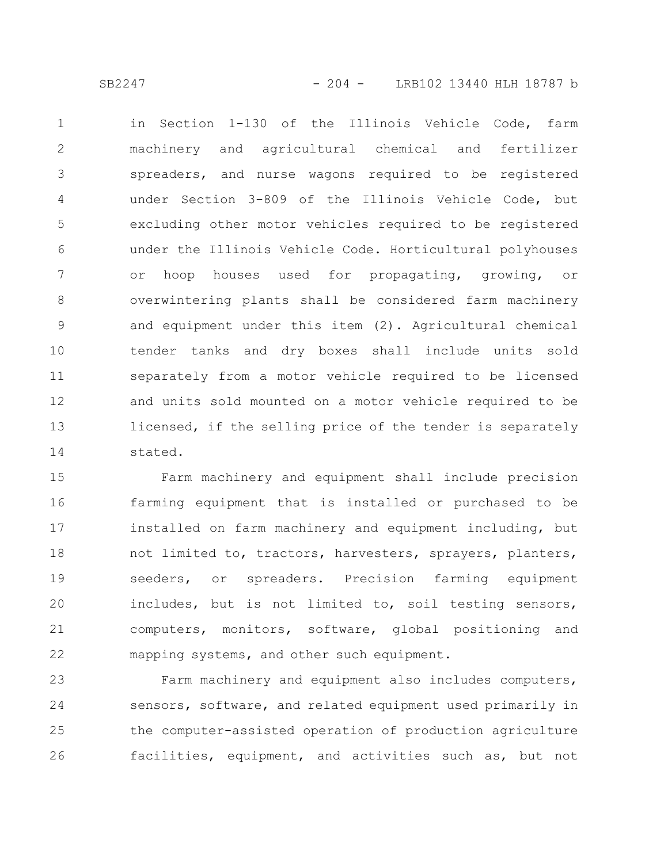SB2247 - 204 - LRB102 13440 HLH 18787 b

in Section 1-130 of the Illinois Vehicle Code, farm machinery and agricultural chemical and fertilizer spreaders, and nurse wagons required to be registered under Section 3-809 of the Illinois Vehicle Code, but excluding other motor vehicles required to be registered under the Illinois Vehicle Code. Horticultural polyhouses or hoop houses used for propagating, growing, or overwintering plants shall be considered farm machinery and equipment under this item (2). Agricultural chemical tender tanks and dry boxes shall include units sold separately from a motor vehicle required to be licensed and units sold mounted on a motor vehicle required to be licensed, if the selling price of the tender is separately stated. 1 2 3 4 5 6 7 8 9 10 11 12 13 14

Farm machinery and equipment shall include precision farming equipment that is installed or purchased to be installed on farm machinery and equipment including, but not limited to, tractors, harvesters, sprayers, planters, seeders, or spreaders. Precision farming equipment includes, but is not limited to, soil testing sensors, computers, monitors, software, global positioning and mapping systems, and other such equipment. 15 16 17 18 19 20 21 22

Farm machinery and equipment also includes computers, sensors, software, and related equipment used primarily in the computer-assisted operation of production agriculture facilities, equipment, and activities such as, but not 23 24 25 26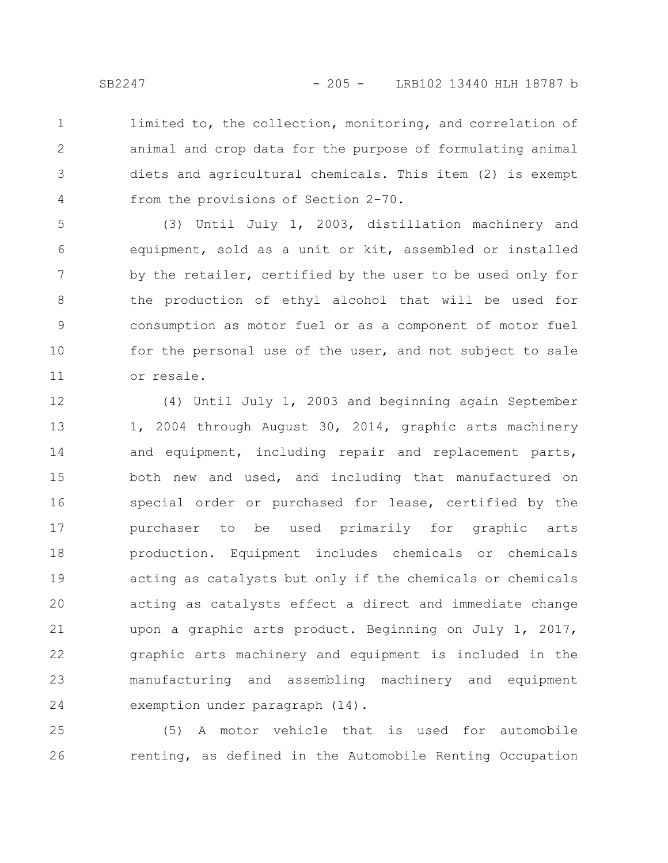limited to, the collection, monitoring, and correlation of animal and crop data for the purpose of formulating animal diets and agricultural chemicals. This item (2) is exempt from the provisions of Section 2-70. 1 2 3 4

(3) Until July 1, 2003, distillation machinery and equipment, sold as a unit or kit, assembled or installed by the retailer, certified by the user to be used only for the production of ethyl alcohol that will be used for consumption as motor fuel or as a component of motor fuel for the personal use of the user, and not subject to sale or resale. 5 6 7 8 9 10 11

(4) Until July 1, 2003 and beginning again September 1, 2004 through August 30, 2014, graphic arts machinery and equipment, including repair and replacement parts, both new and used, and including that manufactured on special order or purchased for lease, certified by the purchaser to be used primarily for graphic arts production. Equipment includes chemicals or chemicals acting as catalysts but only if the chemicals or chemicals acting as catalysts effect a direct and immediate change upon a graphic arts product. Beginning on July 1, 2017, graphic arts machinery and equipment is included in the manufacturing and assembling machinery and equipment exemption under paragraph (14). 12 13 14 15 16 17 18 19 20 21 22 23 24

(5) A motor vehicle that is used for automobile renting, as defined in the Automobile Renting Occupation 25 26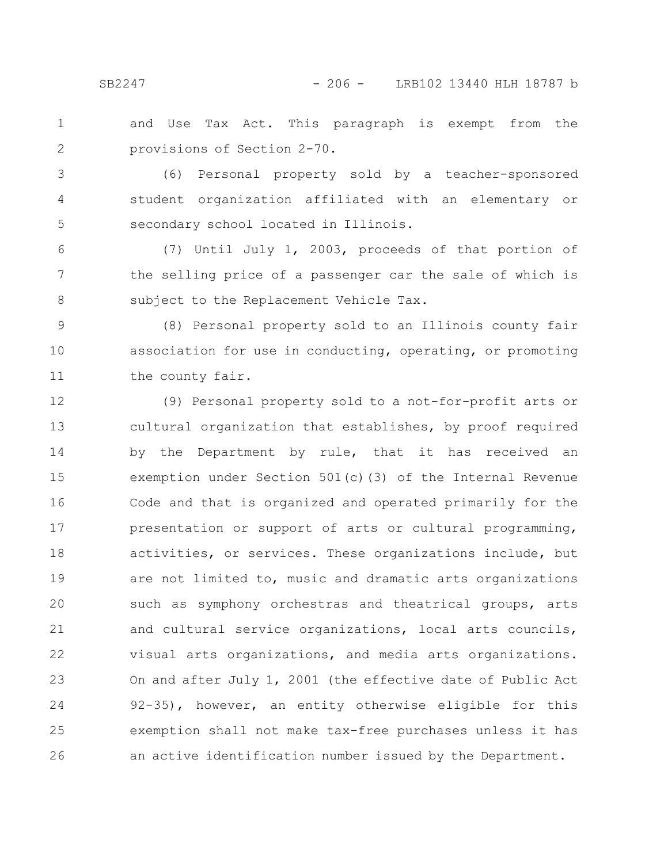and Use Tax Act. This paragraph is exempt from the provisions of Section 2-70. 1 2

(6) Personal property sold by a teacher-sponsored student organization affiliated with an elementary or secondary school located in Illinois. 3 4 5

(7) Until July 1, 2003, proceeds of that portion of the selling price of a passenger car the sale of which is subject to the Replacement Vehicle Tax. 6 7 8

(8) Personal property sold to an Illinois county fair association for use in conducting, operating, or promoting the county fair. 9 10 11

(9) Personal property sold to a not-for-profit arts or cultural organization that establishes, by proof required by the Department by rule, that it has received an exemption under Section 501(c)(3) of the Internal Revenue Code and that is organized and operated primarily for the presentation or support of arts or cultural programming, activities, or services. These organizations include, but are not limited to, music and dramatic arts organizations such as symphony orchestras and theatrical groups, arts and cultural service organizations, local arts councils, visual arts organizations, and media arts organizations. On and after July 1, 2001 (the effective date of Public Act 92-35), however, an entity otherwise eligible for this exemption shall not make tax-free purchases unless it has an active identification number issued by the Department. 12 13 14 15 16 17 18 19 20 21 22 23 24 25 26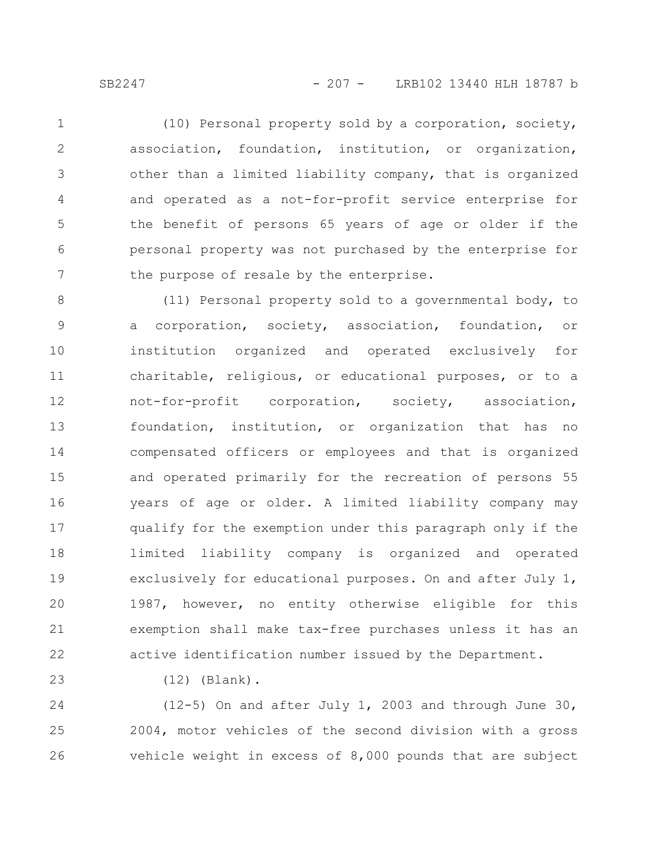SB2247 - 207 - LRB102 13440 HLH 18787 b

(10) Personal property sold by a corporation, society, association, foundation, institution, or organization, other than a limited liability company, that is organized and operated as a not-for-profit service enterprise for the benefit of persons 65 years of age or older if the personal property was not purchased by the enterprise for the purpose of resale by the enterprise. 1 2 3 4 5 6 7

(11) Personal property sold to a governmental body, to a corporation, society, association, foundation, or institution organized and operated exclusively for charitable, religious, or educational purposes, or to a not-for-profit corporation, society, association, foundation, institution, or organization that has no compensated officers or employees and that is organized and operated primarily for the recreation of persons 55 years of age or older. A limited liability company may qualify for the exemption under this paragraph only if the limited liability company is organized and operated exclusively for educational purposes. On and after July 1, 1987, however, no entity otherwise eligible for this exemption shall make tax-free purchases unless it has an active identification number issued by the Department. 8 9 10 11 12 13 14 15 16 17 18 19 20 21 22

23

(12) (Blank).

(12-5) On and after July 1, 2003 and through June 30, 2004, motor vehicles of the second division with a gross vehicle weight in excess of 8,000 pounds that are subject 24 25 26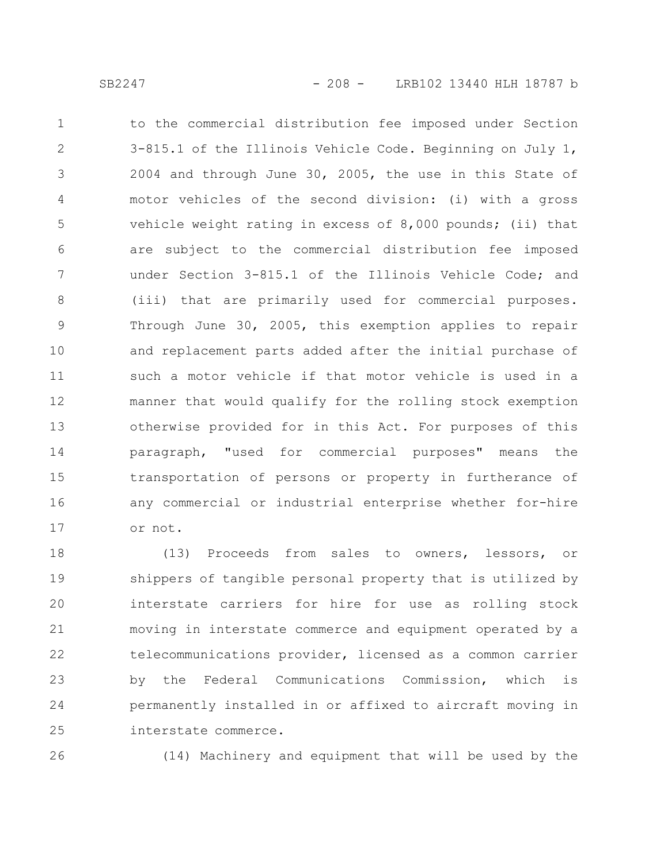to the commercial distribution fee imposed under Section 3-815.1 of the Illinois Vehicle Code. Beginning on July 1, 2004 and through June 30, 2005, the use in this State of motor vehicles of the second division: (i) with a gross vehicle weight rating in excess of 8,000 pounds; (ii) that are subject to the commercial distribution fee imposed under Section 3-815.1 of the Illinois Vehicle Code; and (iii) that are primarily used for commercial purposes. Through June 30, 2005, this exemption applies to repair and replacement parts added after the initial purchase of such a motor vehicle if that motor vehicle is used in a manner that would qualify for the rolling stock exemption otherwise provided for in this Act. For purposes of this paragraph, "used for commercial purposes" means the transportation of persons or property in furtherance of any commercial or industrial enterprise whether for-hire or not. 1 2 3 4 5 6 7 8 9 10 11 12 13 14 15 16 17

(13) Proceeds from sales to owners, lessors, or shippers of tangible personal property that is utilized by interstate carriers for hire for use as rolling stock moving in interstate commerce and equipment operated by a telecommunications provider, licensed as a common carrier by the Federal Communications Commission, which is permanently installed in or affixed to aircraft moving in interstate commerce. 18 19 20 21 22 23 24 25

26

(14) Machinery and equipment that will be used by the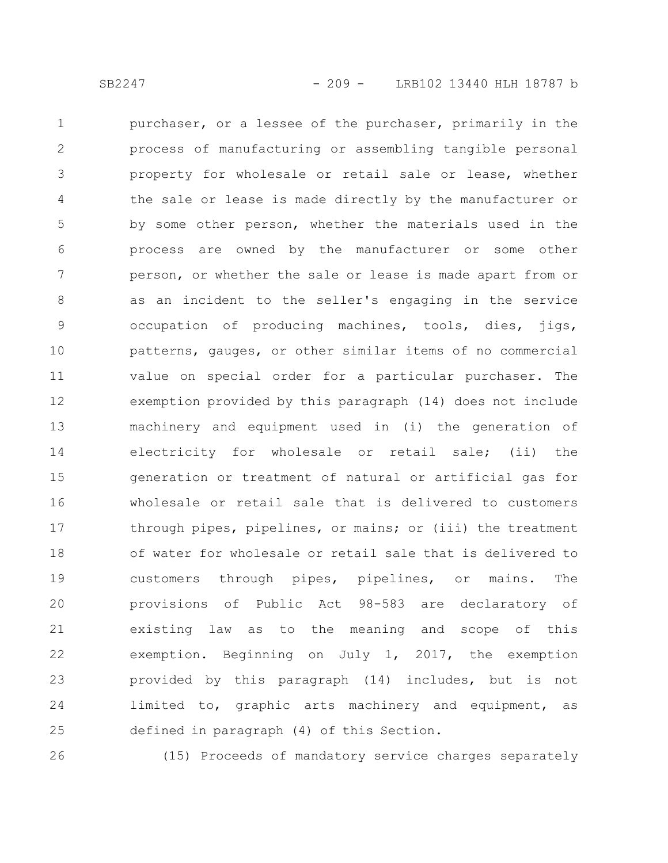purchaser, or a lessee of the purchaser, primarily in the process of manufacturing or assembling tangible personal property for wholesale or retail sale or lease, whether the sale or lease is made directly by the manufacturer or by some other person, whether the materials used in the process are owned by the manufacturer or some other person, or whether the sale or lease is made apart from or as an incident to the seller's engaging in the service occupation of producing machines, tools, dies, jigs, patterns, gauges, or other similar items of no commercial value on special order for a particular purchaser. The exemption provided by this paragraph (14) does not include machinery and equipment used in (i) the generation of electricity for wholesale or retail sale; (ii) the generation or treatment of natural or artificial gas for wholesale or retail sale that is delivered to customers through pipes, pipelines, or mains; or (iii) the treatment of water for wholesale or retail sale that is delivered to customers through pipes, pipelines, or mains. The provisions of Public Act 98-583 are declaratory of existing law as to the meaning and scope of this exemption. Beginning on July 1, 2017, the exemption provided by this paragraph (14) includes, but is not limited to, graphic arts machinery and equipment, as defined in paragraph (4) of this Section. 1 2 3 4 5 6 7 8 9 10 11 12 13 14 15 16 17 18 19 20 21 22 23 24 25

26

(15) Proceeds of mandatory service charges separately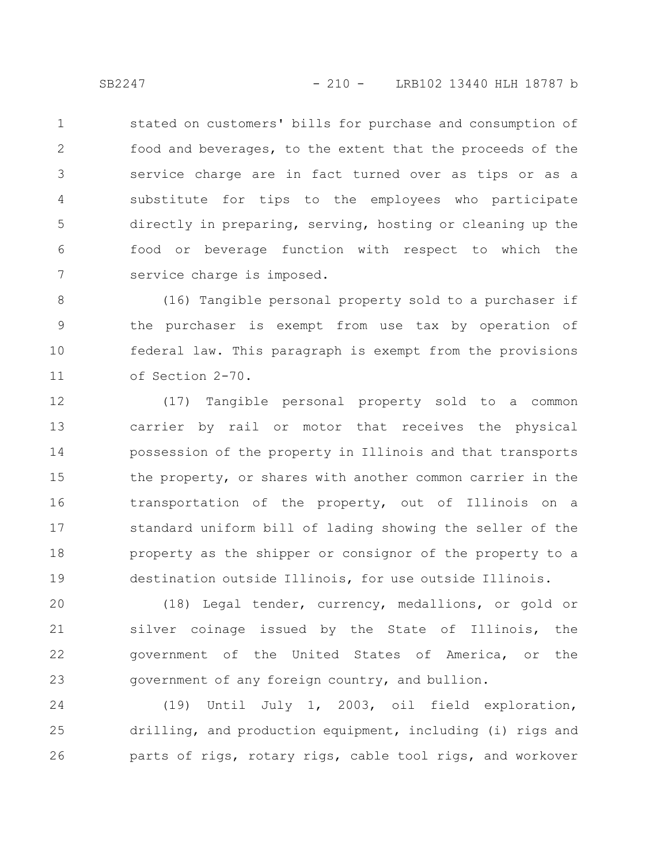stated on customers' bills for purchase and consumption of food and beverages, to the extent that the proceeds of the service charge are in fact turned over as tips or as a substitute for tips to the employees who participate directly in preparing, serving, hosting or cleaning up the food or beverage function with respect to which the service charge is imposed. 1 2 3 4 5 6 7

(16) Tangible personal property sold to a purchaser if the purchaser is exempt from use tax by operation of federal law. This paragraph is exempt from the provisions of Section 2-70. 8 9 10 11

(17) Tangible personal property sold to a common carrier by rail or motor that receives the physical possession of the property in Illinois and that transports the property, or shares with another common carrier in the transportation of the property, out of Illinois on a standard uniform bill of lading showing the seller of the property as the shipper or consignor of the property to a destination outside Illinois, for use outside Illinois. 12 13 14 15 16 17 18 19

(18) Legal tender, currency, medallions, or gold or silver coinage issued by the State of Illinois, the government of the United States of America, or the government of any foreign country, and bullion. 20 21 22 23

(19) Until July 1, 2003, oil field exploration, drilling, and production equipment, including (i) rigs and parts of rigs, rotary rigs, cable tool rigs, and workover 24 25 26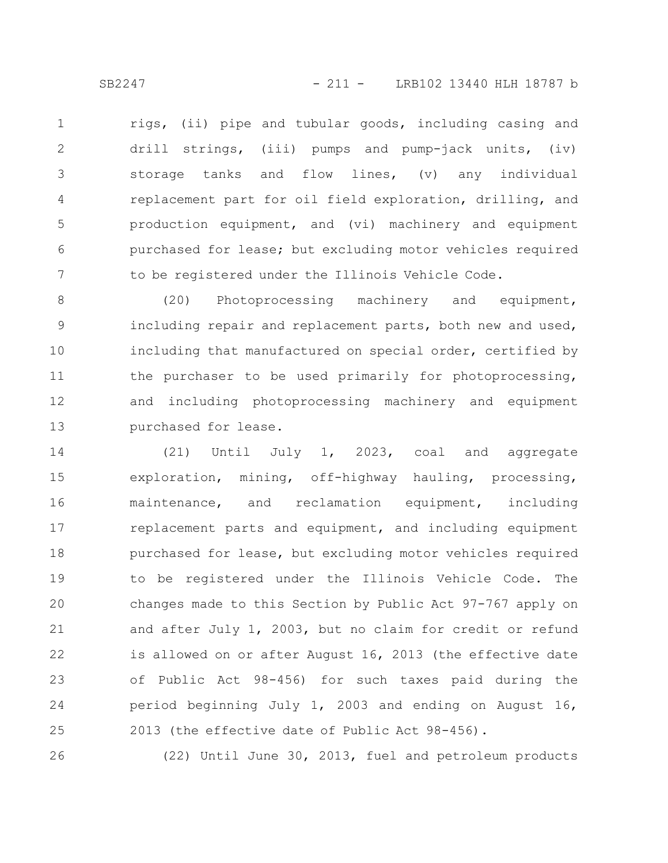rigs, (ii) pipe and tubular goods, including casing and drill strings, (iii) pumps and pump-jack units, (iv) storage tanks and flow lines, (v) any individual replacement part for oil field exploration, drilling, and production equipment, and (vi) machinery and equipment purchased for lease; but excluding motor vehicles required to be registered under the Illinois Vehicle Code. 1 2 3 4 5 6 7

(20) Photoprocessing machinery and equipment, including repair and replacement parts, both new and used, including that manufactured on special order, certified by the purchaser to be used primarily for photoprocessing, and including photoprocessing machinery and equipment purchased for lease. 8 9 10 11 12 13

(21) Until July 1, 2023, coal and aggregate exploration, mining, off-highway hauling, processing, maintenance, and reclamation equipment, including replacement parts and equipment, and including equipment purchased for lease, but excluding motor vehicles required to be registered under the Illinois Vehicle Code. The changes made to this Section by Public Act 97-767 apply on and after July 1, 2003, but no claim for credit or refund is allowed on or after August 16, 2013 (the effective date of Public Act 98-456) for such taxes paid during the period beginning July 1, 2003 and ending on August 16, 2013 (the effective date of Public Act 98-456). 14 15 16 17 18 19 20 21 22 23 24 25

26

(22) Until June 30, 2013, fuel and petroleum products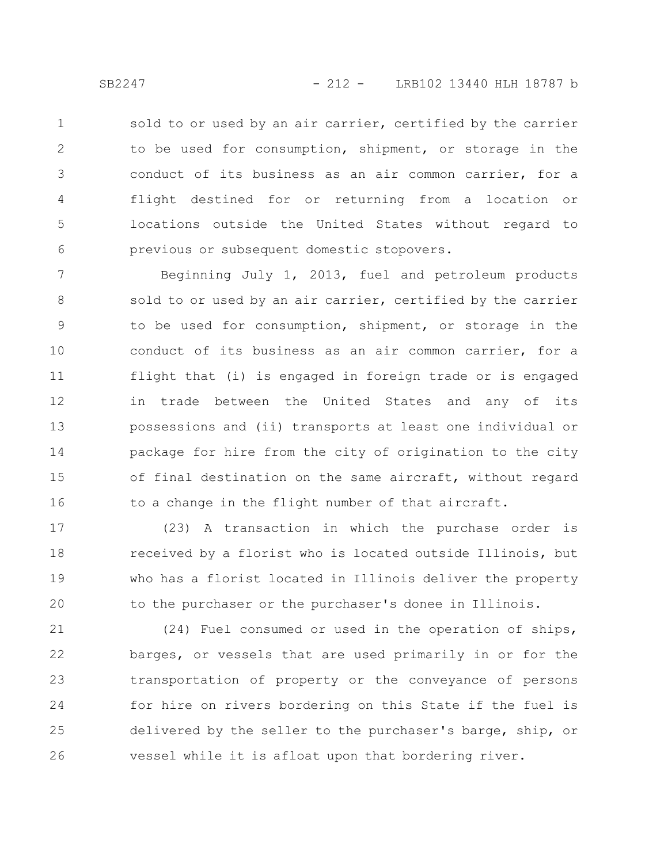sold to or used by an air carrier, certified by the carrier to be used for consumption, shipment, or storage in the conduct of its business as an air common carrier, for a flight destined for or returning from a location or locations outside the United States without regard to previous or subsequent domestic stopovers. 1 2 3 4 5 6

Beginning July 1, 2013, fuel and petroleum products sold to or used by an air carrier, certified by the carrier to be used for consumption, shipment, or storage in the conduct of its business as an air common carrier, for a flight that (i) is engaged in foreign trade or is engaged in trade between the United States and any of its possessions and (ii) transports at least one individual or package for hire from the city of origination to the city of final destination on the same aircraft, without regard to a change in the flight number of that aircraft. 7 8 9 10 11 12 13 14 15 16

(23) A transaction in which the purchase order is received by a florist who is located outside Illinois, but who has a florist located in Illinois deliver the property to the purchaser or the purchaser's donee in Illinois. 17 18 19 20

(24) Fuel consumed or used in the operation of ships, barges, or vessels that are used primarily in or for the transportation of property or the conveyance of persons for hire on rivers bordering on this State if the fuel is delivered by the seller to the purchaser's barge, ship, or vessel while it is afloat upon that bordering river. 21 22 23 24 25 26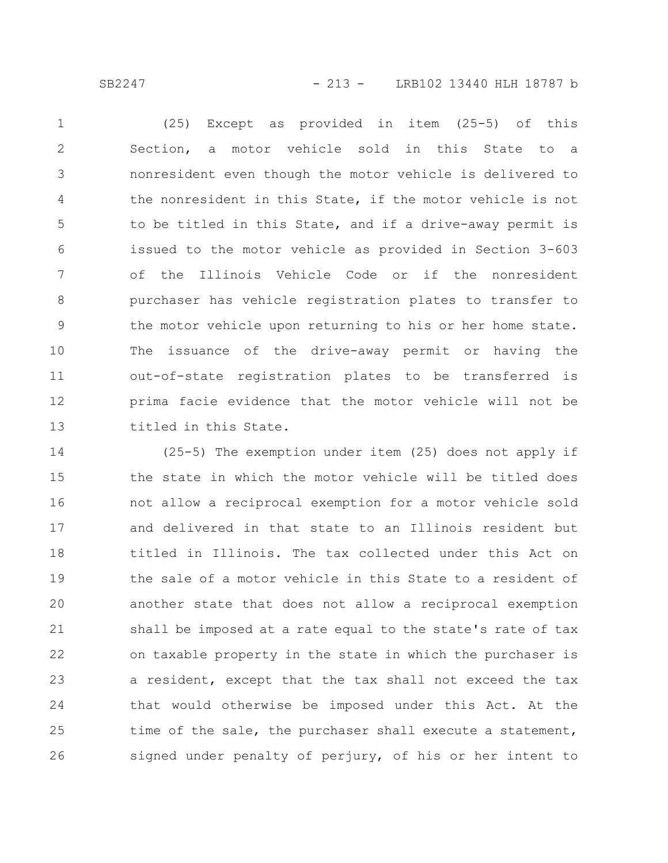SB2247 - 213 - LRB102 13440 HLH 18787 b

(25) Except as provided in item (25-5) of this Section, a motor vehicle sold in this State to a nonresident even though the motor vehicle is delivered to the nonresident in this State, if the motor vehicle is not to be titled in this State, and if a drive-away permit is issued to the motor vehicle as provided in Section 3-603 of the Illinois Vehicle Code or if the nonresident purchaser has vehicle registration plates to transfer to the motor vehicle upon returning to his or her home state. The issuance of the drive-away permit or having the out-of-state registration plates to be transferred is prima facie evidence that the motor vehicle will not be titled in this State. 1 2 3 4 5 6 7 8 9 10 11 12 13

(25-5) The exemption under item (25) does not apply if the state in which the motor vehicle will be titled does not allow a reciprocal exemption for a motor vehicle sold and delivered in that state to an Illinois resident but titled in Illinois. The tax collected under this Act on the sale of a motor vehicle in this State to a resident of another state that does not allow a reciprocal exemption shall be imposed at a rate equal to the state's rate of tax on taxable property in the state in which the purchaser is a resident, except that the tax shall not exceed the tax that would otherwise be imposed under this Act. At the time of the sale, the purchaser shall execute a statement, signed under penalty of perjury, of his or her intent to 14 15 16 17 18 19 20 21 22 23 24 25 26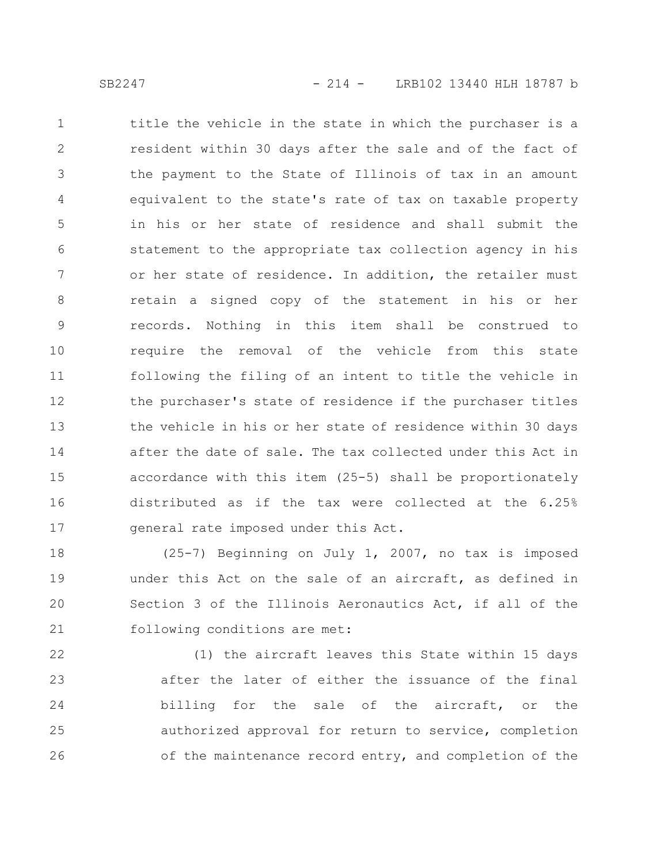title the vehicle in the state in which the purchaser is a resident within 30 days after the sale and of the fact of the payment to the State of Illinois of tax in an amount equivalent to the state's rate of tax on taxable property in his or her state of residence and shall submit the statement to the appropriate tax collection agency in his or her state of residence. In addition, the retailer must retain a signed copy of the statement in his or her records. Nothing in this item shall be construed to require the removal of the vehicle from this state following the filing of an intent to title the vehicle in the purchaser's state of residence if the purchaser titles the vehicle in his or her state of residence within 30 days after the date of sale. The tax collected under this Act in accordance with this item (25-5) shall be proportionately distributed as if the tax were collected at the 6.25% general rate imposed under this Act. 1 2 3 4 5 6 7 8 9 10 11 12 13 14 15 16 17

(25-7) Beginning on July 1, 2007, no tax is imposed under this Act on the sale of an aircraft, as defined in Section 3 of the Illinois Aeronautics Act, if all of the following conditions are met: 18 19 20 21

(1) the aircraft leaves this State within 15 days after the later of either the issuance of the final billing for the sale of the aircraft, or the authorized approval for return to service, completion of the maintenance record entry, and completion of the 22 23 24 25 26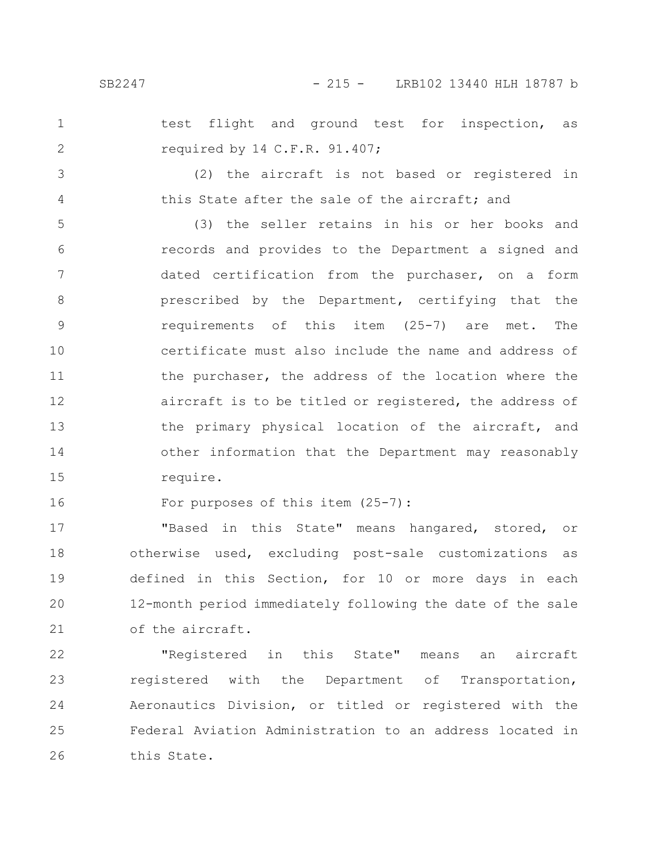test flight and ground test for inspection, as required by 14 C.F.R. 91.407; 1 2

3

4

(2) the aircraft is not based or registered in this State after the sale of the aircraft; and

(3) the seller retains in his or her books and records and provides to the Department a signed and dated certification from the purchaser, on a form prescribed by the Department, certifying that the requirements of this item (25-7) are met. The certificate must also include the name and address of the purchaser, the address of the location where the aircraft is to be titled or registered, the address of the primary physical location of the aircraft, and other information that the Department may reasonably require. 5 6 7 8 9 10 11 12 13 14 15

For purposes of this item (25-7): 16

"Based in this State" means hangared, stored, or otherwise used, excluding post-sale customizations as defined in this Section, for 10 or more days in each 12-month period immediately following the date of the sale of the aircraft. 17 18 19 20 21

"Registered in this State" means an aircraft registered with the Department of Transportation, Aeronautics Division, or titled or registered with the Federal Aviation Administration to an address located in this State. 22 23 24 25 26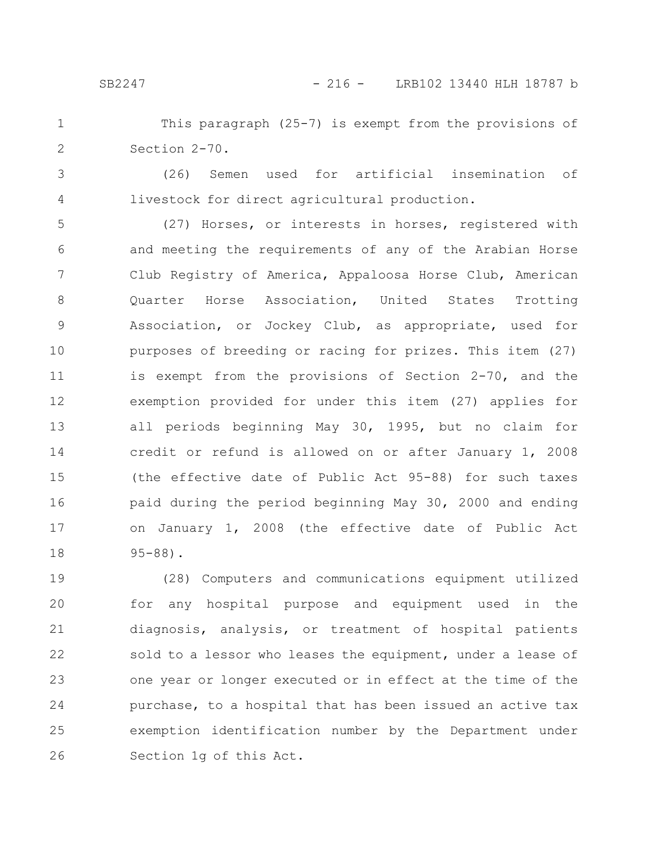This paragraph (25-7) is exempt from the provisions of Section 2-70. 1 2

3 4

(26) Semen used for artificial insemination of livestock for direct agricultural production.

(27) Horses, or interests in horses, registered with and meeting the requirements of any of the Arabian Horse Club Registry of America, Appaloosa Horse Club, American Quarter Horse Association, United States Trotting Association, or Jockey Club, as appropriate, used for purposes of breeding or racing for prizes. This item (27) is exempt from the provisions of Section 2-70, and the exemption provided for under this item (27) applies for all periods beginning May 30, 1995, but no claim for credit or refund is allowed on or after January 1, 2008 (the effective date of Public Act 95-88) for such taxes paid during the period beginning May 30, 2000 and ending on January 1, 2008 (the effective date of Public Act 95-88). 5 6 7 8 9 10 11 12 13 14 15 16 17 18

(28) Computers and communications equipment utilized for any hospital purpose and equipment used in the diagnosis, analysis, or treatment of hospital patients sold to a lessor who leases the equipment, under a lease of one year or longer executed or in effect at the time of the purchase, to a hospital that has been issued an active tax exemption identification number by the Department under Section 1g of this Act. 19 20 21 22 23 24 25 26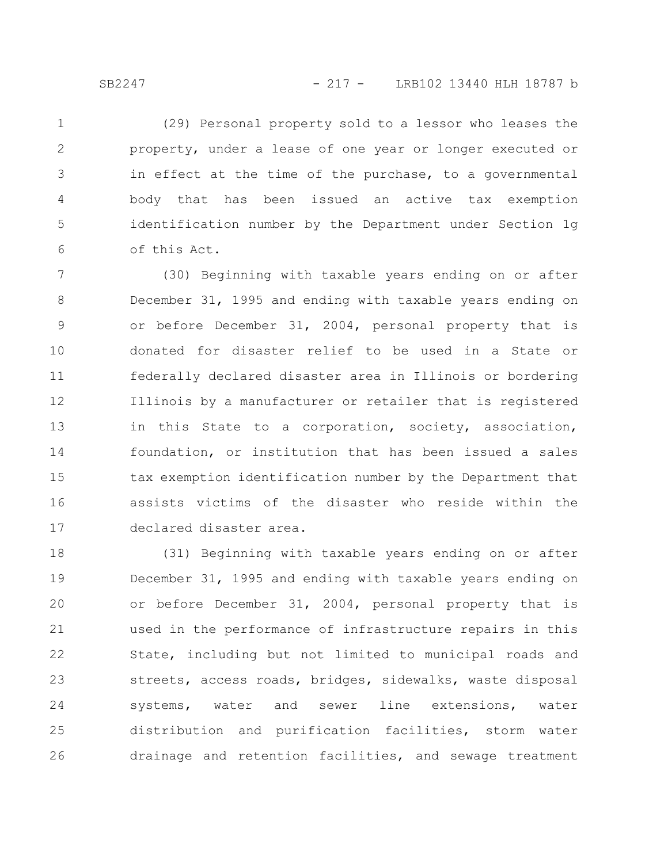(29) Personal property sold to a lessor who leases the property, under a lease of one year or longer executed or in effect at the time of the purchase, to a governmental body that has been issued an active tax exemption identification number by the Department under Section 1g of this Act. 1 2 3 4 5 6

(30) Beginning with taxable years ending on or after December 31, 1995 and ending with taxable years ending on or before December 31, 2004, personal property that is donated for disaster relief to be used in a State or federally declared disaster area in Illinois or bordering Illinois by a manufacturer or retailer that is registered in this State to a corporation, society, association, foundation, or institution that has been issued a sales tax exemption identification number by the Department that assists victims of the disaster who reside within the declared disaster area. 7 8 9 10 11 12 13 14 15 16 17

(31) Beginning with taxable years ending on or after December 31, 1995 and ending with taxable years ending on or before December 31, 2004, personal property that is used in the performance of infrastructure repairs in this State, including but not limited to municipal roads and streets, access roads, bridges, sidewalks, waste disposal systems, water and sewer line extensions, water distribution and purification facilities, storm water drainage and retention facilities, and sewage treatment 18 19 20 21 22 23 24 25 26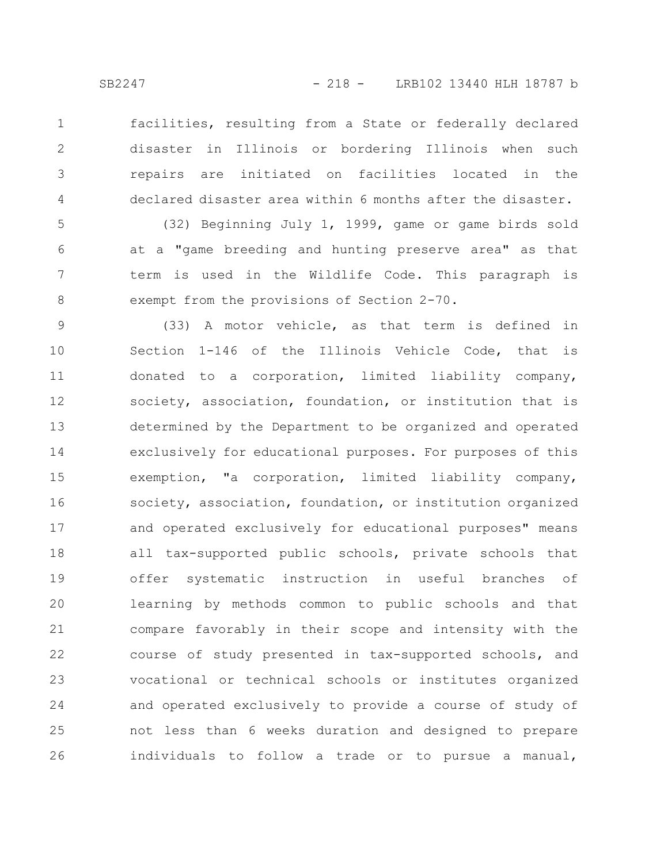1

2

3

4

facilities, resulting from a State or federally declared disaster in Illinois or bordering Illinois when such repairs are initiated on facilities located in the declared disaster area within 6 months after the disaster.

(32) Beginning July 1, 1999, game or game birds sold at a "game breeding and hunting preserve area" as that term is used in the Wildlife Code. This paragraph is exempt from the provisions of Section 2-70. 5 6 7 8

(33) A motor vehicle, as that term is defined in Section 1-146 of the Illinois Vehicle Code, that is donated to a corporation, limited liability company, society, association, foundation, or institution that is determined by the Department to be organized and operated exclusively for educational purposes. For purposes of this exemption, "a corporation, limited liability company, society, association, foundation, or institution organized and operated exclusively for educational purposes" means all tax-supported public schools, private schools that offer systematic instruction in useful branches of learning by methods common to public schools and that compare favorably in their scope and intensity with the course of study presented in tax-supported schools, and vocational or technical schools or institutes organized and operated exclusively to provide a course of study of not less than 6 weeks duration and designed to prepare individuals to follow a trade or to pursue a manual, 9 10 11 12 13 14 15 16 17 18 19 20 21 22 23 24 25 26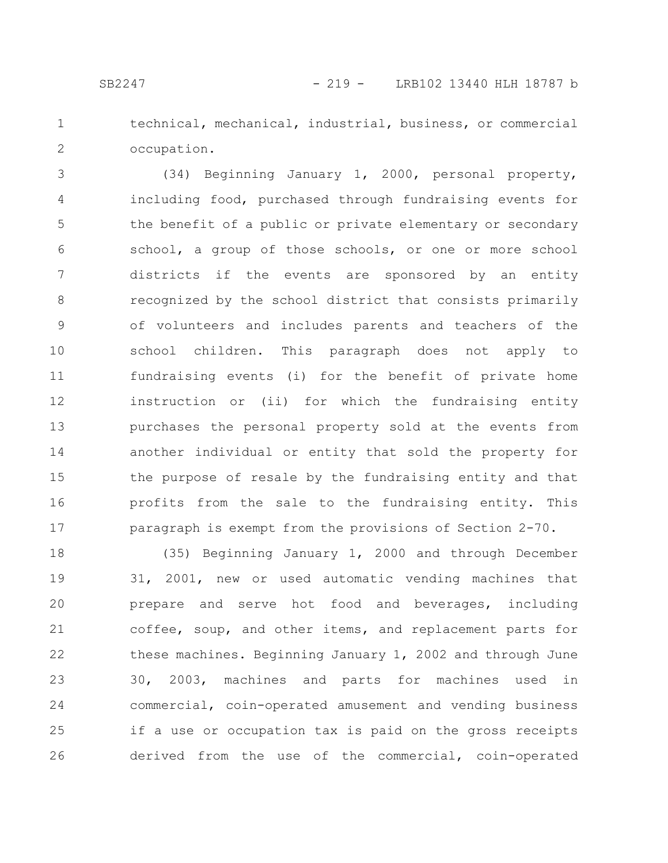1

2

technical, mechanical, industrial, business, or commercial occupation.

(34) Beginning January 1, 2000, personal property, including food, purchased through fundraising events for the benefit of a public or private elementary or secondary school, a group of those schools, or one or more school districts if the events are sponsored by an entity recognized by the school district that consists primarily of volunteers and includes parents and teachers of the school children. This paragraph does not apply to fundraising events (i) for the benefit of private home instruction or (ii) for which the fundraising entity purchases the personal property sold at the events from another individual or entity that sold the property for the purpose of resale by the fundraising entity and that profits from the sale to the fundraising entity. This paragraph is exempt from the provisions of Section 2-70. 3 4 5 6 7 8 9 10 11 12 13 14 15 16 17

(35) Beginning January 1, 2000 and through December 31, 2001, new or used automatic vending machines that prepare and serve hot food and beverages, including coffee, soup, and other items, and replacement parts for these machines. Beginning January 1, 2002 and through June 30, 2003, machines and parts for machines used in commercial, coin-operated amusement and vending business if a use or occupation tax is paid on the gross receipts derived from the use of the commercial, coin-operated 18 19 20 21 22 23 24 25 26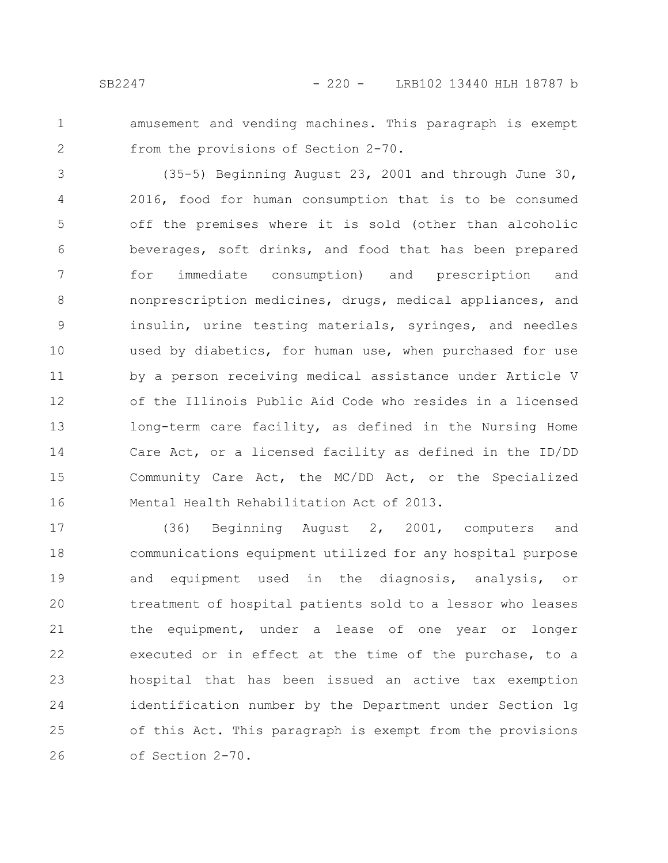- 
- 1 2

amusement and vending machines. This paragraph is exempt from the provisions of Section 2-70.

(35-5) Beginning August 23, 2001 and through June 30, 2016, food for human consumption that is to be consumed off the premises where it is sold (other than alcoholic beverages, soft drinks, and food that has been prepared for immediate consumption) and prescription and nonprescription medicines, drugs, medical appliances, and insulin, urine testing materials, syringes, and needles used by diabetics, for human use, when purchased for use by a person receiving medical assistance under Article V of the Illinois Public Aid Code who resides in a licensed long-term care facility, as defined in the Nursing Home Care Act, or a licensed facility as defined in the ID/DD Community Care Act, the MC/DD Act, or the Specialized Mental Health Rehabilitation Act of 2013. 3 4 5 6 7 8 9 10 11 12 13 14 15 16

(36) Beginning August 2, 2001, computers and communications equipment utilized for any hospital purpose and equipment used in the diagnosis, analysis, or treatment of hospital patients sold to a lessor who leases the equipment, under a lease of one year or longer executed or in effect at the time of the purchase, to a hospital that has been issued an active tax exemption identification number by the Department under Section 1g of this Act. This paragraph is exempt from the provisions of Section 2-70. 17 18 19 20 21 22 23 24 25 26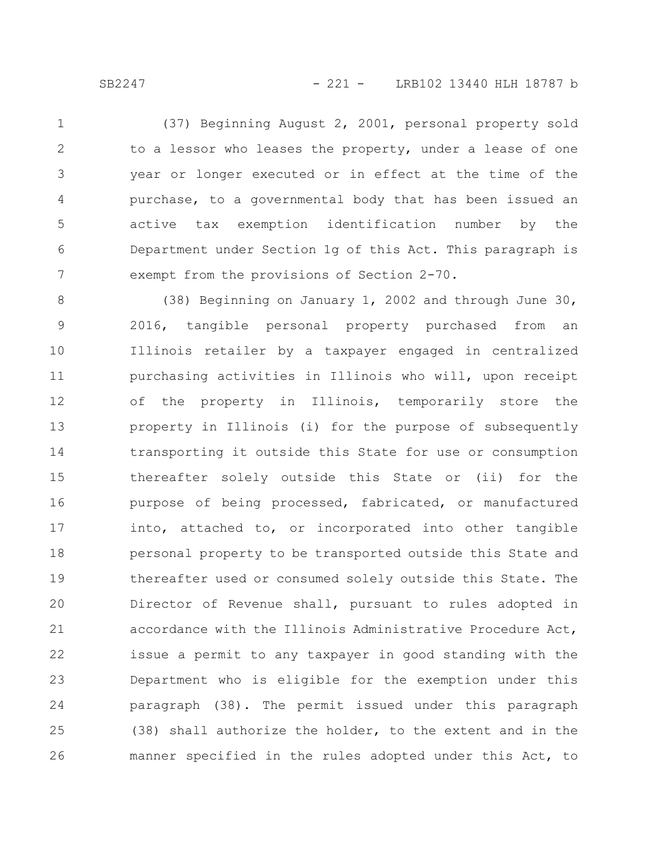(37) Beginning August 2, 2001, personal property sold to a lessor who leases the property, under a lease of one year or longer executed or in effect at the time of the purchase, to a governmental body that has been issued an active tax exemption identification number by the Department under Section 1g of this Act. This paragraph is exempt from the provisions of Section 2-70. 1 2 3 4 5 6 7

(38) Beginning on January 1, 2002 and through June 30, 2016, tangible personal property purchased from an Illinois retailer by a taxpayer engaged in centralized purchasing activities in Illinois who will, upon receipt of the property in Illinois, temporarily store the property in Illinois (i) for the purpose of subsequently transporting it outside this State for use or consumption thereafter solely outside this State or (ii) for the purpose of being processed, fabricated, or manufactured into, attached to, or incorporated into other tangible personal property to be transported outside this State and thereafter used or consumed solely outside this State. The Director of Revenue shall, pursuant to rules adopted in accordance with the Illinois Administrative Procedure Act, issue a permit to any taxpayer in good standing with the Department who is eligible for the exemption under this paragraph (38). The permit issued under this paragraph (38) shall authorize the holder, to the extent and in the manner specified in the rules adopted under this Act, to 8 9 10 11 12 13 14 15 16 17 18 19 20 21 22 23 24 25 26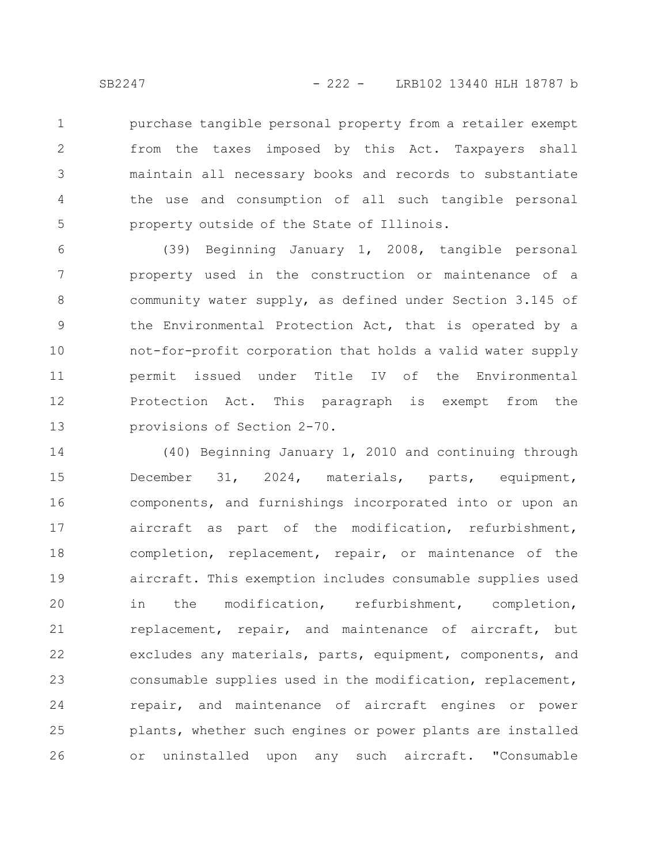purchase tangible personal property from a retailer exempt from the taxes imposed by this Act. Taxpayers shall maintain all necessary books and records to substantiate the use and consumption of all such tangible personal property outside of the State of Illinois. 1 2 3 4 5

(39) Beginning January 1, 2008, tangible personal property used in the construction or maintenance of a community water supply, as defined under Section 3.145 of the Environmental Protection Act, that is operated by a not-for-profit corporation that holds a valid water supply permit issued under Title IV of the Environmental Protection Act. This paragraph is exempt from the provisions of Section 2-70. 6 7 8 9 10 11 12 13

(40) Beginning January 1, 2010 and continuing through December 31, 2024, materials, parts, equipment, components, and furnishings incorporated into or upon an aircraft as part of the modification, refurbishment, completion, replacement, repair, or maintenance of the aircraft. This exemption includes consumable supplies used in the modification, refurbishment, completion, replacement, repair, and maintenance of aircraft, but excludes any materials, parts, equipment, components, and consumable supplies used in the modification, replacement, repair, and maintenance of aircraft engines or power plants, whether such engines or power plants are installed or uninstalled upon any such aircraft. "Consumable 14 15 16 17 18 19 20 21 22 23 24 25 26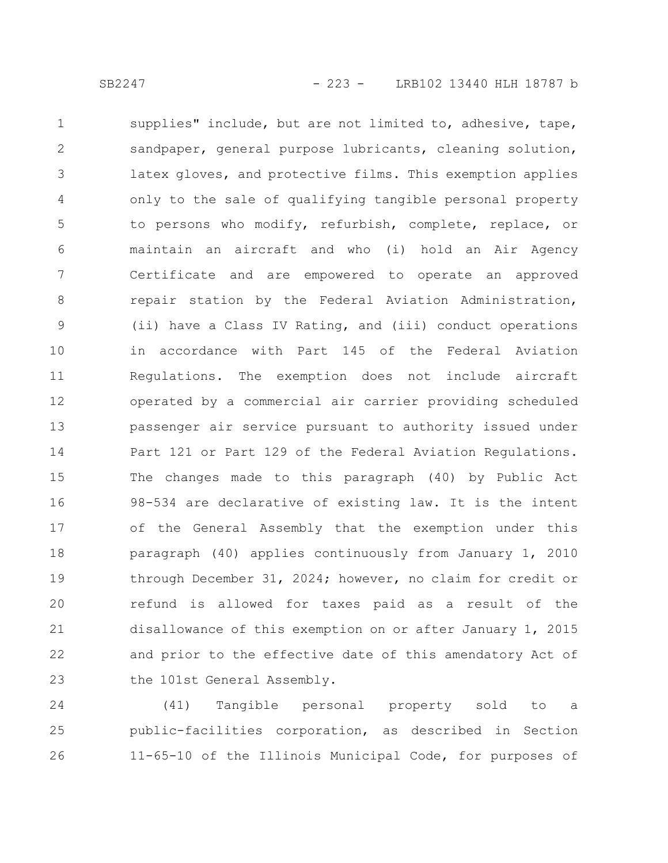supplies" include, but are not limited to, adhesive, tape, sandpaper, general purpose lubricants, cleaning solution, latex gloves, and protective films. This exemption applies only to the sale of qualifying tangible personal property to persons who modify, refurbish, complete, replace, or maintain an aircraft and who (i) hold an Air Agency Certificate and are empowered to operate an approved repair station by the Federal Aviation Administration, (ii) have a Class IV Rating, and (iii) conduct operations in accordance with Part 145 of the Federal Aviation Regulations. The exemption does not include aircraft operated by a commercial air carrier providing scheduled passenger air service pursuant to authority issued under Part 121 or Part 129 of the Federal Aviation Regulations. The changes made to this paragraph (40) by Public Act 98-534 are declarative of existing law. It is the intent of the General Assembly that the exemption under this paragraph (40) applies continuously from January 1, 2010 through December 31, 2024; however, no claim for credit or refund is allowed for taxes paid as a result of the disallowance of this exemption on or after January 1, 2015 and prior to the effective date of this amendatory Act of the 101st General Assembly. 1 2 3 4 5 6 7 8 9 10 11 12 13 14 15 16 17 18 19 20 21 22 23

(41) Tangible personal property sold to a public-facilities corporation, as described in Section 11-65-10 of the Illinois Municipal Code, for purposes of 24 25 26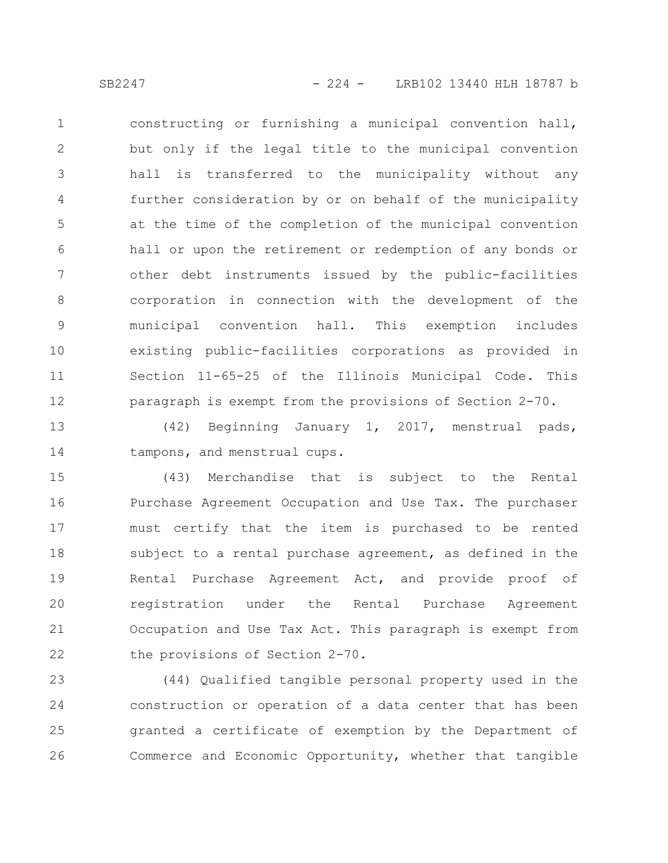constructing or furnishing a municipal convention hall, but only if the legal title to the municipal convention hall is transferred to the municipality without any further consideration by or on behalf of the municipality at the time of the completion of the municipal convention hall or upon the retirement or redemption of any bonds or other debt instruments issued by the public-facilities corporation in connection with the development of the municipal convention hall. This exemption includes existing public-facilities corporations as provided in Section 11-65-25 of the Illinois Municipal Code. This paragraph is exempt from the provisions of Section 2-70. 1 2 3 4 5 6 7 8 9 10 11 12

(42) Beginning January 1, 2017, menstrual pads, tampons, and menstrual cups. 13 14

(43) Merchandise that is subject to the Rental Purchase Agreement Occupation and Use Tax. The purchaser must certify that the item is purchased to be rented subject to a rental purchase agreement, as defined in the Rental Purchase Agreement Act, and provide proof of registration under the Rental Purchase Agreement Occupation and Use Tax Act. This paragraph is exempt from the provisions of Section 2-70. 15 16 17 18 19 20 21 22

(44) Qualified tangible personal property used in the construction or operation of a data center that has been granted a certificate of exemption by the Department of Commerce and Economic Opportunity, whether that tangible 23 24 25 26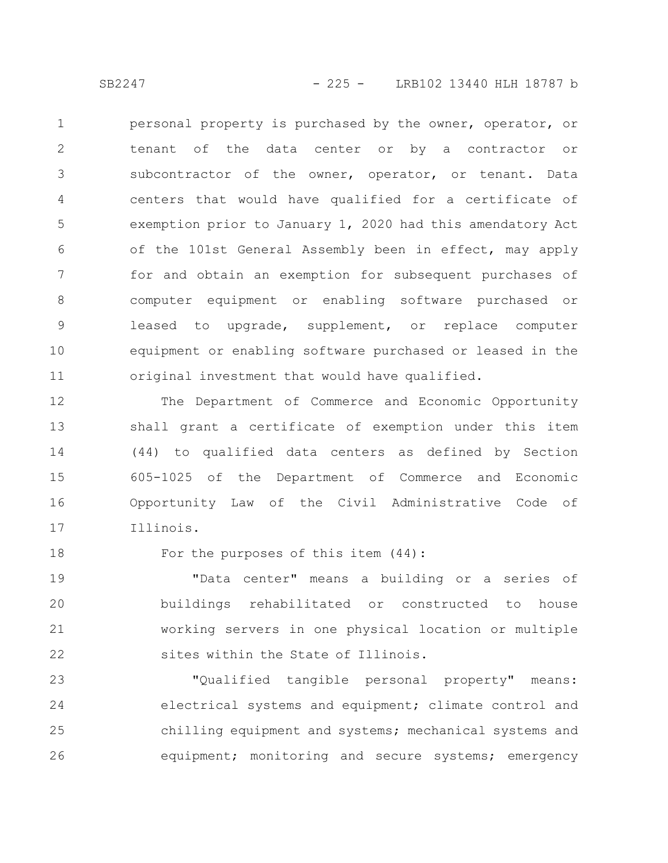personal property is purchased by the owner, operator, or tenant of the data center or by a contractor or subcontractor of the owner, operator, or tenant. Data centers that would have qualified for a certificate of exemption prior to January 1, 2020 had this amendatory Act of the 101st General Assembly been in effect, may apply for and obtain an exemption for subsequent purchases of computer equipment or enabling software purchased or leased to upgrade, supplement, or replace computer equipment or enabling software purchased or leased in the original investment that would have qualified. 1 2 3 4 5 6 7 8 9 10 11

The Department of Commerce and Economic Opportunity shall grant a certificate of exemption under this item (44) to qualified data centers as defined by Section 605-1025 of the Department of Commerce and Economic Opportunity Law of the Civil Administrative Code of Illinois. 12 13 14 15 16 17

18

For the purposes of this item (44):

"Data center" means a building or a series of buildings rehabilitated or constructed to house working servers in one physical location or multiple sites within the State of Illinois. 19 20 21 22

"Qualified tangible personal property" means: electrical systems and equipment; climate control and chilling equipment and systems; mechanical systems and equipment; monitoring and secure systems; emergency 23 24 25 26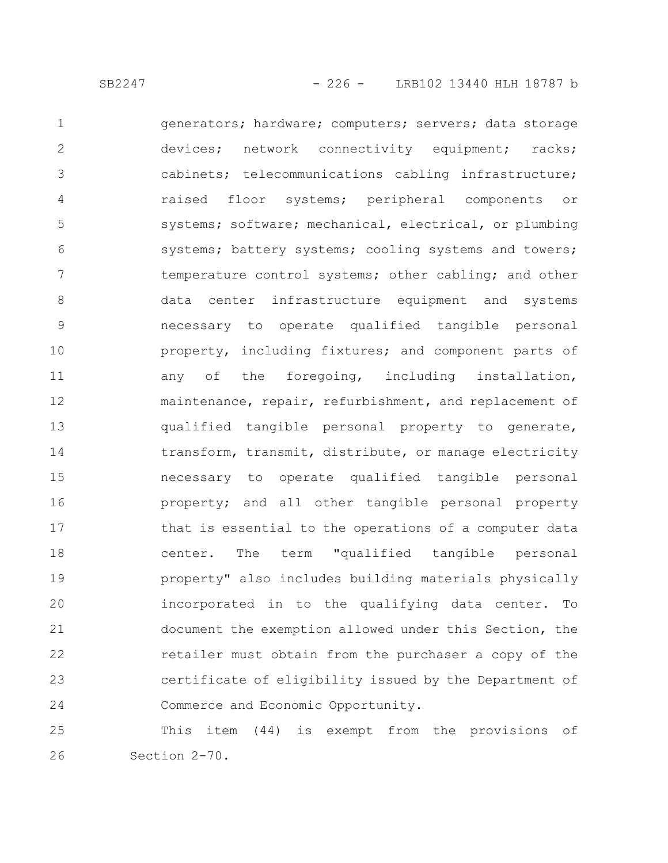generators; hardware; computers; servers; data storage devices; network connectivity equipment; racks; cabinets; telecommunications cabling infrastructure; raised floor systems; peripheral components or systems; software; mechanical, electrical, or plumbing systems; battery systems; cooling systems and towers; temperature control systems; other cabling; and other data center infrastructure equipment and systems necessary to operate qualified tangible personal property, including fixtures; and component parts of any of the foregoing, including installation, maintenance, repair, refurbishment, and replacement of qualified tangible personal property to generate, transform, transmit, distribute, or manage electricity necessary to operate qualified tangible personal property; and all other tangible personal property that is essential to the operations of a computer data center. The term "qualified tangible personal property" also includes building materials physically incorporated in to the qualifying data center. To document the exemption allowed under this Section, the retailer must obtain from the purchaser a copy of the certificate of eligibility issued by the Department of Commerce and Economic Opportunity. 1 2 3 4 5 6 7 8 9 10 11 12 13 14 15 16 17 18 19 20 21 22 23 24

This item (44) is exempt from the provisions of Section 2-70. 25 26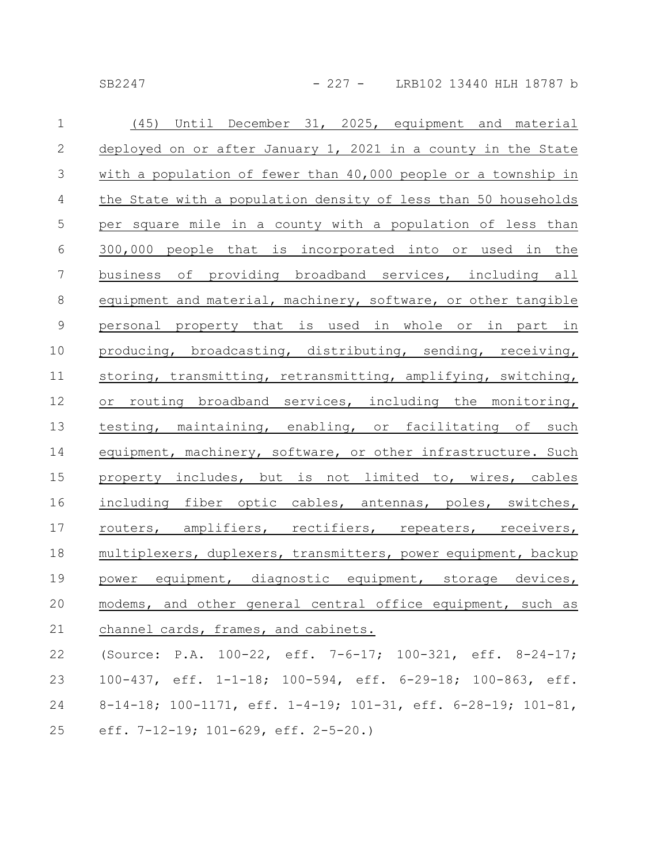SB2247 - 227 - LRB102 13440 HLH 18787 b

| $\mathbf 1$     | (45) Until December 31, 2025, equipment and material           |
|-----------------|----------------------------------------------------------------|
| $\mathbf{2}$    | deployed on or after January 1, 2021 in a county in the State  |
| $\mathcal{S}$   | with a population of fewer than 40,000 people or a township in |
| $\overline{4}$  | the State with a population density of less than 50 households |
| $\overline{5}$  | per square mile in a county with a population of less than     |
| $6\,$           | 300,000 people that is incorporated into or used in the        |
| $7\phantom{.0}$ | business of providing broadband services, including all        |
| 8               | equipment and material, machinery, software, or other tangible |
| $\mathcal{G}$   | personal property that is used in whole or in part in          |
| 10              | producing, broadcasting, distributing, sending, receiving,     |
| 11              | storing, transmitting, retransmitting, amplifying, switching,  |
| 12              | or routing broadband services, including the monitoring,       |
| 13              | testing, maintaining, enabling, or facilitating of such        |
| 14              | equipment, machinery, software, or other infrastructure. Such  |
| 15              | property includes, but is not limited to, wires, cables        |
| 16              | including fiber optic cables, antennas, poles, switches,       |
| 17              | routers, amplifiers, rectifiers, repeaters, receivers,         |
| 18              | multiplexers, duplexers, transmitters, power equipment, backup |
| 19              | power equipment, diagnostic equipment, storage devices,        |
| 20              | modems, and other general central office equipment, such as    |
| 21              | channel cards, frames, and cabinets.                           |
| 22              | (Source: P.A. 100-22, eff. 7-6-17; 100-321, eff. 8-24-17;      |
| 23              | 100-437, eff. 1-1-18; 100-594, eff. 6-29-18; 100-863, eff.     |
| 24              | 8-14-18; 100-1171, eff. 1-4-19; 101-31, eff. 6-28-19; 101-81,  |

eff. 7-12-19; 101-629, eff. 2-5-20.) 25